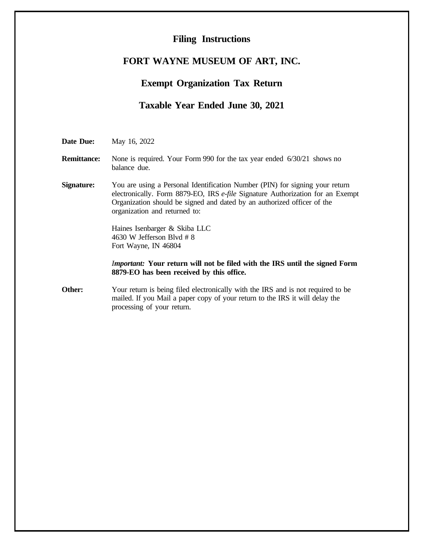## **Filing Instructions**

## **FORT WAYNE MUSEUM OF ART, INC.**

## **Exempt Organization Tax Return**

## **Taxable Year Ended June 30, 2021**

**Date Due:** May 16, 2022

**Remittance:** None is required. Your Form 990 for the tax year ended  $6/30/21$  shows no balance due.

**Signature:** You are using a Personal Identification Number (PIN) for signing your return electronically. Form 8879-EO, IRS *e-file* Signature Authorization for an Exempt Organization should be signed and dated by an authorized officer of the organization and returned to:

> Haines Isenbarger & Skiba LLC 4630 W Jefferson Blvd # 8 Fort Wayne, IN 46804

*Important:* **Your return will not be filed with the IRS until the signed Form 8879-EO has been received by this office.**

**Other:** Your return is being filed electronically with the IRS and is not required to be mailed. If you Mail a paper copy of your return to the IRS it will delay the processing of your return.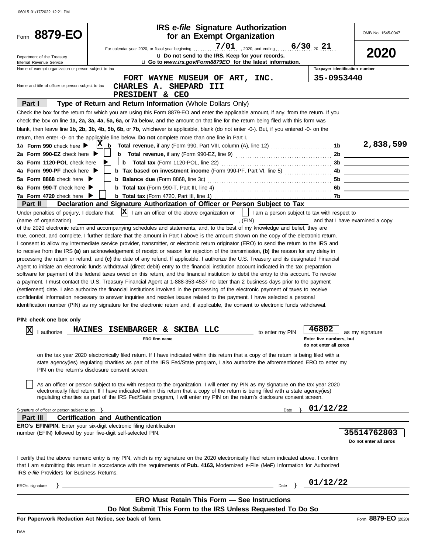| 8879-EO<br>Form                                        | <b>IRS</b> e-file Signature Authorization<br>for an Exempt Organization                                                                                                                                                                                            |                           |                                                              | OMB No. 1545-0047               |
|--------------------------------------------------------|--------------------------------------------------------------------------------------------------------------------------------------------------------------------------------------------------------------------------------------------------------------------|---------------------------|--------------------------------------------------------------|---------------------------------|
|                                                        | For calendar year 2020, or fiscal year beginning                                                                                                                                                                                                                   | $7/01$ , 2020, and ending | $6/30$ 21                                                    | 2020                            |
| Department of the Treasury<br>Internal Revenue Service | u Do not send to the IRS. Keep for your records.<br>u Go to www.irs.gov/Form8879EO for the latest information.                                                                                                                                                     |                           |                                                              |                                 |
| Name of exempt organization or person subject to tax   |                                                                                                                                                                                                                                                                    |                           | Taxpayer identification number                               |                                 |
|                                                        | FORT WAYNE MUSEUM OF ART, INC.                                                                                                                                                                                                                                     |                           | 35-0953440                                                   |                                 |
| Name and title of officer or person subject to tax     | CHARLES A. SHEPARD<br>III                                                                                                                                                                                                                                          |                           |                                                              |                                 |
|                                                        | PRESIDENT & CEO                                                                                                                                                                                                                                                    |                           |                                                              |                                 |
| Part I                                                 | Type of Return and Return Information (Whole Dollars Only)                                                                                                                                                                                                         |                           |                                                              |                                 |
|                                                        | Check the box for the return for which you are using this Form 8879-EO and enter the applicable amount, if any, from the return. If you                                                                                                                            |                           |                                                              |                                 |
|                                                        | check the box on line 1a, 2a, 3a, 4a, 5a, 6a, or 7a below, and the amount on that line for the return being filed with this form was                                                                                                                               |                           |                                                              |                                 |
|                                                        | blank, then leave line 1b, 2b, 3b, 4b, 5b, 6b, or 7b, whichever is applicable, blank (do not enter -0-). But, if you entered -0- on the                                                                                                                            |                           |                                                              |                                 |
|                                                        | return, then enter -0- on the applicable line below. Do not complete more than one line in Part I.                                                                                                                                                                 |                           |                                                              |                                 |
| 1a Form 990 check here $\blacktriangleright$           | $ {\bf X} $<br>b                                                                                                                                                                                                                                                   |                           |                                                              | 1b $\frac{2,838,599}{ }$        |
| 2a Form 990-EZ check here $\blacktriangleright$        |                                                                                                                                                                                                                                                                    |                           | 2b                                                           |                                 |
| 3a Form 1120-POL check here                            |                                                                                                                                                                                                                                                                    |                           | 3b                                                           |                                 |
| 4a Form 990-PF check here $\blacktriangleright$        | <b>b</b> Tax based on investment income (Form 990-PF, Part VI, line 5)                                                                                                                                                                                             |                           | 4b.                                                          |                                 |
| 5a Form 8868 check here ▶                              |                                                                                                                                                                                                                                                                    |                           |                                                              |                                 |
| 6a Form 990-T check here                               |                                                                                                                                                                                                                                                                    |                           | 5b                                                           |                                 |
|                                                        |                                                                                                                                                                                                                                                                    |                           | 6b                                                           |                                 |
| 7a Form 4720 check here<br>Part II                     | Declaration and Signature Authorization of Officer or Person Subject to Tax                                                                                                                                                                                        |                           |                                                              |                                 |
|                                                        | Under penalties of perjury, I declare that $\ X\ $ I am an officer of the above organization or                                                                                                                                                                    |                           |                                                              |                                 |
|                                                        |                                                                                                                                                                                                                                                                    |                           | $\vert \ \vert$ I am a person subject to tax with respect to |                                 |
| (name of organization)                                 | , (EIN)                                                                                                                                                                                                                                                            |                           |                                                              | and that I have examined a copy |
|                                                        | of the 2020 electronic return and accompanying schedules and statements, and, to the best of my knowledge and belief, they are                                                                                                                                     |                           |                                                              |                                 |
|                                                        | true, correct, and complete. I further declare that the amount in Part I above is the amount shown on the copy of the electronic return.                                                                                                                           |                           |                                                              |                                 |
|                                                        | I consent to allow my intermediate service provider, transmitter, or electronic return originator (ERO) to send the return to the IRS and                                                                                                                          |                           |                                                              |                                 |
|                                                        | to receive from the IRS (a) an acknowledgement of receipt or reason for rejection of the transmission, (b) the reason for any delay in                                                                                                                             |                           |                                                              |                                 |
|                                                        | processing the return or refund, and (c) the date of any refund. If applicable, I authorize the U.S. Treasury and its designated Financial                                                                                                                         |                           |                                                              |                                 |
|                                                        | Agent to initiate an electronic funds withdrawal (direct debit) entry to the financial institution account indicated in the tax preparation                                                                                                                        |                           |                                                              |                                 |
|                                                        | software for payment of the federal taxes owed on this return, and the financial institution to debit the entry to this account. To revoke                                                                                                                         |                           |                                                              |                                 |
|                                                        | a payment, I must contact the U.S. Treasury Financial Agent at 1-888-353-4537 no later than 2 business days prior to the payment                                                                                                                                   |                           |                                                              |                                 |
|                                                        | (settlement) date. I also authorize the financial institutions involved in the processing of the electronic payment of taxes to receive                                                                                                                            |                           |                                                              |                                 |
|                                                        | confidential information necessary to answer inquiries and resolve issues related to the payment. I have selected a personal                                                                                                                                       |                           |                                                              |                                 |
|                                                        | identification number (PIN) as my signature for the electronic return and, if applicable, the consent to electronic funds withdrawal.                                                                                                                              |                           |                                                              |                                 |
| PIN: check one box only                                |                                                                                                                                                                                                                                                                    |                           |                                                              |                                 |
|                                                        |                                                                                                                                                                                                                                                                    |                           |                                                              |                                 |
| X <br>I authorize                                      | HAINES ISENBARGER & SKIBA LLC                                                                                                                                                                                                                                      | to enter my PIN           | 46802                                                        | as my signature                 |
|                                                        | ERO firm name                                                                                                                                                                                                                                                      |                           | Enter five numbers, but                                      |                                 |
|                                                        |                                                                                                                                                                                                                                                                    |                           | do not enter all zeros                                       |                                 |
|                                                        | on the tax year 2020 electronically filed return. If I have indicated within this return that a copy of the return is being filed with a                                                                                                                           |                           |                                                              |                                 |
|                                                        | state agency(ies) regulating charities as part of the IRS Fed/State program, I also authorize the aforementioned ERO to enter my                                                                                                                                   |                           |                                                              |                                 |
|                                                        | PIN on the return's disclosure consent screen.                                                                                                                                                                                                                     |                           |                                                              |                                 |
|                                                        |                                                                                                                                                                                                                                                                    |                           |                                                              |                                 |
|                                                        | As an officer or person subject to tax with respect to the organization, I will enter my PIN as my signature on the tax year 2020                                                                                                                                  |                           |                                                              |                                 |
|                                                        | electronically filed return. If I have indicated within this return that a copy of the return is being filed with a state agency(ies)<br>regulating charities as part of the IRS Fed/State program, I will enter my PIN on the return's disclosure consent screen. |                           |                                                              |                                 |
|                                                        |                                                                                                                                                                                                                                                                    |                           |                                                              |                                 |
| Signature of officer or person subject to tax $\}$     |                                                                                                                                                                                                                                                                    | Date                      | 01/12/22                                                     |                                 |
| Part III                                               | <b>Certification and Authentication</b>                                                                                                                                                                                                                            |                           |                                                              |                                 |
|                                                        | <b>ERO's EFIN/PIN.</b> Enter your six-digit electronic filing identification                                                                                                                                                                                       |                           |                                                              |                                 |
|                                                        | number (EFIN) followed by your five-digit self-selected PIN.                                                                                                                                                                                                       |                           |                                                              | 35514762803                     |
|                                                        |                                                                                                                                                                                                                                                                    |                           |                                                              | Do not enter all zeros          |
|                                                        |                                                                                                                                                                                                                                                                    |                           |                                                              |                                 |
|                                                        | I certify that the above numeric entry is my PIN, which is my signature on the 2020 electronically filed return indicated above. I confirm                                                                                                                         |                           |                                                              |                                 |
|                                                        | that I am submitting this return in accordance with the requirements of <b>Pub. 4163</b> , Modernized e-File (MeF) Information for Authorized                                                                                                                      |                           |                                                              |                                 |
| IRS e-file Providers for Business Returns.             |                                                                                                                                                                                                                                                                    |                           |                                                              |                                 |
|                                                        |                                                                                                                                                                                                                                                                    |                           | 01/12/22                                                     |                                 |
| ERO's signature                                        | the control of the control of the control of the control of the control of the control of the control of the control of the control of the control of the control of the control of the control of the control of the control                                      | Date $\}$                 |                                                              |                                 |
|                                                        | <b>ERO Must Retain This Form - See Instructions</b>                                                                                                                                                                                                                |                           |                                                              |                                 |
|                                                        |                                                                                                                                                                                                                                                                    |                           |                                                              |                                 |
|                                                        | Do Not Submit This Form to the IRS Unless Requested To Do So                                                                                                                                                                                                       |                           |                                                              |                                 |
|                                                        | For Paperwork Reduction Act Notice, see back of form.                                                                                                                                                                                                              |                           |                                                              | Form 8879-EO (2020)             |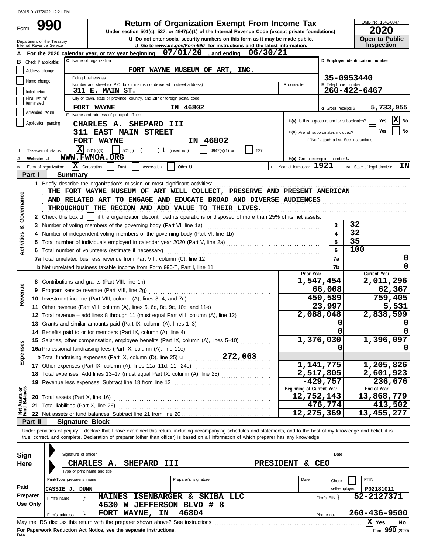Form 990

# **Return of Organization Exempt From Income Tax**  $\frac{\text{OMB No. 1545-00}}{2020}$

**u** Do not enter social security numbers on this form as it may be made public.<br> **Open to Public** COV/Form 000, for instructions and the latest information **Under section 501(c), 527, or 4947(a)(1) of the Internal Revenue Code (except private foundations)** OMB No. 1545-0047

| ZUZU                                       |  |  |  |  |  |  |  |
|--------------------------------------------|--|--|--|--|--|--|--|
| <b>Open to Public</b><br><b>Inspection</b> |  |  |  |  |  |  |  |
|                                            |  |  |  |  |  |  |  |

| <b>Let</b> Do not enter social security numbers on this form as it may be made public.<br>Department of the Treasury<br>Internal Revenue Service<br><b>u</b> Go to <i>www.irs.gov/Form990</i> for instructions and the latest information. |                             |                            |                                                                                                                                                                            |                  |                                               | <b>Open to Public</b><br><b>Inspection</b> |                                                |
|--------------------------------------------------------------------------------------------------------------------------------------------------------------------------------------------------------------------------------------------|-----------------------------|----------------------------|----------------------------------------------------------------------------------------------------------------------------------------------------------------------------|------------------|-----------------------------------------------|--------------------------------------------|------------------------------------------------|
|                                                                                                                                                                                                                                            |                             |                            | $07/01/20$ , and ending<br>For the 2020 calendar year, or tax year beginning                                                                                               | 06/30/21         |                                               |                                            |                                                |
| в                                                                                                                                                                                                                                          | Check if applicable:        | C Name of organization     |                                                                                                                                                                            |                  | D Employer identification number              |                                            |                                                |
|                                                                                                                                                                                                                                            | Address change              |                            | FORT WAYNE MUSEUM OF ART, INC.                                                                                                                                             |                  |                                               |                                            |                                                |
|                                                                                                                                                                                                                                            |                             |                            | Doing business as                                                                                                                                                          |                  |                                               |                                            | 35-0953440                                     |
|                                                                                                                                                                                                                                            | Name change                 |                            | Number and street (or P.O. box if mail is not delivered to street address)                                                                                                 |                  | Room/suite                                    | E Telephone number                         |                                                |
|                                                                                                                                                                                                                                            | Initial return              |                            | 311 E. MAIN ST.                                                                                                                                                            |                  |                                               |                                            | 260-422-6467                                   |
|                                                                                                                                                                                                                                            | Final return/<br>terminated |                            | City or town, state or province, country, and ZIP or foreign postal code                                                                                                   |                  |                                               |                                            |                                                |
|                                                                                                                                                                                                                                            | Amended return              |                            | IN 46802<br>FORT WAYNE                                                                                                                                                     |                  |                                               | G Gross receipts \$                        | 5,733,055                                      |
|                                                                                                                                                                                                                                            |                             |                            | Name and address of principal officer:                                                                                                                                     |                  | H(a) Is this a group return for subordinates? |                                            | $ \mathbf{X} $ No<br>Yes                       |
|                                                                                                                                                                                                                                            | Application pending         |                            | CHARLES A. SHEPARD III                                                                                                                                                     |                  |                                               |                                            |                                                |
|                                                                                                                                                                                                                                            |                             |                            | 311 EAST MAIN STREET                                                                                                                                                       |                  | H(b) Are all subordinates included?           |                                            | Yes<br>No                                      |
|                                                                                                                                                                                                                                            |                             |                            | IN 46802<br>FORT WAYNE                                                                                                                                                     |                  |                                               |                                            | If "No," attach a list. See instructions       |
|                                                                                                                                                                                                                                            | Tax-exempt status:          |                            | X<br>501(c)(3)<br>501(c)<br>$t$ (insert no.)<br>4947(a)(1) or<br>527                                                                                                       |                  |                                               |                                            |                                                |
|                                                                                                                                                                                                                                            | Website: U                  |                            | WWW.FWMOA.ORG                                                                                                                                                              |                  | H(c) Group exemption number LI                |                                            |                                                |
|                                                                                                                                                                                                                                            |                             | Form of organization:      | $ \mathbf{X} $ Corporation<br>Trust<br>Association<br>Other $\mathbf u$                                                                                                    |                  | L Year of formation: 1921                     |                                            | ΙN<br>M State of legal domicile:               |
|                                                                                                                                                                                                                                            | Part I                      | <b>Summary</b>             |                                                                                                                                                                            |                  |                                               |                                            |                                                |
|                                                                                                                                                                                                                                            |                             |                            | 1 Briefly describe the organization's mission or most significant activities:                                                                                              |                  |                                               |                                            |                                                |
|                                                                                                                                                                                                                                            |                             |                            | THE FORT WAYNE MUSEUM OF ART WILL COLLECT, PRESERVE AND PRESENT AMERICAN                                                                                                   |                  |                                               |                                            |                                                |
|                                                                                                                                                                                                                                            |                             |                            | AND RELATED ART TO ENGAGE AND EDUCATE BROAD AND DIVERSE AUDIENCES                                                                                                          |                  |                                               |                                            |                                                |
|                                                                                                                                                                                                                                            |                             |                            | THROUGHOUT THE REGION AND ADD VALUE TO THEIR LIVES.                                                                                                                        |                  |                                               |                                            |                                                |
| Governance                                                                                                                                                                                                                                 |                             |                            | 2 Check this box $\mathbf{u}$   if the organization discontinued its operations or disposed of more than 25% of its net assets.                                            |                  |                                               |                                            |                                                |
| ೲ                                                                                                                                                                                                                                          |                             |                            | 3 Number of voting members of the governing body (Part VI, line 1a)                                                                                                        |                  |                                               | 3                                          | 32                                             |
|                                                                                                                                                                                                                                            |                             |                            |                                                                                                                                                                            |                  |                                               | $\overline{\mathbf{4}}$                    | 32                                             |
| Activities                                                                                                                                                                                                                                 |                             |                            |                                                                                                                                                                            |                  |                                               | 5                                          | 35                                             |
|                                                                                                                                                                                                                                            |                             |                            | 6 Total number of volunteers (estimate if necessary)                                                                                                                       |                  |                                               | 6                                          | 100                                            |
|                                                                                                                                                                                                                                            |                             |                            |                                                                                                                                                                            |                  |                                               | 7a                                         | 0                                              |
|                                                                                                                                                                                                                                            |                             |                            |                                                                                                                                                                            |                  |                                               | 7b                                         | 0                                              |
|                                                                                                                                                                                                                                            |                             |                            |                                                                                                                                                                            |                  | Prior Year                                    | 1,547,454                                  | Current Year<br>2,011,296                      |
|                                                                                                                                                                                                                                            |                             |                            |                                                                                                                                                                            |                  |                                               | 66,008                                     | 62,367                                         |
| Revenue                                                                                                                                                                                                                                    |                             |                            |                                                                                                                                                                            |                  |                                               | 450,589                                    | 759,405                                        |
|                                                                                                                                                                                                                                            |                             |                            |                                                                                                                                                                            |                  |                                               | 23,997                                     | 5,531                                          |
|                                                                                                                                                                                                                                            |                             |                            | 11 Other revenue (Part VIII, column (A), lines 5, 6d, 8c, 9c, 10c, and 11e)<br>12 Total revenue – add lines 8 through 11 (must equal Part VIII, column (A), line 12)       |                  |                                               | 2,088,048                                  | 2,838,599                                      |
|                                                                                                                                                                                                                                            |                             |                            | 13 Grants and similar amounts paid (Part IX, column (A), lines 1-3)                                                                                                        |                  |                                               | 0                                          |                                                |
|                                                                                                                                                                                                                                            |                             |                            |                                                                                                                                                                            |                  |                                               | 0                                          |                                                |
|                                                                                                                                                                                                                                            |                             |                            | 15 Salaries, other compensation, employee benefits (Part IX, column (A), lines 5-10)                                                                                       |                  |                                               | 1,376,030                                  | 1,396,097                                      |
| w<br>9S                                                                                                                                                                                                                                    |                             |                            | 16a Professional fundraising fees (Part IX, column (A), line 11e)                                                                                                          |                  |                                               | 0                                          | <sup>0</sup>                                   |
|                                                                                                                                                                                                                                            |                             |                            | <b>b</b> Total fundraising expenses (Part IX, column (D), line 25) <b>u</b> 272, 063                                                                                       |                  |                                               |                                            |                                                |
| Exper                                                                                                                                                                                                                                      |                             |                            |                                                                                                                                                                            |                  |                                               | 1, 141, 775                                | 1,205,826                                      |
|                                                                                                                                                                                                                                            |                             |                            | 18 Total expenses. Add lines 13-17 (must equal Part IX, column (A), line 25) [                                                                                             |                  |                                               | 2,517,805                                  | 2,601,923                                      |
|                                                                                                                                                                                                                                            |                             |                            |                                                                                                                                                                            |                  |                                               | $-429,757$                                 | 236,676                                        |
|                                                                                                                                                                                                                                            |                             |                            |                                                                                                                                                                            |                  | Beginning of Current Year                     |                                            | End of Year                                    |
| Net Assets or<br>Fund Balances                                                                                                                                                                                                             |                             |                            |                                                                                                                                                                            |                  | 12,752,143                                    |                                            | 13,868,779                                     |
|                                                                                                                                                                                                                                            |                             |                            |                                                                                                                                                                            |                  |                                               | 476,774                                    | 413,502                                        |
|                                                                                                                                                                                                                                            |                             |                            |                                                                                                                                                                            |                  | 12,275,369                                    |                                            | 13,455,277                                     |
|                                                                                                                                                                                                                                            | Part II                     |                            | <b>Signature Block</b>                                                                                                                                                     |                  |                                               |                                            |                                                |
|                                                                                                                                                                                                                                            |                             |                            | Under penalties of perjury, I declare that I have examined this return, including accompanying schedules and statements, and to the best of my knowledge and belief, it is |                  |                                               |                                            |                                                |
|                                                                                                                                                                                                                                            |                             |                            | true, correct, and complete. Declaration of preparer (other than officer) is based on all information of which preparer has any knowledge.                                 |                  |                                               |                                            |                                                |
|                                                                                                                                                                                                                                            |                             |                            |                                                                                                                                                                            |                  |                                               |                                            |                                                |
| Sign                                                                                                                                                                                                                                       |                             |                            | Signature of officer                                                                                                                                                       |                  |                                               | Date                                       |                                                |
| Here                                                                                                                                                                                                                                       |                             |                            | SHEPARD III<br>CHARLES A.                                                                                                                                                  | <b>PRESIDENT</b> | &.                                            | CEO                                        |                                                |
|                                                                                                                                                                                                                                            |                             |                            | Type or print name and title                                                                                                                                               |                  |                                               |                                            |                                                |
|                                                                                                                                                                                                                                            |                             | Print/Type preparer's name | Preparer's signature                                                                                                                                                       |                  | Date                                          | Check                                      | PTIN                                           |
| Paid                                                                                                                                                                                                                                       |                             | <b>CASSIE J. DUNN</b>      |                                                                                                                                                                            |                  |                                               | self-employed                              | P02181011                                      |
|                                                                                                                                                                                                                                            | Preparer                    | Firm's name                | HAINES ISENBARGER & SKIBA<br>LLC                                                                                                                                           |                  |                                               | Firm's $EIN$ }                             | 52-2127371                                     |
|                                                                                                                                                                                                                                            | <b>Use Only</b>             |                            | 4630 W JEFFERSON BLVD # 8                                                                                                                                                  |                  |                                               |                                            |                                                |
|                                                                                                                                                                                                                                            |                             | Firm's address             | 46804<br>FORT WAYNE, IN                                                                                                                                                    |                  |                                               | Phone no.                                  | 260-436-9500                                   |
|                                                                                                                                                                                                                                            |                             |                            | May the IRS discuss this return with the preparer shown above? See instructions [[11][11] May the IRS discuss this return with the preparer shown above? See instructions  |                  |                                               |                                            | $ \overline{\mathrm{\textbf{X}}} \,$ Yes<br>No |

| Sign<br>Here | Signature of officer<br>CHARLES A.<br><b>SHEPARD</b><br>III<br>Type or print name and title      | Date<br><b>CEO</b><br><b>PRESIDENT</b><br>δc. |                 |  |  |  |  |  |
|--------------|--------------------------------------------------------------------------------------------------|-----------------------------------------------|-----------------|--|--|--|--|--|
|              | Print/Type preparer's name<br>Preparer's signature                                               | Date<br>PTIN<br>Check                         |                 |  |  |  |  |  |
| Paid         | CASSIE J. DUNN                                                                                   | self-employed                                 | P02181011       |  |  |  |  |  |
| Preparer     | <b>ISENBARGER</b><br>SKIBA<br><b>HAINES</b><br>LLC<br>&.<br>Firm's name                          | Firm's $EIN$                                  | 52-2127371      |  |  |  |  |  |
| Use Only     | <b>JEFFERSON</b><br>BLVD # 8<br>4630<br>W                                                        |                                               |                 |  |  |  |  |  |
|              | 46804<br>WAYNE,<br>ΙN<br><b>FORT</b><br>Firm's address                                           | Phone no.                                     | 260-436-9500    |  |  |  |  |  |
|              | X Yes<br>May the IRS discuss this return with the preparer shown above? See instructions<br>  No |                                               |                 |  |  |  |  |  |
|              | For Paperwork Reduction Act Notice, see the separate instructions.                               |                                               | Form 990 (2020) |  |  |  |  |  |

DAA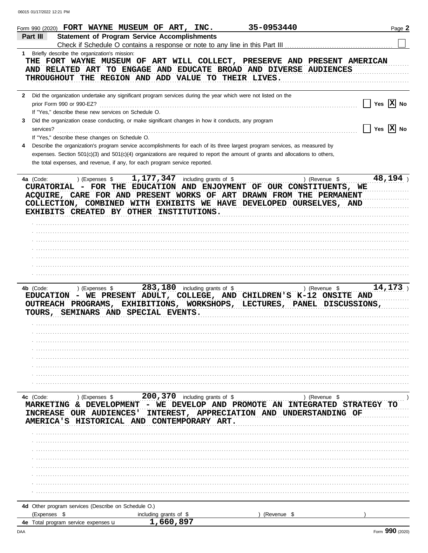| Form 990 (2020) FORT WAYNE MUSEUM OF ART, INC.                                                                                                |                                                                                                                                | 35-0953440  | Page 2                   |
|-----------------------------------------------------------------------------------------------------------------------------------------------|--------------------------------------------------------------------------------------------------------------------------------|-------------|--------------------------|
| Part III                                                                                                                                      | <b>Statement of Program Service Accomplishments</b>                                                                            |             |                          |
|                                                                                                                                               | Check if Schedule O contains a response or note to any line in this Part III                                                   |             |                          |
| 1 Briefly describe the organization's mission:                                                                                                |                                                                                                                                |             |                          |
| THE FORT WAYNE MUSEUM OF ART WILL COLLECT, PRESERVE AND PRESENT AMERICAN<br>AND RELATED ART TO ENGAGE AND EDUCATE BROAD AND DIVERSE AUDIENCES |                                                                                                                                |             |                          |
| THROUGHOUT THE REGION AND ADD VALUE TO THEIR LIVES.                                                                                           |                                                                                                                                |             |                          |
|                                                                                                                                               |                                                                                                                                |             |                          |
| $\mathbf{2}$                                                                                                                                  | Did the organization undertake any significant program services during the year which were not listed on the                   |             |                          |
| prior Form 990 or 990-EZ?                                                                                                                     |                                                                                                                                |             | Yes $ X $ No             |
| If "Yes," describe these new services on Schedule O.                                                                                          |                                                                                                                                |             |                          |
| 3                                                                                                                                             | Did the organization cease conducting, or make significant changes in how it conducts, any program                             |             |                          |
| services?<br>If "Yes," describe these changes on Schedule O.                                                                                  |                                                                                                                                |             | Yes $ \mathbf{X} $ No    |
| 4                                                                                                                                             | Describe the organization's program service accomplishments for each of its three largest program services, as measured by     |             |                          |
|                                                                                                                                               | expenses. Section 501(c)(3) and 501(c)(4) organizations are required to report the amount of grants and allocations to others, |             |                          |
| the total expenses, and revenue, if any, for each program service reported.                                                                   |                                                                                                                                |             |                          |
|                                                                                                                                               |                                                                                                                                |             |                          |
| 4a (Code:                                                                                                                                     | ) (Expenses $$1,177,347$ including grants of \$                                                                                |             | 48,194<br>) (Revenue \$  |
| CURATORIAL - FOR THE EDUCATION AND ENJOYMENT OF OUR CONSTITUENTS, WE                                                                          |                                                                                                                                |             |                          |
| ACQUIRE, CARE FOR AND PRESENT WORKS OF ART DRAWN FROM THE PERMANENT<br>COLLECTION, COMBINED WITH EXHIBITS WE HAVE DEVELOPED OURSELVES, AND    |                                                                                                                                |             |                          |
| EXHIBITS CREATED BY OTHER INSTITUTIONS.                                                                                                       |                                                                                                                                |             |                          |
|                                                                                                                                               |                                                                                                                                |             |                          |
|                                                                                                                                               |                                                                                                                                |             |                          |
|                                                                                                                                               |                                                                                                                                |             |                          |
|                                                                                                                                               |                                                                                                                                |             |                          |
|                                                                                                                                               |                                                                                                                                |             |                          |
|                                                                                                                                               |                                                                                                                                |             |                          |
|                                                                                                                                               |                                                                                                                                |             |                          |
| 4b (Code:<br>) (Expenses \$                                                                                                                   | 283, 180 including grants of \$                                                                                                |             | 14, 173<br>) (Revenue \$ |
| EDUCATION - WE PRESENT ADULT, COLLEGE, AND CHILDREN'S K-12 ONSITE AND                                                                         |                                                                                                                                |             |                          |
| OUTREACH PROGRAMS, EXHIBITIONS, WORKSHOPS, LECTURES, PANEL DISCUSSIONS,                                                                       |                                                                                                                                |             |                          |
| TOURS, SEMINARS AND SPECIAL EVENTS.                                                                                                           |                                                                                                                                |             |                          |
|                                                                                                                                               |                                                                                                                                |             |                          |
|                                                                                                                                               |                                                                                                                                |             |                          |
|                                                                                                                                               |                                                                                                                                |             |                          |
|                                                                                                                                               |                                                                                                                                |             |                          |
|                                                                                                                                               |                                                                                                                                |             |                          |
|                                                                                                                                               |                                                                                                                                |             |                          |
|                                                                                                                                               |                                                                                                                                |             |                          |
| 4c (Code:                                                                                                                                     |                                                                                                                                |             |                          |
| MARKETING & DEVELOPMENT - WE DEVELOP AND PROMOTE AN INTEGRATED STRATEGY                                                                       |                                                                                                                                |             |                          |
| INCREASE OUR AUDIENCES' INTEREST, APPRECIATION AND UNDERSTANDING OF                                                                           |                                                                                                                                |             |                          |
| AMERICA'S HISTORICAL AND CONTEMPORARY ART.                                                                                                    |                                                                                                                                |             |                          |
|                                                                                                                                               |                                                                                                                                |             |                          |
|                                                                                                                                               |                                                                                                                                |             |                          |
|                                                                                                                                               |                                                                                                                                |             |                          |
|                                                                                                                                               |                                                                                                                                |             |                          |
|                                                                                                                                               |                                                                                                                                |             |                          |
|                                                                                                                                               |                                                                                                                                |             |                          |
|                                                                                                                                               |                                                                                                                                |             |                          |
|                                                                                                                                               |                                                                                                                                |             |                          |
| 4d Other program services (Describe on Schedule O.)<br>(Expenses \$                                                                           |                                                                                                                                | (Revenue \$ |                          |
| 4e Total program service expenses u                                                                                                           | including grants of \$<br>1,660,897                                                                                            |             |                          |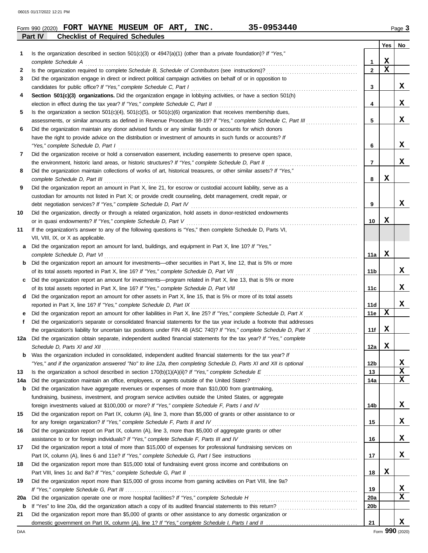|    | 35-0953440<br>Form 990 (2020) FORT WAYNE MUSEUM OF ART, INC.                                                                                                                                                                      |                 |                         | Page 3 |
|----|-----------------------------------------------------------------------------------------------------------------------------------------------------------------------------------------------------------------------------------|-----------------|-------------------------|--------|
|    | Part IV<br><b>Checklist of Required Schedules</b>                                                                                                                                                                                 |                 |                         |        |
| 1  | Is the organization described in section $501(c)(3)$ or $4947(a)(1)$ (other than a private foundation)? If "Yes,"                                                                                                                 |                 | Yes                     | No     |
|    |                                                                                                                                                                                                                                   | $\mathbf{1}$    | $\mathbf x$             |        |
| 2  | complete Schedule A example of the schedule A example the Schedule A example text schedule A example text schedule A                                                                                                              | $\overline{2}$  | $\overline{\mathbf{x}}$ |        |
| 3  | Did the organization engage in direct or indirect political campaign activities on behalf of or in opposition to                                                                                                                  |                 |                         |        |
|    |                                                                                                                                                                                                                                   | 3               |                         | x      |
| 4  | Section 501(c)(3) organizations. Did the organization engage in lobbying activities, or have a section 501(h)                                                                                                                     |                 |                         |        |
|    |                                                                                                                                                                                                                                   | 4               |                         | X      |
| 5  | Is the organization a section $501(c)(4)$ , $501(c)(5)$ , or $501(c)(6)$ organization that receives membership dues,                                                                                                              |                 |                         |        |
|    | assessments, or similar amounts as defined in Revenue Procedure 98-19? If "Yes," complete Schedule C, Part III                                                                                                                    | 5               |                         | x      |
| 6  | Did the organization maintain any donor advised funds or any similar funds or accounts for which donors                                                                                                                           |                 |                         |        |
|    | have the right to provide advice on the distribution or investment of amounts in such funds or accounts? If                                                                                                                       |                 |                         |        |
|    | "Yes," complete Schedule D, Part I                                                                                                                                                                                                | 6               |                         | X      |
| 7  | Did the organization receive or hold a conservation easement, including easements to preserve open space,                                                                                                                         |                 |                         |        |
|    |                                                                                                                                                                                                                                   | $\overline{7}$  |                         | x      |
| 8  | Did the organization maintain collections of works of art, historical treasures, or other similar assets? If "Yes,"                                                                                                               |                 |                         |        |
|    | complete Schedule D, Part III et al. (2008) and the complete Schedule D, Part III et al. (2009) and the complete schedule D, Part III et al. (2009) and the complete schedule D, Part III et al. (2009) and the complete sched    | 8               | х                       |        |
| 9  | Did the organization report an amount in Part X, line 21, for escrow or custodial account liability, serve as a                                                                                                                   |                 |                         |        |
|    | custodian for amounts not listed in Part X; or provide credit counseling, debt management, credit repair, or                                                                                                                      |                 |                         |        |
|    |                                                                                                                                                                                                                                   | 9               |                         | x      |
| 10 | Did the organization, directly or through a related organization, hold assets in donor-restricted endowments                                                                                                                      |                 |                         |        |
|    | or in quasi endowments? If "Yes," complete Schedule D, Part V                                                                                                                                                                     | 10              | x                       |        |
| 11 | If the organization's answer to any of the following questions is "Yes," then complete Schedule D, Parts VI,                                                                                                                      |                 |                         |        |
|    | VII, VIII, IX, or X as applicable.                                                                                                                                                                                                |                 |                         |        |
| a  | Did the organization report an amount for land, buildings, and equipment in Part X, line 10? If "Yes,"                                                                                                                            |                 |                         |        |
|    | complete Schedule D, Part VI et al. (2008) and the complete Schedule D, Part VI et al. (2009) and the complete $S$ chedule D, Part VI et al. (2009) and the complete $S$ chedule D, Part VI et al. (2009) and the complete $S$ ch | 11a             | $\mathbf x$             |        |
| b  | Did the organization report an amount for investments—other securities in Part X, line 12, that is 5% or more                                                                                                                     |                 |                         |        |
|    |                                                                                                                                                                                                                                   | 11 <sub>b</sub> |                         | X      |
| c  | Did the organization report an amount for investments—program related in Part X, line 13, that is 5% or more                                                                                                                      |                 |                         |        |
|    |                                                                                                                                                                                                                                   | 11c             |                         | x      |
| d  | Did the organization report an amount for other assets in Part X, line 15, that is 5% or more of its total assets                                                                                                                 |                 |                         |        |
|    | reported in Part X, line 16? If "Yes," complete Schedule D, Part IX [[CONDERGANDIDIDED] reported in Part X, line 16? If "Yes," complete Schedule D, Part IX                                                                       | 11d             |                         | x      |
| е  |                                                                                                                                                                                                                                   | 11e             | х                       |        |
| f  | Did the organization's separate or consolidated financial statements for the tax year include a footnote that addresses                                                                                                           |                 |                         |        |
|    |                                                                                                                                                                                                                                   | 11f             | $\mathbf x$             |        |
|    | 12a Did the organization obtain separate, independent audited financial statements for the tax year? If "Yes," complete                                                                                                           |                 |                         |        |
|    |                                                                                                                                                                                                                                   | 12a             | $\mathbf x$             |        |
| b  | Was the organization included in consolidated, independent audited financial statements for the tax year? If                                                                                                                      |                 |                         |        |

|     | "Yes," and if the organization answered "No" to line 12a, then completing Schedule D, Parts XI and XII is optional                         | 12 <sub>b</sub> |   | х  |
|-----|--------------------------------------------------------------------------------------------------------------------------------------------|-----------------|---|----|
| 13  | Is the organization a school described in section $170(b)(1)(A)(ii)$ ? If "Yes," complete Schedule E                                       | 13              |   | x  |
| 14a | Did the organization maintain an office, employees, or agents outside of the United States?                                                | 14a             |   | X  |
| b   | Did the organization have aggregate revenues or expenses of more than \$10,000 from grantmaking,                                           |                 |   |    |
|     | fundraising, business, investment, and program service activities outside the United States, or aggregate                                  |                 |   |    |
|     | foreign investments valued at \$100,000 or more? If "Yes," complete Schedule F, Parts I and IV                                             | 14b             |   | x  |
| 15  | Did the organization report on Part IX, column (A), line 3, more than \$5,000 of grants or other assistance to or                          |                 |   |    |
|     | for any foreign organization? If "Yes," complete Schedule F, Parts II and IV                                                               | 15              |   | X. |
| 16  | Did the organization report on Part IX, column (A), line 3, more than \$5,000 of aggregate grants or other                                 |                 |   |    |
|     | assistance to or for foreign individuals? If "Yes," complete Schedule F, Parts III and IV                                                  | 16              |   | x  |
| 17  | Did the organization report a total of more than \$15,000 of expenses for professional fundraising services on                             |                 |   |    |
|     | Part IX, column (A), lines 6 and 11e? If "Yes," complete Schedule G, Part I See instructions                                               | 17              |   | x  |
| 18  | Did the organization report more than \$15,000 total of fundraising event gross income and contributions on                                |                 |   |    |
|     | Part VIII, lines 1c and 8a? If "Yes," complete Schedule G, Part II                                                                         | 18              | x |    |
| 19  | Did the organization report more than \$15,000 of gross income from gaming activities on Part VIII, line 9a?                               |                 |   |    |
|     | If "Yes," complete Schedule G, Part III $\ldots$ $\ldots$ $\ldots$ $\ldots$ $\ldots$ $\ldots$ $\ldots$ $\ldots$ $\ldots$ $\ldots$ $\ldots$ | 19              |   | х  |
| 20a | Did the organization operate one or more hospital facilities? If "Yes," complete Schedule H                                                | 20a             |   | x  |
|     | If "Yes" to line 20a, did the organization attach a copy of its audited financial statements to this return?                               | 20b             |   |    |

| <b>b</b> If "Yes" to line 20a, did the organization attach a copy of its audited financial statements to this return? |
|-----------------------------------------------------------------------------------------------------------------------|
| Did the organization report more than \$5,000 of grants or other assistance to any domestic organization or           |
|                                                                                                                       |

**X**

**X**

**X**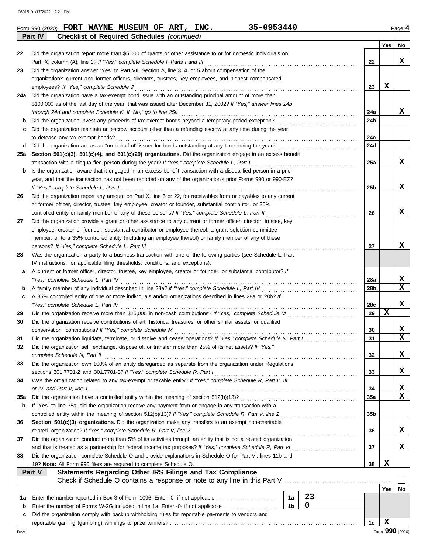|     | Part IV<br><b>Checklist of Required Schedules (continued)</b>                                                                                              |     |                         |
|-----|------------------------------------------------------------------------------------------------------------------------------------------------------------|-----|-------------------------|
|     |                                                                                                                                                            | Yes | No                      |
| 22  | Did the organization report more than \$5,000 of grants or other assistance to or for domestic individuals on                                              |     |                         |
|     | Part IX, column (A), line 2? If "Yes," complete Schedule I, Parts I and III<br>22                                                                          |     | x                       |
| 23  | Did the organization answer "Yes" to Part VII, Section A, line 3, 4, or 5 about compensation of the                                                        |     |                         |
|     | organization's current and former officers, directors, trustees, key employees, and highest compensated                                                    |     |                         |
|     | 23<br>employees? If "Yes," complete Schedule J                                                                                                             | X   |                         |
| 24a | Did the organization have a tax-exempt bond issue with an outstanding principal amount of more than                                                        |     |                         |
|     | \$100,000 as of the last day of the year, that was issued after December 31, 2002? If "Yes," answer lines 24b                                              |     |                         |
|     | through 24d and complete Schedule K. If "No," go to line 25a<br>24a                                                                                        |     | X,                      |
| b   | 24b                                                                                                                                                        |     |                         |
| c   | Did the organization maintain an escrow account other than a refunding escrow at any time during the year                                                  |     |                         |
|     | 24c<br>to defease any tax-exempt bonds?                                                                                                                    |     |                         |
| d   | 24d                                                                                                                                                        |     |                         |
| 25а | Section 501(c)(3), 501(c)(4), and 501(c)(29) organizations. Did the organization engage in an excess benefit                                               |     |                         |
|     | 25a<br>transaction with a disqualified person during the year? If "Yes," complete Schedule L, Part I                                                       |     | X,                      |
| b   | Is the organization aware that it engaged in an excess benefit transaction with a disqualified person in a prior                                           |     |                         |
|     | year, and that the transaction has not been reported on any of the organization's prior Forms 990 or 990-EZ?                                               |     |                         |
|     | If "Yes," complete Schedule L, Part I<br>25 <sub>b</sub>                                                                                                   |     | x                       |
| 26  | Did the organization report any amount on Part X, line 5 or 22, for receivables from or payables to any current                                            |     |                         |
|     | or former officer, director, trustee, key employee, creator or founder, substantial contributor, or 35%                                                    |     |                         |
|     | controlled entity or family member of any of these persons? If "Yes," complete Schedule L, Part II<br>26                                                   |     | x                       |
| 27  | Did the organization provide a grant or other assistance to any current or former officer, director, trustee, key                                          |     |                         |
|     | employee, creator or founder, substantial contributor or employee thereof, a grant selection committee                                                     |     |                         |
|     | member, or to a 35% controlled entity (including an employee thereof) or family member of any of these                                                     |     |                         |
|     | persons? If "Yes," complete Schedule L, Part III<br>27                                                                                                     |     | x                       |
| 28  | Was the organization a party to a business transaction with one of the following parties (see Schedule L, Part                                             |     |                         |
|     | IV instructions, for applicable filing thresholds, conditions, and exceptions):                                                                            |     |                         |
| а   | A current or former officer, director, trustee, key employee, creator or founder, or substantial contributor? If                                           |     |                         |
|     | "Yes," complete Schedule L, Part IV<br>28a                                                                                                                 |     | X,                      |
| b   | A family member of any individual described in line 28a? If "Yes," complete Schedule L, Part IV<br>28 <sub>b</sub>                                         |     | $\overline{\mathbf{x}}$ |
| c   | A 35% controlled entity of one or more individuals and/or organizations described in lines 28a or 28b? If                                                  |     |                         |
|     | "Yes," complete Schedule L, Part IV<br>28c                                                                                                                 |     | x                       |
| 29  | 29                                                                                                                                                         | x   |                         |
| 30  | Did the organization receive contributions of art, historical treasures, or other similar assets, or qualified                                             |     |                         |
|     | conservation contributions? If "Yes," complete Schedule M<br>30                                                                                            |     | X                       |
| 31  | Did the organization liquidate, terminate, or dissolve and cease operations? If "Yes," complete Schedule N, Part I<br>31                                   |     | $\overline{\mathbf{x}}$ |
| 32  | Did the organization sell, exchange, dispose of, or transfer more than 25% of its net assets? If "Yes,"                                                    |     |                         |
|     | complete Schedule N, Part II<br>32                                                                                                                         |     | X                       |
| 33  | Did the organization own 100% of an entity disregarded as separate from the organization under Regulations                                                 |     |                         |
|     | sections 301.7701-2 and 301.7701-3? If "Yes," complete Schedule R, Part I<br>33                                                                            |     | X,                      |
| 34  | Was the organization related to any tax-exempt or taxable entity? If "Yes," complete Schedule R, Part II, III,                                             |     |                         |
|     | or IV, and Part V, line 1<br>34                                                                                                                            |     | X                       |
| 35a | 35a                                                                                                                                                        |     | $\overline{\mathbf{x}}$ |
| b   | If "Yes" to line 35a, did the organization receive any payment from or engage in any transaction with a                                                    |     |                         |
|     | 35 <sub>b</sub><br>controlled entity within the meaning of section 512(b)(13)? If "Yes," complete Schedule R, Part V, line 2                               |     |                         |
| 36  | Section 501(c)(3) organizations. Did the organization make any transfers to an exempt non-charitable                                                       |     |                         |
|     | related organization? If "Yes," complete Schedule R, Part V, line 2<br>36                                                                                  |     | X,                      |
| 37  | Did the organization conduct more than 5% of its activities through an entity that is not a related organization                                           |     |                         |
|     | and that is treated as a partnership for federal income tax purposes? If "Yes," complete Schedule R, Part VI<br>37                                         |     | X,                      |
| 38  | Did the organization complete Schedule O and provide explanations in Schedule O for Part VI, lines 11b and                                                 |     |                         |
|     | 38<br>19? Note: All Form 990 filers are required to complete Schedule O.                                                                                   | X   |                         |
|     | Statements Regarding Other IRS Filings and Tax Compliance<br>Part V                                                                                        |     |                         |
|     | Check if Schedule O contains a response or note to any line in this Part V [11] Check if Schedule O contains a response or note to any line in this Part V |     |                         |
|     |                                                                                                                                                            | Yes | No                      |
| 1a  | 23<br>Enter the number reported in Box 3 of Form 1096. Enter -0- if not applicable <i>mummummmmmmm</i><br>1a                                               |     |                         |
| b   | $\mathbf 0$<br>1 <sub>b</sub><br>Enter the number of Forms W-2G included in line 1a. Enter -0- if not applicable                                           |     |                         |
| c   | Did the organization comply with backup withholding rules for reportable payments to vendors and                                                           |     |                         |
|     | 1 <sub>c</sub>                                                                                                                                             | X   |                         |
| DAA |                                                                                                                                                            |     | Form 990 (2020)         |
|     |                                                                                                                                                            |     |                         |

 $F$ orm 990 (2020) **FORT WAYNE MUSEUM OF ART, INC.**  $35-0953440$   $P_{\text{age}}4$ **FORT WAYNE MUSEUM OF ART, INC. 35-0953440**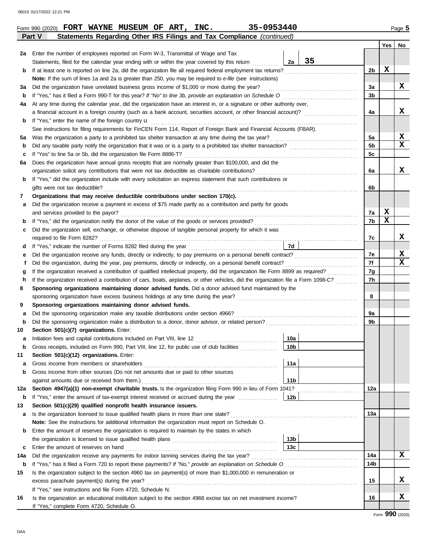|     |                                                                                                                                                           |                 |    |                | <b>Yes</b>                    | No                      |  |
|-----|-----------------------------------------------------------------------------------------------------------------------------------------------------------|-----------------|----|----------------|-------------------------------|-------------------------|--|
| 2a  | Enter the number of employees reported on Form W-3, Transmittal of Wage and Tax                                                                           |                 |    |                |                               |                         |  |
|     | Statements, filed for the calendar year ending with or within the year covered by this return                                                             | 2a              | 35 |                |                               |                         |  |
| b   |                                                                                                                                                           |                 |    | 2 <sub>b</sub> | X                             |                         |  |
|     | Note: If the sum of lines 1a and 2a is greater than 250, you may be required to e-file (see instructions)                                                 |                 |    |                |                               |                         |  |
| За  | Did the organization have unrelated business gross income of \$1,000 or more during the year?                                                             |                 |    | За             |                               | X                       |  |
| b   |                                                                                                                                                           |                 |    | 3 <sub>b</sub> |                               |                         |  |
| 4a  | At any time during the calendar year, did the organization have an interest in, or a signature or other authority over,                                   |                 |    |                |                               |                         |  |
|     | a financial account in a foreign country (such as a bank account, securities account, or other financial account)?                                        |                 |    | 4a             |                               | X                       |  |
| b   | If "Yes," enter the name of the foreign country <b>u</b>                                                                                                  |                 |    |                |                               |                         |  |
|     | See instructions for filing requirements for FinCEN Form 114, Report of Foreign Bank and Financial Accounts (FBAR).                                       |                 |    |                |                               |                         |  |
| 5a  |                                                                                                                                                           |                 |    | 5a             |                               | X                       |  |
| b   |                                                                                                                                                           |                 |    | 5 <sub>b</sub> |                               | $\overline{\mathbf{x}}$ |  |
| c   |                                                                                                                                                           |                 |    |                |                               |                         |  |
| 6а  | Does the organization have annual gross receipts that are normally greater than \$100,000, and did the                                                    |                 |    |                |                               |                         |  |
|     |                                                                                                                                                           |                 |    |                |                               |                         |  |
| b   | If "Yes," did the organization include with every solicitation an express statement that such contributions or                                            |                 |    |                |                               |                         |  |
|     | gifts were not tax deductible?                                                                                                                            |                 |    |                |                               |                         |  |
| 7   | Organizations that may receive deductible contributions under section 170(c).                                                                             |                 |    |                |                               |                         |  |
| а   | Did the organization receive a payment in excess of \$75 made partly as a contribution and partly for goods                                               |                 |    |                |                               |                         |  |
|     | and services provided to the payor?                                                                                                                       |                 |    | 7a             | X                             |                         |  |
| b   |                                                                                                                                                           |                 |    | 7b             | X                             |                         |  |
| c   | Did the organization sell, exchange, or otherwise dispose of tangible personal property for which it was                                                  |                 |    |                |                               |                         |  |
|     |                                                                                                                                                           |                 |    | 7с             |                               | X                       |  |
| d   |                                                                                                                                                           | <b>7d</b>       |    |                |                               |                         |  |
| е   |                                                                                                                                                           |                 |    | 7e             |                               | x                       |  |
| f   |                                                                                                                                                           |                 |    | 7f<br>7g       |                               | $\mathbf x$             |  |
| g   |                                                                                                                                                           |                 |    |                |                               |                         |  |
| h   | If the organization received a contribution of cars, boats, airplanes, or other vehicles, did the organization file a Form 1098-C?                        |                 |    | 7 <sub>h</sub> |                               |                         |  |
| 8   | Sponsoring organizations maintaining donor advised funds. Did a donor advised fund maintained by the                                                      |                 |    |                |                               |                         |  |
|     |                                                                                                                                                           |                 |    | 8              |                               |                         |  |
| 9   | Sponsoring organizations maintaining donor advised funds.                                                                                                 |                 |    |                |                               |                         |  |
| а   |                                                                                                                                                           |                 |    | 9a             |                               |                         |  |
| b   |                                                                                                                                                           |                 |    | 9 <sub>b</sub> |                               |                         |  |
| 10  | Section 501(c)(7) organizations. Enter:                                                                                                                   |                 |    |                |                               |                         |  |
| а   |                                                                                                                                                           | 10a             |    |                |                               |                         |  |
| b   | Gross receipts, included on Form 990, Part VIII, line 12, for public use of club facilities                                                               | 10 <sub>b</sub> |    |                |                               |                         |  |
| 11  | Section 501(c)(12) organizations. Enter:                                                                                                                  |                 |    |                |                               |                         |  |
| а   | Gross income from members or shareholders<br>Gross income from other sources (Do not net amounts due or paid to other sources                             | 11a             |    |                |                               |                         |  |
| b   |                                                                                                                                                           | 11 <sub>b</sub> |    |                |                               |                         |  |
| 12a | against amounts due or received from them.)<br>Section 4947(a)(1) non-exempt charitable trusts. Is the organization filing Form 990 in lieu of Form 1041? |                 |    | 12a            |                               |                         |  |
| b   | If "Yes," enter the amount of tax-exempt interest received or accrued during the year                                                                     | 12 <sub>b</sub> |    |                |                               |                         |  |
| 13  | Section 501(c)(29) qualified nonprofit health insurance issuers.                                                                                          |                 |    |                |                               |                         |  |
| a   | Is the organization licensed to issue qualified health plans in more than one state?                                                                      |                 |    | 13a            |                               |                         |  |
|     | Note: See the instructions for additional information the organization must report on Schedule O.                                                         |                 |    |                |                               |                         |  |
| b   | Enter the amount of reserves the organization is required to maintain by the states in which                                                              |                 |    |                |                               |                         |  |
|     |                                                                                                                                                           | 13 <sub>b</sub> |    |                |                               |                         |  |
| c   | Enter the amount of reserves on hand                                                                                                                      | 13 <sub>c</sub> |    |                |                               |                         |  |
| 14a |                                                                                                                                                           |                 |    | 14a            |                               | X                       |  |
| b   |                                                                                                                                                           |                 |    | 14b            |                               |                         |  |
| 15  | Is the organization subject to the section 4960 tax on payment(s) of more than \$1,000,000 in remuneration or                                             |                 |    |                |                               |                         |  |
|     | excess parachute payment(s) during the year?                                                                                                              |                 |    | 15             |                               | x                       |  |
|     | If "Yes," see instructions and file Form 4720, Schedule N.                                                                                                |                 |    |                |                               |                         |  |
| 16  | Is the organization an educational institution subject to the section 4968 excise tax on net investment income?                                           |                 |    | 16             |                               | x                       |  |
|     | If "Yes," complete Form 4720, Schedule O.                                                                                                                 |                 |    |                |                               |                         |  |
|     |                                                                                                                                                           |                 |    |                | $\alpha \alpha \wedge \alpha$ |                         |  |

**Part V Statements Regarding Other IRS Filings and Tax Compliance** *(continued)* **Form 990 (2020) FORT WAYNE MUSEUM OF ART, INC.** 35-0953440 **Page 5**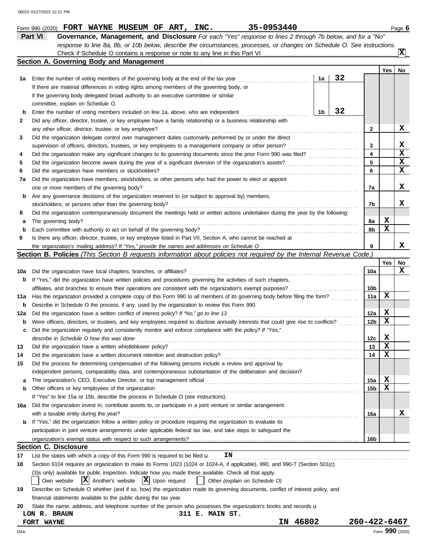|        | Part VI<br>Governance, Management, and Disclosure For each "Yes" response to lines 2 through 7b below, and for a "No"<br>response to line 8a, 8b, or 10b below, describe the circumstances, processes, or changes on Schedule O. See instructions. |    |    |                         |                 |    |
|--------|----------------------------------------------------------------------------------------------------------------------------------------------------------------------------------------------------------------------------------------------------|----|----|-------------------------|-----------------|----|
|        | Section A. Governing Body and Management                                                                                                                                                                                                           |    |    |                         |                 | X  |
|        |                                                                                                                                                                                                                                                    |    |    |                         | Yes             | No |
| 1а     | Enter the number of voting members of the governing body at the end of the tax year                                                                                                                                                                | 1a | 32 |                         |                 |    |
|        | If there are material differences in voting rights among members of the governing body, or                                                                                                                                                         |    |    |                         |                 |    |
|        | if the governing body delegated broad authority to an executive committee or similar                                                                                                                                                               |    |    |                         |                 |    |
|        | committee, explain on Schedule O.                                                                                                                                                                                                                  |    |    |                         |                 |    |
| b      | Enter the number of voting members included on line 1a, above, who are independent                                                                                                                                                                 | 1b | 32 |                         |                 |    |
| 2      | Did any officer, director, trustee, or key employee have a family relationship or a business relationship with                                                                                                                                     |    |    |                         |                 |    |
|        | any other officer, director, trustee, or key employee?                                                                                                                                                                                             |    |    | 2                       |                 | X  |
| 3      | Did the organization delegate control over management duties customarily performed by or under the direct                                                                                                                                          |    |    |                         |                 |    |
|        | supervision of officers, directors, trustees, or key employees to a management company or other person?                                                                                                                                            |    |    | 3                       |                 | X  |
| 4      |                                                                                                                                                                                                                                                    |    |    | $\overline{\mathbf{4}}$ |                 | X  |
| 5      |                                                                                                                                                                                                                                                    |    |    | 5                       |                 | X  |
| 6      | Did the organization have members or stockholders?                                                                                                                                                                                                 |    |    | 6                       |                 | x  |
| 7a     | Did the organization have members, stockholders, or other persons who had the power to elect or appoint                                                                                                                                            |    |    |                         |                 | X  |
|        | one or more members of the governing body?                                                                                                                                                                                                         |    |    | 7a                      |                 |    |
| b      | Are any governance decisions of the organization reserved to (or subject to approval by) members,<br>stockholders, or persons other than the governing body?                                                                                       |    |    | 7b                      |                 | x  |
| 8      | Did the organization contemporaneously document the meetings held or written actions undertaken during the year by the following:                                                                                                                  |    |    |                         |                 |    |
| a      | The governing body?                                                                                                                                                                                                                                |    |    | 8а                      | X               |    |
| b      | Each committee with authority to act on behalf of the governing body?                                                                                                                                                                              |    |    | 8b                      | х               |    |
| 9      | Is there any officer, director, trustee, or key employee listed in Part VII, Section A, who cannot be reached at                                                                                                                                   |    |    |                         |                 |    |
|        |                                                                                                                                                                                                                                                    |    |    | 9                       |                 | x  |
|        | Section B. Policies (This Section B requests information about policies not required by the Internal Revenue Code.)                                                                                                                                |    |    |                         |                 |    |
|        |                                                                                                                                                                                                                                                    |    |    |                         | Yes             | No |
| 10a    | Did the organization have local chapters, branches, or affiliates?                                                                                                                                                                                 |    |    | 10a                     |                 | x  |
| b      | If "Yes," did the organization have written policies and procedures governing the activities of such chapters,                                                                                                                                     |    |    |                         |                 |    |
|        | affiliates, and branches to ensure their operations are consistent with the organization's exempt purposes?                                                                                                                                        |    |    | 10b                     |                 |    |
| 11a    | Has the organization provided a complete copy of this Form 990 to all members of its governing body before filing the form?                                                                                                                        |    |    | 11a                     | x               |    |
| b      | Describe in Schedule O the process, if any, used by the organization to review this Form 990.                                                                                                                                                      |    |    |                         |                 |    |
| 12a    | Did the organization have a written conflict of interest policy? If "No," go to line 13                                                                                                                                                            |    |    | 12a                     | X               |    |
| b      | Were officers, directors, or trustees, and key employees required to disclose annually interests that could give rise to conflicts?                                                                                                                |    |    | 12 <sub>b</sub>         | х               |    |
| c      | Did the organization regularly and consistently monitor and enforce compliance with the policy? If "Yes,"                                                                                                                                          |    |    |                         |                 |    |
|        | describe in Schedule O how this was done                                                                                                                                                                                                           |    |    | 12c                     | X               |    |
| 13     | Did the organization have a written whistleblower policy?                                                                                                                                                                                          |    |    | 13                      | X               |    |
| 14     | Did the organization have a written document retention and destruction policy?                                                                                                                                                                     |    |    | 14                      | х               |    |
| 15     | Did the process for determining compensation of the following persons include a review and approval by                                                                                                                                             |    |    |                         |                 |    |
|        | independent persons, comparability data, and contemporaneous substantiation of the deliberation and decision?                                                                                                                                      |    |    |                         | X               |    |
| а<br>b | Other officers or key employees of the organization                                                                                                                                                                                                |    |    | 15a<br>15b              | х               |    |
|        | If "Yes" to line 15a or 15b, describe the process in Schedule O (see instructions).                                                                                                                                                                |    |    |                         |                 |    |
| 16a    | Did the organization invest in, contribute assets to, or participate in a joint venture or similar arrangement                                                                                                                                     |    |    |                         |                 |    |
|        | with a taxable entity during the year?                                                                                                                                                                                                             |    |    | 16a                     |                 | X  |
| b      | If "Yes," did the organization follow a written policy or procedure requiring the organization to evaluate its                                                                                                                                     |    |    |                         |                 |    |
|        | participation in joint venture arrangements under applicable federal tax law, and take steps to safeguard the                                                                                                                                      |    |    |                         |                 |    |
|        |                                                                                                                                                                                                                                                    |    |    | 16b                     |                 |    |
|        | <b>Section C. Disclosure</b>                                                                                                                                                                                                                       |    |    |                         |                 |    |
| 17     | List the states with which a copy of this Form 990 is required to be filed $\mathbf u$<br>ΙN                                                                                                                                                       |    |    |                         |                 |    |
| 18     | Section 6104 requires an organization to make its Forms 1023 (1024 or 1024-A, if applicable), 990, and 990-T (Section 501(c)                                                                                                                       |    |    |                         |                 |    |
|        | (3)s only) available for public inspection. Indicate how you made these available. Check all that apply.                                                                                                                                           |    |    |                         |                 |    |
|        | $ \mathbf{X} $ Another's website $ \mathbf{X} $ Upon request<br>Other (explain on Schedule O)<br>Own website                                                                                                                                       |    |    |                         |                 |    |
| 19     | Describe on Schedule O whether (and if so, how) the organization made its governing documents, conflict of interest policy, and                                                                                                                    |    |    |                         |                 |    |
|        | financial statements available to the public during the tax year.                                                                                                                                                                                  |    |    |                         |                 |    |
| 20     | State the name, address, and telephone number of the person who possesses the organization's books and records u                                                                                                                                   |    |    |                         |                 |    |
|        | 311 E. MAIN ST.<br>LON R. BRAUN                                                                                                                                                                                                                    |    |    |                         |                 |    |
|        | 46802<br>IN<br>FORT WAYNE                                                                                                                                                                                                                          |    |    | 260-422-6467            |                 |    |
| DAA    |                                                                                                                                                                                                                                                    |    |    |                         | Form 990 (2020) |    |

**Form 990 (2020) FORT WAYNE MUSEUM OF ART, INC.** 35-0953440 **Page 6** 

|  | ۰. |  |  |
|--|----|--|--|
|  |    |  |  |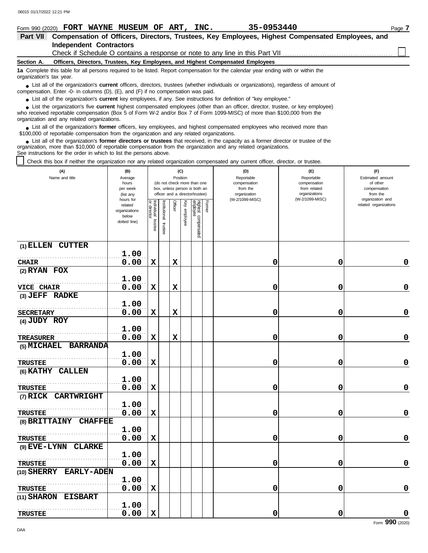| Form 990 (2020) FORT WAYNE MUSEUM OF ART, INC.                                                                                                                                                                                                                                                                    | 35-0953440<br>Page 7 |
|-------------------------------------------------------------------------------------------------------------------------------------------------------------------------------------------------------------------------------------------------------------------------------------------------------------------|----------------------|
| Compensation of Officers, Directors, Trustees, Key Employees, Highest Compensated Employees, and<br><b>Part VII</b>                                                                                                                                                                                               |                      |
| <b>Independent Contractors</b>                                                                                                                                                                                                                                                                                    |                      |
| Check if Schedule O contains a response or note to any line in this Part VII                                                                                                                                                                                                                                      |                      |
| Officers, Directors, Trustees, Key Employees, and Highest Compensated Employees<br>Section A.                                                                                                                                                                                                                     |                      |
| 1a Complete this table for all persons required to be listed. Report compensation for the calendar year ending with or within the<br>organization's tax year.                                                                                                                                                     |                      |
| • List all of the organization's <b>current</b> officers, directors, trustees (whether individuals or organizations), regardless of amount of<br>compensation. Enter -0- in columns (D), (E), and (F) if no compensation was paid.                                                                                |                      |
| • List all of the organization's <b>current</b> key employees, if any. See instructions for definition of "key employee."                                                                                                                                                                                         |                      |
| • List the organization's five <b>current</b> highest compensated employees (other than an officer, director, trustee, or key employee)<br>who received reportable compensation (Box 5 of Form W-2 and/or Box 7 of Form 1099-MISC) of more than \$100,000 from the<br>organization and any related organizations. |                      |

List all of the organization's **former** officers, key employees, and highest compensated employees who received more than • List all of the organization's **former** officers, key employees, and highest compensate \$100,000 of reportable compensation from the organization and any related organizations.

List all of the organization's **former directors or trustees** that received, in the capacity as a former director or trustee of the organization, more than \$10,000 of reportable compensation from the organization and any related organizations. See instructions for the order in which to list the persons above. **•**

Constructions to this box if neither the organization nor any related organization compensated any current officer, director, or trustee.

| (A)<br>Name and title            | (B)<br>Average<br>hours<br>per week<br>(list any<br>hours for |                                      | (C)<br>Position<br>(do not check more than one<br>box, unless person is both an<br>officer and a director/trustee) |             | (D)<br>Reportable<br>compensation<br>from the<br>organization<br>(W-2/1099-MISC) | (E)<br>Reportable<br>compensation<br>from related<br>organizations<br>(W-2/1099-MISC) | (F)<br>Estimated amount<br>of other<br>compensation<br>from the<br>organization and |   |             |                       |
|----------------------------------|---------------------------------------------------------------|--------------------------------------|--------------------------------------------------------------------------------------------------------------------|-------------|----------------------------------------------------------------------------------|---------------------------------------------------------------------------------------|-------------------------------------------------------------------------------------|---|-------------|-----------------------|
|                                  | related<br>organizations<br>below<br>dotted line)             | Individual<br>or director<br>trustee | Institutional<br>trustee                                                                                           | Officer     | Ķey<br>employee                                                                  | Highest compensated<br>employee                                                       | Former                                                                              |   |             | related organizations |
| (1) ELLEN CUTTER                 | 1.00                                                          |                                      |                                                                                                                    |             |                                                                                  |                                                                                       |                                                                                     |   |             |                       |
| <b>CHAIR</b>                     | 0.00                                                          | X                                    |                                                                                                                    | $\mathbf x$ |                                                                                  |                                                                                       |                                                                                     | 0 | 0           | 0                     |
| $(2)$ RYAN FOX                   |                                                               |                                      |                                                                                                                    |             |                                                                                  |                                                                                       |                                                                                     |   |             |                       |
|                                  | 1.00                                                          |                                      |                                                                                                                    |             |                                                                                  |                                                                                       |                                                                                     |   |             |                       |
| <b>VICE CHAIR</b>                | 0.00                                                          | X                                    |                                                                                                                    | $\mathbf x$ |                                                                                  |                                                                                       |                                                                                     | 0 | 0           | $\mathbf 0$           |
| (3) JEFF RADKE                   |                                                               |                                      |                                                                                                                    |             |                                                                                  |                                                                                       |                                                                                     |   |             |                       |
|                                  | 1.00                                                          |                                      |                                                                                                                    |             |                                                                                  |                                                                                       |                                                                                     |   |             |                       |
| <b>SECRETARY</b>                 | 0.00                                                          | $\mathbf x$                          |                                                                                                                    | $\mathbf x$ |                                                                                  |                                                                                       |                                                                                     | 0 | 0           | 0                     |
| (4) JUDY ROY                     |                                                               |                                      |                                                                                                                    |             |                                                                                  |                                                                                       |                                                                                     |   |             |                       |
|                                  | 1.00                                                          |                                      |                                                                                                                    |             |                                                                                  |                                                                                       |                                                                                     |   |             |                       |
| <b>TREASURER</b>                 | 0.00                                                          | $\mathbf x$                          |                                                                                                                    | $\mathbf x$ |                                                                                  |                                                                                       |                                                                                     | 0 | 0           | $\mathbf 0$           |
| (5) MICHAEL BARRANDA             |                                                               |                                      |                                                                                                                    |             |                                                                                  |                                                                                       |                                                                                     |   |             |                       |
|                                  | 1.00                                                          |                                      |                                                                                                                    |             |                                                                                  |                                                                                       |                                                                                     |   |             |                       |
| <b>TRUSTEE</b>                   | 0.00                                                          | $\mathbf x$                          |                                                                                                                    |             |                                                                                  |                                                                                       |                                                                                     | 0 | 0           | $\mathbf 0$           |
| (6) KATHY CALLEN                 |                                                               |                                      |                                                                                                                    |             |                                                                                  |                                                                                       |                                                                                     |   |             |                       |
|                                  | 1.00                                                          |                                      |                                                                                                                    |             |                                                                                  |                                                                                       |                                                                                     |   |             |                       |
| <b>TRUSTEE</b>                   | 0.00                                                          | X                                    |                                                                                                                    |             |                                                                                  |                                                                                       |                                                                                     | 0 | 0           | 0                     |
| (7) RICK<br><b>CARTWRIGHT</b>    |                                                               |                                      |                                                                                                                    |             |                                                                                  |                                                                                       |                                                                                     |   |             |                       |
|                                  | 1.00                                                          |                                      |                                                                                                                    |             |                                                                                  |                                                                                       |                                                                                     |   |             |                       |
| <b>TRUSTEE</b>                   | 0.00                                                          | $\mathbf x$                          |                                                                                                                    |             |                                                                                  |                                                                                       |                                                                                     | 0 | 0           | 0                     |
| (8) BRITTAINY<br><b>CHAFFEE</b>  |                                                               |                                      |                                                                                                                    |             |                                                                                  |                                                                                       |                                                                                     |   |             |                       |
|                                  | 1.00                                                          |                                      |                                                                                                                    |             |                                                                                  |                                                                                       |                                                                                     |   |             |                       |
| <b>TRUSTEE</b>                   | 0.00                                                          | $\mathbf x$                          |                                                                                                                    |             |                                                                                  |                                                                                       |                                                                                     | 0 | $\mathbf 0$ | 0                     |
| (9) EVE-LYNN<br><b>CLARKE</b>    |                                                               |                                      |                                                                                                                    |             |                                                                                  |                                                                                       |                                                                                     |   |             |                       |
|                                  | 1.00                                                          |                                      |                                                                                                                    |             |                                                                                  |                                                                                       |                                                                                     |   |             |                       |
| <b>TRUSTEE</b>                   | 0.00                                                          | X                                    |                                                                                                                    |             |                                                                                  |                                                                                       |                                                                                     | 0 | 0           | 0                     |
| <b>EARLY-ADEN</b><br>(10) SHERRY |                                                               |                                      |                                                                                                                    |             |                                                                                  |                                                                                       |                                                                                     |   |             |                       |
|                                  | 1.00                                                          |                                      |                                                                                                                    |             |                                                                                  |                                                                                       |                                                                                     |   |             |                       |
| <b>TRUSTEE</b>                   | 0.00                                                          | $\mathbf x$                          |                                                                                                                    |             |                                                                                  |                                                                                       |                                                                                     | 0 | 0           | 0                     |
| (11) SHARON<br><b>EISBART</b>    |                                                               |                                      |                                                                                                                    |             |                                                                                  |                                                                                       |                                                                                     |   |             |                       |
|                                  | 1.00                                                          |                                      |                                                                                                                    |             |                                                                                  |                                                                                       |                                                                                     |   |             |                       |
| <b>TRUSTEE</b>                   | 0.00                                                          | $\mathbf x$                          |                                                                                                                    |             |                                                                                  |                                                                                       |                                                                                     | 0 | 0           | 0                     |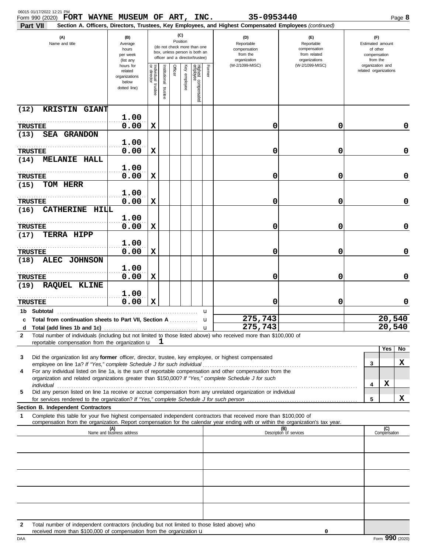| 06015 01/17/2022 12:21 PM<br>Form 990 (2020) FORT WAYNE MUSEUM OF ART, INC.                                                                                                                                                                                                                                                                          |                                                                |                                      |                         |                 |                 |                                                                                                 |        | 35-0953440                                                                                                                                                              |                                                                    |                                                                 |                     | Page 8 |
|------------------------------------------------------------------------------------------------------------------------------------------------------------------------------------------------------------------------------------------------------------------------------------------------------------------------------------------------------|----------------------------------------------------------------|--------------------------------------|-------------------------|-----------------|-----------------|-------------------------------------------------------------------------------------------------|--------|-------------------------------------------------------------------------------------------------------------------------------------------------------------------------|--------------------------------------------------------------------|-----------------------------------------------------------------|---------------------|--------|
| Part VII<br>(A)<br>Name and title                                                                                                                                                                                                                                                                                                                    | (B)<br>Average<br>hours<br>per week<br>(list any               |                                      |                         | (C)<br>Position |                 | (do not check more than one<br>box, unless person is both an<br>officer and a director/trustee) |        | Section A. Officers, Directors, Trustees, Key Employees, and Highest Compensated Employees (continued)<br>(D)<br>Reportable<br>compensation<br>from the<br>organization | (E)<br>Reportable<br>compensation<br>from related<br>organizations | (F)<br>Estimated amount<br>of other<br>compensation<br>from the |                     |        |
|                                                                                                                                                                                                                                                                                                                                                      | hours for<br>related<br>organizations<br>below<br>dotted line) | Individual<br>or director<br>trustee | nstitutional<br>trustee | Officer         | Ķey<br>employee | Highest compensated<br>employee                                                                 | Former | (W-2/1099-MISC)                                                                                                                                                         | (W-2/1099-MISC)                                                    | organization and<br>related organizations                       |                     |        |
| KRISTIN GIANT<br>(12)                                                                                                                                                                                                                                                                                                                                |                                                                |                                      |                         |                 |                 |                                                                                                 |        |                                                                                                                                                                         |                                                                    |                                                                 |                     |        |
| <b>TRUSTEE</b>                                                                                                                                                                                                                                                                                                                                       | 1.00<br>0.00                                                   | X                                    |                         |                 |                 |                                                                                                 |        | 0                                                                                                                                                                       | 0                                                                  |                                                                 |                     | 0      |
| <b>SEA GRANDON</b><br>(13)                                                                                                                                                                                                                                                                                                                           |                                                                |                                      |                         |                 |                 |                                                                                                 |        |                                                                                                                                                                         |                                                                    |                                                                 |                     |        |
| <b>TRUSTEE</b>                                                                                                                                                                                                                                                                                                                                       | 1.00<br>0.00                                                   | х                                    |                         |                 |                 |                                                                                                 |        | 0                                                                                                                                                                       | 0                                                                  |                                                                 |                     | 0      |
| <b>MELANIE HALL</b><br>(14)                                                                                                                                                                                                                                                                                                                          |                                                                |                                      |                         |                 |                 |                                                                                                 |        |                                                                                                                                                                         |                                                                    |                                                                 |                     |        |
| <b>TRUSTEE</b>                                                                                                                                                                                                                                                                                                                                       | 1.00<br>0.00                                                   | X                                    |                         |                 |                 |                                                                                                 |        | 0                                                                                                                                                                       | 0                                                                  |                                                                 |                     | 0      |
| TOM HERR<br>(15)                                                                                                                                                                                                                                                                                                                                     | 1.00                                                           |                                      |                         |                 |                 |                                                                                                 |        |                                                                                                                                                                         |                                                                    |                                                                 |                     |        |
| <b>TRUSTEE</b>                                                                                                                                                                                                                                                                                                                                       | 0.00                                                           | X                                    |                         |                 |                 |                                                                                                 |        | 0                                                                                                                                                                       | 0                                                                  |                                                                 |                     | 0      |
| <b>CATHERINE HILL</b><br>(16)                                                                                                                                                                                                                                                                                                                        | 1.00                                                           |                                      |                         |                 |                 |                                                                                                 |        |                                                                                                                                                                         |                                                                    |                                                                 |                     |        |
| <b>TRUSTEE</b>                                                                                                                                                                                                                                                                                                                                       | 0.00                                                           | х                                    |                         |                 |                 |                                                                                                 |        | 0                                                                                                                                                                       | 0                                                                  |                                                                 |                     | 0      |
| TERRA HIPP<br>(17)                                                                                                                                                                                                                                                                                                                                   | 1.00                                                           |                                      |                         |                 |                 |                                                                                                 |        |                                                                                                                                                                         |                                                                    |                                                                 |                     |        |
| <b>TRUSTEE</b>                                                                                                                                                                                                                                                                                                                                       | 0.00                                                           | X                                    |                         |                 |                 |                                                                                                 |        | 0                                                                                                                                                                       | 0                                                                  |                                                                 |                     | 0      |
| <b>ALEC JOHNSON</b><br>(18)                                                                                                                                                                                                                                                                                                                          |                                                                |                                      |                         |                 |                 |                                                                                                 |        |                                                                                                                                                                         |                                                                    |                                                                 |                     |        |
| <b>TRUSTEE</b>                                                                                                                                                                                                                                                                                                                                       | 1.00<br>0.00                                                   | X                                    |                         |                 |                 |                                                                                                 |        | 0                                                                                                                                                                       | 0                                                                  |                                                                 |                     | 0      |
| (19)<br><b>RAQUEL KLINE</b>                                                                                                                                                                                                                                                                                                                          |                                                                |                                      |                         |                 |                 |                                                                                                 |        |                                                                                                                                                                         |                                                                    |                                                                 |                     |        |
| <b>TRUSTEE</b>                                                                                                                                                                                                                                                                                                                                       | 1.00<br>0.00                                                   | X                                    |                         |                 |                 |                                                                                                 |        | 0                                                                                                                                                                       | 0                                                                  |                                                                 |                     | 0      |
| 1b Subtotal                                                                                                                                                                                                                                                                                                                                          |                                                                |                                      |                         |                 |                 |                                                                                                 | u      |                                                                                                                                                                         |                                                                    |                                                                 |                     |        |
| c Total from continuation sheets to Part VII. Section A<br>d                                                                                                                                                                                                                                                                                         |                                                                |                                      |                         |                 |                 |                                                                                                 | u      | 275,743<br>275,743                                                                                                                                                      |                                                                    |                                                                 | 20,540<br>20,540    |        |
| Total number of individuals (including but not limited to those listed above) who received more than \$100,000 of<br>2                                                                                                                                                                                                                               |                                                                |                                      |                         |                 |                 |                                                                                                 |        |                                                                                                                                                                         |                                                                    |                                                                 |                     |        |
| reportable compensation from the organization u                                                                                                                                                                                                                                                                                                      |                                                                |                                      | <b>L</b>                |                 |                 |                                                                                                 |        |                                                                                                                                                                         |                                                                    |                                                                 | Yes                 | No     |
| Did the organization list any former officer, director, trustee, key employee, or highest compensated<br>3<br>employee on line 1a? If "Yes," complete Schedule J for such individual [11] contains the success on line 1a? If "Yes," complete Schedule J for such individual [11] [12] contains the success of the success of the success of         |                                                                |                                      |                         |                 |                 |                                                                                                 |        |                                                                                                                                                                         |                                                                    | 3                                                               |                     | X      |
| For any individual listed on line 1a, is the sum of reportable compensation and other compensation from the<br>4<br>organization and related organizations greater than \$150,000? If "Yes," complete Schedule J for such                                                                                                                            |                                                                |                                      |                         |                 |                 |                                                                                                 |        |                                                                                                                                                                         |                                                                    |                                                                 |                     |        |
| individual communications and contact the contract of the contract of the contract of the contract of the contract of the contract of the contract of the contract of the contract of the contract of the contract of the cont<br>Did any person listed on line 1a receive or accrue compensation from any unrelated organization or individual<br>5 |                                                                |                                      |                         |                 |                 |                                                                                                 |        |                                                                                                                                                                         |                                                                    | 4                                                               | X                   |        |
|                                                                                                                                                                                                                                                                                                                                                      |                                                                |                                      |                         |                 |                 |                                                                                                 |        |                                                                                                                                                                         |                                                                    | 5                                                               |                     | X      |
| Section B. Independent Contractors<br>Complete this table for your five highest compensated independent contractors that received more than \$100,000 of<br>1                                                                                                                                                                                        |                                                                |                                      |                         |                 |                 |                                                                                                 |        |                                                                                                                                                                         |                                                                    |                                                                 |                     |        |
| compensation from the organization. Report compensation for the calendar year ending with or within the organization's tax year.                                                                                                                                                                                                                     |                                                                |                                      |                         |                 |                 |                                                                                                 |        |                                                                                                                                                                         |                                                                    |                                                                 |                     |        |
|                                                                                                                                                                                                                                                                                                                                                      | (A)<br>Name and business address                               |                                      |                         |                 |                 |                                                                                                 |        |                                                                                                                                                                         | (B)<br>Description of services                                     |                                                                 | (C)<br>Compensation |        |
|                                                                                                                                                                                                                                                                                                                                                      |                                                                |                                      |                         |                 |                 |                                                                                                 |        |                                                                                                                                                                         |                                                                    |                                                                 |                     |        |
|                                                                                                                                                                                                                                                                                                                                                      |                                                                |                                      |                         |                 |                 |                                                                                                 |        |                                                                                                                                                                         |                                                                    |                                                                 |                     |        |
|                                                                                                                                                                                                                                                                                                                                                      |                                                                |                                      |                         |                 |                 |                                                                                                 |        |                                                                                                                                                                         |                                                                    |                                                                 |                     |        |
|                                                                                                                                                                                                                                                                                                                                                      |                                                                |                                      |                         |                 |                 |                                                                                                 |        |                                                                                                                                                                         |                                                                    |                                                                 |                     |        |
|                                                                                                                                                                                                                                                                                                                                                      |                                                                |                                      |                         |                 |                 |                                                                                                 |        |                                                                                                                                                                         |                                                                    |                                                                 |                     |        |
|                                                                                                                                                                                                                                                                                                                                                      |                                                                |                                      |                         |                 |                 |                                                                                                 |        |                                                                                                                                                                         |                                                                    |                                                                 |                     |        |
| Total number of independent contractors (including but not limited to those listed above) who<br>2                                                                                                                                                                                                                                                   |                                                                |                                      |                         |                 |                 |                                                                                                 |        |                                                                                                                                                                         |                                                                    |                                                                 |                     |        |
| received more than \$100,000 of compensation from the organization u                                                                                                                                                                                                                                                                                 |                                                                |                                      |                         |                 |                 |                                                                                                 |        |                                                                                                                                                                         | 0                                                                  |                                                                 |                     |        |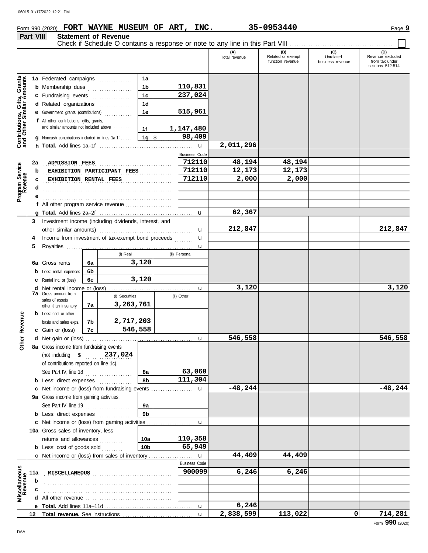## **Form 990 (2020) FORT WAYNE MUSEUM OF ART, INC.** 35-0953440 **Page 9** Page 9

### **Part VIII Statement of Revenue**

|                                                                  |     |                                                                                     |    |                             |                 |                      | (A)<br>Total revenue | (B)<br>Related or exempt<br>function revenue | (C)<br>Unrelated<br>business revenue | (D)<br>Revenue excluded<br>from tax under<br>sections 512-514 |
|------------------------------------------------------------------|-----|-------------------------------------------------------------------------------------|----|-----------------------------|-----------------|----------------------|----------------------|----------------------------------------------|--------------------------------------|---------------------------------------------------------------|
|                                                                  |     | 1a Federated campaigns                                                              |    |                             | 1a              |                      |                      |                                              |                                      |                                                               |
| <b>Contributions, Gifts, Grants</b><br>and Other Similar Amounts |     | <b>b</b> Membership dues                                                            |    |                             | 1 <sub>b</sub>  | 110,831              |                      |                                              |                                      |                                                               |
|                                                                  |     | c Fundraising events                                                                |    | .                           | 1c              | 237,024              |                      |                                              |                                      |                                                               |
|                                                                  |     |                                                                                     |    | .                           | 1 <sub>d</sub>  |                      |                      |                                              |                                      |                                                               |
|                                                                  |     | d Related organizations                                                             |    | .                           |                 | 515,961              |                      |                                              |                                      |                                                               |
|                                                                  |     | Government grants (contributions)                                                   |    |                             | 1e              |                      |                      |                                              |                                      |                                                               |
|                                                                  |     | f All other contributions, gifts, grants,<br>and similar amounts not included above |    |                             |                 |                      |                      |                                              |                                      |                                                               |
|                                                                  |     |                                                                                     |    |                             | 1f              | 1,147,480            |                      |                                              |                                      |                                                               |
|                                                                  |     | Noncash contributions included in lines 1a-1f                                       |    |                             | $1g \sqrt{3}$   | 98,409               |                      |                                              |                                      |                                                               |
|                                                                  |     |                                                                                     |    |                             |                 | $\mathbf u$          | 2,011,296            |                                              |                                      |                                                               |
|                                                                  |     |                                                                                     |    |                             |                 | <b>Business Code</b> |                      |                                              |                                      |                                                               |
|                                                                  | 2a  | <b>ADMISSION FEES</b>                                                               |    |                             |                 | 712110               | 48,194               | 48,194                                       |                                      |                                                               |
|                                                                  | b   |                                                                                     |    | EXHIBITION PARTICIPANT FEES |                 | 712110               | 12,173               | 12,173                                       |                                      |                                                               |
|                                                                  | c   | EXHIBITION RENTAL FEES                                                              |    |                             |                 | 712110               | 2,000                | 2,000                                        |                                      |                                                               |
| Program Service<br>Revenue                                       | d   |                                                                                     |    |                             |                 |                      |                      |                                              |                                      |                                                               |
|                                                                  |     |                                                                                     |    |                             |                 |                      |                      |                                              |                                      |                                                               |
|                                                                  |     | f All other program service revenue                                                 |    |                             |                 |                      |                      |                                              |                                      |                                                               |
|                                                                  |     |                                                                                     |    |                             |                 |                      | 62,367               |                                              |                                      |                                                               |
|                                                                  | 3   | Investment income (including dividends, interest, and                               |    |                             |                 |                      |                      |                                              |                                      |                                                               |
|                                                                  |     |                                                                                     |    |                             |                 | u                    | 212,847              |                                              |                                      | 212,847                                                       |
|                                                                  | 4   | Income from investment of tax-exempt bond proceeds                                  |    |                             |                 | u                    |                      |                                              |                                      |                                                               |
|                                                                  | 5   |                                                                                     |    |                             |                 | u                    |                      |                                              |                                      |                                                               |
|                                                                  |     |                                                                                     |    | (i) Real                    |                 | (ii) Personal        |                      |                                              |                                      |                                                               |
|                                                                  | 6a  | Gross rents                                                                         | 6a |                             | 3,120           |                      |                      |                                              |                                      |                                                               |
|                                                                  | b   | Less: rental expenses                                                               | 6b |                             |                 |                      |                      |                                              |                                      |                                                               |
|                                                                  | с   | Rental inc. or (loss)                                                               | 6c |                             | 3,120           |                      |                      |                                              |                                      |                                                               |
|                                                                  | d   | Net rental income or (loss)                                                         |    |                             |                 | u                    | 3,120                |                                              |                                      | 3,120                                                         |
|                                                                  |     | <b>7a</b> Gross amount from                                                         |    | (i) Securities              |                 | (ii) Other           |                      |                                              |                                      |                                                               |
|                                                                  |     | sales of assets<br>other than inventory                                             | 7a | 3,263,761                   |                 |                      |                      |                                              |                                      |                                                               |
|                                                                  |     | <b>b</b> Less: cost or other                                                        |    |                             |                 |                      |                      |                                              |                                      |                                                               |
|                                                                  |     | basis and sales exps.                                                               | 7b | 2,717,203                   |                 |                      |                      |                                              |                                      |                                                               |
| Revenue                                                          |     | c Gain or (loss)                                                                    | 7c | 546,558                     |                 |                      |                      |                                              |                                      |                                                               |
|                                                                  | d   |                                                                                     |    |                             |                 |                      | 546,558              |                                              |                                      | 546,558                                                       |
| <b>Other</b>                                                     |     | 8a Gross income from fundraising events                                             |    |                             |                 | u                    |                      |                                              |                                      |                                                               |
|                                                                  |     | (not including \$                                                                   |    | 237,024                     |                 |                      |                      |                                              |                                      |                                                               |
|                                                                  |     |                                                                                     |    |                             |                 |                      |                      |                                              |                                      |                                                               |
|                                                                  |     | of contributions reported on line 1c).                                              |    |                             |                 |                      |                      |                                              |                                      |                                                               |
|                                                                  |     | See Part IV, line 18                                                                |    |                             | 8a              | 63,060               |                      |                                              |                                      |                                                               |
|                                                                  |     | <b>b</b> Less: direct expenses                                                      |    |                             | 8b              | 111,304              |                      |                                              |                                      |                                                               |
|                                                                  | c   | Net income or (loss) from fundraising events                                        |    |                             |                 | u                    | $-48, 244$           |                                              |                                      | $-48,244$                                                     |
|                                                                  |     | 9a Gross income from gaming activities.                                             |    |                             |                 |                      |                      |                                              |                                      |                                                               |
|                                                                  |     | See Part IV, line 19                                                                |    | .                           | 9а              |                      |                      |                                              |                                      |                                                               |
|                                                                  |     | <b>b</b> Less: direct expenses                                                      |    |                             | 9 <sub>b</sub>  |                      |                      |                                              |                                      |                                                               |
|                                                                  | c   | Net income or (loss) from gaming activities                                         |    |                             |                 | u                    |                      |                                              |                                      |                                                               |
|                                                                  |     | 10a Gross sales of inventory, less                                                  |    |                             |                 |                      |                      |                                              |                                      |                                                               |
|                                                                  |     | returns and allowances                                                              |    | a sa sa sa                  | 10a             | 110,358              |                      |                                              |                                      |                                                               |
|                                                                  |     | <b>b</b> Less: cost of goods sold                                                   |    |                             | 10 <sub>b</sub> | 65,949               |                      |                                              |                                      |                                                               |
|                                                                  |     | c Net income or (loss) from sales of inventory                                      |    |                             |                 | u                    | 44,409               | 44,409                                       |                                      |                                                               |
|                                                                  |     |                                                                                     |    |                             |                 | <b>Business Code</b> |                      |                                              |                                      |                                                               |
|                                                                  | 11a | MISCELLANEOUS                                                                       |    |                             |                 | 900099               | 6,246                | 6,246                                        |                                      |                                                               |
|                                                                  | b   |                                                                                     |    |                             |                 |                      |                      |                                              |                                      |                                                               |
|                                                                  |     |                                                                                     |    |                             |                 |                      |                      |                                              |                                      |                                                               |
| Miscellaneous<br>Revenue                                         | d   |                                                                                     |    |                             |                 |                      |                      |                                              |                                      |                                                               |
|                                                                  |     |                                                                                     |    |                             |                 | $\mathbf u$          | 6,246                |                                              |                                      |                                                               |
|                                                                  | 12  |                                                                                     |    |                             |                 | $\mathbf{u}$         | 2,838,599            | 113,022                                      | 0                                    | 714,281                                                       |
|                                                                  |     |                                                                                     |    |                             |                 |                      |                      |                                              |                                      | Form 990 (2020)                                               |

Check if Schedule O contains a response or note to any line in this Part VIII . . . . . . . . . . . . . . . . . . . . . . . . . . . . . . . . . . . . . . . . . . . .

ヿ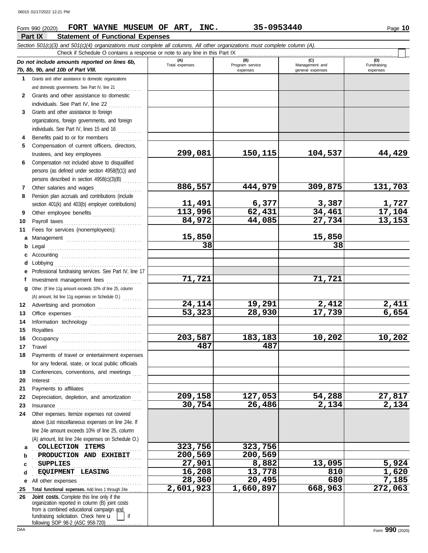## **Form 990 (2020) • FORT WAYNE MUSEUM OF ART, INC. 35-0953440** • Page 10

|              | Part IX<br><b>Statement of Functional Expenses</b>                                                                                                                                                                                                                                                                                                                                                                                                                                                       |                     |                             |                                    |                         |
|--------------|----------------------------------------------------------------------------------------------------------------------------------------------------------------------------------------------------------------------------------------------------------------------------------------------------------------------------------------------------------------------------------------------------------------------------------------------------------------------------------------------------------|---------------------|-----------------------------|------------------------------------|-------------------------|
|              | Section 501(c)(3) and 501(c)(4) organizations must complete all columns. All other organizations must complete column (A).                                                                                                                                                                                                                                                                                                                                                                               |                     |                             |                                    |                         |
|              | Check if Schedule O contains a response or note to any line in this Part IX                                                                                                                                                                                                                                                                                                                                                                                                                              | (A)                 | (B)                         | (C)                                | (D)                     |
|              | Do not include amounts reported on lines 6b,<br>7b, 8b, 9b, and 10b of Part VIII.                                                                                                                                                                                                                                                                                                                                                                                                                        | Total expenses      | Program service<br>expenses | Management and<br>general expenses | Fundraising<br>expenses |
| 1            | Grants and other assistance to domestic organizations                                                                                                                                                                                                                                                                                                                                                                                                                                                    |                     |                             |                                    |                         |
|              | and domestic governments. See Part IV, line 21                                                                                                                                                                                                                                                                                                                                                                                                                                                           |                     |                             |                                    |                         |
| $\mathbf{2}$ | Grants and other assistance to domestic                                                                                                                                                                                                                                                                                                                                                                                                                                                                  |                     |                             |                                    |                         |
|              | individuals. See Part IV, line 22                                                                                                                                                                                                                                                                                                                                                                                                                                                                        |                     |                             |                                    |                         |
| 3            | Grants and other assistance to foreign                                                                                                                                                                                                                                                                                                                                                                                                                                                                   |                     |                             |                                    |                         |
|              | organizations, foreign governments, and foreign                                                                                                                                                                                                                                                                                                                                                                                                                                                          |                     |                             |                                    |                         |
|              | individuals. See Part IV, lines 15 and 16                                                                                                                                                                                                                                                                                                                                                                                                                                                                |                     |                             |                                    |                         |
| 4            | Benefits paid to or for members<br>.                                                                                                                                                                                                                                                                                                                                                                                                                                                                     |                     |                             |                                    |                         |
| 5            | Compensation of current officers, directors,                                                                                                                                                                                                                                                                                                                                                                                                                                                             | 299,081             | 150,115                     | 104,537                            | 44,429                  |
| 6            | trustees, and key employees<br>Compensation not included above to disqualified                                                                                                                                                                                                                                                                                                                                                                                                                           |                     |                             |                                    |                         |
|              | persons (as defined under section 4958(f)(1)) and                                                                                                                                                                                                                                                                                                                                                                                                                                                        |                     |                             |                                    |                         |
|              | persons described in section 4958(c)(3)(B)                                                                                                                                                                                                                                                                                                                                                                                                                                                               |                     |                             |                                    |                         |
| 7            | Other salaries and wages                                                                                                                                                                                                                                                                                                                                                                                                                                                                                 | 886,557             | 444,979                     | 309,875                            | 131,703                 |
| 8            | Pension plan accruals and contributions (include                                                                                                                                                                                                                                                                                                                                                                                                                                                         |                     |                             |                                    |                         |
|              | section 401(k) and 403(b) employer contributions)                                                                                                                                                                                                                                                                                                                                                                                                                                                        | <u>11,491</u>       | 6,377                       | 3,387                              |                         |
| 9            | Other employee benefits                                                                                                                                                                                                                                                                                                                                                                                                                                                                                  | 113,996             | 62, 431                     | 34,461                             | $\frac{1,727}{17,104}$  |
| 10           | Payroll taxes                                                                                                                                                                                                                                                                                                                                                                                                                                                                                            | 84,972              | 44,085                      | 27,734                             | 13,153                  |
| 11           | Fees for services (nonemployees):                                                                                                                                                                                                                                                                                                                                                                                                                                                                        |                     |                             |                                    |                         |
| а            | Management                                                                                                                                                                                                                                                                                                                                                                                                                                                                                               | 15,850              |                             | 15,850                             |                         |
| b            | Legal                                                                                                                                                                                                                                                                                                                                                                                                                                                                                                    | 38                  |                             | 38                                 |                         |
| c            |                                                                                                                                                                                                                                                                                                                                                                                                                                                                                                          |                     |                             |                                    |                         |
| d            | Lobbying                                                                                                                                                                                                                                                                                                                                                                                                                                                                                                 |                     |                             |                                    |                         |
| е            | Professional fundraising services. See Part IV, line 17                                                                                                                                                                                                                                                                                                                                                                                                                                                  |                     |                             |                                    |                         |
| f            |                                                                                                                                                                                                                                                                                                                                                                                                                                                                                                          | 71,721              |                             | 71,721                             |                         |
| a            | Other. (If line 11g amount exceeds 10% of line 25, column                                                                                                                                                                                                                                                                                                                                                                                                                                                |                     |                             |                                    |                         |
| 12           | (A) amount, list line 11g expenses on Schedule O.)                                                                                                                                                                                                                                                                                                                                                                                                                                                       | 24,114              | 19,291                      | 2,412                              | 2,411                   |
| 13           | Advertising and promotion                                                                                                                                                                                                                                                                                                                                                                                                                                                                                | $\overline{53,323}$ | 28,930                      | 17,739                             | 6,654                   |
| 14           |                                                                                                                                                                                                                                                                                                                                                                                                                                                                                                          |                     |                             |                                    |                         |
| 15           | Royalties                                                                                                                                                                                                                                                                                                                                                                                                                                                                                                |                     |                             |                                    |                         |
| 16           |                                                                                                                                                                                                                                                                                                                                                                                                                                                                                                          | 203,587             | 183,183                     | 10,202                             | 10,202                  |
|              | 17 Travel                                                                                                                                                                                                                                                                                                                                                                                                                                                                                                | 487                 | 487                         |                                    |                         |
| 18           | Payments of travel or entertainment expenses                                                                                                                                                                                                                                                                                                                                                                                                                                                             |                     |                             |                                    |                         |
|              | for any federal, state, or local public officials                                                                                                                                                                                                                                                                                                                                                                                                                                                        |                     |                             |                                    |                         |
| 19           | Conferences, conventions, and meetings                                                                                                                                                                                                                                                                                                                                                                                                                                                                   |                     |                             |                                    |                         |
| 20           |                                                                                                                                                                                                                                                                                                                                                                                                                                                                                                          |                     |                             |                                    |                         |
| 21           | Payments to affiliates                                                                                                                                                                                                                                                                                                                                                                                                                                                                                   |                     |                             |                                    |                         |
| 22           | Depreciation, depletion, and amortization                                                                                                                                                                                                                                                                                                                                                                                                                                                                | 209,158             | 127,053                     | 54,288                             | 27,817                  |
| 23           | $In \textbf{surance} \begin{tabular}{@{}l@{}} \hline \textbf{unsum} & \textbf{unsum} \\ \hline \textbf{unsum} & \textbf{unsum} \\ \hline \textbf{unsum} & \textbf{unsum} \\ \hline \textbf{unsum} & \textbf{unsum} \\ \hline \textbf{unsum} & \textbf{unsum} \\ \hline \textbf{unsum} & \textbf{unsum} \\ \hline \textbf{unsum} & \textbf{unsum} \\ \hline \textbf{unsum} & \textbf{unsum} \\ \hline \textbf{unsum} & \textbf{unsum} \\ \hline \textbf{unsum} & \textbf{unsum} \\ \hline \textbf{unsum}$ | 30,754              | 26,486                      | 2,134                              | 2,134                   |
| 24           | Other expenses. Itemize expenses not covered<br>above (List miscellaneous expenses on line 24e. If                                                                                                                                                                                                                                                                                                                                                                                                       |                     |                             |                                    |                         |
|              | line 24e amount exceeds 10% of line 25, column                                                                                                                                                                                                                                                                                                                                                                                                                                                           |                     |                             |                                    |                         |
|              | (A) amount, list line 24e expenses on Schedule O.)                                                                                                                                                                                                                                                                                                                                                                                                                                                       |                     |                             |                                    |                         |
| a            | COLLECTION ITEMS                                                                                                                                                                                                                                                                                                                                                                                                                                                                                         | 323,756             | 323,756                     |                                    |                         |
| b            | PRODUCTION AND EXHIBIT                                                                                                                                                                                                                                                                                                                                                                                                                                                                                   | 200,569             | 200,569                     |                                    |                         |
| c            | SUPPLIES                                                                                                                                                                                                                                                                                                                                                                                                                                                                                                 | 27,901              | 8,882                       | 13,095                             | 5,924                   |
| d            | EQUIPMENT LEASING                                                                                                                                                                                                                                                                                                                                                                                                                                                                                        | 16,208              | 13,778                      | 810                                | 1,620                   |
| е            | All other expenses                                                                                                                                                                                                                                                                                                                                                                                                                                                                                       | 28,360              | 20,495                      | 680                                | 7,185                   |
| 25           | Total functional expenses. Add lines 1 through 24e                                                                                                                                                                                                                                                                                                                                                                                                                                                       | 2,601,923           | 1,660,897                   | 668,963                            | 272,063                 |
| 26           | Joint costs. Complete this line only if the<br>organization reported in column (B) joint costs                                                                                                                                                                                                                                                                                                                                                                                                           |                     |                             |                                    |                         |
|              | from a combined educational campaign and                                                                                                                                                                                                                                                                                                                                                                                                                                                                 |                     |                             |                                    |                         |
|              | fundraising solicitation. Check here u<br>lif                                                                                                                                                                                                                                                                                                                                                                                                                                                            |                     |                             |                                    |                         |
|              | following SOP 98-2 (ASC 958-720)                                                                                                                                                                                                                                                                                                                                                                                                                                                                         |                     |                             |                                    |                         |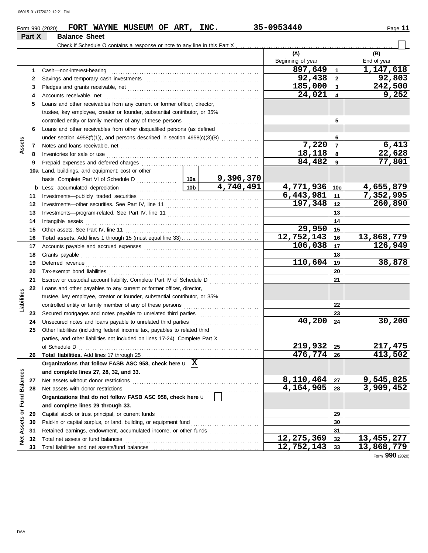|                         |        | FORT WAYNE MUSEUM OF ART, INC.<br>Form 990 (2020)                                       |                 |                                                          | 35-0953440              |                         | Page 11      |
|-------------------------|--------|-----------------------------------------------------------------------------------------|-----------------|----------------------------------------------------------|-------------------------|-------------------------|--------------|
|                         | Part X | <b>Balance Sheet</b>                                                                    |                 |                                                          |                         |                         |              |
|                         |        |                                                                                         |                 |                                                          |                         |                         |              |
|                         |        |                                                                                         |                 |                                                          | (A)                     |                         | (B)          |
|                         |        |                                                                                         |                 |                                                          | Beginning of year       |                         | End of year  |
|                         | 1      | Cash-non-interest-bearing                                                               |                 |                                                          | 897,649                 | $\mathbf{1}$            | 1,147,618    |
|                         | 2      |                                                                                         |                 |                                                          | 92,438                  | $\overline{2}$          | 92,803       |
|                         | 3      |                                                                                         |                 |                                                          | 185,000                 | $\mathbf{3}$            | 242,500      |
|                         | 4      | Accounts receivable, net                                                                |                 |                                                          | 24,021                  | $\overline{\mathbf{4}}$ | 9,252        |
|                         | 5      | Loans and other receivables from any current or former officer, director,               |                 |                                                          |                         |                         |              |
|                         |        | trustee, key employee, creator or founder, substantial contributor, or 35%              |                 |                                                          |                         |                         |              |
|                         |        |                                                                                         |                 |                                                          |                         | 5                       |              |
|                         | 6      | Loans and other receivables from other disqualified persons (as defined                 |                 |                                                          |                         |                         |              |
|                         |        | under section $4958(f)(1)$ ), and persons described in section $4958(c)(3)(B)$          |                 |                                                          |                         | 6                       |              |
| Assets                  | 7      |                                                                                         |                 |                                                          | 7,220                   | $\overline{7}$          | 6,413        |
|                         | 8      | Inventories for sale or use                                                             |                 |                                                          | 18,118                  | 8                       | 22,628       |
|                         | 9      | Prepaid expenses and deferred charges                                                   |                 |                                                          | 84,482                  | 9                       | 77,801       |
|                         |        | 10a Land, buildings, and equipment: cost or other                                       |                 |                                                          |                         |                         |              |
|                         |        |                                                                                         |                 | 9,396,370                                                |                         |                         |              |
|                         |        | <b>b</b> Less: accumulated depreciation                                                 | 10 <sub>b</sub> | 4,740,491                                                | 4,771,936               | 10 <sub>c</sub>         | 4,655,879    |
|                         | 11     | Investments-publicly traded securities                                                  |                 |                                                          | $\sqrt{6,443,981}$      | 11                      | 7,352,995    |
|                         | 12     |                                                                                         |                 |                                                          | 197,348                 | 12                      | 260,890      |
|                         | 13     |                                                                                         |                 |                                                          |                         | 13                      |              |
|                         | 14     | Intangible assets                                                                       |                 |                                                          |                         | 14                      |              |
|                         | 15     |                                                                                         |                 |                                                          | 29,950                  | 15                      |              |
|                         | 16     |                                                                                         |                 |                                                          | 12,752,143              | 16                      | 13,868,779   |
|                         | 17     |                                                                                         |                 |                                                          | 106,038                 | 17                      | 126,949      |
|                         | 18     | Grants payable                                                                          |                 | 18                                                       |                         |                         |              |
|                         | 19     | Deferred revenue                                                                        |                 |                                                          | 110,604                 | 19                      | 38,878       |
|                         | 20     |                                                                                         |                 |                                                          |                         | 20                      |              |
|                         | 21     | Escrow or custodial account liability. Complete Part IV of Schedule D                   |                 | <u> 1999 - Johann Stoff, martin Amerikaansk kanton (</u> |                         | 21                      |              |
|                         | 22     | Loans and other payables to any current or former officer, director,                    |                 |                                                          |                         |                         |              |
| Liabilities             |        | trustee, key employee, creator or founder, substantial contributor, or 35%              |                 |                                                          |                         |                         |              |
|                         |        |                                                                                         |                 |                                                          |                         | 22                      |              |
|                         | 23     |                                                                                         |                 |                                                          |                         | 23                      |              |
|                         | 24     | Unsecured notes and loans payable to unrelated third parties                            |                 |                                                          | 40,200                  | 24                      | 30,200       |
|                         | 25     | Other liabilities (including federal income tax, payables to related third              |                 |                                                          |                         |                         |              |
|                         |        | parties, and other liabilities not included on lines 17-24). Complete Part X            |                 |                                                          |                         |                         |              |
|                         |        | of Schedule D                                                                           |                 |                                                          | 219,932                 | 25                      | 217, 475     |
|                         | 26     |                                                                                         |                 |                                                          | $\overline{476, 774}$   | 26                      | 413,502      |
|                         |        | Organizations that follow FASB ASC 958, check here $\mathbf{u}$ $\overline{\mathbf{X}}$ |                 |                                                          |                         |                         |              |
|                         |        | and complete lines 27, 28, 32, and 33.                                                  |                 |                                                          |                         |                         |              |
|                         | 27     | Net assets without donor restrictions                                                   |                 |                                                          | 8,110,464               | 27                      | 9,545,825    |
|                         | 28     | Net assets with donor restrictions                                                      |                 |                                                          | 4,164,905               | 28                      | 3,909,452    |
|                         |        | Organizations that do not follow FASB ASC 958, check here u                             |                 |                                                          |                         |                         |              |
|                         |        | and complete lines 29 through 33.                                                       |                 |                                                          |                         |                         |              |
|                         | 29     | Capital stock or trust principal, or current funds                                      |                 |                                                          |                         | 29                      |              |
| Assets or Fund Balances | 30     | Paid-in or capital surplus, or land, building, or equipment fund                        |                 |                                                          |                         | 30                      |              |
|                         | 31     | Retained earnings, endowment, accumulated income, or other funds                        |                 |                                                          | $\overline{12,275,369}$ | 31<br>32                | 13, 455, 277 |
| ğ                       | 32     | Total net assets or fund balances                                                       |                 |                                                          | 12,752,143              | 33                      | 13,868,779   |
|                         | 33     |                                                                                         |                 |                                                          |                         |                         |              |

Form **990** (2020)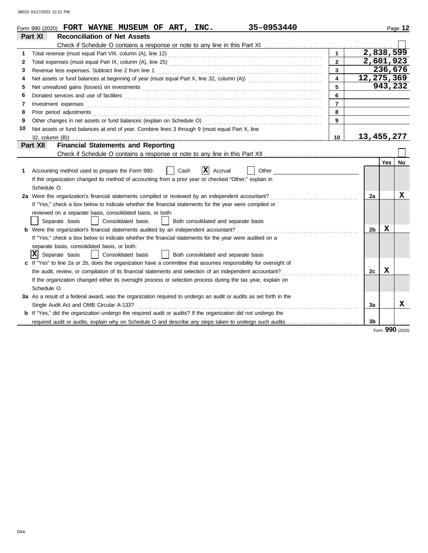|    | 35-0953440<br>Form 990 (2020) FORT WAYNE MUSEUM OF ART, INC.                                                                                                                                                                         |                         |              |         | Page 12 |
|----|--------------------------------------------------------------------------------------------------------------------------------------------------------------------------------------------------------------------------------------|-------------------------|--------------|---------|---------|
|    | Part XI<br><b>Reconciliation of Net Assets</b>                                                                                                                                                                                       |                         |              |         |         |
|    |                                                                                                                                                                                                                                      |                         |              |         |         |
| 1  |                                                                                                                                                                                                                                      | $\mathbf{1}$            | 2,838,599    |         |         |
| 2  |                                                                                                                                                                                                                                      | $\overline{2}$          | 2,601,923    |         |         |
| 3  | Revenue less expenses. Subtract line 2 from line 1                                                                                                                                                                                   | 3                       |              | 236,676 |         |
| 4  |                                                                                                                                                                                                                                      | $\overline{\mathbf{4}}$ | 12, 275, 369 |         |         |
| 5  |                                                                                                                                                                                                                                      | 5                       |              | 943,232 |         |
| 6  | Donated services and use of facilities <b>constant of the constant of the constant of the constant of the constant of the constant of the constant of the constant of the constant of the constant of the constant of the consta</b> | 6                       |              |         |         |
| 7  | Investment expenses <b>constant expenses</b>                                                                                                                                                                                         | $\overline{7}$          |              |         |         |
| 8  |                                                                                                                                                                                                                                      | 8                       |              |         |         |
| 9  |                                                                                                                                                                                                                                      | 9                       |              |         |         |
| 10 | Net assets or fund balances at end of year. Combine lines 3 through 9 (must equal Part X, line                                                                                                                                       |                         |              |         |         |
|    |                                                                                                                                                                                                                                      | 10                      | 13,455,277   |         |         |
|    | <b>Financial Statements and Reporting</b><br><b>Part XII</b>                                                                                                                                                                         |                         |              |         |         |
|    |                                                                                                                                                                                                                                      |                         |              |         |         |
|    |                                                                                                                                                                                                                                      |                         |              | Yes     | No      |
| 1  | X<br>Accounting method used to prepare the Form 990:<br>Cash<br>Accrual<br>Other                                                                                                                                                     |                         |              |         |         |
|    | If the organization changed its method of accounting from a prior year or checked "Other," explain in                                                                                                                                |                         |              |         |         |
|    | Schedule O.                                                                                                                                                                                                                          |                         |              |         |         |
|    | 2a Were the organization's financial statements compiled or reviewed by an independent accountant?                                                                                                                                   |                         | 2a           |         | х       |
|    | If "Yes," check a box below to indicate whether the financial statements for the year were compiled or                                                                                                                               |                         |              |         |         |
|    | reviewed on a separate basis, consolidated basis, or both:                                                                                                                                                                           |                         |              |         |         |
|    | Separate basis<br>Consolidated basis<br>Both consolidated and separate basis<br>$\mathsf{L}$                                                                                                                                         |                         |              |         |         |
|    | <b>b</b> Were the organization's financial statements audited by an independent accountant?                                                                                                                                          |                         | 2b           | x       |         |
|    | If "Yes," check a box below to indicate whether the financial statements for the year were audited on a                                                                                                                              |                         |              |         |         |
|    | separate basis, consolidated basis, or both:                                                                                                                                                                                         |                         |              |         |         |
|    | $ \mathbf{\bar{X}} $<br>Separate basis<br>Consolidated basis<br>Both consolidated and separate basis                                                                                                                                 |                         |              |         |         |
|    | c If "Yes" to line 2a or 2b, does the organization have a committee that assumes responsibility for oversight of                                                                                                                     |                         |              |         |         |
|    | the audit, review, or compilation of its financial statements and selection of an independent accountant?                                                                                                                            |                         | 2c           | X       |         |
|    | If the organization changed either its oversight process or selection process during the tax year, explain on                                                                                                                        |                         |              |         |         |
|    | Schedule O.                                                                                                                                                                                                                          |                         |              |         |         |
|    | 3a As a result of a federal award, was the organization required to undergo an audit or audits as set forth in the                                                                                                                   |                         |              |         |         |
|    | Single Audit Act and OMB Circular A-133?                                                                                                                                                                                             |                         | За           |         | x       |
|    | b If "Yes," did the organization undergo the required audit or audits? If the organization did not undergo the                                                                                                                       |                         |              |         |         |
|    | required audit or audits, explain why on Schedule O and describe any steps taken to undergo such audits                                                                                                                              |                         | 3b           |         |         |

Form **990** (2020)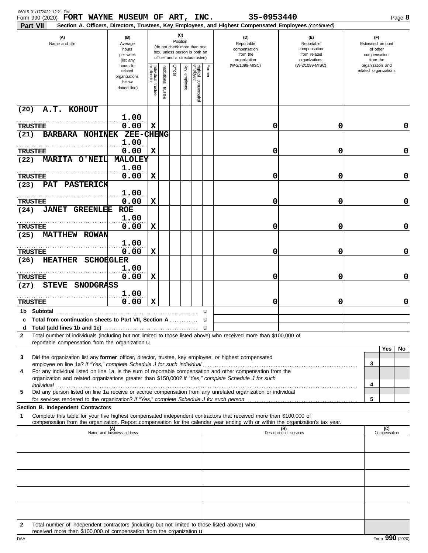| 06015 01/17/2022 12:21 PM<br>Form 990 (2020) FORT WAYNE MUSEUM OF ART, INC.                                                                                                                                                                                                                                                                          |                                                                |                       |                         |         |                 |                                                                                                 |        | 35-0953440<br>Section A. Officers, Directors, Trustees, Key Employees, and Highest Compensated Employees (continued) |                                                                    | Page 8                                                          |
|------------------------------------------------------------------------------------------------------------------------------------------------------------------------------------------------------------------------------------------------------------------------------------------------------------------------------------------------------|----------------------------------------------------------------|-----------------------|-------------------------|---------|-----------------|-------------------------------------------------------------------------------------------------|--------|----------------------------------------------------------------------------------------------------------------------|--------------------------------------------------------------------|-----------------------------------------------------------------|
| Part VII<br>(A)<br>Name and title                                                                                                                                                                                                                                                                                                                    | (B)<br>Average<br>hours<br>per week<br>(list any               |                       |                         |         | (C)<br>Position | (do not check more than one<br>box, unless person is both an<br>officer and a director/trustee) |        | (D)<br>Reportable<br>compensation<br>from the<br>organization                                                        | (E)<br>Reportable<br>compensation<br>from related<br>organizations | (F)<br>Estimated amount<br>of other<br>compensation<br>from the |
|                                                                                                                                                                                                                                                                                                                                                      | hours for<br>related<br>organizations<br>below<br>dotted line) | Individual<br>trustee | hstitutional<br>trustee | Officer | Key employee    | Highest compensated<br>employee                                                                 | Former | (W-2/1099-MISC)                                                                                                      | (W-2/1099-MISC)                                                    | organization and<br>related organizations                       |
| A.T. KOHOUT<br>(20)                                                                                                                                                                                                                                                                                                                                  |                                                                |                       |                         |         |                 |                                                                                                 |        |                                                                                                                      |                                                                    |                                                                 |
| <b>TRUSTEE</b>                                                                                                                                                                                                                                                                                                                                       | 1.00<br>0.00                                                   | X                     |                         |         |                 |                                                                                                 |        | 0                                                                                                                    | 0                                                                  | 0                                                               |
| BARBARA NOHINEK<br>(21)                                                                                                                                                                                                                                                                                                                              | <b>ZEE-CHENG</b><br>1.00                                       |                       |                         |         |                 |                                                                                                 |        |                                                                                                                      |                                                                    |                                                                 |
| <b>TRUSTEE</b>                                                                                                                                                                                                                                                                                                                                       | 0.00                                                           | х                     |                         |         |                 |                                                                                                 |        | 0                                                                                                                    | 0                                                                  | 0                                                               |
| MARITA O'NEIL<br>(22)                                                                                                                                                                                                                                                                                                                                | <b>MALOLEY</b><br>1.00                                         |                       |                         |         |                 |                                                                                                 |        |                                                                                                                      |                                                                    |                                                                 |
| <b>TRUSTEE</b><br>PAT PASTERICK<br>(23)                                                                                                                                                                                                                                                                                                              | 0.00                                                           | X                     |                         |         |                 |                                                                                                 |        | 0                                                                                                                    | 0                                                                  | 0                                                               |
|                                                                                                                                                                                                                                                                                                                                                      | 1.00                                                           |                       |                         |         |                 |                                                                                                 |        |                                                                                                                      |                                                                    |                                                                 |
| <b>TRUSTEE</b>                                                                                                                                                                                                                                                                                                                                       | 0.00                                                           | $\mathbf x$           |                         |         |                 |                                                                                                 |        | 0                                                                                                                    | 0                                                                  | 0                                                               |
| <b>JANET</b><br><b>GREENLEE</b><br>(24)                                                                                                                                                                                                                                                                                                              | <b>ROE</b><br>1.00                                             |                       |                         |         |                 |                                                                                                 |        |                                                                                                                      |                                                                    |                                                                 |
| <b>TRUSTEE</b>                                                                                                                                                                                                                                                                                                                                       | 0.00                                                           | X                     |                         |         |                 |                                                                                                 |        | 0                                                                                                                    | 0                                                                  | 0                                                               |
| <b>MATTHEW ROWAN</b><br>(25)                                                                                                                                                                                                                                                                                                                         |                                                                |                       |                         |         |                 |                                                                                                 |        |                                                                                                                      |                                                                    |                                                                 |
| <b>TRUSTEE</b>                                                                                                                                                                                                                                                                                                                                       | 1.00<br>0.00                                                   | X                     |                         |         |                 |                                                                                                 |        | 0                                                                                                                    | 0                                                                  | 0                                                               |
| HEATHER SCHOEGLER<br>(26)                                                                                                                                                                                                                                                                                                                            |                                                                |                       |                         |         |                 |                                                                                                 |        |                                                                                                                      |                                                                    |                                                                 |
|                                                                                                                                                                                                                                                                                                                                                      | 1.00                                                           |                       |                         |         |                 |                                                                                                 |        |                                                                                                                      | 0                                                                  | 0                                                               |
| <b>TRUSTEE</b><br>STEVE SNODGRASS<br>(27)                                                                                                                                                                                                                                                                                                            | 0.00                                                           | х                     |                         |         |                 |                                                                                                 |        | 0                                                                                                                    |                                                                    |                                                                 |
| <b>TRUSTEE</b>                                                                                                                                                                                                                                                                                                                                       | 1.00<br>0.00                                                   | X                     |                         |         |                 |                                                                                                 |        | 0                                                                                                                    | 0                                                                  | 0                                                               |
|                                                                                                                                                                                                                                                                                                                                                      |                                                                |                       |                         |         |                 |                                                                                                 | u      |                                                                                                                      |                                                                    |                                                                 |
| c Total from continuation sheets to Part VII, Section A                                                                                                                                                                                                                                                                                              |                                                                |                       |                         |         |                 |                                                                                                 | u      |                                                                                                                      |                                                                    |                                                                 |
| Total number of individuals (including but not limited to those listed above) who received more than \$100,000 of<br>2                                                                                                                                                                                                                               |                                                                |                       |                         |         |                 |                                                                                                 |        |                                                                                                                      |                                                                    |                                                                 |
| reportable compensation from the organization u                                                                                                                                                                                                                                                                                                      |                                                                |                       |                         |         |                 |                                                                                                 |        |                                                                                                                      |                                                                    |                                                                 |
| Did the organization list any former officer, director, trustee, key employee, or highest compensated<br>3                                                                                                                                                                                                                                           |                                                                |                       |                         |         |                 |                                                                                                 |        |                                                                                                                      |                                                                    | Yes<br>No                                                       |
| For any individual listed on line 1a, is the sum of reportable compensation and other compensation from the<br>4<br>organization and related organizations greater than \$150,000? If "Yes," complete Schedule J for such                                                                                                                            |                                                                |                       |                         |         |                 |                                                                                                 |        |                                                                                                                      |                                                                    | 3<br>4                                                          |
| individual with a construction of the construction of the construction of the construction of the construction of the construction of the construction of the construction of the construction of the construction of the cons<br>Did any person listed on line 1a receive or accrue compensation from any unrelated organization or individual<br>5 |                                                                |                       |                         |         |                 |                                                                                                 |        |                                                                                                                      |                                                                    |                                                                 |
| <b>Section B. Independent Contractors</b>                                                                                                                                                                                                                                                                                                            |                                                                |                       |                         |         |                 |                                                                                                 |        |                                                                                                                      |                                                                    | 5                                                               |
| 1<br>Complete this table for your five highest compensated independent contractors that received more than \$100,000 of                                                                                                                                                                                                                              |                                                                |                       |                         |         |                 |                                                                                                 |        |                                                                                                                      |                                                                    |                                                                 |
| compensation from the organization. Report compensation for the calendar year ending with or within the organization's tax year.                                                                                                                                                                                                                     | (A)<br>Name and business address                               |                       |                         |         |                 |                                                                                                 |        |                                                                                                                      | (B)<br>Description of services                                     | (C)<br>Compensation                                             |
|                                                                                                                                                                                                                                                                                                                                                      |                                                                |                       |                         |         |                 |                                                                                                 |        |                                                                                                                      |                                                                    |                                                                 |
|                                                                                                                                                                                                                                                                                                                                                      |                                                                |                       |                         |         |                 |                                                                                                 |        |                                                                                                                      |                                                                    |                                                                 |
|                                                                                                                                                                                                                                                                                                                                                      |                                                                |                       |                         |         |                 |                                                                                                 |        |                                                                                                                      |                                                                    |                                                                 |
|                                                                                                                                                                                                                                                                                                                                                      |                                                                |                       |                         |         |                 |                                                                                                 |        |                                                                                                                      |                                                                    |                                                                 |
|                                                                                                                                                                                                                                                                                                                                                      |                                                                |                       |                         |         |                 |                                                                                                 |        |                                                                                                                      |                                                                    |                                                                 |
|                                                                                                                                                                                                                                                                                                                                                      |                                                                |                       |                         |         |                 |                                                                                                 |        |                                                                                                                      |                                                                    |                                                                 |
| Total number of independent contractors (including but not limited to those listed above) who<br>$\mathbf{2}$                                                                                                                                                                                                                                        |                                                                |                       |                         |         |                 |                                                                                                 |        |                                                                                                                      |                                                                    |                                                                 |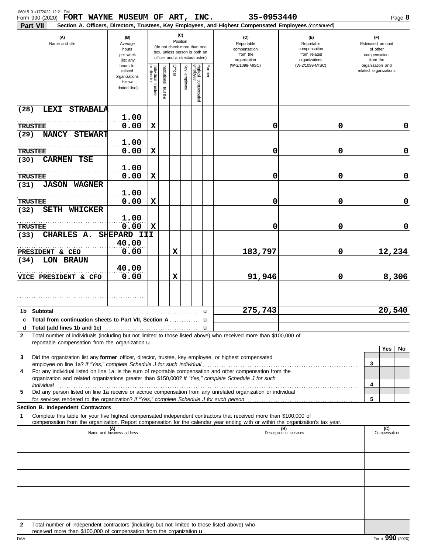| 06015 01/17/2022 12:21 PM<br>Form 990 (2020) FORT WAYNE MUSEUM OF ART, INC.                                   |                                                                             |                                   |                          |             |              |                                                                                                 |        | 35-0953440                                                                                                                                                                                                                                                                                                                                                                                                                                             |                                                                    | Page 8                                                |
|---------------------------------------------------------------------------------------------------------------|-----------------------------------------------------------------------------|-----------------------------------|--------------------------|-------------|--------------|-------------------------------------------------------------------------------------------------|--------|--------------------------------------------------------------------------------------------------------------------------------------------------------------------------------------------------------------------------------------------------------------------------------------------------------------------------------------------------------------------------------------------------------------------------------------------------------|--------------------------------------------------------------------|-------------------------------------------------------|
| Part VII                                                                                                      |                                                                             |                                   |                          |             | (C)          |                                                                                                 |        | Section A. Officers, Directors, Trustees, Key Employees, and Highest Compensated Employees (continued)                                                                                                                                                                                                                                                                                                                                                 |                                                                    |                                                       |
| (A)<br>Name and title                                                                                         | (B)<br>Average<br>hours<br>per week                                         |                                   |                          | Position    |              | (do not check more than one<br>box, unless person is both an<br>officer and a director/trustee) |        | (D)<br>Reportable<br>compensation<br>from the                                                                                                                                                                                                                                                                                                                                                                                                          | (E)<br>Reportable<br>compensation<br>from related<br>organizations | (F)<br>Estimated amount<br>of other<br>compensation   |
|                                                                                                               | (list any<br>hours for<br>related<br>organizations<br>below<br>dotted line) | Individual trustee<br>or director | Institutional<br>trustee | Officer     | Key employee | Highest compensated<br>employee                                                                 | Former | organization<br>(W-2/1099-MISC)                                                                                                                                                                                                                                                                                                                                                                                                                        | (W-2/1099-MISC)                                                    | from the<br>organization and<br>related organizations |
| LEXI STRABALA<br>(28)                                                                                         |                                                                             |                                   |                          |             |              |                                                                                                 |        |                                                                                                                                                                                                                                                                                                                                                                                                                                                        |                                                                    |                                                       |
| <b>TRUSTEE</b>                                                                                                | 1.00<br>0.00                                                                | X                                 |                          |             |              |                                                                                                 |        | 0                                                                                                                                                                                                                                                                                                                                                                                                                                                      | 0                                                                  | 0                                                     |
| NANCY STEWART<br>(29)                                                                                         |                                                                             |                                   |                          |             |              |                                                                                                 |        |                                                                                                                                                                                                                                                                                                                                                                                                                                                        |                                                                    |                                                       |
| <b>TRUSTEE</b>                                                                                                | 1.00<br>0.00                                                                | X                                 |                          |             |              |                                                                                                 |        | 0                                                                                                                                                                                                                                                                                                                                                                                                                                                      | 0                                                                  | 0                                                     |
| <b>CARMEN TSE</b><br>(30)                                                                                     | 1.00                                                                        |                                   |                          |             |              |                                                                                                 |        |                                                                                                                                                                                                                                                                                                                                                                                                                                                        |                                                                    |                                                       |
| <b>TRUSTEE</b><br><b>JASON WAGNER</b><br>(31)                                                                 | 0.00                                                                        | X                                 |                          |             |              |                                                                                                 |        | 0                                                                                                                                                                                                                                                                                                                                                                                                                                                      | 0                                                                  | 0                                                     |
| <b>TRUSTEE</b>                                                                                                | 1.00<br>0.00                                                                | X                                 |                          |             |              |                                                                                                 |        | 0                                                                                                                                                                                                                                                                                                                                                                                                                                                      | 0                                                                  | 0                                                     |
| <b>SETH WHICKER</b><br>(32)                                                                                   | 1.00                                                                        |                                   |                          |             |              |                                                                                                 |        |                                                                                                                                                                                                                                                                                                                                                                                                                                                        |                                                                    |                                                       |
| <b>TRUSTEE</b>                                                                                                | 0.00                                                                        | $\mathbf x$                       |                          |             |              |                                                                                                 |        | 0                                                                                                                                                                                                                                                                                                                                                                                                                                                      | 0                                                                  | 0                                                     |
| CHARLES A.<br>(33)                                                                                            | SHEPARD III<br>40.00                                                        |                                   |                          |             |              |                                                                                                 |        |                                                                                                                                                                                                                                                                                                                                                                                                                                                        |                                                                    |                                                       |
| PRESIDENT & CEO<br>LON BRAUN<br>(34)                                                                          | 0.00                                                                        |                                   |                          | $\mathbf x$ |              |                                                                                                 |        | 183,797                                                                                                                                                                                                                                                                                                                                                                                                                                                | 0                                                                  | 12,234                                                |
| VICE PRESIDENT & CFO                                                                                          | 40.00<br>0.00                                                               |                                   |                          | $\mathbf x$ |              |                                                                                                 |        | 91,946                                                                                                                                                                                                                                                                                                                                                                                                                                                 | 0                                                                  | 8,306                                                 |
|                                                                                                               |                                                                             |                                   |                          |             |              |                                                                                                 |        |                                                                                                                                                                                                                                                                                                                                                                                                                                                        |                                                                    |                                                       |
|                                                                                                               |                                                                             |                                   |                          |             |              |                                                                                                 | u      | 275,743                                                                                                                                                                                                                                                                                                                                                                                                                                                |                                                                    | 20,540                                                |
| c Total from continuation sheets to Part VII, Section A                                                       |                                                                             |                                   |                          |             |              |                                                                                                 | u      |                                                                                                                                                                                                                                                                                                                                                                                                                                                        |                                                                    |                                                       |
| 2<br>reportable compensation from the organization u                                                          |                                                                             |                                   |                          |             |              |                                                                                                 |        | Total number of individuals (including but not limited to those listed above) who received more than \$100,000 of                                                                                                                                                                                                                                                                                                                                      |                                                                    |                                                       |
|                                                                                                               |                                                                             |                                   |                          |             |              |                                                                                                 |        |                                                                                                                                                                                                                                                                                                                                                                                                                                                        |                                                                    | Yes<br>No                                             |
| Did the organization list any former officer, director, trustee, key employee, or highest compensated<br>3    |                                                                             |                                   |                          |             |              |                                                                                                 |        |                                                                                                                                                                                                                                                                                                                                                                                                                                                        |                                                                    | 3                                                     |
| 4                                                                                                             |                                                                             |                                   |                          |             |              |                                                                                                 |        | For any individual listed on line 1a, is the sum of reportable compensation and other compensation from the<br>organization and related organizations greater than \$150,000? If "Yes," complete Schedule J for such<br>individual commutation and construction of the construction of the construction of the construction of the construction of the construction of the construction of the construction of the construction of the construction of |                                                                    | 4                                                     |
| 5                                                                                                             |                                                                             |                                   |                          |             |              |                                                                                                 |        | Did any person listed on line 1a receive or accrue compensation from any unrelated organization or individual                                                                                                                                                                                                                                                                                                                                          |                                                                    | 5                                                     |
| Section B. Independent Contractors                                                                            |                                                                             |                                   |                          |             |              |                                                                                                 |        |                                                                                                                                                                                                                                                                                                                                                                                                                                                        |                                                                    |                                                       |
| 1                                                                                                             |                                                                             |                                   |                          |             |              |                                                                                                 |        | Complete this table for your five highest compensated independent contractors that received more than \$100,000 of<br>compensation from the organization. Report compensation for the calendar year ending with or within the organization's tax year.                                                                                                                                                                                                 |                                                                    |                                                       |
|                                                                                                               | (A)<br>Name and business address                                            |                                   |                          |             |              |                                                                                                 |        |                                                                                                                                                                                                                                                                                                                                                                                                                                                        | (B)<br>Description of services                                     | (C)<br>Compensation                                   |
|                                                                                                               |                                                                             |                                   |                          |             |              |                                                                                                 |        |                                                                                                                                                                                                                                                                                                                                                                                                                                                        |                                                                    |                                                       |
|                                                                                                               |                                                                             |                                   |                          |             |              |                                                                                                 |        |                                                                                                                                                                                                                                                                                                                                                                                                                                                        |                                                                    |                                                       |
|                                                                                                               |                                                                             |                                   |                          |             |              |                                                                                                 |        |                                                                                                                                                                                                                                                                                                                                                                                                                                                        |                                                                    |                                                       |
|                                                                                                               |                                                                             |                                   |                          |             |              |                                                                                                 |        |                                                                                                                                                                                                                                                                                                                                                                                                                                                        |                                                                    |                                                       |
| Total number of independent contractors (including but not limited to those listed above) who<br>$\mathbf{2}$ |                                                                             |                                   |                          |             |              |                                                                                                 |        |                                                                                                                                                                                                                                                                                                                                                                                                                                                        |                                                                    |                                                       |

received more than  $$100,000$  of compensation from the organization  $\mathbf u$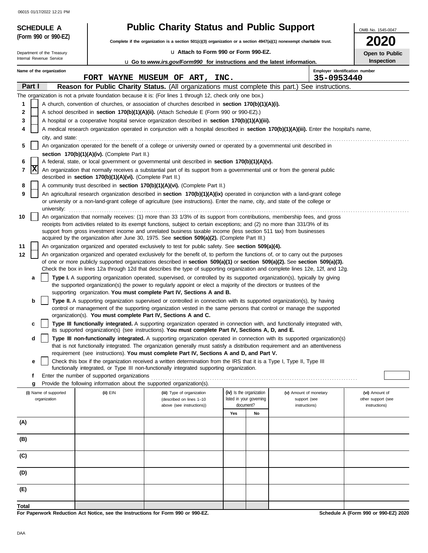|       | <b>SCHEDULE A</b>                                                                                                              |             |                                                                                                                       | <b>Public Charity Status and Public Support</b>                                                                                                                                                                                                                 |     |                          |                                | OMB No. 1545-0047                    |  |  |  |
|-------|--------------------------------------------------------------------------------------------------------------------------------|-------------|-----------------------------------------------------------------------------------------------------------------------|-----------------------------------------------------------------------------------------------------------------------------------------------------------------------------------------------------------------------------------------------------------------|-----|--------------------------|--------------------------------|--------------------------------------|--|--|--|
|       | (Form 990 or 990-EZ)                                                                                                           |             |                                                                                                                       | Complete if the organization is a section 501(c)(3) organization or a section 4947(a)(1) nonexempt charitable trust.                                                                                                                                            |     |                          |                                | <b>2020</b>                          |  |  |  |
|       | Department of the Treasury                                                                                                     |             |                                                                                                                       | La Attach to Form 990 or Form 990-EZ.                                                                                                                                                                                                                           |     |                          |                                | Open to Public                       |  |  |  |
|       | Internal Revenue Service                                                                                                       |             |                                                                                                                       | <b>u</b> Go to <i>www.irs.gov/Form990</i> for instructions and the latest information.                                                                                                                                                                          |     |                          |                                | <b>Inspection</b>                    |  |  |  |
|       | Name of the organization                                                                                                       |             |                                                                                                                       |                                                                                                                                                                                                                                                                 |     |                          | Employer identification number |                                      |  |  |  |
|       | Part I                                                                                                                         |             |                                                                                                                       | FORT WAYNE MUSEUM OF ART, INC.<br>Reason for Public Charity Status. (All organizations must complete this part.) See instructions.                                                                                                                              |     |                          | 35-0953440                     |                                      |  |  |  |
|       |                                                                                                                                |             |                                                                                                                       | The organization is not a private foundation because it is: (For lines 1 through 12, check only one box.)                                                                                                                                                       |     |                          |                                |                                      |  |  |  |
| 1     |                                                                                                                                |             |                                                                                                                       | A church, convention of churches, or association of churches described in section 170(b)(1)(A)(i).                                                                                                                                                              |     |                          |                                |                                      |  |  |  |
| 2     |                                                                                                                                |             |                                                                                                                       | A school described in section 170(b)(1)(A)(ii). (Attach Schedule E (Form 990 or 990-EZ).)                                                                                                                                                                       |     |                          |                                |                                      |  |  |  |
| 3     |                                                                                                                                |             |                                                                                                                       | A hospital or a cooperative hospital service organization described in section 170(b)(1)(A)(iii).                                                                                                                                                               |     |                          |                                |                                      |  |  |  |
| 4     |                                                                                                                                |             |                                                                                                                       | A medical research organization operated in conjunction with a hospital described in section 170(b)(1)(A)(iii). Enter the hospital's name,                                                                                                                      |     |                          |                                |                                      |  |  |  |
|       | city, and state:                                                                                                               |             |                                                                                                                       |                                                                                                                                                                                                                                                                 |     |                          |                                |                                      |  |  |  |
|       | An organization operated for the benefit of a college or university owned or operated by a governmental unit described in<br>5 |             |                                                                                                                       |                                                                                                                                                                                                                                                                 |     |                          |                                |                                      |  |  |  |
| 6     |                                                                                                                                |             | section $170(b)(1)(A)(iv)$ . (Complete Part II.)                                                                      | A federal, state, or local government or governmental unit described in section 170(b)(1)(A)(v).                                                                                                                                                                |     |                          |                                |                                      |  |  |  |
| 7     | x                                                                                                                              |             |                                                                                                                       | An organization that normally receives a substantial part of its support from a governmental unit or from the general public                                                                                                                                    |     |                          |                                |                                      |  |  |  |
|       |                                                                                                                                |             | described in section 170(b)(1)(A)(vi). (Complete Part II.)                                                            |                                                                                                                                                                                                                                                                 |     |                          |                                |                                      |  |  |  |
| 8     |                                                                                                                                |             |                                                                                                                       | A community trust described in section 170(b)(1)(A)(vi). (Complete Part II.)                                                                                                                                                                                    |     |                          |                                |                                      |  |  |  |
| 9     |                                                                                                                                | university: |                                                                                                                       | An agricultural research organization described in section 170(b)(1)(A)(ix) operated in conjunction with a land-grant college<br>or university or a non-land-grant college of agriculture (see instructions). Enter the name, city, and state of the college or |     |                          |                                |                                      |  |  |  |
| 10    |                                                                                                                                |             |                                                                                                                       | An organization that normally receives: (1) more than 33 1/3% of its support from contributions, membership fees, and gross                                                                                                                                     |     |                          |                                |                                      |  |  |  |
|       |                                                                                                                                |             |                                                                                                                       | receipts from activities related to its exempt functions, subject to certain exceptions; and (2) no more than 331/3% of its                                                                                                                                     |     |                          |                                |                                      |  |  |  |
|       |                                                                                                                                |             |                                                                                                                       | support from gross investment income and unrelated business taxable income (less section 511 tax) from businesses<br>acquired by the organization after June 30, 1975. See section 509(a)(2). (Complete Part III.)                                              |     |                          |                                |                                      |  |  |  |
| 11    |                                                                                                                                |             |                                                                                                                       | An organization organized and operated exclusively to test for public safety. See section 509(a)(4).                                                                                                                                                            |     |                          |                                |                                      |  |  |  |
| 12    |                                                                                                                                |             |                                                                                                                       | An organization organized and operated exclusively for the benefit of, to perform the functions of, or to carry out the purposes                                                                                                                                |     |                          |                                |                                      |  |  |  |
|       |                                                                                                                                |             |                                                                                                                       | of one or more publicly supported organizations described in section 509(a)(1) or section 509(a)(2). See section 509(a)(3).                                                                                                                                     |     |                          |                                |                                      |  |  |  |
|       | а                                                                                                                              |             |                                                                                                                       | Check the box in lines 12a through 12d that describes the type of supporting organization and complete lines 12e, 12f, and 12g.<br>Type I. A supporting organization operated, supervised, or controlled by its supported organization(s), typically by giving  |     |                          |                                |                                      |  |  |  |
|       |                                                                                                                                |             |                                                                                                                       | the supported organization(s) the power to regularly appoint or elect a majority of the directors or trustees of the<br>supporting organization. You must complete Part IV, Sections A and B.                                                                   |     |                          |                                |                                      |  |  |  |
|       | b                                                                                                                              |             |                                                                                                                       | Type II. A supporting organization supervised or controlled in connection with its supported organization(s), by having                                                                                                                                         |     |                          |                                |                                      |  |  |  |
|       |                                                                                                                                |             |                                                                                                                       | control or management of the supporting organization vested in the same persons that control or manage the supported                                                                                                                                            |     |                          |                                |                                      |  |  |  |
|       |                                                                                                                                |             | organization(s). You must complete Part IV, Sections A and C.                                                         |                                                                                                                                                                                                                                                                 |     |                          |                                |                                      |  |  |  |
|       | с                                                                                                                              |             |                                                                                                                       | Type III functionally integrated. A supporting organization operated in connection with, and functionally integrated with,<br>its supported organization(s) (see instructions). You must complete Part IV, Sections A, D, and E.                                |     |                          |                                |                                      |  |  |  |
|       | d                                                                                                                              |             |                                                                                                                       | Type III non-functionally integrated. A supporting organization operated in connection with its supported organization(s)<br>that is not functionally integrated. The organization generally must satisfy a distribution requirement and an attentiveness       |     |                          |                                |                                      |  |  |  |
|       |                                                                                                                                |             |                                                                                                                       | requirement (see instructions). You must complete Part IV, Sections A and D, and Part V.                                                                                                                                                                        |     |                          |                                |                                      |  |  |  |
|       | е                                                                                                                              |             |                                                                                                                       | Check this box if the organization received a written determination from the IRS that it is a Type I, Type II, Type III<br>functionally integrated, or Type III non-functionally integrated supporting organization.                                            |     |                          |                                |                                      |  |  |  |
|       | f                                                                                                                              |             | Enter the number of supported organizations<br>Provide the following information about the supported organization(s). |                                                                                                                                                                                                                                                                 |     |                          |                                |                                      |  |  |  |
|       | g<br>(i) Name of supported                                                                                                     |             | (ii) EIN                                                                                                              | (iii) Type of organization                                                                                                                                                                                                                                      |     | (iv) Is the organization | (v) Amount of monetary         | (vi) Amount of                       |  |  |  |
|       | organization                                                                                                                   |             |                                                                                                                       | (described on lines 1-10                                                                                                                                                                                                                                        |     | listed in your governing | support (see                   | other support (see                   |  |  |  |
|       |                                                                                                                                |             |                                                                                                                       | above (see instructions))                                                                                                                                                                                                                                       |     | document?                | instructions)                  | instructions)                        |  |  |  |
| (A)   |                                                                                                                                |             |                                                                                                                       |                                                                                                                                                                                                                                                                 | Yes | No                       |                                |                                      |  |  |  |
|       |                                                                                                                                |             |                                                                                                                       |                                                                                                                                                                                                                                                                 |     |                          |                                |                                      |  |  |  |
| (B)   |                                                                                                                                |             |                                                                                                                       |                                                                                                                                                                                                                                                                 |     |                          |                                |                                      |  |  |  |
| (C)   |                                                                                                                                |             |                                                                                                                       |                                                                                                                                                                                                                                                                 |     |                          |                                |                                      |  |  |  |
| (D)   |                                                                                                                                |             |                                                                                                                       |                                                                                                                                                                                                                                                                 |     |                          |                                |                                      |  |  |  |
| (E)   |                                                                                                                                |             |                                                                                                                       |                                                                                                                                                                                                                                                                 |     |                          |                                |                                      |  |  |  |
|       |                                                                                                                                |             |                                                                                                                       |                                                                                                                                                                                                                                                                 |     |                          |                                |                                      |  |  |  |
| Total |                                                                                                                                |             | For Paperwork Reduction Act Notice, see the Instructions for Form 990 or 990-EZ.                                      |                                                                                                                                                                                                                                                                 |     |                          |                                | Schedule A (Form 990 or 990-EZ) 2020 |  |  |  |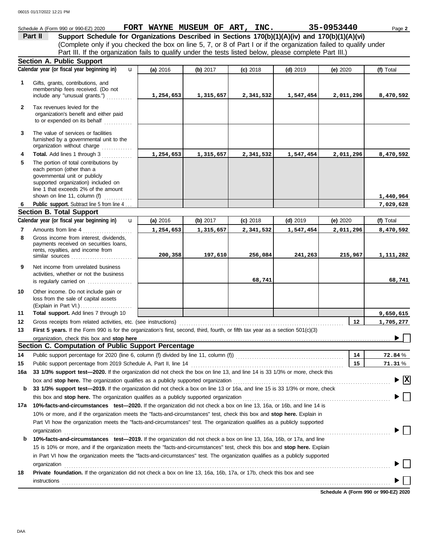#### Schedule A (Form 990 or 990-EZ) 2020 **FORT WAYNE MUSEUM OF ART, INC.** 35-0953440 Page 2 **Part II Support Schedule for Organizations Described in Sections 170(b)(1)(A)(iv) and 170(b)(1)(A)(vi)** (Complete only if you checked the box on line 5, 7, or 8 of Part I or if the organization failed to qualify under Part III. If the organization fails to qualify under the tests listed below, please complete Part III.) **Section A. Public Support Calendar year (or fiscal year beginning in) (f)** Total u **(a)** 2016 **(b)** 2017 **(c)** 2018 **(d)** 2019 **(e)** 2020 Gifts, grants, contributions, and **1** membership fees received. (Do not include any "unusual grants.") . . . . . . . . . . . **1,254,653 1,315,657 2,341,532 1,547,454 2,011,296 8,470,592 2** Tax revenues levied for the organization's benefit and either paid to or expended on its behalf ............ **3** The value of services or facilities furnished by a governmental unit to the organization without charge ............. **4 Total.** Add lines 1 through 3 **1,254,653 1,315,657 2,341,532 1,547,454 2,011,296 8,470,592 5** The portion of total contributions by each person (other than a governmental unit or publicly supported organization) included on line 1 that exceeds 2% of the amount **1,440,964** shown on line 11, column (f)  $\ldots$ Public support. Subtract line 5 from line 4... **7,029,628 6 Section B. Total Support Calendar year (or fiscal year beginning in) (f)** Total u **(b)** 2017 **(c)** 2018 **(d)** 2019 **(e)** 2020 **(a)** 2016 Amounts from line 4 . . . . . . . . . . . . . . . . . . . . . **7 1,254,653 1,315,657 2,341,532 1,547,454 2,011,296 8,470,592** Gross income from interest, dividends, **8** payments received on securities loans. rents, royalties, and income from similar sources . . . . . . . . . . . . . . . . . . . . . . . . . . **200,358 197,610 256,084 241,263 215,967 1,111,282 9** Net income from unrelated business activities, whether or not the business **68,741 68,741** is regularly carried on ................... Other income. Do not include gain or **10** loss from the sale of capital assets (Explain in Part VI.) . . . . . . . . . . . . . . . . . . . . . . **11 Total support.** Add lines 7 through 10 **9,650,615 12 12 1,705,277** Gross receipts from related activities, etc. (see instructions) . . . . . . . . . . . . . . . . . . . . . . . . . . . . . . . . . . . . . . . . . . . . . . . . . . . . . . . . . . . . . . . . . . . . . . **13** First 5 years. If the Form 990 is for the organization's first, second, third, fourth, or fifth tax year as a section 501(c)(3) organization, check this box and stop here ь **Section C. Computation of Public Support Percentage 14** Public support percentage for 2020 (line 6, column (f) divided by line 11, column (f)) . . . . . . . . . . . . . . . . . . . . . . . . . . . . . . . . . . . . . . . . . . . . . . **14** % **72.84 15** Public support percentage from 2019 Schedule A, Part II, line 14 . . . . . . . . . . . . . . . . . . . . . . . . . . . . . . . . . . . . . . . . . . . . . . . . . . . . . . . . . . . . . . . . . **15** % **71.31 16a 33 1/3% support test—2020.** If the organization did not check the box on line 13, and line 14 is 33 1/3% or more, check this box and **stop here.** The organization qualifies as a publicly supported organization . . . . . . . . . . . . . . . . . . . . . . . . . . . . . . . . . . . . . . . . . . . . . . . . . . . . . . . . . . . . . . . . . . . **X b 33 1/3% support test—2019.** If the organization did not check a box on line 13 or 16a, and line 15 is 33 1/3% or more, check this box and **stop here.** The organization qualifies as a publicly supported organization . . . . . . . . . . . . . . . . . . . . . . . . . . . . . . . . . . . . . . . . . . . . . . . . . . . . . . . . . . . . . . . **17a 10%-facts-and-circumstances test—2020.** If the organization did not check a box on line 13, 16a, or 16b, and line 14 is 10% or more, and if the organization meets the "facts-and-circumstances" test, check this box and **stop here.** Explain in Part VI how the organization meets the "facts-and-circumstances" test. The organization qualifies as a publicly supported organization www.commutation.com/www.commutation.com/www.commutation.com/www.commutation.com/www.commutation.com **b 10%-facts-and-circumstances test—2019.** If the organization did not check a box on line 13, 16a, 16b, or 17a, and line 15 is 10% or more, and if the organization meets the "facts-and-circumstances" test, check this box and **stop here.** Explain in Part VI how the organization meets the "facts-and-circumstances" test. The organization qualifies as a publicly supported organization www.commutation.com/www.commutation.com/www.commutation.com/www.commutation.com/www.commutation.com

**18 Private foundation.** If the organization did not check a box on line 13, 16a, 16b, 17a, or 17b, check this box and see instructions . . . . . . . . . . . . . . . . . . . . . . . . . . . . . . . . . . . . . . . . . . . . . . . . . . . . . . . . . . . . . . . . . . . . . . . . . . . . . . . . . . . . . . . . . . . . . . . . . . . . . . . . . . . . . . . . . . . . . . . . . . . . . . . . . . . . . . . . . . . .

**Schedule A (Form 990 or 990-EZ) 2020**

DAA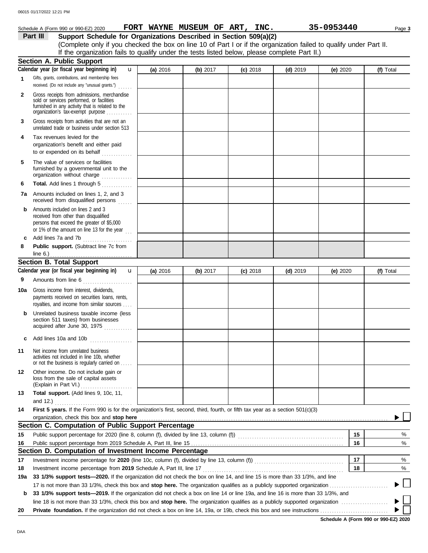|              | Schedule A (Form 990 or 990-EZ) 2020                                                                                                                                              |          |          | FORT WAYNE MUSEUM OF ART, INC. |            | 35-0953440 | Page 3    |
|--------------|-----------------------------------------------------------------------------------------------------------------------------------------------------------------------------------|----------|----------|--------------------------------|------------|------------|-----------|
|              | Support Schedule for Organizations Described in Section 509(a)(2)<br>Part III                                                                                                     |          |          |                                |            |            |           |
|              | (Complete only if you checked the box on line 10 of Part I or if the organization failed to qualify under Part II.                                                                |          |          |                                |            |            |           |
|              | If the organization fails to qualify under the tests listed below, please complete Part II.)                                                                                      |          |          |                                |            |            |           |
|              | <b>Section A. Public Support</b>                                                                                                                                                  |          |          |                                |            |            |           |
|              | Calendar year (or fiscal year beginning in)<br>$\mathbf{u}$                                                                                                                       | (a) 2016 | (b) 2017 | $(c)$ 2018                     | $(d)$ 2019 | (e) $2020$ | (f) Total |
| 1            | Gifts, grants, contributions, and membership fees<br>received. (Do not include any "unusual grants.")                                                                             |          |          |                                |            |            |           |
| $\mathbf{2}$ | Gross receipts from admissions, merchandise<br>sold or services performed, or facilities<br>furnished in any activity that is related to the<br>organization's tax-exempt purpose |          |          |                                |            |            |           |
| 3            | Gross receipts from activities that are not an<br>unrelated trade or business under section 513                                                                                   |          |          |                                |            |            |           |
| 4            | Tax revenues levied for the                                                                                                                                                       |          |          |                                |            |            |           |
|              | organization's benefit and either paid                                                                                                                                            |          |          |                                |            |            |           |
| 5            | The value of services or facilities<br>furnished by a governmental unit to the<br>organization without charge                                                                     |          |          |                                |            |            |           |
| 6            | Total. Add lines 1 through 5                                                                                                                                                      |          |          |                                |            |            |           |
| 7a           | Amounts included on lines 1, 2, and 3<br>received from disqualified persons                                                                                                       |          |          |                                |            |            |           |
| b            | Amounts included on lines 2 and 3<br>received from other than disqualified<br>persons that exceed the greater of \$5,000<br>or 1% of the amount on line 13 for the year $\ldots$  |          |          |                                |            |            |           |
| c            | Add lines 7a and 7b                                                                                                                                                               |          |          |                                |            |            |           |
| 8            | Public support. (Subtract line 7c from<br>line 6.)                                                                                                                                |          |          |                                |            |            |           |
|              | <b>Section B. Total Support</b>                                                                                                                                                   |          |          |                                |            |            |           |
|              | Calendar year (or fiscal year beginning in)<br>$\mathbf{u}$                                                                                                                       | (a) 2016 | (b) 2017 | $(c)$ 2018                     | $(d)$ 2019 | (e) $2020$ | (f) Total |
| 9            | Amounts from line 6                                                                                                                                                               |          |          |                                |            |            |           |
| 10a          | Gross income from interest, dividends,<br>payments received on securities loans, rents,<br>royalties, and income from similar sources                                             |          |          |                                |            |            |           |
| b            | Unrelated business taxable income (less<br>section 511 taxes) from businesses<br>acquired after June 30, 1975                                                                     |          |          |                                |            |            |           |
| c            | Add lines 10a and 10b                                                                                                                                                             |          |          |                                |            |            |           |
| 11           | Net income from unrelated business<br>activities not included in line 10b, whether<br>or not the business is regularly carried on                                                 |          |          |                                |            |            |           |
| 12           | Other income. Do not include gain or<br>loss from the sale of capital assets<br>(Explain in Part VI.)                                                                             |          |          |                                |            |            |           |
| 13           | Total support. (Add lines 9, 10c, 11,                                                                                                                                             |          |          |                                |            |            |           |
| 14           | First 5 years. If the Form 990 is for the organization's first, second, third, fourth, or fifth tax year as a section 501(c)(3)                                                   |          |          |                                |            |            |           |
|              | organization, check this box and stop here <b>constant and all and all and all and all and all and all and all and a</b>                                                          |          |          |                                |            |            |           |
|              | Section C. Computation of Public Support Percentage                                                                                                                               |          |          |                                |            |            |           |
| 15           |                                                                                                                                                                                   |          |          |                                |            | 15         | %         |
| 16           |                                                                                                                                                                                   |          |          |                                |            | 16         | %         |
|              | Section D. Computation of Investment Income Percentage                                                                                                                            |          |          |                                |            |            |           |
| 17           |                                                                                                                                                                                   |          |          |                                |            | 17         | %         |
| 18           | Investment income percentage from 2019 Schedule A, Part III, line 17                                                                                                              |          |          |                                |            | 18         | %         |
| 19a          | 33 1/3% support tests-2020. If the organization did not check the box on line 14, and line 15 is more than 33 1/3%, and line                                                      |          |          |                                |            |            |           |
| b            | 33 1/3% support tests—2019. If the organization did not check a box on line 14 or line 19a, and line 16 is more than 33 1/3%, and                                                 |          |          |                                |            |            |           |
|              |                                                                                                                                                                                   |          |          |                                |            |            |           |

 $\overline{\phantom{0}}$  $\blacktriangleright$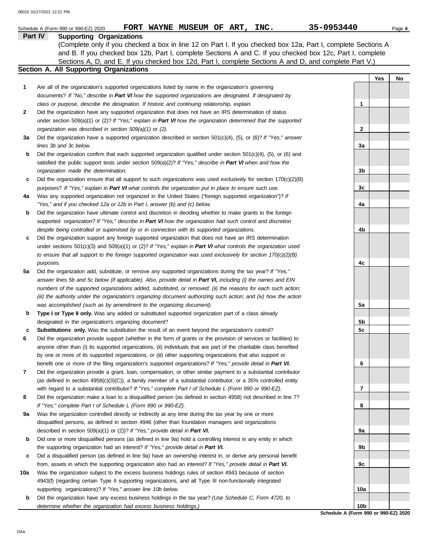|     | 35-0953440<br>FORT WAYNE MUSEUM OF ART, INC.<br>Schedule A (Form 990 or 990-EZ) 2020                                  |                 |            | Page 4 |
|-----|-----------------------------------------------------------------------------------------------------------------------|-----------------|------------|--------|
|     | Part IV<br><b>Supporting Organizations</b>                                                                            |                 |            |        |
|     | (Complete only if you checked a box in line 12 on Part I. If you checked box 12a, Part I, complete Sections A         |                 |            |        |
|     | and B. If you checked box 12b, Part I, complete Sections A and C. If you checked box 12c, Part I, complete            |                 |            |        |
|     | Sections A, D, and E. If you checked box 12d, Part I, complete Sections A and D, and complete Part V.)                |                 |            |        |
|     | Section A. All Supporting Organizations                                                                               |                 |            |        |
|     |                                                                                                                       |                 | <b>Yes</b> | No     |
| 1   | Are all of the organization's supported organizations listed by name in the organization's governing                  |                 |            |        |
|     | documents? If "No," describe in Part VI how the supported organizations are designated. If designated by              |                 |            |        |
|     | class or purpose, describe the designation. If historic and continuing relationship, explain.                         | $\mathbf{1}$    |            |        |
| 2   | Did the organization have any supported organization that does not have an IRS determination of status                |                 |            |        |
|     | under section $509(a)(1)$ or (2)? If "Yes," explain in Part VI how the organization determined that the supported     |                 |            |        |
|     | organization was described in section 509(a)(1) or (2).                                                               | $\mathbf{2}$    |            |        |
| За  | Did the organization have a supported organization described in section $501(c)(4)$ , (5), or (6)? If "Yes," answer   |                 |            |        |
|     | lines 3b and 3c below.                                                                                                | 3a              |            |        |
| b   | Did the organization confirm that each supported organization qualified under section 501(c)(4), (5), or (6) and      |                 |            |        |
|     | satisfied the public support tests under section $509(a)(2)$ ? If "Yes," describe in Part VI when and how the         |                 |            |        |
|     | organization made the determination.                                                                                  | 3b              |            |        |
| c   | Did the organization ensure that all support to such organizations was used exclusively for section $170(c)(2)(B)$    |                 |            |        |
|     | purposes? If "Yes," explain in Part VI what controls the organization put in place to ensure such use.                | 3c              |            |        |
| 4a  | Was any supported organization not organized in the United States ("foreign supported organization")? If              |                 |            |        |
|     | "Yes," and if you checked 12a or 12b in Part I, answer (b) and (c) below.                                             | 4a              |            |        |
| b   | Did the organization have ultimate control and discretion in deciding whether to make grants to the foreign           |                 |            |        |
|     | supported organization? If "Yes," describe in Part VI how the organization had such control and discretion            |                 |            |        |
|     | despite being controlled or supervised by or in connection with its supported organizations.                          | 4b              |            |        |
| c   | Did the organization support any foreign supported organization that does not have an IRS determination               |                 |            |        |
|     | under sections $501(c)(3)$ and $509(a)(1)$ or $(2)?$ If "Yes," explain in Part VI what controls the organization used |                 |            |        |
|     | to ensure that all support to the foreign supported organization was used exclusively for section $170(c)(2)(B)$      |                 |            |        |
|     | purposes.                                                                                                             | 4c              |            |        |
|     | Did the organization add, substitute, or remove any supported organizations during the tax year? If "Yes,"            |                 |            |        |
| 5a  |                                                                                                                       |                 |            |        |
|     | answer lines 5b and 5c below (if applicable). Also, provide detail in Part VI, including (i) the names and EIN        |                 |            |        |
|     | numbers of the supported organizations added, substituted, or removed; (ii) the reasons for each such action;         |                 |            |        |
|     | (iii) the authority under the organization's organizing document authorizing such action; and (iv) how the action     |                 |            |        |
|     | was accomplished (such as by amendment to the organizing document).                                                   | 5а              |            |        |
| b   | Type I or Type II only. Was any added or substituted supported organization part of a class already                   |                 |            |        |
|     | designated in the organization's organizing document?                                                                 | 5b              |            |        |
|     | Substitutions only. Was the substitution the result of an event beyond the organization's control?                    | 5c              |            |        |
|     | Did the organization provide support (whether in the form of grants or the provision of services or facilities) to    |                 |            |        |
|     | anyone other than (i) its supported organizations, (ii) individuals that are part of the charitable class benefited   |                 |            |        |
|     | by one or more of its supported organizations, or (iii) other supporting organizations that also support or           |                 |            |        |
|     | benefit one or more of the filing organization's supported organizations? If "Yes," provide detail in Part VI.        | 6               |            |        |
| 7   | Did the organization provide a grant, loan, compensation, or other similar payment to a substantial contributor       |                 |            |        |
|     | (as defined in section 4958(c)(3)(C)), a family member of a substantial contributor, or a 35% controlled entity       |                 |            |        |
|     | with regard to a substantial contributor? If "Yes," complete Part I of Schedule L (Form 990 or 990-EZ).               | 7               |            |        |
| 8   | Did the organization make a loan to a disqualified person (as defined in section 4958) not described in line 7?       |                 |            |        |
|     | If "Yes," complete Part I of Schedule L (Form 990 or 990-EZ).                                                         | 8               |            |        |
| 9a  | Was the organization controlled directly or indirectly at any time during the tax year by one or more                 |                 |            |        |
|     | disqualified persons, as defined in section 4946 (other than foundation managers and organizations                    |                 |            |        |
|     | described in section 509(a)(1) or (2))? If "Yes," provide detail in Part VI.                                          | 9а              |            |        |
| b   | Did one or more disqualified persons (as defined in line 9a) hold a controlling interest in any entity in which       |                 |            |        |
|     | the supporting organization had an interest? If "Yes," provide detail in Part VI.                                     | 9b              |            |        |
| c   | Did a disqualified person (as defined in line 9a) have an ownership interest in, or derive any personal benefit       |                 |            |        |
|     | from, assets in which the supporting organization also had an interest? If "Yes," provide detail in Part VI.          | 9c              |            |        |
| 10a | Was the organization subject to the excess business holdings rules of section 4943 because of section                 |                 |            |        |
|     | 4943(f) (regarding certain Type II supporting organizations, and all Type III non-functionally integrated             |                 |            |        |
|     | supporting organizations)? If "Yes," answer line 10b below.                                                           | 10a             |            |        |
| b   | Did the organization have any excess business holdings in the tax year? (Use Schedule C, Form 4720, to                |                 |            |        |
|     | determine whether the organization had excess business holdings.)                                                     | 10 <sub>b</sub> |            |        |

**Schedule A (Form 990 or 990-EZ) 2020**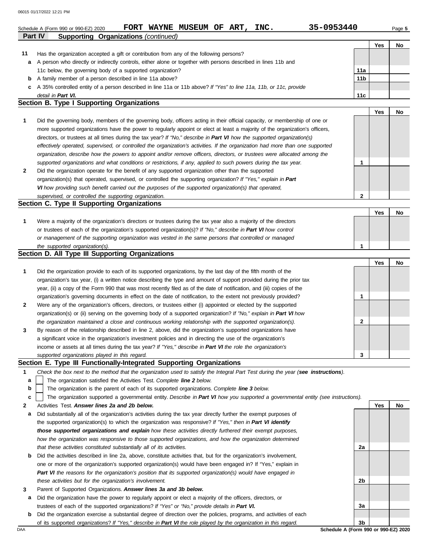|    | 06015 01/17/2022 12:21 PM                                                                                                      |                 |     |           |
|----|--------------------------------------------------------------------------------------------------------------------------------|-----------------|-----|-----------|
|    | 35-0953440<br>FORT WAYNE MUSEUM OF ART, INC.<br>Schedule A (Form 990 or 990-EZ) 2020                                           |                 |     | Page 5    |
|    | <b>Supporting Organizations (continued)</b><br><b>Part IV</b>                                                                  |                 |     |           |
|    |                                                                                                                                |                 | Yes | No        |
| 11 | Has the organization accepted a gift or contribution from any of the following persons?                                        |                 |     |           |
| a  | A person who directly or indirectly controls, either alone or together with persons described in lines 11b and                 |                 |     |           |
|    | 11c below, the governing body of a supported organization?                                                                     | 11a             |     |           |
| b  | A family member of a person described in line 11a above?                                                                       | 11 <sub>b</sub> |     |           |
| с  | A 35% controlled entity of a person described in line 11a or 11b above? If "Yes" to line 11a, 11b, or 11c, provide             |                 |     |           |
|    | detail in Part VI.                                                                                                             | 11 <sub>c</sub> |     |           |
|    | <b>Section B. Type I Supporting Organizations</b>                                                                              |                 |     |           |
|    |                                                                                                                                |                 | Yes | <b>No</b> |
| 1  | Did the governing body, members of the governing body, officers acting in their official capacity, or membership of one or     |                 |     |           |
|    | more supported organizations have the power to regularly appoint or elect at least a majority of the organization's officers,  |                 |     |           |
|    | directors, or trustees at all times during the tax year? If "No," describe in Part VI how the supported organization(s)        |                 |     |           |
|    | effectively operated, supervised, or controlled the organization's activities. If the organization had more than one supported |                 |     |           |
|    | organization, describe how the powers to appoint and/or remove officers, directors, or trustees were allocated among the       |                 |     |           |
|    | supported organizations and what conditions or restrictions, if any, applied to such powers during the tax year.               | 1               |     |           |
| 2  | Did the organization operate for the benefit of any supported organization other than the supported                            |                 |     |           |
|    | organization(s) that operated, supervised, or controlled the supporting organization? If "Yes," explain in Part                |                 |     |           |
|    | VI how providing such benefit carried out the purposes of the supported organization(s) that operated,                         |                 |     |           |
|    | supervised, or controlled the supporting organization.                                                                         | $\mathbf{2}$    |     |           |
|    | Section C. Type II Supporting Organizations                                                                                    |                 |     |           |
|    |                                                                                                                                |                 | Yes | No        |
| 1  | Were a majority of the organization's directors or trustees during the tax year also a majority of the directors               |                 |     |           |
|    | or trustees of each of the organization's supported organization(s)? If "No," describe in Part VI how control                  |                 |     |           |
|    | or management of the supporting organization was vested in the same persons that controlled or managed                         |                 |     |           |
|    | the supported organization(s).                                                                                                 | 1               |     |           |

### **Section D. All Type III Supporting Organizations**

|              |                                                                                                                        |          | Yes | No |
|--------------|------------------------------------------------------------------------------------------------------------------------|----------|-----|----|
| 1            | Did the organization provide to each of its supported organizations, by the last day of the fifth month of the         |          |     |    |
|              | organization's tax year, (i) a written notice describing the type and amount of support provided during the prior tax  |          |     |    |
|              | year, (ii) a copy of the Form 990 that was most recently filed as of the date of notification, and (iii) copies of the |          |     |    |
|              | organization's governing documents in effect on the date of notification, to the extent not previously provided?       |          |     |    |
| $\mathbf{2}$ | Were any of the organization's officers, directors, or trustees either (i) appointed or elected by the supported       |          |     |    |
|              | organization(s) or (ii) serving on the governing body of a supported organization? If "No," explain in Part VI how     |          |     |    |
|              | the organization maintained a close and continuous working relationship with the supported organization(s).            | <u>ົ</u> |     |    |
| $\mathbf{3}$ | By reason of the relationship described in line 2, above, did the organization's supported organizations have          |          |     |    |
|              | a significant voice in the organization's investment policies and in directing the use of the organization's           |          |     |    |
|              | income or assets at all times during the tax year? If "Yes," describe in Part VI the role the organization's           |          |     |    |
|              | supported organizations played in this regard.                                                                         | 3        |     |    |

### **Section E. Type III Functionally-Integrated Supporting Organizations**

|  |  |  |  | Check the box next to the method that the organization used to satisfy the Integral Part Test during the year (see instructions). |  |
|--|--|--|--|-----------------------------------------------------------------------------------------------------------------------------------|--|
|--|--|--|--|-----------------------------------------------------------------------------------------------------------------------------------|--|

The organization satisfied the Activities Test. *Complete line 2 below.* **a**

The organization is the parent of each of its supported organizations. *Complete line 3 below.* **b**

The organization supported a governmental entity. *Describe in Part VI how you supported a governmental entity (see instructions).* **c**

- **2** Activities Test. *Answer lines 2a and 2b below.*
- **a** Did substantially all of the organization's activities during the tax year directly further the exempt purposes of the supported organization(s) to which the organization was responsive? *If "Yes," then in Part VI identify those supported organizations and explain how these activities directly furthered their exempt purposes,*  how the organization was responsive to those supported organizations, and how the organization determined *that these activities constituted substantially all of its activities.*
- **b** Did the activities described in line 2a, above, constitute activities that, but for the organization's involvement, one or more of the organization's supported organization(s) would have been engaged in? If "Yes," explain in *Part VI the reasons for the organization's position that its supported organization(s) would have engaged in these activities but for the organization's involvement.*
- **3** Parent of Supported Organizations. *Answer lines 3a and 3b below.*
- **a** Did the organization have the power to regularly appoint or elect a majority of the officers, directors, or trustees of each of the supported organizations? *If "Yes" or "No," provide details in Part VI.*
- **b** Did the organization exercise a substantial degree of direction over the policies, programs, and activities of each of its supported organizations? *If "Yes," describe in Part VI the role played by the organization in this regard.*

**Yes No 2a 2b 3a 3b**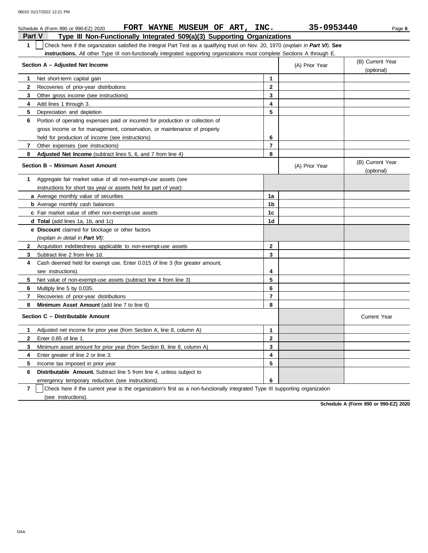|               | FORT WAYNE MUSEUM OF ART, INC.<br>Schedule A (Form 990 or 990-EZ) 2020                                                           |                         | 35-0953440     | Page 6                         |
|---------------|----------------------------------------------------------------------------------------------------------------------------------|-------------------------|----------------|--------------------------------|
| <b>Part V</b> | Type III Non-Functionally Integrated 509(a)(3) Supporting Organizations                                                          |                         |                |                                |
| 1             | Check here if the organization satisfied the Integral Part Test as a qualifying trust on Nov. 20, 1970 (explain in Part VI). See |                         |                |                                |
|               | instructions. All other Type III non-functionally integrated supporting organizations must complete Sections A through E.        |                         |                |                                |
|               | Section A - Adjusted Net Income                                                                                                  |                         | (A) Prior Year | (B) Current Year<br>(optional) |
| 1             | Net short-term capital gain                                                                                                      | 1                       |                |                                |
| $\mathbf{2}$  | Recoveries of prior-year distributions                                                                                           | $\mathbf{2}$            |                |                                |
| 3             | Other gross income (see instructions)                                                                                            | $\overline{\mathbf{3}}$ |                |                                |
| 4             | Add lines 1 through 3.                                                                                                           | $\overline{\mathbf{4}}$ |                |                                |
| 5             | Depreciation and depletion                                                                                                       | 5                       |                |                                |
| 6             | Portion of operating expenses paid or incurred for production or collection of                                                   |                         |                |                                |
|               | gross income or for management, conservation, or maintenance of property                                                         |                         |                |                                |
|               | held for production of income (see instructions)                                                                                 | 6                       |                |                                |
| $\mathbf{7}$  | Other expenses (see instructions)                                                                                                | 7                       |                |                                |
| 8             | Adjusted Net Income (subtract lines 5, 6, and 7 from line 4)                                                                     | 8                       |                |                                |
|               | Section B - Minimum Asset Amount                                                                                                 |                         | (A) Prior Year | (B) Current Year<br>(optional) |
| 1.            | Aggregate fair market value of all non-exempt-use assets (see                                                                    |                         |                |                                |
|               | instructions for short tax year or assets held for part of year):                                                                |                         |                |                                |
|               | a Average monthly value of securities                                                                                            | 1a                      |                |                                |
|               | <b>b</b> Average monthly cash balances                                                                                           | 1b                      |                |                                |
|               | c Fair market value of other non-exempt-use assets                                                                               | 1c                      |                |                                |
|               | <b>d Total</b> (add lines 1a, 1b, and 1c)                                                                                        | 1d                      |                |                                |
|               | <b>e</b> Discount claimed for blockage or other factors                                                                          |                         |                |                                |
|               | (explain in detail in Part VI):                                                                                                  |                         |                |                                |
| $\mathbf{2}$  | Acquisition indebtedness applicable to non-exempt-use assets                                                                     | $\mathbf{2}$            |                |                                |
| 3             | Subtract line 2 from line 1d.                                                                                                    | 3                       |                |                                |
| 4             | Cash deemed held for exempt use. Enter 0.015 of line 3 (for greater amount,                                                      |                         |                |                                |
|               | see instructions).                                                                                                               | 4                       |                |                                |
| 5.            | Net value of non-exempt-use assets (subtract line 4 from line 3)                                                                 | 5                       |                |                                |
| 6             | Multiply line 5 by 0.035.                                                                                                        | 6                       |                |                                |
| 7             | Recoveries of prior-year distributions                                                                                           | $\overline{7}$          |                |                                |
| 8             | Minimum Asset Amount (add line 7 to line 6)                                                                                      | 8                       |                |                                |
|               | Section C - Distributable Amount                                                                                                 |                         |                | <b>Current Year</b>            |
| 1             | Adjusted net income for prior year (from Section A, line 8, column A)                                                            | 1                       |                |                                |
| $\mathbf{2}$  | Enter 0.85 of line 1.                                                                                                            | $\mathbf{2}$            |                |                                |
| 3             | Minimum asset amount for prior year (from Section B, line 8, column A)                                                           | 3                       |                |                                |
| 4             | Enter greater of line 2 or line 3.                                                                                               | 4                       |                |                                |
| 5             | Income tax imposed in prior year                                                                                                 | 5                       |                |                                |
| 6             | <b>Distributable Amount.</b> Subtract line 5 from line 4, unless subject to                                                      |                         |                |                                |
|               | emergency temporary reduction (see instructions).                                                                                | 6                       |                |                                |
|               |                                                                                                                                  |                         |                |                                |

**7** (see instructions). Check here if the current year is the organization's first as a non-functionally integrated Type III supporting organization

**Schedule A (Form 990 or 990-EZ) 2020**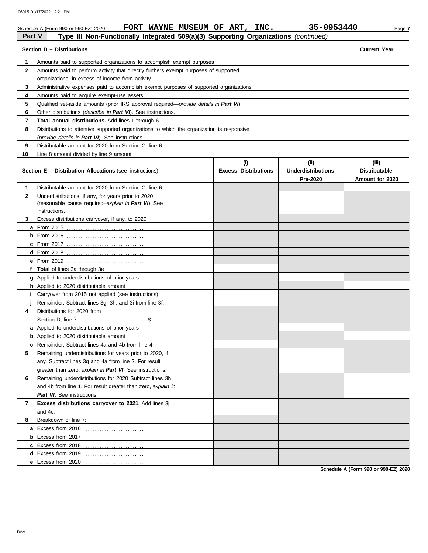|                | FORT WAYNE MUSEUM OF ART, INC.<br>Schedule A (Form 990 or 990-EZ) 2020                        |                                    | 35-0953440                                    | Page 7                                           |
|----------------|-----------------------------------------------------------------------------------------------|------------------------------------|-----------------------------------------------|--------------------------------------------------|
| <b>Part V</b>  | Type III Non-Functionally Integrated 509(a)(3) Supporting Organizations (continued)           |                                    |                                               |                                                  |
|                | Section D - Distributions                                                                     |                                    |                                               | <b>Current Year</b>                              |
| 1              | Amounts paid to supported organizations to accomplish exempt purposes                         |                                    |                                               |                                                  |
| $\mathbf{2}$   | Amounts paid to perform activity that directly furthers exempt purposes of supported          |                                    |                                               |                                                  |
|                | organizations, in excess of income from activity                                              |                                    |                                               |                                                  |
| 3              | Administrative expenses paid to accomplish exempt purposes of supported organizations         |                                    |                                               |                                                  |
| 4              | Amounts paid to acquire exempt-use assets                                                     |                                    |                                               |                                                  |
| 5              | Qualified set-aside amounts (prior IRS approval required— <i>provide details in Part VI</i> ) |                                    |                                               |                                                  |
| 6              | Other distributions ( <i>describe in Part VI</i> ). See instructions.                         |                                    |                                               |                                                  |
| 7              | Total annual distributions. Add lines 1 through 6.                                            |                                    |                                               |                                                  |
| 8              | Distributions to attentive supported organizations to which the organization is responsive    |                                    |                                               |                                                  |
|                | (provide details in Part VI). See instructions.                                               |                                    |                                               |                                                  |
| 9              | Distributable amount for 2020 from Section C, line 6                                          |                                    |                                               |                                                  |
| 10             | Line 8 amount divided by line 9 amount                                                        |                                    |                                               |                                                  |
|                | <b>Section E – Distribution Allocations (see instructions)</b>                                | (i)<br><b>Excess Distributions</b> | (ii)<br><b>Underdistributions</b><br>Pre-2020 | (iii)<br><b>Distributable</b><br>Amount for 2020 |
| 1              | Distributable amount for 2020 from Section C, line 6                                          |                                    |                                               |                                                  |
| $\mathbf{2}$   | Underdistributions, if any, for years prior to 2020                                           |                                    |                                               |                                                  |
|                | (reasonable cause required-explain in Part VI). See                                           |                                    |                                               |                                                  |
|                | instructions.                                                                                 |                                    |                                               |                                                  |
| 3              | Excess distributions carryover, if any, to 2020                                               |                                    |                                               |                                                  |
|                |                                                                                               |                                    |                                               |                                                  |
|                |                                                                                               |                                    |                                               |                                                  |
|                |                                                                                               |                                    |                                               |                                                  |
|                |                                                                                               |                                    |                                               |                                                  |
|                |                                                                                               |                                    |                                               |                                                  |
|                | f Total of lines 3a through 3e                                                                |                                    |                                               |                                                  |
|                | <b>g</b> Applied to underdistributions of prior years                                         |                                    |                                               |                                                  |
|                | h Applied to 2020 distributable amount                                                        |                                    |                                               |                                                  |
| L              | Carryover from 2015 not applied (see instructions)                                            |                                    |                                               |                                                  |
| 4              | Remainder. Subtract lines 3g, 3h, and 3i from line 3f.<br>Distributions for 2020 from         |                                    |                                               |                                                  |
|                | \$<br>Section D, line 7:                                                                      |                                    |                                               |                                                  |
|                | a Applied to underdistributions of prior years                                                |                                    |                                               |                                                  |
|                | <b>b</b> Applied to 2020 distributable amount                                                 |                                    |                                               |                                                  |
|                | c Remainder. Subtract lines 4a and 4b from line 4.                                            |                                    |                                               |                                                  |
| 5              | Remaining underdistributions for years prior to 2020, if                                      |                                    |                                               |                                                  |
|                | any. Subtract lines 3g and 4a from line 2. For result                                         |                                    |                                               |                                                  |
|                | greater than zero, explain in Part VI. See instructions.                                      |                                    |                                               |                                                  |
| 6              | Remaining underdistributions for 2020 Subtract lines 3h                                       |                                    |                                               |                                                  |
|                | and 4b from line 1. For result greater than zero, explain in                                  |                                    |                                               |                                                  |
|                | Part VI. See instructions.                                                                    |                                    |                                               |                                                  |
| $\overline{7}$ | Excess distributions carryover to 2021. Add lines 3j                                          |                                    |                                               |                                                  |
|                | and 4c.                                                                                       |                                    |                                               |                                                  |
| 8              | Breakdown of line 7:                                                                          |                                    |                                               |                                                  |
|                |                                                                                               |                                    |                                               |                                                  |
|                |                                                                                               |                                    |                                               |                                                  |
|                |                                                                                               |                                    |                                               |                                                  |
|                |                                                                                               |                                    |                                               |                                                  |
|                | e Excess from 2020                                                                            |                                    |                                               |                                                  |
|                |                                                                                               |                                    |                                               | <b>Cahadule A (Ferm 000 er 000 EZ) 2020</b>      |

**Schedule A (Form 990 or 990-EZ) 2020**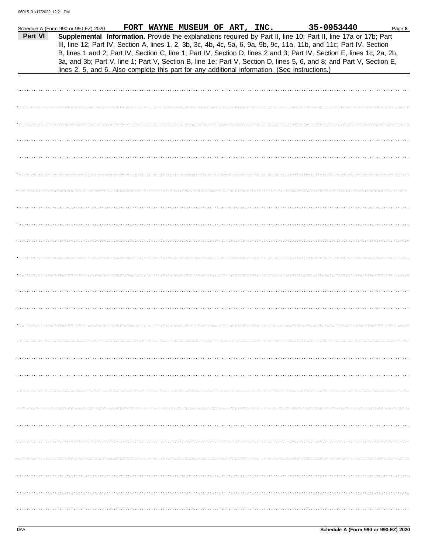|         | Schedule A (Form 990 or 990-EZ) 2020 |  | FORT WAYNE MUSEUM OF ART, INC. |  | 35-0953440                                                                                                                                                                                                                                                                                                                                                                                                                                                                                                                                                                                  | Page 8 |
|---------|--------------------------------------|--|--------------------------------|--|---------------------------------------------------------------------------------------------------------------------------------------------------------------------------------------------------------------------------------------------------------------------------------------------------------------------------------------------------------------------------------------------------------------------------------------------------------------------------------------------------------------------------------------------------------------------------------------------|--------|
| Part VI |                                      |  |                                |  | Supplemental Information. Provide the explanations required by Part II, line 10; Part II, line 17a or 17b; Part<br>III, line 12; Part IV, Section A, lines 1, 2, 3b, 3c, 4b, 4c, 5a, 6, 9a, 9b, 9c, 11a, 11b, and 11c; Part IV, Section<br>B, lines 1 and 2; Part IV, Section C, line 1; Part IV, Section D, lines 2 and 3; Part IV, Section E, lines 1c, 2a, 2b,<br>3a, and 3b; Part V, line 1; Part V, Section B, line 1e; Part V, Section D, lines 5, 6, and 8; and Part V, Section E,<br>lines 2, 5, and 6. Also complete this part for any additional information. (See instructions.) |        |
|         |                                      |  |                                |  |                                                                                                                                                                                                                                                                                                                                                                                                                                                                                                                                                                                             |        |
|         |                                      |  |                                |  |                                                                                                                                                                                                                                                                                                                                                                                                                                                                                                                                                                                             |        |
|         |                                      |  |                                |  |                                                                                                                                                                                                                                                                                                                                                                                                                                                                                                                                                                                             |        |
|         |                                      |  |                                |  |                                                                                                                                                                                                                                                                                                                                                                                                                                                                                                                                                                                             |        |
|         |                                      |  |                                |  |                                                                                                                                                                                                                                                                                                                                                                                                                                                                                                                                                                                             |        |
|         |                                      |  |                                |  |                                                                                                                                                                                                                                                                                                                                                                                                                                                                                                                                                                                             |        |
|         |                                      |  |                                |  |                                                                                                                                                                                                                                                                                                                                                                                                                                                                                                                                                                                             |        |
|         |                                      |  |                                |  |                                                                                                                                                                                                                                                                                                                                                                                                                                                                                                                                                                                             |        |
|         |                                      |  |                                |  |                                                                                                                                                                                                                                                                                                                                                                                                                                                                                                                                                                                             |        |
|         |                                      |  |                                |  |                                                                                                                                                                                                                                                                                                                                                                                                                                                                                                                                                                                             |        |
|         |                                      |  |                                |  |                                                                                                                                                                                                                                                                                                                                                                                                                                                                                                                                                                                             |        |
|         |                                      |  |                                |  |                                                                                                                                                                                                                                                                                                                                                                                                                                                                                                                                                                                             |        |
|         |                                      |  |                                |  |                                                                                                                                                                                                                                                                                                                                                                                                                                                                                                                                                                                             |        |
|         |                                      |  |                                |  |                                                                                                                                                                                                                                                                                                                                                                                                                                                                                                                                                                                             |        |
|         |                                      |  |                                |  |                                                                                                                                                                                                                                                                                                                                                                                                                                                                                                                                                                                             |        |
|         |                                      |  |                                |  |                                                                                                                                                                                                                                                                                                                                                                                                                                                                                                                                                                                             |        |
|         |                                      |  |                                |  |                                                                                                                                                                                                                                                                                                                                                                                                                                                                                                                                                                                             |        |
|         |                                      |  |                                |  |                                                                                                                                                                                                                                                                                                                                                                                                                                                                                                                                                                                             |        |
|         |                                      |  |                                |  |                                                                                                                                                                                                                                                                                                                                                                                                                                                                                                                                                                                             |        |
|         |                                      |  |                                |  |                                                                                                                                                                                                                                                                                                                                                                                                                                                                                                                                                                                             |        |
|         |                                      |  |                                |  |                                                                                                                                                                                                                                                                                                                                                                                                                                                                                                                                                                                             |        |
|         |                                      |  |                                |  |                                                                                                                                                                                                                                                                                                                                                                                                                                                                                                                                                                                             |        |
|         |                                      |  |                                |  |                                                                                                                                                                                                                                                                                                                                                                                                                                                                                                                                                                                             |        |
|         |                                      |  |                                |  |                                                                                                                                                                                                                                                                                                                                                                                                                                                                                                                                                                                             |        |
|         |                                      |  |                                |  |                                                                                                                                                                                                                                                                                                                                                                                                                                                                                                                                                                                             |        |
|         |                                      |  |                                |  |                                                                                                                                                                                                                                                                                                                                                                                                                                                                                                                                                                                             |        |
|         |                                      |  |                                |  |                                                                                                                                                                                                                                                                                                                                                                                                                                                                                                                                                                                             |        |
|         |                                      |  |                                |  |                                                                                                                                                                                                                                                                                                                                                                                                                                                                                                                                                                                             |        |
|         |                                      |  |                                |  |                                                                                                                                                                                                                                                                                                                                                                                                                                                                                                                                                                                             |        |
|         |                                      |  |                                |  |                                                                                                                                                                                                                                                                                                                                                                                                                                                                                                                                                                                             |        |
|         |                                      |  |                                |  |                                                                                                                                                                                                                                                                                                                                                                                                                                                                                                                                                                                             |        |
|         |                                      |  |                                |  |                                                                                                                                                                                                                                                                                                                                                                                                                                                                                                                                                                                             |        |
|         |                                      |  |                                |  |                                                                                                                                                                                                                                                                                                                                                                                                                                                                                                                                                                                             |        |
|         |                                      |  |                                |  |                                                                                                                                                                                                                                                                                                                                                                                                                                                                                                                                                                                             |        |
|         |                                      |  |                                |  |                                                                                                                                                                                                                                                                                                                                                                                                                                                                                                                                                                                             |        |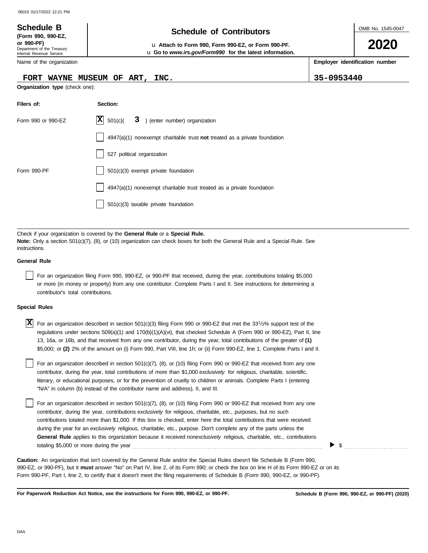#### OMB No. 1545-0047 Department of the Treasury Internal Revenue Service Name of the organization **2020 Schedule of Contributors Schedule B (Form 990, 990-EZ, or 990-PF)** u **Attach to Form 990, Form 990-EZ, or Form 990-PF. Employer identification number Organization type** (check one): **Filers of: Section:** Form 990 or 990-EZ  $|\mathbf{X}|$  501(c)( 3) (enter number) organization 4947(a)(1) nonexempt charitable trust **not** treated as a private foundation 527 political organization u **Go to** *www.irs.gov/Form990* **for the latest information. FORT WAYNE MUSEUM OF ART, INC. 35-0953440**  $|\mathbf{X}|$  501(c)(

Check if your organization is covered by the **General Rule** or a **Special Rule. Note:** Only a section 501(c)(7), (8), or (10) organization can check boxes for both the General Rule and a Special Rule. See instructions.

501(c)(3) taxable private foundation

Form 990-PF 1501(c)(3) exempt private foundation

#### **General Rule**

For an organization filing Form 990, 990-EZ, or 990-PF that received, during the year, contributions totaling \$5,000 or more (in money or property) from any one contributor. Complete Parts I and II. See instructions for determining a contributor's total contributions.

4947(a)(1) nonexempt charitable trust treated as a private foundation

#### **Special Rules**

| X For an organization described in section 501(c)(3) filing Form 990 or 990-EZ that met the 33 <sup>1</sup> /3% support test of the |
|-------------------------------------------------------------------------------------------------------------------------------------|
| regulations under sections 509(a)(1) and 170(b)(1)(A)(vi), that checked Schedule A (Form 990 or 990-EZ), Part II, line              |
| 13, 16a, or 16b, and that received from any one contributor, during the year, total contributions of the greater of (1)             |
| \$5,000; or (2) 2% of the amount on (i) Form 990, Part VIII, line 1h; or (ii) Form 990-EZ, line 1. Complete Parts I and II.         |

literary, or educational purposes, or for the prevention of cruelty to children or animals. Complete Parts I (entering For an organization described in section 501(c)(7), (8), or (10) filing Form 990 or 990-EZ that received from any one contributor, during the year, total contributions of more than \$1,000 *exclusively* for religious, charitable, scientific, "N/A" in column (b) instead of the contributor name and address), II, and III.

For an organization described in section 501(c)(7), (8), or (10) filing Form 990 or 990-EZ that received from any one contributor, during the year, contributions *exclusively* for religious, charitable, etc., purposes, but no such contributions totaled more than \$1,000. If this box is checked, enter here the total contributions that were received during the year for an *exclusively* religious, charitable, etc., purpose. Don't complete any of the parts unless the **General Rule** applies to this organization because it received *nonexclusively* religious, charitable, etc., contributions totaling \$5,000 or more during the year . . . . . . . . . . . . . . . . . . . . . . . . . . . . . . . . . . . . . . . . . . . . . . . . . . . . . . . . . . . . . . . . . . . . . . . . . . . . . . . . .

990-EZ, or 990-PF), but it **must** answer "No" on Part IV, line 2, of its Form 990; or check the box on line H of its Form 990-EZ or on its Form 990-PF, Part I, line 2, to certify that it doesn't meet the filing requirements of Schedule B (Form 990, 990-EZ, or 990-PF). **Caution:** An organization that isn't covered by the General Rule and/or the Special Rules doesn't file Schedule B (Form 990,

**For Paperwork Reduction Act Notice, see the instructions for Form 990, 990-EZ, or 990-PF.**

 $\blacktriangleright$  \$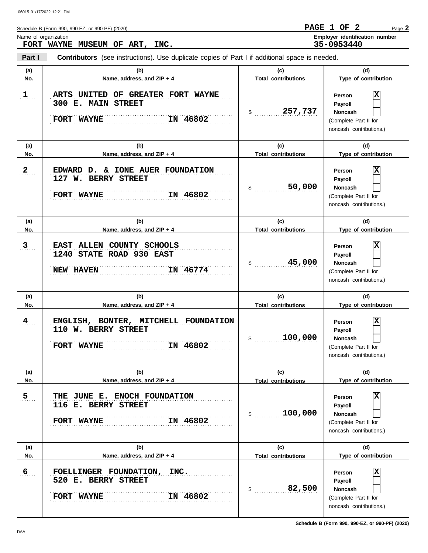Schedule B (Form 990, 990-EZ, or 990-PF) (2020) Name of organization **Employer identification number** Page **2 FORT WAYNE MUSEUM OF ART, INC. PAGE 1 OF 2 35-0953440**

**Part I Contributors** (see instructions). Use duplicate copies of Part I if additional space is needed.

| (a)                     | (b)                                                                                   | (c)                               | (d)                                                                                          |
|-------------------------|---------------------------------------------------------------------------------------|-----------------------------------|----------------------------------------------------------------------------------------------|
| No.                     | Name, address, and ZIP + 4                                                            | <b>Total contributions</b>        | Type of contribution                                                                         |
| 1                       | ARTS UNITED OF GREATER FORT WAYNE<br>300 E. MAIN STREET<br>IN 46802<br>FORT WAYNE     | 257,737<br>$\sim$                 | Person<br>Payroll<br><b>Noncash</b><br>(Complete Part II for<br>noncash contributions.)      |
| (a)<br>No.              | (b)<br>Name, address, and ZIP + 4                                                     | (c)<br><b>Total contributions</b> | (d)<br>Type of contribution                                                                  |
| $\mathbf{2}$            | EDWARD D. & IONE AUER FOUNDATION<br>127 W. BERRY STREET<br>IN 46802<br>FORT WAYNE     | 50,000<br>$\mathsf{\$}$           | Person<br>Payroll<br><b>Noncash</b><br>(Complete Part II for<br>noncash contributions.)      |
| (a)<br>No.              | (b)<br>Name, address, and ZIP + 4                                                     | (c)<br><b>Total contributions</b> | (d)<br>Type of contribution                                                                  |
| 3                       | EAST ALLEN COUNTY SCHOOLS<br>1240 STATE ROAD 930 EAST<br>IN 46774<br><b>NEW HAVEN</b> | 45,000<br>$\frac{1}{2}$           | Person<br>Payroll<br><b>Noncash</b><br>(Complete Part II for<br>noncash contributions.)      |
| (a)<br>No.              | (b)<br>Name, address, and ZIP + 4                                                     | (c)<br><b>Total contributions</b> | (d)<br>Type of contribution                                                                  |
| 4                       | ENGLISH, BONTER, MITCHELL FOUNDATION<br>110 W. BERRY STREET<br>IN 46802<br>FORT WAYNE | 100,000<br>$\sim$                 | Person<br>Payroll<br><b>Noncash</b><br>(Complete Part II for<br>noncash contributions.)      |
| (a)<br>No.              | (b)<br>Name, address, and ZIP + 4                                                     | (c)<br><b>Total contributions</b> | (d)<br>Type of contribution                                                                  |
| $\overline{5}$          | THE JUNE E. ENOCH FOUNDATION<br>116 E. BERRY STREET<br>IN 46802<br>FORT WAYNE         | 100,000<br>$\sim$                 | х<br>Person<br>Payroll<br><b>Noncash</b><br>(Complete Part II for<br>noncash contributions.) |
| (a)                     | (b)                                                                                   | (c)                               | (d)                                                                                          |
| No.<br>$6 \overline{6}$ | Name, address, and ZIP + 4                                                            | <b>Total contributions</b>        | Type of contribution                                                                         |

**Schedule B (Form 990, 990-EZ, or 990-PF) (2020)**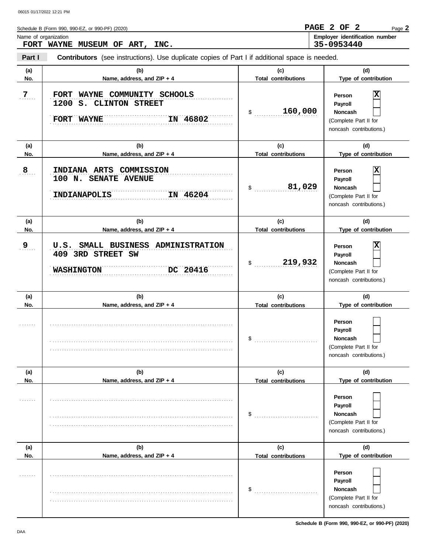| Schedule B (Form 990, 990-EZ, or 990-PF) (2020) | PAGE 2 OF 2 |  | Page 2                         |
|-------------------------------------------------|-------------|--|--------------------------------|
| Name of organization                            |             |  | Employer identification number |
| FORT WAYNE MUSEUM OF ART,<br>INC.               | 35-0953440  |  |                                |

**Part I Contributors** (see instructions). Use duplicate copies of Part I if additional space is needed.

| (a)<br>No.     | (b)<br>Name, address, and ZIP + 4                                                        | (c)<br><b>Total contributions</b> | (d)<br>Type of contribution                                                                  |
|----------------|------------------------------------------------------------------------------------------|-----------------------------------|----------------------------------------------------------------------------------------------|
| $\overline{7}$ | FORT WAYNE COMMUNITY SCHOOLS<br>1200 S. CLINTON STREET<br>IN 46802<br>FORT WAYNE         | 160,000<br>$\mathsf{\$}$          | Person<br>Payroll<br>Noncash<br>(Complete Part II for<br>noncash contributions.)             |
| (a)<br>No.     | (b)<br>Name, address, and ZIP + 4                                                        | (c)<br><b>Total contributions</b> | (d)<br>Type of contribution                                                                  |
| 8              | INDIANA ARTS COMMISSION<br>100 N. SENATE AVENUE<br>IN 46204<br>INDIANAPOLIS              | 81,029<br>$\mathsf{\$}$           | Person<br>Payroll<br><b>Noncash</b><br>(Complete Part II for<br>noncash contributions.)      |
| (a)<br>No.     | (b)<br>Name, address, and ZIP + 4                                                        | (c)<br><b>Total contributions</b> | (d)<br>Type of contribution                                                                  |
| 9              | U.S. SMALL BUSINESS ADMINISTRATION<br>409 3RD STREET SW<br>DC 20416<br><b>WASHINGTON</b> | 219,932<br>\$                     | х<br>Person<br>Payroll<br><b>Noncash</b><br>(Complete Part II for<br>noncash contributions.) |
| (a)<br>No.     | (b)<br>Name, address, and ZIP + 4                                                        | (c)<br><b>Total contributions</b> | (d)<br>Type of contribution                                                                  |
|                |                                                                                          | \$                                | Person<br>Payroll<br><b>Noncash</b><br>(Complete Part II for<br>noncash contributions.)      |
| (a)<br>No.     | (b)<br>Name, address, and ZIP + 4                                                        | (c)<br><b>Total contributions</b> | (d)<br>Type of contribution                                                                  |
| .              |                                                                                          | \$                                | Person<br>Payroll<br><b>Noncash</b>                                                          |
|                |                                                                                          |                                   | (Complete Part II for<br>noncash contributions.)                                             |
| (a)<br>No.     | (b)<br>Name, address, and ZIP + 4                                                        | (c)<br><b>Total contributions</b> | (d)<br>Type of contribution                                                                  |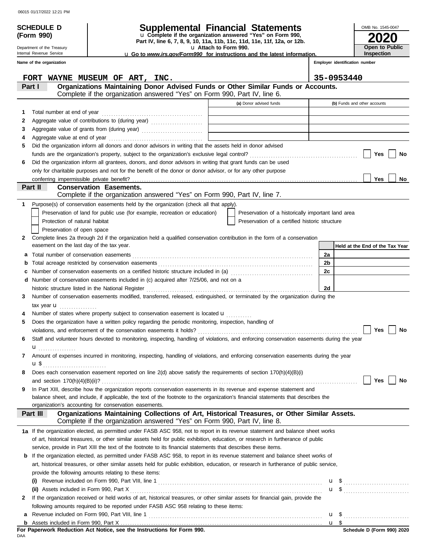Department of the Treasury Internal Revenue Service

**(Form 990)**

# **SCHEDULE D Supplemental Financial Statements**

**Part IV, line 6, 7, 8, 9, 10, 11a, 11b, 11c, 11d, 11e, 11f, 12a, or 12b.** u **Complete if the organization answered "Yes" on Form 990,**

u **Attach to Form 990.** 

u **Go to** *www.irs.gov/Form990* **for instructions and the latest information.**

**2020 Open to Public Inspection**

OMB No. 1545-0047

|              | Name of the organization                                                                                                                                                                                                     |  |                                                    |    | Employer identification number  |  |  |  |
|--------------|------------------------------------------------------------------------------------------------------------------------------------------------------------------------------------------------------------------------------|--|----------------------------------------------------|----|---------------------------------|--|--|--|
|              | WAYNE MUSEUM OF ART, INC.<br><b>FORT</b>                                                                                                                                                                                     |  |                                                    |    | 35-0953440                      |  |  |  |
|              | Organizations Maintaining Donor Advised Funds or Other Similar Funds or Accounts.<br>Part I<br>Complete if the organization answered "Yes" on Form 990, Part IV, line 6.                                                     |  |                                                    |    |                                 |  |  |  |
|              |                                                                                                                                                                                                                              |  | (a) Donor advised funds                            |    | (b) Funds and other accounts    |  |  |  |
|              |                                                                                                                                                                                                                              |  |                                                    |    |                                 |  |  |  |
| 1            | Aggregate value of contributions to (during year)                                                                                                                                                                            |  |                                                    |    |                                 |  |  |  |
| 2<br>З       |                                                                                                                                                                                                                              |  |                                                    |    |                                 |  |  |  |
| 4            |                                                                                                                                                                                                                              |  |                                                    |    |                                 |  |  |  |
| 5            | Did the organization inform all donors and donor advisors in writing that the assets held in donor advised                                                                                                                   |  |                                                    |    |                                 |  |  |  |
|              |                                                                                                                                                                                                                              |  |                                                    |    | <b>Yes</b><br>No                |  |  |  |
|              |                                                                                                                                                                                                                              |  |                                                    |    |                                 |  |  |  |
| 6            | Did the organization inform all grantees, donors, and donor advisors in writing that grant funds can be used<br>only for charitable purposes and not for the benefit of the donor or donor advisor, or for any other purpose |  |                                                    |    |                                 |  |  |  |
|              | conferring impermissible private benefit?                                                                                                                                                                                    |  |                                                    |    | <b>Yes</b><br><b>No</b>         |  |  |  |
|              | Part II<br><b>Conservation Easements.</b>                                                                                                                                                                                    |  |                                                    |    |                                 |  |  |  |
|              | Complete if the organization answered "Yes" on Form 990, Part IV, line 7.                                                                                                                                                    |  |                                                    |    |                                 |  |  |  |
| 1.           | Purpose(s) of conservation easements held by the organization (check all that apply).                                                                                                                                        |  |                                                    |    |                                 |  |  |  |
|              | Preservation of land for public use (for example, recreation or education)                                                                                                                                                   |  | Preservation of a historically important land area |    |                                 |  |  |  |
|              | Protection of natural habitat                                                                                                                                                                                                |  | Preservation of a certified historic structure     |    |                                 |  |  |  |
|              | Preservation of open space                                                                                                                                                                                                   |  |                                                    |    |                                 |  |  |  |
| 2            | Complete lines 2a through 2d if the organization held a qualified conservation contribution in the form of a conservation                                                                                                    |  |                                                    |    |                                 |  |  |  |
|              | easement on the last day of the tax year.                                                                                                                                                                                    |  |                                                    |    | Held at the End of the Tax Year |  |  |  |
| a            |                                                                                                                                                                                                                              |  |                                                    | 2a |                                 |  |  |  |
| b            |                                                                                                                                                                                                                              |  |                                                    | 2b |                                 |  |  |  |
|              | Number of conservation easements on a certified historic structure included in (a) [11] Number of conservation easements on a certified historic structure included in (a)                                                   |  |                                                    | 2c |                                 |  |  |  |
|              | Number of conservation easements included in (c) acquired after 7/25/06, and not on a                                                                                                                                        |  |                                                    |    |                                 |  |  |  |
|              | historic structure listed in the National Register                                                                                                                                                                           |  |                                                    | 2d |                                 |  |  |  |
| 3            | Number of conservation easements modified, transferred, released, extinguished, or terminated by the organization during the                                                                                                 |  |                                                    |    |                                 |  |  |  |
|              | tax year $\mathbf u$                                                                                                                                                                                                         |  |                                                    |    |                                 |  |  |  |
|              | Number of states where property subject to conservation easement is located $\mathbf u$                                                                                                                                      |  |                                                    |    |                                 |  |  |  |
| 5            | Does the organization have a written policy regarding the periodic monitoring, inspection, handling of                                                                                                                       |  |                                                    |    |                                 |  |  |  |
|              |                                                                                                                                                                                                                              |  |                                                    |    | Yes<br>No                       |  |  |  |
| 6            | Staff and volunteer hours devoted to monitoring, inspecting, handling of violations, and enforcing conservation easements during the year                                                                                    |  |                                                    |    |                                 |  |  |  |
|              | .                                                                                                                                                                                                                            |  |                                                    |    |                                 |  |  |  |
| 7            | Amount of expenses incurred in monitoring, inspecting, handling of violations, and enforcing conservation easements during the year                                                                                          |  |                                                    |    |                                 |  |  |  |
|              | u \$                                                                                                                                                                                                                         |  |                                                    |    |                                 |  |  |  |
|              | Does each conservation easement reported on line 2(d) above satisfy the requirements of section 170(h)(4)(B)(i)                                                                                                              |  |                                                    |    |                                 |  |  |  |
|              | and section $170(h)(4)(B)(ii)?$                                                                                                                                                                                              |  |                                                    |    | <b>No</b><br>Yes                |  |  |  |
| 9            | In Part XIII, describe how the organization reports conservation easements in its revenue and expense statement and                                                                                                          |  |                                                    |    |                                 |  |  |  |
|              | balance sheet, and include, if applicable, the text of the footnote to the organization's financial statements that describes the                                                                                            |  |                                                    |    |                                 |  |  |  |
|              | organization's accounting for conservation easements.                                                                                                                                                                        |  |                                                    |    |                                 |  |  |  |
|              | Organizations Maintaining Collections of Art, Historical Treasures, or Other Similar Assets.<br>Part III                                                                                                                     |  |                                                    |    |                                 |  |  |  |
|              | Complete if the organization answered "Yes" on Form 990, Part IV, line 8.                                                                                                                                                    |  |                                                    |    |                                 |  |  |  |
|              | 1a If the organization elected, as permitted under FASB ASC 958, not to report in its revenue statement and balance sheet works                                                                                              |  |                                                    |    |                                 |  |  |  |
|              | of art, historical treasures, or other similar assets held for public exhibition, education, or research in furtherance of public                                                                                            |  |                                                    |    |                                 |  |  |  |
|              | service, provide in Part XIII the text of the footnote to its financial statements that describes these items.                                                                                                               |  |                                                    |    |                                 |  |  |  |
| b            | If the organization elected, as permitted under FASB ASC 958, to report in its revenue statement and balance sheet works of                                                                                                  |  |                                                    |    |                                 |  |  |  |
|              | art, historical treasures, or other similar assets held for public exhibition, education, or research in furtherance of public service,                                                                                      |  |                                                    |    |                                 |  |  |  |
|              | provide the following amounts relating to these items:                                                                                                                                                                       |  |                                                    |    |                                 |  |  |  |
|              |                                                                                                                                                                                                                              |  |                                                    |    | u \$                            |  |  |  |
|              | (ii) Assets included in Form 990, Part X                                                                                                                                                                                     |  |                                                    |    |                                 |  |  |  |
| $\mathbf{2}$ | If the organization received or held works of art, historical treasures, or other similar assets for financial gain, provide the                                                                                             |  |                                                    |    |                                 |  |  |  |
|              | following amounts required to be reported under FASB ASC 958 relating to these items:                                                                                                                                        |  |                                                    |    |                                 |  |  |  |
| а            |                                                                                                                                                                                                                              |  |                                                    |    |                                 |  |  |  |
|              |                                                                                                                                                                                                                              |  |                                                    |    | u <sub>s</sub>                  |  |  |  |

DAA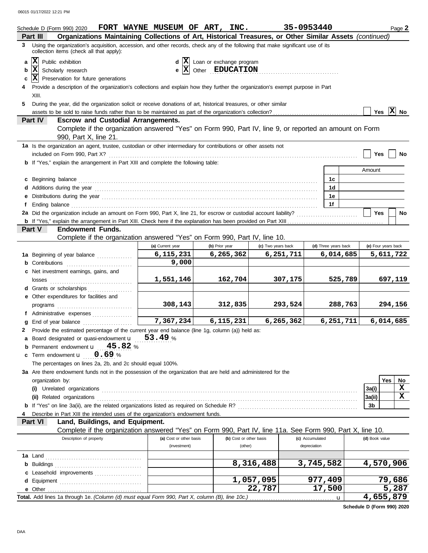|    | Schedule D (Form 990) 2020                                                                                                                                                                                                           | FORT WAYNE MUSEUM OF ART, INC. |                                                             |                         | 35-0953440         |                 |                      |           |                | Page 2              |
|----|--------------------------------------------------------------------------------------------------------------------------------------------------------------------------------------------------------------------------------------|--------------------------------|-------------------------------------------------------------|-------------------------|--------------------|-----------------|----------------------|-----------|----------------|---------------------|
|    | Organizations Maintaining Collections of Art, Historical Treasures, or Other Similar Assets (continued)<br>Part III                                                                                                                  |                                |                                                             |                         |                    |                 |                      |           |                |                     |
|    | 3 Using the organization's acquisition, accession, and other records, check any of the following that make significant use of its<br>collection items (check all that apply):                                                        |                                |                                                             |                         |                    |                 |                      |           |                |                     |
| a  | x <br>Public exhibition                                                                                                                                                                                                              |                                | $d \mathbf{X}$ Loan or exchange program                     |                         |                    |                 |                      |           |                |                     |
| b  | x <br>Scholarly research                                                                                                                                                                                                             |                                | $\mathbf{e}$ $\overline{\mathbf{X}}$ Other <b>EDUCATION</b> |                         |                    |                 |                      |           |                |                     |
| c  | $ \mathbf{X} $ Preservation for future generations                                                                                                                                                                                   |                                |                                                             |                         |                    |                 |                      |           |                |                     |
|    | Provide a description of the organization's collections and explain how they further the organization's exempt purpose in Part                                                                                                       |                                |                                                             |                         |                    |                 |                      |           |                |                     |
|    | XIII.                                                                                                                                                                                                                                |                                |                                                             |                         |                    |                 |                      |           |                |                     |
| 5. | During the year, did the organization solicit or receive donations of art, historical treasures, or other similar                                                                                                                    |                                |                                                             |                         |                    |                 |                      |           |                |                     |
|    |                                                                                                                                                                                                                                      |                                |                                                             |                         |                    |                 |                      |           |                | Yes $X$ No          |
|    | <b>Part IV</b><br><b>Escrow and Custodial Arrangements.</b>                                                                                                                                                                          |                                |                                                             |                         |                    |                 |                      |           |                |                     |
|    | Complete if the organization answered "Yes" on Form 990, Part IV, line 9, or reported an amount on Form                                                                                                                              |                                |                                                             |                         |                    |                 |                      |           |                |                     |
|    | 990, Part X, line 21.                                                                                                                                                                                                                |                                |                                                             |                         |                    |                 |                      |           |                |                     |
|    | 1a Is the organization an agent, trustee, custodian or other intermediary for contributions or other assets not                                                                                                                      |                                |                                                             |                         |                    |                 |                      |           |                |                     |
|    |                                                                                                                                                                                                                                      |                                |                                                             |                         |                    |                 |                      |           | Yes            | No                  |
|    | <b>b</b> If "Yes," explain the arrangement in Part XIII and complete the following table:                                                                                                                                            |                                |                                                             |                         |                    |                 |                      |           |                |                     |
|    |                                                                                                                                                                                                                                      |                                |                                                             |                         |                    |                 |                      |           | Amount         |                     |
|    | c Beginning balance <b>contract the contract of the contract of the contract of the contract of the contract of the contract of the contract of the contract of the contract of the contract of the contract of the contract of </b> |                                |                                                             |                         |                    |                 | 1 <sub>c</sub>       |           |                |                     |
|    |                                                                                                                                                                                                                                      |                                |                                                             |                         |                    |                 | 1d                   |           |                |                     |
|    |                                                                                                                                                                                                                                      |                                |                                                             |                         |                    |                 | 1е                   |           |                |                     |
| f  | Ending balance <b>constructs</b> and constructs and constructs and constructs and constructs and constructs and constructs and constructs and constructs and constructs and constructs and constructs and constructs and constructs  |                                |                                                             |                         |                    |                 | 1f                   |           |                |                     |
|    |                                                                                                                                                                                                                                      |                                |                                                             |                         |                    |                 |                      |           | <b>Yes</b>     | No                  |
|    |                                                                                                                                                                                                                                      |                                |                                                             |                         |                    |                 |                      |           |                |                     |
|    | <b>Endowment Funds.</b><br><b>Part V</b>                                                                                                                                                                                             |                                |                                                             |                         |                    |                 |                      |           |                |                     |
|    | Complete if the organization answered "Yes" on Form 990, Part IV, line 10.                                                                                                                                                           |                                |                                                             |                         |                    |                 |                      |           |                |                     |
|    |                                                                                                                                                                                                                                      | (a) Current year               | (b) Prior year                                              |                         | (c) Two years back |                 | (d) Three years back |           |                | (e) Four years back |
|    | 1a Beginning of year balance                                                                                                                                                                                                         | 6,115,231                      | 6, 265, 362                                                 |                         | 6,251,711          |                 |                      | 6,014,685 |                | 5,611,722           |
|    | <b>b</b> Contributions <b>contributions</b>                                                                                                                                                                                          | 9,000                          |                                                             |                         |                    |                 |                      |           |                |                     |
|    | c Net investment earnings, gains, and                                                                                                                                                                                                | 1,551,146                      |                                                             | 162,704                 | 307,175            |                 |                      | 525,789   |                | 697,119             |
|    | d Grants or scholarships                                                                                                                                                                                                             |                                |                                                             |                         |                    |                 |                      |           |                |                     |
|    | e Other expenditures for facilities and                                                                                                                                                                                              |                                |                                                             |                         |                    |                 |                      |           |                |                     |
|    |                                                                                                                                                                                                                                      | 308, 143                       |                                                             | 312,835                 | 293,524            |                 |                      | 288,763   |                | 294,156             |
|    | f Administrative expenses                                                                                                                                                                                                            |                                |                                                             |                         |                    |                 |                      |           |                |                     |
| g  | End of year balance                                                                                                                                                                                                                  | 7,367,234                      | 6, 115, 231                                                 |                         | 6, 265, 362        |                 |                      | 6,251,711 |                | 6,014,685           |
|    | 2 Provide the estimated percentage of the current year end balance (line 1g, column (a)) held as:                                                                                                                                    |                                |                                                             |                         |                    |                 |                      |           |                |                     |
|    | a Board designated or quasi-endowment u                                                                                                                                                                                              | 53.49%                         |                                                             |                         |                    |                 |                      |           |                |                     |
|    | <b>b</b> Permanent endowment $\mathbf{u} = 45.82$ %                                                                                                                                                                                  |                                |                                                             |                         |                    |                 |                      |           |                |                     |
|    | c Term endowment <b>u</b><br>0.69%                                                                                                                                                                                                   |                                |                                                             |                         |                    |                 |                      |           |                |                     |
|    | The percentages on lines 2a, 2b, and 2c should equal 100%.                                                                                                                                                                           |                                |                                                             |                         |                    |                 |                      |           |                |                     |
|    | 3a Are there endowment funds not in the possession of the organization that are held and administered for the                                                                                                                        |                                |                                                             |                         |                    |                 |                      |           |                |                     |
|    | organization by:                                                                                                                                                                                                                     |                                |                                                             |                         |                    |                 |                      |           |                | Yes<br>No           |
|    |                                                                                                                                                                                                                                      |                                |                                                             |                         |                    |                 |                      |           | 3a(i)          | x                   |
|    | (ii) Related organizations <b>contracts</b> and contracts are contracted as a contract of the contract of the contract or contract of the contract of the contract of the contract of the contract of the contract of the contract   |                                |                                                             |                         |                    |                 |                      |           | 3a(ii)         | $\mathbf x$         |
|    |                                                                                                                                                                                                                                      |                                |                                                             |                         |                    |                 |                      |           | 3 <sub>b</sub> |                     |
|    | Describe in Part XIII the intended uses of the organization's endowment funds.                                                                                                                                                       |                                |                                                             |                         |                    |                 |                      |           |                |                     |
|    | Land, Buildings, and Equipment.<br><b>Part VI</b>                                                                                                                                                                                    |                                |                                                             |                         |                    |                 |                      |           |                |                     |
|    | Complete if the organization answered "Yes" on Form 990, Part IV, line 11a. See Form 990, Part X, line 10.                                                                                                                           |                                |                                                             |                         |                    |                 |                      |           |                |                     |
|    | Description of property                                                                                                                                                                                                              | (a) Cost or other basis        |                                                             | (b) Cost or other basis |                    | (c) Accumulated |                      |           | (d) Book value |                     |
|    |                                                                                                                                                                                                                                      | (investment)                   |                                                             | (other)                 |                    | depreciation    |                      |           |                |                     |
|    |                                                                                                                                                                                                                                      |                                |                                                             |                         |                    |                 |                      |           |                |                     |
|    |                                                                                                                                                                                                                                      |                                |                                                             | 8,316,488               |                    | 3,745,582       |                      |           |                | 4,570,906           |
|    | c Leasehold improvements                                                                                                                                                                                                             |                                |                                                             |                         |                    |                 |                      |           |                |                     |
|    |                                                                                                                                                                                                                                      |                                |                                                             | 1,057,095               |                    | 977,409         |                      |           |                | 79,686              |
|    |                                                                                                                                                                                                                                      |                                |                                                             |                         | 22,787             |                 | 17,500               |           |                | 5,287               |
|    | Total. Add lines 1a through 1e. (Column (d) must equal Form 990, Part X, column (B), line 10c.)                                                                                                                                      |                                |                                                             |                         |                    |                 | u                    |           |                | 4,655,879           |

**Schedule D (Form 990) 2020**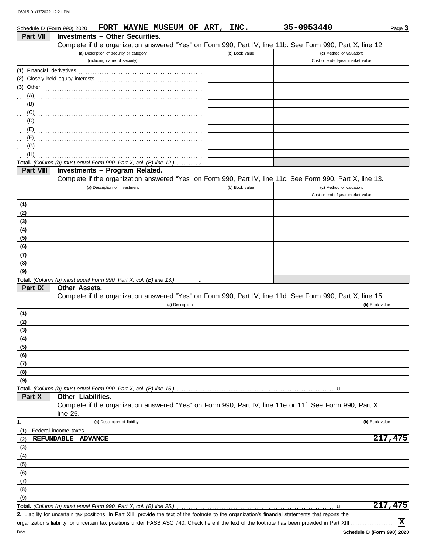| Schedule D (Form 990) 2020 |                                                                                               |                                         | FORT WAYNE MUSEUM OF ART, |   | INC.           | 35-0953440                                                                                                                                           | Page 3                           |
|----------------------------|-----------------------------------------------------------------------------------------------|-----------------------------------------|---------------------------|---|----------------|------------------------------------------------------------------------------------------------------------------------------------------------------|----------------------------------|
| Part VII                   | <b>Investments - Other Securities.</b>                                                        |                                         |                           |   |                |                                                                                                                                                      |                                  |
|                            |                                                                                               |                                         |                           |   |                | Complete if the organization answered "Yes" on Form 990, Part IV, line 11b. See Form 990, Part X, line 12.                                           |                                  |
|                            |                                                                                               | (a) Description of security or category |                           |   | (b) Book value |                                                                                                                                                      | (c) Method of valuation:         |
|                            |                                                                                               | (including name of security)            |                           |   |                |                                                                                                                                                      | Cost or end-of-year market value |
| (1) Financial derivatives  |                                                                                               |                                         |                           |   |                |                                                                                                                                                      |                                  |
|                            |                                                                                               |                                         |                           |   |                |                                                                                                                                                      |                                  |
| $(3)$ Other                |                                                                                               |                                         |                           |   |                |                                                                                                                                                      |                                  |
| (A)                        |                                                                                               |                                         |                           |   |                |                                                                                                                                                      |                                  |
| (B)                        |                                                                                               |                                         |                           |   |                |                                                                                                                                                      |                                  |
| (C)                        |                                                                                               |                                         |                           |   |                |                                                                                                                                                      |                                  |
| (D)                        |                                                                                               |                                         |                           |   |                |                                                                                                                                                      |                                  |
|                            |                                                                                               |                                         |                           |   |                |                                                                                                                                                      |                                  |
| (F)                        |                                                                                               |                                         |                           |   |                |                                                                                                                                                      |                                  |
| (G)                        |                                                                                               |                                         |                           |   |                |                                                                                                                                                      |                                  |
| (H)                        |                                                                                               |                                         |                           |   |                |                                                                                                                                                      |                                  |
|                            | Total. (Column (b) must equal Form 990, Part X, col. (B) line 12.)                            |                                         |                           | u |                |                                                                                                                                                      |                                  |
| Part VIII                  | Investments - Program Related.                                                                |                                         |                           |   |                |                                                                                                                                                      |                                  |
|                            |                                                                                               |                                         |                           |   |                | Complete if the organization answered "Yes" on Form 990, Part IV, line 11c. See Form 990, Part X, line 13.                                           |                                  |
|                            |                                                                                               | (a) Description of investment           |                           |   | (b) Book value |                                                                                                                                                      | (c) Method of valuation:         |
|                            |                                                                                               |                                         |                           |   |                |                                                                                                                                                      | Cost or end-of-year market value |
| (1)                        |                                                                                               |                                         |                           |   |                |                                                                                                                                                      |                                  |
| (2)                        |                                                                                               |                                         |                           |   |                |                                                                                                                                                      |                                  |
| (3)                        |                                                                                               |                                         |                           |   |                |                                                                                                                                                      |                                  |
| (4)                        |                                                                                               |                                         |                           |   |                |                                                                                                                                                      |                                  |
| (5)                        |                                                                                               |                                         |                           |   |                |                                                                                                                                                      |                                  |
| (6)                        |                                                                                               |                                         |                           |   |                |                                                                                                                                                      |                                  |
| (7)                        |                                                                                               |                                         |                           |   |                |                                                                                                                                                      |                                  |
| (8)                        |                                                                                               |                                         |                           |   |                |                                                                                                                                                      |                                  |
| (9)                        |                                                                                               |                                         |                           |   |                |                                                                                                                                                      |                                  |
|                            | Total. (Column (b) must equal Form 990, Part X, col. (B) line 13.) $\ldots \ldots \mathbf{u}$ |                                         |                           |   |                |                                                                                                                                                      |                                  |
| Part IX                    | Other Assets.                                                                                 |                                         |                           |   |                |                                                                                                                                                      |                                  |
|                            |                                                                                               |                                         |                           |   |                | Complete if the organization answered "Yes" on Form 990, Part IV, line 11d. See Form 990, Part X, line 15.                                           |                                  |
|                            |                                                                                               |                                         | (a) Description           |   |                |                                                                                                                                                      | (b) Book value                   |
| (1)                        |                                                                                               |                                         |                           |   |                |                                                                                                                                                      |                                  |
| (2)                        |                                                                                               |                                         |                           |   |                |                                                                                                                                                      |                                  |
| (3)                        |                                                                                               |                                         |                           |   |                |                                                                                                                                                      |                                  |
| (4)                        |                                                                                               |                                         |                           |   |                |                                                                                                                                                      |                                  |
| (5)                        |                                                                                               |                                         |                           |   |                |                                                                                                                                                      |                                  |
| (6)                        |                                                                                               |                                         |                           |   |                |                                                                                                                                                      |                                  |
| (7)                        |                                                                                               |                                         |                           |   |                |                                                                                                                                                      |                                  |
| (8)                        |                                                                                               |                                         |                           |   |                |                                                                                                                                                      |                                  |
| (9)                        |                                                                                               |                                         |                           |   |                |                                                                                                                                                      |                                  |
| Part X                     | Total. (Column (b) must equal Form 990, Part X, col. (B) line 15.)<br>Other Liabilities.      |                                         |                           |   |                |                                                                                                                                                      | u                                |
|                            |                                                                                               |                                         |                           |   |                | Complete if the organization answered "Yes" on Form 990, Part IV, line 11e or 11f. See Form 990, Part X,                                             |                                  |
|                            | line $25$ .                                                                                   |                                         |                           |   |                |                                                                                                                                                      |                                  |
| 1.                         |                                                                                               | (a) Description of liability            |                           |   |                |                                                                                                                                                      | (b) Book value                   |
| (1)                        | Federal income taxes                                                                          |                                         |                           |   |                |                                                                                                                                                      |                                  |
| (2)                        | <b>REFUNDABLE</b>                                                                             | <b>ADVANCE</b>                          |                           |   |                |                                                                                                                                                      | 217,475                          |
| (3)                        |                                                                                               |                                         |                           |   |                |                                                                                                                                                      |                                  |
| (4)                        |                                                                                               |                                         |                           |   |                |                                                                                                                                                      |                                  |
| (5)                        |                                                                                               |                                         |                           |   |                |                                                                                                                                                      |                                  |
| (6)                        |                                                                                               |                                         |                           |   |                |                                                                                                                                                      |                                  |
| (7)                        |                                                                                               |                                         |                           |   |                |                                                                                                                                                      |                                  |
| (8)                        |                                                                                               |                                         |                           |   |                |                                                                                                                                                      |                                  |
| (9)                        |                                                                                               |                                         |                           |   |                |                                                                                                                                                      |                                  |
|                            | Total. (Column (b) must equal Form 990, Part X, col. (B) line 25.)                            |                                         |                           |   |                |                                                                                                                                                      | 217,475<br>u                     |
|                            |                                                                                               |                                         |                           |   |                | 2. Liability for uncertain tax positions. In Part XIII, provide the text of the footnote to the organization's financial statements that reports the |                                  |

organization's liability for uncertain tax positions under FASB ASC 740. Check here if the text of the footnote has been provided in Part XIII

**X**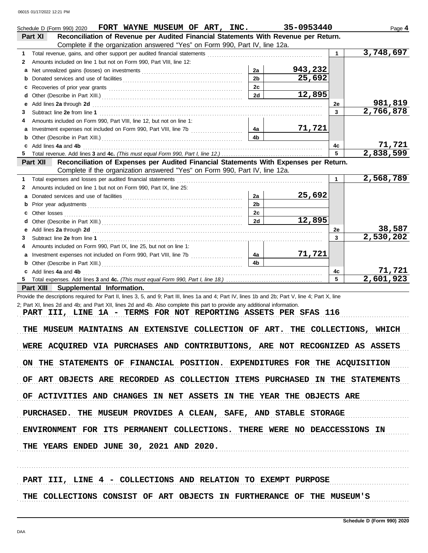|   | Schedule D (Form 990) 2020 <b>FORT WAYNE MUSEUM OF ART, INC.</b><br>Reconciliation of Revenue per Audited Financial Statements With Revenue per Return.<br>Part XI                                                                   |                | 35-0953440 |             | Page 4    |
|---|--------------------------------------------------------------------------------------------------------------------------------------------------------------------------------------------------------------------------------------|----------------|------------|-------------|-----------|
|   | Complete if the organization answered "Yes" on Form 990, Part IV, line 12a.                                                                                                                                                          |                |            |             |           |
| 1 |                                                                                                                                                                                                                                      |                |            | 1.          | 3,748,697 |
| 2 | Amounts included on line 1 but not on Form 990, Part VIII, line 12:                                                                                                                                                                  |                |            |             |           |
| a |                                                                                                                                                                                                                                      | 2a             | 943,232    |             |           |
| b |                                                                                                                                                                                                                                      | 2 <sub>b</sub> | 25,692     |             |           |
|   |                                                                                                                                                                                                                                      | 2c             |            |             |           |
| c |                                                                                                                                                                                                                                      | 2d             | 12,895     |             |           |
| d |                                                                                                                                                                                                                                      |                |            |             | 981,819   |
| е | Add lines 2a through 2d <b>contained a contained a contained a contained a contained a contained a contained a contained a contained a contained a contained a contained a contained a contained a contained a contained a conta</b> |                |            | 2e          | 2,766,878 |
| 3 |                                                                                                                                                                                                                                      |                |            | 3           |           |
| 4 | Amounts included on Form 990, Part VIII, line 12, but not on line 1:                                                                                                                                                                 |                |            |             |           |
|   |                                                                                                                                                                                                                                      | 4a             | 71,721     |             |           |
| b |                                                                                                                                                                                                                                      | 4b             |            |             |           |
| c | Add lines 4a and 4b                                                                                                                                                                                                                  |                |            | 4c          | 71,721    |
| 5 |                                                                                                                                                                                                                                      |                |            | 5           | 2,838,599 |
|   | Reconciliation of Expenses per Audited Financial Statements With Expenses per Return.<br>Part XII<br>Complete if the organization answered "Yes" on Form 990, Part IV, line 12a.                                                     |                |            |             |           |
| 1 | Total expenses and losses per audited financial statements                                                                                                                                                                           |                |            | $\mathbf 1$ | 2,568,789 |
| 2 | Amounts included on line 1 but not on Form 990, Part IX, line 25:                                                                                                                                                                    |                |            |             |           |
| a |                                                                                                                                                                                                                                      | 2a             | 25,692     |             |           |
|   |                                                                                                                                                                                                                                      | 2 <sub>b</sub> |            |             |           |
|   |                                                                                                                                                                                                                                      | 2 <sub>c</sub> |            |             |           |
|   |                                                                                                                                                                                                                                      | 2d             | 12,895     |             |           |
| d |                                                                                                                                                                                                                                      |                |            |             | 38,587    |
| е | Add lines 2a through 2d <b>contained a contained a contained a contained a contained a contained a contained a contained a contained a contained a contained a contained a contained a contained a contained a contained a conta</b> |                |            | 2e<br>3     | 2,530,202 |
| 3 |                                                                                                                                                                                                                                      |                |            |             |           |
| 4 | Amounts included on Form 990, Part IX, line 25, but not on line 1:                                                                                                                                                                   |                |            |             |           |
|   |                                                                                                                                                                                                                                      | 4a             | 71,721     |             |           |
|   |                                                                                                                                                                                                                                      | 4b             |            |             |           |
|   | c Add lines 4a and 4b                                                                                                                                                                                                                |                |            | 4c          | 71,721    |
| 5 |                                                                                                                                                                                                                                      |                |            | 5           | 2,601,923 |
|   | Part XIII Supplemental Information.                                                                                                                                                                                                  |                |            |             |           |
|   | Provide the descriptions required for Part II, lines 3, 5, and 9; Part III, lines 1a and 4; Part IV, lines 1b and 2b; Part V, line 4; Part X, line                                                                                   |                |            |             |           |
|   | 2; Part XI, lines 2d and 4b; and Part XII, lines 2d and 4b. Also complete this part to provide any additional information.                                                                                                           |                |            |             |           |
|   | PART III, LINE 1A - TERMS FOR NOT REPORTING ASSETS PER SFAS 116                                                                                                                                                                      |                |            |             |           |
|   |                                                                                                                                                                                                                                      |                |            |             |           |
|   | THE MUSEUM MAINTAINS AN EXTENSIVE COLLECTION OF ART. THE COLLECTIONS, WHICH                                                                                                                                                          |                |            |             |           |
|   |                                                                                                                                                                                                                                      |                |            |             |           |
|   | WERE ACQUIRED VIA PURCHASES AND CONTRIBUTIONS, ARE NOT RECOGNIZED AS ASSETS                                                                                                                                                          |                |            |             |           |
|   |                                                                                                                                                                                                                                      |                |            |             |           |
|   | ON THE STATEMENTS OF FINANCIAL POSITION. EXPENDITURES FOR THE ACQUISITION                                                                                                                                                            |                |            |             |           |
|   |                                                                                                                                                                                                                                      |                |            |             |           |
|   | OF ART OBJECTS ARE RECORDED AS COLLECTION ITEMS PURCHASED IN THE STATEMENTS                                                                                                                                                          |                |            |             |           |
|   |                                                                                                                                                                                                                                      |                |            |             |           |
|   | OF ACTIVITIES AND CHANGES IN NET ASSETS IN THE YEAR THE OBJECTS ARE                                                                                                                                                                  |                |            |             |           |
|   |                                                                                                                                                                                                                                      |                |            |             |           |
|   | PURCHASED. THE MUSEUM PROVIDES A CLEAN, SAFE, AND STABLE STORAGE                                                                                                                                                                     |                |            |             |           |
|   |                                                                                                                                                                                                                                      |                |            |             |           |
|   | ENVIRONMENT FOR ITS PERMANENT COLLECTIONS. THERE WERE NO DEACCESSIONS IN                                                                                                                                                             |                |            |             |           |
|   |                                                                                                                                                                                                                                      |                |            |             |           |
|   | THE YEARS ENDED JUNE 30, 2021 AND 2020.                                                                                                                                                                                              |                |            |             |           |
|   |                                                                                                                                                                                                                                      |                |            |             |           |
|   |                                                                                                                                                                                                                                      |                |            |             |           |
|   |                                                                                                                                                                                                                                      |                |            |             |           |
|   | PART III, LINE 4 - COLLECTIONS AND RELATION TO EXEMPT PURPOSE                                                                                                                                                                        |                |            |             |           |
|   | THE COLLECTIONS CONSIST OF ART OBJECTS IN FURTHERANCE OF THE MUSEUM'S                                                                                                                                                                |                |            |             |           |
|   |                                                                                                                                                                                                                                      |                |            |             |           |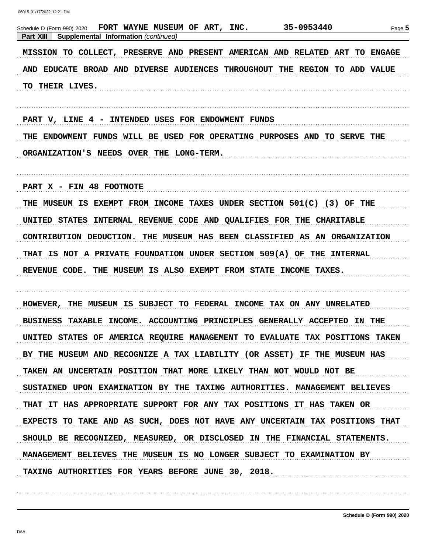| 35-0953440<br>FORT WAYNE MUSEUM OF ART,<br>INC.<br>Schedule D (Form 990) 2020<br>Part XIII<br>Supplemental Information (continued) | Page 5 |
|------------------------------------------------------------------------------------------------------------------------------------|--------|
| MISSION TO COLLECT, PRESERVE AND PRESENT AMERICAN AND RELATED ART TO ENGAGE                                                        |        |
| AND EDUCATE BROAD AND DIVERSE AUDIENCES THROUGHOUT THE REGION TO ADD VALUE                                                         |        |
| TO THEIR LIVES.                                                                                                                    |        |
| PART V, LINE 4 - INTENDED USES FOR ENDOWMENT FUNDS                                                                                 |        |
| THE ENDOWMENT FUNDS WILL BE USED FOR OPERATING PURPOSES AND TO SERVE THE                                                           |        |
| ORGANIZATION'S NEEDS OVER THE LONG-TERM.                                                                                           |        |
| PART X - FIN 48 FOOTNOTE                                                                                                           |        |
| THE MUSEUM IS EXEMPT FROM INCOME TAXES UNDER SECTION 501(C) (3) OF THE                                                             |        |
| UNITED STATES INTERNAL REVENUE CODE AND QUALIFIES FOR THE CHARITABLE                                                               |        |
| CONTRIBUTION DEDUCTION.<br>THE MUSEUM HAS BEEN CLASSIFIED AS AN ORGANIZATION                                                       |        |
| THAT IS NOT A PRIVATE FOUNDATION UNDER SECTION 509(A) OF THE INTERNAL                                                              |        |
| REVENUE CODE. THE MUSEUM IS ALSO EXEMPT FROM STATE INCOME TAXES.                                                                   |        |
| THE MUSEUM IS SUBJECT TO FEDERAL INCOME TAX ON ANY UNRELATED<br>HOWEVER,                                                           |        |
| <b>TAXABLE</b><br>INCOME. ACCOUNTING PRINCIPLES GENERALLY ACCEPTED IN<br><b>BUSINESS</b>                                           | THE    |
| UNITED STATES OF AMERICA REQUIRE MANAGEMENT TO EVALUATE TAX POSITIONS TAKEN                                                        |        |
| BY THE MUSEUM AND RECOGNIZE A TAX LIABILITY (OR ASSET) IF THE MUSEUM HAS                                                           |        |
| TAKEN AN UNCERTAIN POSITION THAT MORE LIKELY THAN NOT WOULD NOT BE                                                                 |        |
| SUSTAINED UPON EXAMINATION BY THE TAXING AUTHORITIES. MANAGEMENT BELIEVES                                                          |        |
| THAT IT HAS APPROPRIATE SUPPORT FOR ANY TAX POSITIONS IT HAS TAKEN OR                                                              |        |
| EXPECTS TO TAKE AND AS SUCH, DOES NOT HAVE ANY UNCERTAIN TAX POSITIONS THAT                                                        |        |
| SHOULD BE RECOGNIZED, MEASURED, OR DISCLOSED IN THE FINANCIAL STATEMENTS.                                                          |        |
| MANAGEMENT BELIEVES THE MUSEUM IS NO LONGER SUBJECT TO EXAMINATION BY                                                              |        |
| TAXING AUTHORITIES FOR YEARS BEFORE JUNE 30, 2018.                                                                                 |        |
|                                                                                                                                    |        |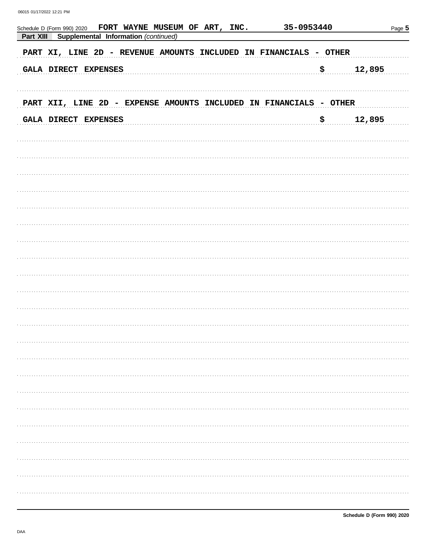| FORT WAYNE MUSEUM OF ART, INC.<br>Schedule D (Form 990) 2020<br>Part XIII<br>Supplemental Information (continued) | 35-0953440 | Page 5       |
|-------------------------------------------------------------------------------------------------------------------|------------|--------------|
| PART XI, LINE 2D - REVENUE AMOUNTS INCLUDED IN FINANCIALS - OTHER                                                 |            |              |
| GALA DIRECT EXPENSES                                                                                              | \$         | 12,895       |
| PART XII, LINE 2D - EXPENSE AMOUNTS INCLUDED IN FINANCIALS - OTHER                                                |            |              |
| GALA DIRECT EXPENSES                                                                                              | \$         | 12,895       |
|                                                                                                                   |            |              |
|                                                                                                                   |            |              |
|                                                                                                                   |            |              |
|                                                                                                                   |            |              |
|                                                                                                                   |            |              |
|                                                                                                                   |            |              |
|                                                                                                                   |            |              |
|                                                                                                                   |            |              |
|                                                                                                                   |            |              |
|                                                                                                                   |            |              |
|                                                                                                                   |            |              |
|                                                                                                                   |            |              |
|                                                                                                                   |            | .            |
|                                                                                                                   |            |              |
|                                                                                                                   |            |              |
|                                                                                                                   |            | . <b>.</b> . |
|                                                                                                                   |            |              |
|                                                                                                                   |            |              |
|                                                                                                                   |            | .            |
|                                                                                                                   |            | .            |
|                                                                                                                   |            |              |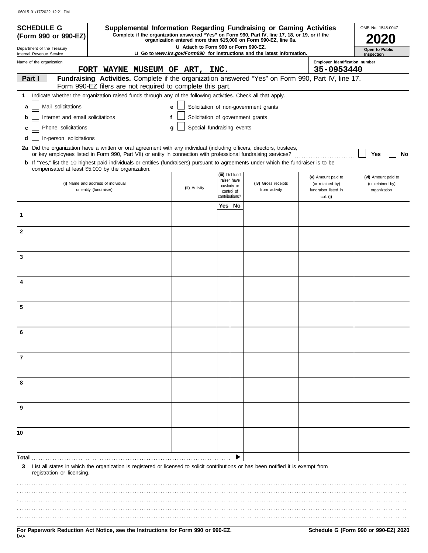| <b>SCHEDULE G</b>                                                                                                                            |                                                                                                                                     |                                |                                       |                              |                                | Supplemental Information Regarding Fundraising or Gaming Activities                                                                                                 |                                                            |                                          | OMB No. 1545-0047                |  |
|----------------------------------------------------------------------------------------------------------------------------------------------|-------------------------------------------------------------------------------------------------------------------------------------|--------------------------------|---------------------------------------|------------------------------|--------------------------------|---------------------------------------------------------------------------------------------------------------------------------------------------------------------|------------------------------------------------------------|------------------------------------------|----------------------------------|--|
| (Form 990 or 990-EZ)                                                                                                                         |                                                                                                                                     |                                |                                       |                              |                                | Complete if the organization answered "Yes" on Form 990, Part IV, line 17, 18, or 19, or if the<br>organization entered more than \$15,000 on Form 990-EZ, line 6a. |                                                            |                                          |                                  |  |
| Department of the Treasury                                                                                                                   |                                                                                                                                     |                                | LI Attach to Form 990 or Form 990-EZ. |                              |                                | <b>u</b> Go to <i>www.irs.gov/Form990</i> for instructions and the latest information.                                                                              |                                                            |                                          | Open to Public                   |  |
| Internal Revenue Service<br>Name of the organization                                                                                         |                                                                                                                                     | FORT WAYNE MUSEUM OF ART, INC. |                                       |                              |                                |                                                                                                                                                                     | Inspection<br>Employer identification number<br>35-0953440 |                                          |                                  |  |
| Part I                                                                                                                                       | Fundraising Activities. Complete if the organization answered "Yes" on Form 990, Part IV, line 17.                                  |                                |                                       |                              |                                |                                                                                                                                                                     |                                                            |                                          |                                  |  |
|                                                                                                                                              | Form 990-EZ filers are not required to complete this part.                                                                          |                                |                                       |                              |                                |                                                                                                                                                                     |                                                            |                                          |                                  |  |
| 1.                                                                                                                                           | Indicate whether the organization raised funds through any of the following activities. Check all that apply.                       |                                |                                       |                              |                                |                                                                                                                                                                     |                                                            |                                          |                                  |  |
| Mail solicitations<br>a                                                                                                                      |                                                                                                                                     | e                              |                                       |                              |                                | Solicitation of non-government grants                                                                                                                               |                                                            |                                          |                                  |  |
| Internet and email solicitations<br>b                                                                                                        |                                                                                                                                     | f                              | Solicitation of government grants     |                              |                                |                                                                                                                                                                     |                                                            |                                          |                                  |  |
| Phone solicitations<br>c                                                                                                                     |                                                                                                                                     | g                              | Special fundraising events            |                              |                                |                                                                                                                                                                     |                                                            |                                          |                                  |  |
| In-person solicitations                                                                                                                      |                                                                                                                                     |                                |                                       |                              |                                |                                                                                                                                                                     |                                                            |                                          |                                  |  |
| 2a Did the organization have a written or oral agreement with any individual (including officers, directors, trustees,                       |                                                                                                                                     |                                |                                       |                              |                                |                                                                                                                                                                     |                                                            |                                          |                                  |  |
|                                                                                                                                              | or key employees listed in Form 990, Part VII) or entity in connection with professional fundraising services?                      |                                |                                       |                              |                                |                                                                                                                                                                     |                                                            |                                          | Yes<br>No                        |  |
| <b>b</b> If "Yes," list the 10 highest paid individuals or entities (fundraisers) pursuant to agreements under which the fundraiser is to be | compensated at least \$5,000 by the organization.                                                                                   |                                |                                       |                              |                                |                                                                                                                                                                     |                                                            |                                          |                                  |  |
|                                                                                                                                              |                                                                                                                                     |                                |                                       |                              | (iii) Did fund-<br>raiser have |                                                                                                                                                                     |                                                            | (v) Amount paid to                       | (vi) Amount paid to              |  |
|                                                                                                                                              | (i) Name and address of individual<br>or entity (fundraiser)                                                                        |                                | (ii) Activity                         |                              | custody or                     | (iv) Gross receipts<br>from activity                                                                                                                                |                                                            | (or retained by)<br>fundraiser listed in | (or retained by)<br>organization |  |
|                                                                                                                                              |                                                                                                                                     |                                |                                       | control of<br>contributions? |                                |                                                                                                                                                                     |                                                            | col. (i)                                 |                                  |  |
|                                                                                                                                              |                                                                                                                                     |                                |                                       | Yes                          | No                             |                                                                                                                                                                     |                                                            |                                          |                                  |  |
| 1                                                                                                                                            |                                                                                                                                     |                                |                                       |                              |                                |                                                                                                                                                                     |                                                            |                                          |                                  |  |
|                                                                                                                                              |                                                                                                                                     |                                |                                       |                              |                                |                                                                                                                                                                     |                                                            |                                          |                                  |  |
| $\mathbf{2}$                                                                                                                                 |                                                                                                                                     |                                |                                       |                              |                                |                                                                                                                                                                     |                                                            |                                          |                                  |  |
|                                                                                                                                              |                                                                                                                                     |                                |                                       |                              |                                |                                                                                                                                                                     |                                                            |                                          |                                  |  |
| 3                                                                                                                                            |                                                                                                                                     |                                |                                       |                              |                                |                                                                                                                                                                     |                                                            |                                          |                                  |  |
|                                                                                                                                              |                                                                                                                                     |                                |                                       |                              |                                |                                                                                                                                                                     |                                                            |                                          |                                  |  |
|                                                                                                                                              |                                                                                                                                     |                                |                                       |                              |                                |                                                                                                                                                                     |                                                            |                                          |                                  |  |
| 4                                                                                                                                            |                                                                                                                                     |                                |                                       |                              |                                |                                                                                                                                                                     |                                                            |                                          |                                  |  |
|                                                                                                                                              |                                                                                                                                     |                                |                                       |                              |                                |                                                                                                                                                                     |                                                            |                                          |                                  |  |
| 5                                                                                                                                            |                                                                                                                                     |                                |                                       |                              |                                |                                                                                                                                                                     |                                                            |                                          |                                  |  |
|                                                                                                                                              |                                                                                                                                     |                                |                                       |                              |                                |                                                                                                                                                                     |                                                            |                                          |                                  |  |
|                                                                                                                                              |                                                                                                                                     |                                |                                       |                              |                                |                                                                                                                                                                     |                                                            |                                          |                                  |  |
| 6                                                                                                                                            |                                                                                                                                     |                                |                                       |                              |                                |                                                                                                                                                                     |                                                            |                                          |                                  |  |
|                                                                                                                                              |                                                                                                                                     |                                |                                       |                              |                                |                                                                                                                                                                     |                                                            |                                          |                                  |  |
| 7                                                                                                                                            |                                                                                                                                     |                                |                                       |                              |                                |                                                                                                                                                                     |                                                            |                                          |                                  |  |
|                                                                                                                                              |                                                                                                                                     |                                |                                       |                              |                                |                                                                                                                                                                     |                                                            |                                          |                                  |  |
|                                                                                                                                              |                                                                                                                                     |                                |                                       |                              |                                |                                                                                                                                                                     |                                                            |                                          |                                  |  |
| 8                                                                                                                                            |                                                                                                                                     |                                |                                       |                              |                                |                                                                                                                                                                     |                                                            |                                          |                                  |  |
|                                                                                                                                              |                                                                                                                                     |                                |                                       |                              |                                |                                                                                                                                                                     |                                                            |                                          |                                  |  |
| 9                                                                                                                                            |                                                                                                                                     |                                |                                       |                              |                                |                                                                                                                                                                     |                                                            |                                          |                                  |  |
|                                                                                                                                              |                                                                                                                                     |                                |                                       |                              |                                |                                                                                                                                                                     |                                                            |                                          |                                  |  |
|                                                                                                                                              |                                                                                                                                     |                                |                                       |                              |                                |                                                                                                                                                                     |                                                            |                                          |                                  |  |
| 10                                                                                                                                           |                                                                                                                                     |                                |                                       |                              |                                |                                                                                                                                                                     |                                                            |                                          |                                  |  |
|                                                                                                                                              |                                                                                                                                     |                                |                                       |                              |                                |                                                                                                                                                                     |                                                            |                                          |                                  |  |
| Total                                                                                                                                        |                                                                                                                                     |                                |                                       |                              |                                |                                                                                                                                                                     |                                                            |                                          |                                  |  |
| 3                                                                                                                                            | List all states in which the organization is registered or licensed to solicit contributions or has been notified it is exempt from |                                |                                       |                              |                                |                                                                                                                                                                     |                                                            |                                          |                                  |  |
| registration or licensing.                                                                                                                   |                                                                                                                                     |                                |                                       |                              |                                |                                                                                                                                                                     |                                                            |                                          |                                  |  |
|                                                                                                                                              |                                                                                                                                     |                                |                                       |                              |                                |                                                                                                                                                                     |                                                            |                                          |                                  |  |
|                                                                                                                                              |                                                                                                                                     |                                |                                       |                              |                                |                                                                                                                                                                     |                                                            |                                          |                                  |  |
|                                                                                                                                              |                                                                                                                                     |                                |                                       |                              |                                |                                                                                                                                                                     |                                                            |                                          |                                  |  |
|                                                                                                                                              |                                                                                                                                     |                                |                                       |                              |                                |                                                                                                                                                                     |                                                            |                                          |                                  |  |
|                                                                                                                                              |                                                                                                                                     |                                |                                       |                              |                                |                                                                                                                                                                     |                                                            |                                          |                                  |  |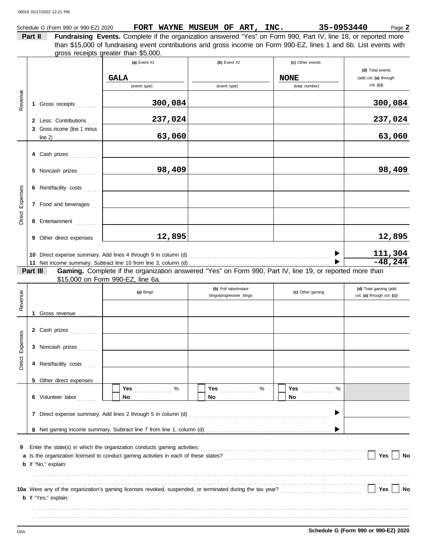|                 |         | Schedule G (Form 990 or 990-EZ) 2020 | FORT WAYNE MUSEUM OF ART, INC.                                                                                                                                                                                         |                         |   |                  | 35-0953440 | Page 2                     |
|-----------------|---------|--------------------------------------|------------------------------------------------------------------------------------------------------------------------------------------------------------------------------------------------------------------------|-------------------------|---|------------------|------------|----------------------------|
|                 | Part II |                                      | Fundraising Events. Complete if the organization answered "Yes" on Form 990, Part IV, line 18, or reported more                                                                                                        |                         |   |                  |            |                            |
|                 |         |                                      | than \$15,000 of fundraising event contributions and gross income on Form 990-EZ, lines 1 and 6b. List events with                                                                                                     |                         |   |                  |            |                            |
|                 |         |                                      | gross receipts greater than \$5,000.                                                                                                                                                                                   |                         |   |                  |            |                            |
|                 |         |                                      | (a) Event #1                                                                                                                                                                                                           | (b) Event #2            |   | (c) Other events |            | (d) Total events           |
|                 |         |                                      | <b>GALA</b>                                                                                                                                                                                                            |                         |   | <b>NONE</b>      |            | (add col. (a) through      |
|                 |         |                                      | (event type)                                                                                                                                                                                                           | (event type)            |   | (total number)   |            | col. (c)                   |
|                 |         |                                      |                                                                                                                                                                                                                        |                         |   |                  |            |                            |
| Revenue         |         | 1 Gross receipts                     | 300,084                                                                                                                                                                                                                |                         |   |                  |            | 300,084                    |
|                 |         |                                      |                                                                                                                                                                                                                        |                         |   |                  |            |                            |
|                 |         | 2 Less: Contributions                | 237,024                                                                                                                                                                                                                |                         |   |                  |            | 237,024                    |
|                 |         | 3 Gross income (line 1 minus         |                                                                                                                                                                                                                        |                         |   |                  |            |                            |
|                 |         |                                      | 63,060                                                                                                                                                                                                                 |                         |   |                  |            | 63,060                     |
|                 |         |                                      |                                                                                                                                                                                                                        |                         |   |                  |            |                            |
|                 |         | 4 Cash prizes                        |                                                                                                                                                                                                                        |                         |   |                  |            |                            |
|                 |         | 5 Noncash prizes                     | 98,409                                                                                                                                                                                                                 |                         |   |                  |            | 98,409                     |
|                 |         |                                      |                                                                                                                                                                                                                        |                         |   |                  |            |                            |
|                 |         | 6 Rent/facility costs                |                                                                                                                                                                                                                        |                         |   |                  |            |                            |
|                 |         |                                      |                                                                                                                                                                                                                        |                         |   |                  |            |                            |
|                 |         | 7 Food and beverages                 |                                                                                                                                                                                                                        |                         |   |                  |            |                            |
| Direct Expenses |         | 8 Entertainment                      |                                                                                                                                                                                                                        |                         |   |                  |            |                            |
|                 |         |                                      |                                                                                                                                                                                                                        |                         |   |                  |            |                            |
|                 |         | 9 Other direct expenses              | 12,895                                                                                                                                                                                                                 |                         |   |                  |            | 12,895                     |
|                 |         |                                      |                                                                                                                                                                                                                        |                         |   |                  |            |                            |
|                 |         |                                      |                                                                                                                                                                                                                        |                         |   |                  |            | 111,304                    |
|                 |         |                                      |                                                                                                                                                                                                                        |                         |   |                  |            | $-48,244$                  |
|                 |         | Part III                             | Gaming. Complete if the organization answered "Yes" on Form 990, Part IV, line 19, or reported more than<br>\$15,000 on Form 990-EZ, line 6a.                                                                          |                         |   |                  |            |                            |
|                 |         |                                      |                                                                                                                                                                                                                        | (b) Pull tabs/instant   |   |                  |            | (d) Total gaming (add      |
|                 |         |                                      | (a) Bingo                                                                                                                                                                                                              | bingo/progressive bingo |   | (c) Other gaming |            | col. (a) through col. (c)) |
| Revenue         |         |                                      |                                                                                                                                                                                                                        |                         |   |                  |            |                            |
|                 | 1       | Gross revenue                        |                                                                                                                                                                                                                        |                         |   |                  |            |                            |
|                 |         |                                      |                                                                                                                                                                                                                        |                         |   |                  |            |                            |
| <b>ses</b>      |         | 2 Cash prizes                        |                                                                                                                                                                                                                        |                         |   |                  |            |                            |
| Expens          |         | 3 Noncash prizes                     |                                                                                                                                                                                                                        |                         |   |                  |            |                            |
|                 |         |                                      |                                                                                                                                                                                                                        |                         |   |                  |            |                            |
| Direct          |         | 4 Rent/facility costs                |                                                                                                                                                                                                                        |                         |   |                  |            |                            |
|                 |         |                                      |                                                                                                                                                                                                                        |                         |   |                  |            |                            |
|                 |         | 5 Other direct expenses              |                                                                                                                                                                                                                        |                         |   |                  |            |                            |
|                 |         |                                      | %<br>Yes                                                                                                                                                                                                               | <b>Yes</b>              | % | Yes              | $\%$       |                            |
|                 |         | 6 Volunteer labor                    | No                                                                                                                                                                                                                     | No                      |   | <b>No</b>        |            |                            |
|                 |         |                                      |                                                                                                                                                                                                                        |                         |   |                  |            |                            |
|                 |         |                                      |                                                                                                                                                                                                                        |                         |   |                  |            |                            |
|                 |         |                                      |                                                                                                                                                                                                                        |                         |   |                  |            |                            |
|                 |         |                                      |                                                                                                                                                                                                                        |                         |   |                  |            |                            |
| 9               |         |                                      |                                                                                                                                                                                                                        |                         |   |                  |            |                            |
|                 |         |                                      |                                                                                                                                                                                                                        |                         |   |                  |            | Yes<br>No                  |
|                 |         | <b>b</b> If "No," explain:           |                                                                                                                                                                                                                        |                         |   |                  |            |                            |
|                 |         |                                      |                                                                                                                                                                                                                        |                         |   |                  |            |                            |
|                 |         |                                      | 10a Were any of the organization's gaming licenses revoked, suspended, or terminated during the tax year?<br>10a Were any of the organization's gaming licenses revoked, suspended, or terminated during the tax year? |                         |   |                  |            | Yes<br>No                  |
|                 |         | <b>b</b> If "Yes," explain:          |                                                                                                                                                                                                                        |                         |   |                  |            |                            |
|                 |         |                                      |                                                                                                                                                                                                                        |                         |   |                  |            |                            |
|                 |         |                                      |                                                                                                                                                                                                                        |                         |   |                  |            |                            |
|                 |         |                                      |                                                                                                                                                                                                                        |                         |   |                  |            |                            |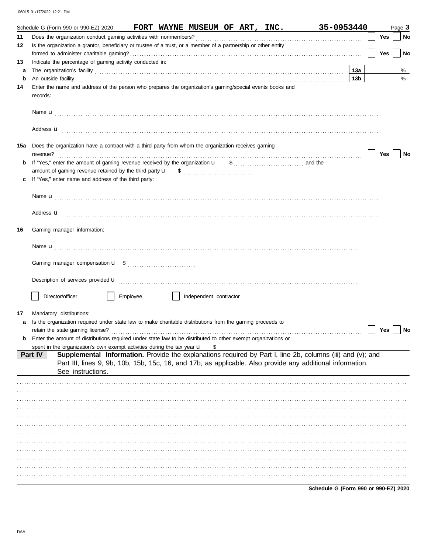|    | 35-0953440<br>Schedule G (Form 990 or 990-EZ) 2020 FORT WAYNE MUSEUM OF ART, INC.                                                                                                                                                  |                 |     | Page 3 |
|----|------------------------------------------------------------------------------------------------------------------------------------------------------------------------------------------------------------------------------------|-----------------|-----|--------|
| 11 |                                                                                                                                                                                                                                    |                 | Yes | No     |
| 12 | Is the organization a grantor, beneficiary or trustee of a trust, or a member of a partnership or other entity                                                                                                                     |                 |     |        |
|    |                                                                                                                                                                                                                                    |                 | Yes | No     |
| 13 | Indicate the percentage of gaming activity conducted in:                                                                                                                                                                           |                 |     |        |
| a  | The organization's facility [11] matter and the contract of the contract of the contract of the contract of the contract of the contract of the contract of the contract of the contract of the contract of the contract of th     | 13a             |     | %      |
| b  | An outside facility <b>contained an activity of the facility contained and activity of the contained and activity of the contained and activity of the contained activity of the contained activity of the contained activity </b> | 13 <sub>b</sub> |     | %      |
| 14 | Enter the name and address of the person who prepares the organization's gaming/special events books and<br>records:                                                                                                               |                 |     |        |
|    |                                                                                                                                                                                                                                    |                 |     |        |
|    | Address <b>u</b>                                                                                                                                                                                                                   |                 |     |        |
|    | 15a Does the organization have a contract with a third party from whom the organization receives gaming<br>revenue?                                                                                                                |                 | Yes | No     |
| b  | If "Yes," enter the amount of gaming revenue received by the organization u<br>$\frac{1}{2}$ , and the                                                                                                                             |                 |     |        |
|    |                                                                                                                                                                                                                                    |                 |     |        |
|    | If "Yes," enter name and address of the third party:                                                                                                                                                                               |                 |     |        |
|    |                                                                                                                                                                                                                                    |                 |     |        |
|    | Address <b>u</b>                                                                                                                                                                                                                   |                 |     |        |
|    |                                                                                                                                                                                                                                    |                 |     |        |
| 16 | Gaming manager information:                                                                                                                                                                                                        |                 |     |        |
|    |                                                                                                                                                                                                                                    |                 |     |        |
|    |                                                                                                                                                                                                                                    |                 |     |        |
|    | Description of services provided <b>u</b> entertainment contains and all the series of the services provided <b>u</b>                                                                                                              |                 |     |        |
|    | Director/officer<br>Employee<br>Independent contractor                                                                                                                                                                             |                 |     |        |
| 17 | Mandatory distributions:                                                                                                                                                                                                           |                 |     |        |
| a  | Is the organization required under state law to make charitable distributions from the gaming proceeds to                                                                                                                          |                 |     |        |
|    | retain the state gaming license?                                                                                                                                                                                                   |                 | Yes | No     |
| b  | Enter the amount of distributions required under state law to be distributed to other exempt organizations or                                                                                                                      |                 |     |        |
|    | spent in the organization's own exempt activities during the tax year u<br>\$                                                                                                                                                      |                 |     |        |
|    | Supplemental Information. Provide the explanations required by Part I, line 2b, columns (iii) and (v); and<br>Part IV                                                                                                              |                 |     |        |
|    | Part III, lines 9, 9b, 10b, 15b, 15c, 16, and 17b, as applicable. Also provide any additional information.                                                                                                                         |                 |     |        |
|    | See instructions.                                                                                                                                                                                                                  |                 |     |        |
|    |                                                                                                                                                                                                                                    |                 |     |        |
|    |                                                                                                                                                                                                                                    |                 |     |        |
|    |                                                                                                                                                                                                                                    |                 |     |        |
|    |                                                                                                                                                                                                                                    |                 |     |        |
|    |                                                                                                                                                                                                                                    |                 |     |        |
|    |                                                                                                                                                                                                                                    |                 |     |        |
|    |                                                                                                                                                                                                                                    |                 |     |        |
|    |                                                                                                                                                                                                                                    |                 |     |        |
|    |                                                                                                                                                                                                                                    |                 |     |        |
|    |                                                                                                                                                                                                                                    |                 |     |        |
|    |                                                                                                                                                                                                                                    |                 |     |        |
|    |                                                                                                                                                                                                                                    |                 |     |        |

Schedule G (Form 990 or 990-EZ) 2020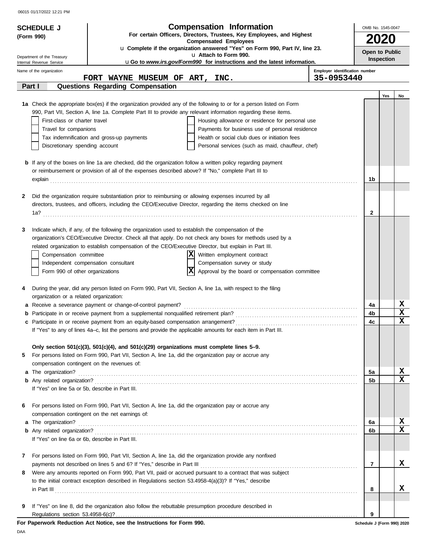06015 01/17/2022 12:21 PM

| <b>SCHEDULE J</b>                       |                                                                                                                                                                                                                     | <b>Compensation Information</b>                                                                                                                                                                                                | OMB No. 1545-0047                            |             |             |
|-----------------------------------------|---------------------------------------------------------------------------------------------------------------------------------------------------------------------------------------------------------------------|--------------------------------------------------------------------------------------------------------------------------------------------------------------------------------------------------------------------------------|----------------------------------------------|-------------|-------------|
| (Form 990)                              |                                                                                                                                                                                                                     | For certain Officers, Directors, Trustees, Key Employees, and Highest                                                                                                                                                          |                                              |             |             |
|                                         |                                                                                                                                                                                                                     | <b>Compensated Employees</b><br>u Complete if the organization answered "Yes" on Form 990, Part IV, line 23.                                                                                                                   |                                              | <b>2020</b> |             |
| Department of the Treasury              |                                                                                                                                                                                                                     | u Attach to Form 990.                                                                                                                                                                                                          | Open to Public                               |             |             |
| Internal Revenue Service                |                                                                                                                                                                                                                     | uGo to www.irs.gov/Form990 for instructions and the latest information.                                                                                                                                                        |                                              | Inspection  |             |
| Name of the organization                |                                                                                                                                                                                                                     |                                                                                                                                                                                                                                | Employer identification number<br>35-0953440 |             |             |
| Part I                                  | FORT WAYNE MUSEUM OF ART, INC.<br><b>Questions Regarding Compensation</b>                                                                                                                                           |                                                                                                                                                                                                                                |                                              |             |             |
|                                         |                                                                                                                                                                                                                     |                                                                                                                                                                                                                                |                                              | Yes         | No          |
|                                         |                                                                                                                                                                                                                     | 1a Check the appropriate box(es) if the organization provided any of the following to or for a person listed on Form                                                                                                           |                                              |             |             |
|                                         | 990, Part VII, Section A, line 1a. Complete Part III to provide any relevant information regarding these items.                                                                                                     |                                                                                                                                                                                                                                |                                              |             |             |
| First-class or charter travel           |                                                                                                                                                                                                                     | Housing allowance or residence for personal use                                                                                                                                                                                |                                              |             |             |
| Travel for companions                   |                                                                                                                                                                                                                     | Payments for business use of personal residence                                                                                                                                                                                |                                              |             |             |
|                                         | Tax indemnification and gross-up payments                                                                                                                                                                           | Health or social club dues or initiation fees                                                                                                                                                                                  |                                              |             |             |
| Discretionary spending account          |                                                                                                                                                                                                                     | Personal services (such as maid, chauffeur, chef)                                                                                                                                                                              |                                              |             |             |
|                                         | <b>b</b> If any of the boxes on line 1a are checked, did the organization follow a written policy regarding payment                                                                                                 |                                                                                                                                                                                                                                |                                              |             |             |
|                                         | or reimbursement or provision of all of the expenses described above? If "No," complete Part III to                                                                                                                 |                                                                                                                                                                                                                                |                                              |             |             |
|                                         |                                                                                                                                                                                                                     | explain continuous contract to the contract of the contract of the contract of the contract of the contract of the contract of the contract of the contract of the contract of the contract of the contract of the contract of | 1b                                           |             |             |
|                                         |                                                                                                                                                                                                                     |                                                                                                                                                                                                                                |                                              |             |             |
| 2                                       | Did the organization require substantiation prior to reimbursing or allowing expenses incurred by all                                                                                                               |                                                                                                                                                                                                                                |                                              |             |             |
|                                         | directors, trustees, and officers, including the CEO/Executive Director, regarding the items checked on line                                                                                                        |                                                                                                                                                                                                                                |                                              |             |             |
|                                         |                                                                                                                                                                                                                     |                                                                                                                                                                                                                                | 2                                            |             |             |
|                                         |                                                                                                                                                                                                                     |                                                                                                                                                                                                                                |                                              |             |             |
| 3                                       | Indicate which, if any, of the following the organization used to establish the compensation of the                                                                                                                 |                                                                                                                                                                                                                                |                                              |             |             |
|                                         | organization's CEO/Executive Director. Check all that apply. Do not check any boxes for methods used by a<br>related organization to establish compensation of the CEO/Executive Director, but explain in Part III. |                                                                                                                                                                                                                                |                                              |             |             |
| Compensation committee                  |                                                                                                                                                                                                                     | ΧI<br>Written employment contract                                                                                                                                                                                              |                                              |             |             |
|                                         | Independent compensation consultant                                                                                                                                                                                 | Compensation survey or study                                                                                                                                                                                                   |                                              |             |             |
| Form 990 of other organizations         |                                                                                                                                                                                                                     | x<br>Approval by the board or compensation committee                                                                                                                                                                           |                                              |             |             |
|                                         |                                                                                                                                                                                                                     |                                                                                                                                                                                                                                |                                              |             |             |
| 4                                       | During the year, did any person listed on Form 990, Part VII, Section A, line 1a, with respect to the filing                                                                                                        |                                                                                                                                                                                                                                |                                              |             |             |
| organization or a related organization: |                                                                                                                                                                                                                     |                                                                                                                                                                                                                                |                                              |             |             |
|                                         | a Receive a severance payment or change-of-control payment?                                                                                                                                                         |                                                                                                                                                                                                                                | 4a                                           |             | X           |
|                                         |                                                                                                                                                                                                                     |                                                                                                                                                                                                                                | 4b                                           |             | $\mathbf x$ |
|                                         |                                                                                                                                                                                                                     |                                                                                                                                                                                                                                | 4c                                           |             | x           |
|                                         | If "Yes" to any of lines 4a-c, list the persons and provide the applicable amounts for each item in Part III.                                                                                                       |                                                                                                                                                                                                                                |                                              |             |             |
|                                         | Only section 501(c)(3), 501(c)(4), and 501(c)(29) organizations must complete lines 5-9.                                                                                                                            |                                                                                                                                                                                                                                |                                              |             |             |
| 5                                       | For persons listed on Form 990, Part VII, Section A, line 1a, did the organization pay or accrue any                                                                                                                |                                                                                                                                                                                                                                |                                              |             |             |
|                                         | compensation contingent on the revenues of:                                                                                                                                                                         |                                                                                                                                                                                                                                |                                              |             |             |
|                                         |                                                                                                                                                                                                                     |                                                                                                                                                                                                                                | 5a                                           |             | x           |
|                                         |                                                                                                                                                                                                                     |                                                                                                                                                                                                                                | 5b                                           |             | X           |
|                                         | If "Yes" on line 5a or 5b, describe in Part III.                                                                                                                                                                    |                                                                                                                                                                                                                                |                                              |             |             |
|                                         |                                                                                                                                                                                                                     |                                                                                                                                                                                                                                |                                              |             |             |
| 6                                       | For persons listed on Form 990, Part VII, Section A, line 1a, did the organization pay or accrue any<br>compensation contingent on the net earnings of:                                                             |                                                                                                                                                                                                                                |                                              |             |             |
| a The organization?                     |                                                                                                                                                                                                                     |                                                                                                                                                                                                                                | 6a                                           |             | X           |
|                                         |                                                                                                                                                                                                                     |                                                                                                                                                                                                                                | 6b                                           |             | x           |
|                                         | If "Yes" on line 6a or 6b, describe in Part III.                                                                                                                                                                    |                                                                                                                                                                                                                                |                                              |             |             |
|                                         |                                                                                                                                                                                                                     |                                                                                                                                                                                                                                |                                              |             |             |
| 7                                       | For persons listed on Form 990, Part VII, Section A, line 1a, did the organization provide any nonfixed                                                                                                             |                                                                                                                                                                                                                                |                                              |             |             |
|                                         |                                                                                                                                                                                                                     |                                                                                                                                                                                                                                | $\overline{7}$                               |             | x           |
| 8                                       | Were any amounts reported on Form 990, Part VII, paid or accrued pursuant to a contract that was subject                                                                                                            |                                                                                                                                                                                                                                |                                              |             |             |
|                                         | to the initial contract exception described in Regulations section 53.4958-4(a)(3)? If "Yes," describe                                                                                                              |                                                                                                                                                                                                                                |                                              |             |             |
|                                         |                                                                                                                                                                                                                     |                                                                                                                                                                                                                                | 8                                            |             | X.          |
| 9                                       | If "Yes" on line 8, did the organization also follow the rebuttable presumption procedure described in                                                                                                              |                                                                                                                                                                                                                                |                                              |             |             |
| Regulations section 53.4958-6(c)?       |                                                                                                                                                                                                                     |                                                                                                                                                                                                                                | 9                                            |             |             |
|                                         | For Paperwork Reduction Act Notice, see the Instructions for Form 990.                                                                                                                                              |                                                                                                                                                                                                                                | Schedule J (Form 990) 2020                   |             |             |

DAA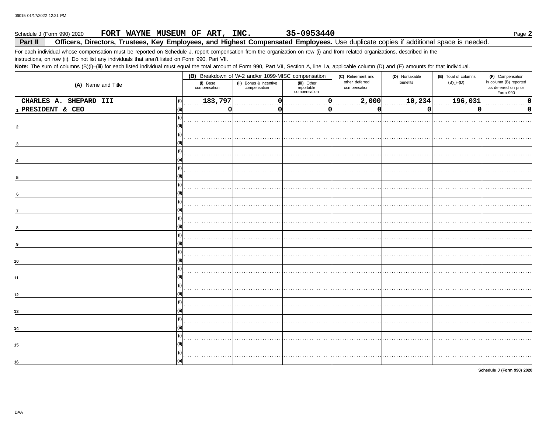#### 35-0953440 Schedule J (Form 990) 2020 FORT WAYNE MUSEUM OF ART, INC. Page 2

#### Part II Officers, Directors, Trustees, Key Employees, and Highest Compensated Employees. Use duplicate copies if additional space is needed.

For each individual whose compensation must be reported on Schedule J, report compensation from the organization on row (i) and from related organizations, described in the instructions, on row (ii). Do not list any individuals that aren't listed on Form 990, Part VII.

Note: The sum of columns (B)(i)-(iii) for each listed individual must equal the total amount of Form 990, Part VII, Section A, line 1a, applicable column (D) and (E) amounts for that individual.

|                               |                          | (B) Breakdown of W-2 and/or 1099-MISC compensation |                                           | (C) Retirement and             | (D) Nontaxable | (E) Total of columns | (F) Compensation                                           |  |
|-------------------------------|--------------------------|----------------------------------------------------|-------------------------------------------|--------------------------------|----------------|----------------------|------------------------------------------------------------|--|
| (A) Name and Title            | (i) Base<br>compensation | (ii) Bonus & incentive<br>compensation             | (iii) Other<br>reportable<br>compensation | other deferred<br>compensation | benefits       | $(B)(i)$ - $(D)$     | in column (B) reported<br>as deferred on prior<br>Form 990 |  |
| CHARLES A. SHEPARD III<br>(i) | 183,797                  |                                                    |                                           | 2,000                          | 10,234         | 196,031              | 0                                                          |  |
| 1 PRESIDENT & CEO<br>(iii)    | 0                        |                                                    |                                           | 0                              | <sup>0</sup>   |                      | 0                                                          |  |
| (i)                           |                          |                                                    |                                           |                                |                |                      |                                                            |  |
| (iii)                         |                          |                                                    |                                           |                                |                |                      |                                                            |  |
| (i)                           |                          |                                                    |                                           |                                |                |                      |                                                            |  |
| l (ii)                        |                          |                                                    |                                           |                                |                |                      |                                                            |  |
| (i)                           |                          |                                                    |                                           |                                |                |                      |                                                            |  |
|                               |                          |                                                    |                                           |                                |                |                      |                                                            |  |
| (i)                           |                          |                                                    |                                           |                                |                |                      |                                                            |  |
|                               |                          |                                                    |                                           |                                |                |                      |                                                            |  |
| (i)                           |                          |                                                    |                                           |                                |                |                      |                                                            |  |
| 6                             |                          |                                                    |                                           |                                |                |                      |                                                            |  |
| (i)                           |                          |                                                    |                                           |                                |                |                      |                                                            |  |
| $\overline{7}$                |                          |                                                    |                                           |                                |                |                      |                                                            |  |
| (i)                           |                          |                                                    |                                           |                                |                |                      |                                                            |  |
|                               |                          |                                                    |                                           |                                |                |                      |                                                            |  |
| (i)                           |                          |                                                    |                                           |                                |                |                      |                                                            |  |
| l (ii)                        |                          |                                                    |                                           |                                |                |                      |                                                            |  |
| (i)                           |                          |                                                    |                                           |                                |                |                      |                                                            |  |
| (ii)<br>10                    |                          |                                                    |                                           |                                |                |                      |                                                            |  |
| (i)                           |                          |                                                    |                                           |                                |                |                      |                                                            |  |
| l (ii)<br>11                  |                          |                                                    |                                           |                                |                |                      |                                                            |  |
| (i)                           |                          |                                                    |                                           |                                |                |                      |                                                            |  |
| 12                            |                          |                                                    |                                           |                                |                |                      |                                                            |  |
| (i)                           |                          |                                                    |                                           |                                |                |                      |                                                            |  |
| (ii)<br>13                    |                          |                                                    |                                           |                                |                |                      |                                                            |  |
| (i)                           |                          |                                                    |                                           |                                |                |                      |                                                            |  |
|                               |                          |                                                    |                                           |                                |                |                      |                                                            |  |
| (i)                           |                          |                                                    |                                           |                                |                |                      |                                                            |  |
| (iii)<br>15                   |                          |                                                    |                                           |                                |                |                      |                                                            |  |
| (i)                           |                          |                                                    |                                           |                                |                |                      |                                                            |  |
| (ii)<br>16                    |                          |                                                    |                                           |                                |                |                      |                                                            |  |

Schedule J (Form 990) 2020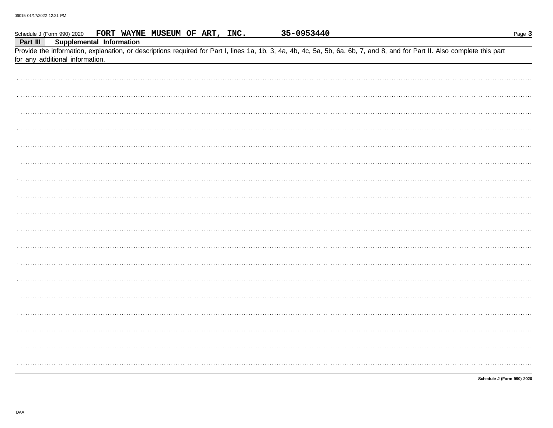|          | Schedule J (Form 990) 2020      | FORT WAYNE MUSEUM OF ART, INC.                                                                                                                                             |  | 35-0953440 |  | Page 3                     |
|----------|---------------------------------|----------------------------------------------------------------------------------------------------------------------------------------------------------------------------|--|------------|--|----------------------------|
| Part III |                                 | Supplemental Information                                                                                                                                                   |  |            |  |                            |
|          |                                 | Provide the information, explanation, or descriptions required for Part I, lines 1a, 1b, 3, 4a, 4b, 4c, 5a, 5b, 6a, 6b, 7, and 8, and for Part II. Also complete this part |  |            |  |                            |
|          | for any additional information. |                                                                                                                                                                            |  |            |  |                            |
|          |                                 |                                                                                                                                                                            |  |            |  |                            |
|          |                                 |                                                                                                                                                                            |  |            |  |                            |
|          |                                 |                                                                                                                                                                            |  |            |  |                            |
|          |                                 |                                                                                                                                                                            |  |            |  |                            |
|          |                                 |                                                                                                                                                                            |  |            |  |                            |
|          |                                 |                                                                                                                                                                            |  |            |  |                            |
|          |                                 |                                                                                                                                                                            |  |            |  |                            |
|          |                                 |                                                                                                                                                                            |  |            |  |                            |
|          |                                 |                                                                                                                                                                            |  |            |  |                            |
|          |                                 |                                                                                                                                                                            |  |            |  |                            |
|          |                                 |                                                                                                                                                                            |  |            |  |                            |
|          |                                 |                                                                                                                                                                            |  |            |  |                            |
|          |                                 |                                                                                                                                                                            |  |            |  |                            |
|          |                                 |                                                                                                                                                                            |  |            |  |                            |
|          |                                 |                                                                                                                                                                            |  |            |  |                            |
|          |                                 |                                                                                                                                                                            |  |            |  |                            |
|          |                                 |                                                                                                                                                                            |  |            |  |                            |
|          |                                 |                                                                                                                                                                            |  |            |  |                            |
|          |                                 |                                                                                                                                                                            |  |            |  |                            |
|          |                                 |                                                                                                                                                                            |  |            |  |                            |
|          |                                 |                                                                                                                                                                            |  |            |  |                            |
|          |                                 |                                                                                                                                                                            |  |            |  |                            |
|          |                                 |                                                                                                                                                                            |  |            |  |                            |
|          |                                 |                                                                                                                                                                            |  |            |  |                            |
|          |                                 |                                                                                                                                                                            |  |            |  |                            |
|          |                                 |                                                                                                                                                                            |  |            |  |                            |
|          |                                 |                                                                                                                                                                            |  |            |  |                            |
|          |                                 |                                                                                                                                                                            |  |            |  |                            |
|          |                                 |                                                                                                                                                                            |  |            |  |                            |
|          |                                 |                                                                                                                                                                            |  |            |  |                            |
|          |                                 |                                                                                                                                                                            |  |            |  |                            |
|          |                                 |                                                                                                                                                                            |  |            |  |                            |
|          |                                 |                                                                                                                                                                            |  |            |  |                            |
|          |                                 |                                                                                                                                                                            |  |            |  |                            |
|          |                                 |                                                                                                                                                                            |  |            |  |                            |
|          |                                 |                                                                                                                                                                            |  |            |  |                            |
|          |                                 |                                                                                                                                                                            |  |            |  |                            |
|          |                                 |                                                                                                                                                                            |  |            |  |                            |
|          |                                 |                                                                                                                                                                            |  |            |  |                            |
|          |                                 |                                                                                                                                                                            |  |            |  | Schedule J (Form 990) 2020 |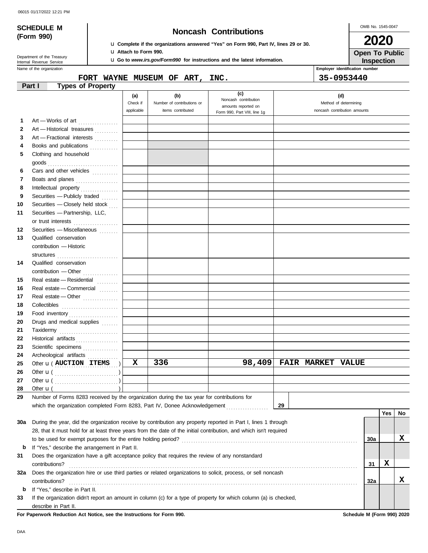|  | 06015 01/17/2022 12:21 PM |  |  |
|--|---------------------------|--|--|
|--|---------------------------|--|--|

# **SCHEDULE M Noncash Contributions**

OMB No. 1545-0047 **2020**

| (Form 990) |  |
|------------|--|

### u **Complete if the organizations answered "Yes" on Form 990, Part IV, lines 29 or 30.** u **Attach to Form 990.**

u **Go to** *www.irs.gov/Form990* **for instructions and the latest information.**

**Inspection Open To Public**

Name of the organization **Employer identification number Employer identification number** Department of the Treasury<br>Internal Revenue Service

# **FORT WAYNE MUSEUM OF ART, INC. 35-0953440**

|     | <b>Types of Property</b><br>Part I                                                                                 |            |                            |                                             |    |                              |     |     |     |
|-----|--------------------------------------------------------------------------------------------------------------------|------------|----------------------------|---------------------------------------------|----|------------------------------|-----|-----|-----|
|     |                                                                                                                    | (a)        | (b)                        | (c)                                         |    | (d)                          |     |     |     |
|     |                                                                                                                    | Check if   | Number of contributions or | Noncash contribution<br>amounts reported on |    | Method of determining        |     |     |     |
|     |                                                                                                                    | applicable | items contributed          | Form 990, Part VIII, line 1g                |    | noncash contribution amounts |     |     |     |
| 1   | Art — Works of art                                                                                                 |            |                            |                                             |    |                              |     |     |     |
| 2   | Art - Historical treasures                                                                                         |            |                            |                                             |    |                              |     |     |     |
| 3   | Art - Fractional interests                                                                                         |            |                            |                                             |    |                              |     |     |     |
| 4   | Books and publications                                                                                             |            |                            |                                             |    |                              |     |     |     |
| 5   | Clothing and household                                                                                             |            |                            |                                             |    |                              |     |     |     |
|     |                                                                                                                    |            |                            |                                             |    |                              |     |     |     |
| 6   | Cars and other vehicles                                                                                            |            |                            |                                             |    |                              |     |     |     |
| 7   | Boats and planes                                                                                                   |            |                            |                                             |    |                              |     |     |     |
| 8   | Intellectual property                                                                                              |            |                            |                                             |    |                              |     |     |     |
| 9   | Securities - Publicly traded                                                                                       |            |                            |                                             |    |                              |     |     |     |
| 10  | Securities - Closely held stock                                                                                    |            |                            |                                             |    |                              |     |     |     |
| 11  | Securities - Partnership, LLC,                                                                                     |            |                            |                                             |    |                              |     |     |     |
|     | or trust interests                                                                                                 |            |                            |                                             |    |                              |     |     |     |
| 12  | Securities - Miscellaneous                                                                                         |            |                            |                                             |    |                              |     |     |     |
| 13  | Qualified conservation                                                                                             |            |                            |                                             |    |                              |     |     |     |
|     | contribution - Historic                                                                                            |            |                            |                                             |    |                              |     |     |     |
|     | structures                                                                                                         |            |                            |                                             |    |                              |     |     |     |
| 14  | Qualified conservation                                                                                             |            |                            |                                             |    |                              |     |     |     |
|     | $contribution$ -Other $\ldots$                                                                                     |            |                            |                                             |    |                              |     |     |     |
| 15  | Real estate - Residential                                                                                          |            |                            |                                             |    |                              |     |     |     |
| 16  | Real estate - Commercial                                                                                           |            |                            |                                             |    |                              |     |     |     |
| 17  | Real estate - Other                                                                                                |            |                            |                                             |    |                              |     |     |     |
| 18  | Collectibles <b>Collectibles</b>                                                                                   |            |                            |                                             |    |                              |     |     |     |
| 19  | Food inventory                                                                                                     |            |                            |                                             |    |                              |     |     |     |
| 20  | Drugs and medical supplies                                                                                         |            |                            |                                             |    |                              |     |     |     |
| 21  | Taxidermy                                                                                                          |            |                            |                                             |    |                              |     |     |     |
| 22  | Historical artifacts                                                                                               |            |                            |                                             |    |                              |     |     |     |
| 23  | Scientific specimens                                                                                               |            |                            |                                             |    |                              |     |     |     |
| 24  | Archeological artifacts                                                                                            |            |                            |                                             |    |                              |     |     |     |
| 25  | Other <b>u</b> ( <b>AUCTION ITEMS</b>                                                                              | X          | 336                        | 98,409                                      |    | <b>FAIR MARKET VALUE</b>     |     |     |     |
| 26  |                                                                                                                    |            |                            |                                             |    |                              |     |     |     |
| 27  |                                                                                                                    |            |                            |                                             |    |                              |     |     |     |
| 28  | Other $\mathbf{u}$ (                                                                                               |            |                            |                                             |    |                              |     |     |     |
| 29  | Number of Forms 8283 received by the organization during the tax year for contributions for                        |            |                            |                                             |    |                              |     |     |     |
|     | which the organization completed Form 8283, Part IV, Donee Acknowledgement                                         |            |                            |                                             | 29 |                              |     |     |     |
|     |                                                                                                                    |            |                            |                                             |    |                              |     | Yes | No. |
| 30a | During the year, did the organization receive by contribution any property reported in Part I, lines 1 through     |            |                            |                                             |    |                              |     |     |     |
|     | 28, that it must hold for at least three years from the date of the initial contribution, and which isn't required |            |                            |                                             |    |                              |     |     |     |
|     |                                                                                                                    |            |                            |                                             |    |                              | 30a |     | x   |
| b   | If "Yes," describe the arrangement in Part II.                                                                     |            |                            |                                             |    |                              |     |     |     |
| 31  | Does the organization have a gift acceptance policy that requires the review of any nonstandard                    |            |                            |                                             |    |                              |     |     |     |
|     | contributions?                                                                                                     |            |                            |                                             |    |                              | 31  | X   |     |
| 32a | Does the organization hire or use third parties or related organizations to solicit, process, or sell noncash      |            |                            |                                             |    |                              |     |     |     |
|     | contributions?                                                                                                     |            |                            |                                             |    |                              | 32a |     | X   |
| b   | If "Yes," describe in Part II.                                                                                     |            |                            |                                             |    |                              |     |     |     |
| 33  | If the organization didn't report an amount in column (c) for a type of property for which column (a) is checked,  |            |                            |                                             |    |                              |     |     |     |
|     | describe in Part II.                                                                                               |            |                            |                                             |    |                              |     |     |     |

**For Paperwork Reduction Act Notice, see the Instructions for Form 990. Schedule M (Form 990) 2020**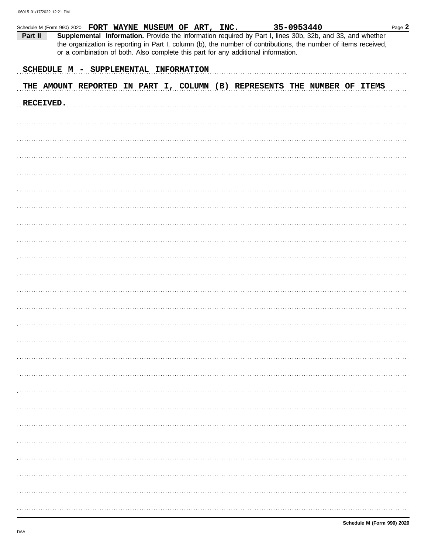| Schedule M (Form 990) 2020 FORT WAYNE MUSEUM OF ART, INC. |  |  |  |  |                                                                                   | 35-0953440 |                                                                                                                                                                                                                              |  | Page 2 |
|-----------------------------------------------------------|--|--|--|--|-----------------------------------------------------------------------------------|------------|------------------------------------------------------------------------------------------------------------------------------------------------------------------------------------------------------------------------------|--|--------|
| Part II                                                   |  |  |  |  | or a combination of both. Also complete this part for any additional information. |            | Supplemental Information. Provide the information required by Part I, lines 30b, 32b, and 33, and whether<br>the organization is reporting in Part I, column (b), the number of contributions, the number of items received, |  |        |
|                                                           |  |  |  |  |                                                                                   |            |                                                                                                                                                                                                                              |  |        |
| SCHEDULE M - SUPPLEMENTAL INFORMATION                     |  |  |  |  |                                                                                   |            |                                                                                                                                                                                                                              |  |        |
|                                                           |  |  |  |  |                                                                                   |            | THE AMOUNT REPORTED IN PART I, COLUMN (B) REPRESENTS THE NUMBER OF ITEMS                                                                                                                                                     |  |        |
| RECEIVED.                                                 |  |  |  |  |                                                                                   |            |                                                                                                                                                                                                                              |  |        |
|                                                           |  |  |  |  |                                                                                   |            |                                                                                                                                                                                                                              |  |        |
|                                                           |  |  |  |  |                                                                                   |            |                                                                                                                                                                                                                              |  |        |
|                                                           |  |  |  |  |                                                                                   |            |                                                                                                                                                                                                                              |  |        |
|                                                           |  |  |  |  |                                                                                   |            |                                                                                                                                                                                                                              |  |        |
|                                                           |  |  |  |  |                                                                                   |            |                                                                                                                                                                                                                              |  |        |
|                                                           |  |  |  |  |                                                                                   |            |                                                                                                                                                                                                                              |  |        |
|                                                           |  |  |  |  |                                                                                   |            |                                                                                                                                                                                                                              |  |        |
|                                                           |  |  |  |  |                                                                                   |            |                                                                                                                                                                                                                              |  |        |
|                                                           |  |  |  |  |                                                                                   |            |                                                                                                                                                                                                                              |  |        |
|                                                           |  |  |  |  |                                                                                   |            |                                                                                                                                                                                                                              |  |        |
|                                                           |  |  |  |  |                                                                                   |            |                                                                                                                                                                                                                              |  |        |
|                                                           |  |  |  |  |                                                                                   |            |                                                                                                                                                                                                                              |  |        |
|                                                           |  |  |  |  |                                                                                   |            |                                                                                                                                                                                                                              |  |        |
|                                                           |  |  |  |  |                                                                                   |            |                                                                                                                                                                                                                              |  |        |
|                                                           |  |  |  |  |                                                                                   |            |                                                                                                                                                                                                                              |  |        |
|                                                           |  |  |  |  |                                                                                   |            |                                                                                                                                                                                                                              |  |        |
|                                                           |  |  |  |  |                                                                                   |            |                                                                                                                                                                                                                              |  |        |
|                                                           |  |  |  |  |                                                                                   |            |                                                                                                                                                                                                                              |  |        |
|                                                           |  |  |  |  |                                                                                   |            |                                                                                                                                                                                                                              |  |        |
|                                                           |  |  |  |  |                                                                                   |            |                                                                                                                                                                                                                              |  |        |
|                                                           |  |  |  |  |                                                                                   |            |                                                                                                                                                                                                                              |  |        |
|                                                           |  |  |  |  |                                                                                   |            |                                                                                                                                                                                                                              |  |        |
|                                                           |  |  |  |  |                                                                                   |            |                                                                                                                                                                                                                              |  |        |
|                                                           |  |  |  |  |                                                                                   |            |                                                                                                                                                                                                                              |  |        |
|                                                           |  |  |  |  |                                                                                   |            |                                                                                                                                                                                                                              |  |        |
|                                                           |  |  |  |  |                                                                                   |            |                                                                                                                                                                                                                              |  |        |
|                                                           |  |  |  |  |                                                                                   |            |                                                                                                                                                                                                                              |  |        |
|                                                           |  |  |  |  |                                                                                   |            |                                                                                                                                                                                                                              |  |        |
|                                                           |  |  |  |  |                                                                                   |            |                                                                                                                                                                                                                              |  |        |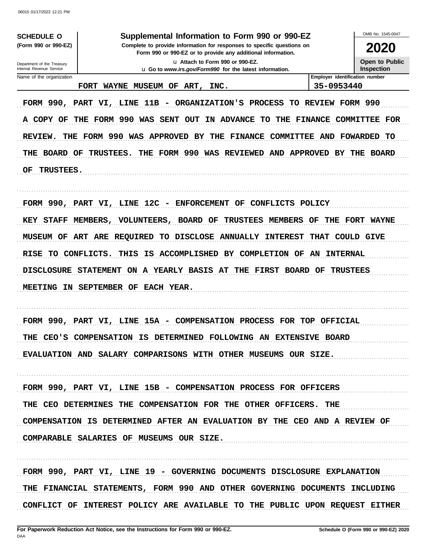06015 01/17/2022 12:21 PM

**SCHEDULE O** (Form 990 or 990-EZ)

## Supplemental Information to Form 990 or 990-EZ

Complete to provide information for responses to specific questions on Form 990 or 990-EZ or to provide any additional information. u Attach to Form 990 or 990-EZ.

u Go to www.irs.gov/Form990 for the latest information.

2020

**Open to Public** Inspection

OMB No. 1545-0047

Department of the Treasury Internal Revenue Service Name of the organization

FORT WAYNE MUSEUM OF ART, INC.

Employer identification number 35-0953440

FORM 990, PART VI, LINE 11B - ORGANIZATION'S PROCESS TO REVIEW FORM 990 A COPY OF THE FORM 990 WAS SENT OUT IN ADVANCE TO THE FINANCE COMMITTEE FOR REVIEW. THE FORM 990 WAS APPROVED BY THE FINANCE COMMITTEE AND FOWARDED TO THE BOARD OF TRUSTEES. THE FORM 990 WAS REVIEWED AND APPROVED BY THE BOARD **TRUSTEES.** OF

FORM 990, PART VI, LINE 12C - ENFORCEMENT OF CONFLICTS POLICY KEY STAFF MEMBERS, VOLUNTEERS, BOARD OF TRUSTEES MEMBERS OF THE FORT WAYNE MUSEUM OF ART ARE REQUIRED TO DISCLOSE ANNUALLY INTEREST THAT COULD GIVE RISE TO CONFLICTS. THIS IS ACCOMPLISHED BY COMPLETION OF AN INTERNAL DISCLOSURE STATEMENT ON A YEARLY BASIS AT THE FIRST BOARD OF TRUSTEES MEETING IN SEPTEMBER OF EACH YEAR.

FORM 990, PART VI, LINE 15A - COMPENSATION PROCESS FOR TOP OFFICIAL THE CEO'S COMPENSATION IS DETERMINED FOLLOWING AN EXTENSIVE BOARD EVALUATION AND SALARY COMPARISONS WITH OTHER MUSEUMS OUR SIZE.

FORM 990, PART VI, LINE 15B - COMPENSATION PROCESS FOR OFFICERS THE CEO DETERMINES THE COMPENSATION FOR THE OTHER OFFICERS. THE COMPENSATION IS DETERMINED AFTER AN EVALUATION BY THE CEO AND A REVIEW OF COMPARABLE SALARIES OF MUSEUMS OUR SIZE.

FORM 990, PART VI, LINE 19 - GOVERNING DOCUMENTS DISCLOSURE EXPLANATION THE FINANCIAL STATEMENTS, FORM 990 AND OTHER GOVERNING DOCUMENTS INCLUDING CONFLICT OF INTEREST POLICY ARE AVAILABLE TO THE PUBLIC UPON REQUEST EITHER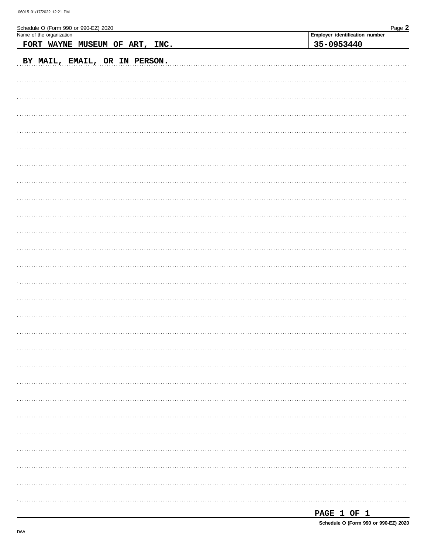| Schedule O (Form 990 or 990-EZ) 2020<br>Name of the organization | Page 2                         |
|------------------------------------------------------------------|--------------------------------|
|                                                                  | Employer identification number |
| FORT WAYNE MUSEUM OF ART, INC.                                   | 35-0953440                     |
| BY MAIL, EMAIL, OR IN PERSON.                                    |                                |
|                                                                  |                                |
|                                                                  |                                |
|                                                                  |                                |
|                                                                  |                                |
|                                                                  |                                |
|                                                                  |                                |
|                                                                  |                                |
|                                                                  |                                |
|                                                                  |                                |
|                                                                  |                                |
|                                                                  |                                |
|                                                                  |                                |
|                                                                  |                                |
|                                                                  |                                |
|                                                                  |                                |
|                                                                  |                                |
|                                                                  |                                |
|                                                                  |                                |
|                                                                  |                                |
|                                                                  |                                |
|                                                                  |                                |
|                                                                  |                                |
|                                                                  |                                |
|                                                                  |                                |

| PAGE |  |  |  |
|------|--|--|--|
|------|--|--|--|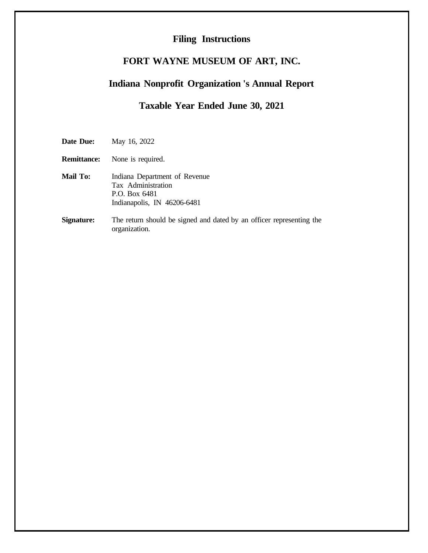# **Filing Instructions**

# **FORT WAYNE MUSEUM OF ART, INC.**

# **Indiana Nonprofit Organization 's Annual Report**

# **Taxable Year Ended June 30, 2021**

**Date Due:** May 16, 2022

- **Remittance:** None is required.
- **Mail To:** Indiana Department of Revenue Tax Administration P.O. Box 6481 Indianapolis, IN 46206-6481
- **Signature:** The return should be signed and dated by an officer representing the organization.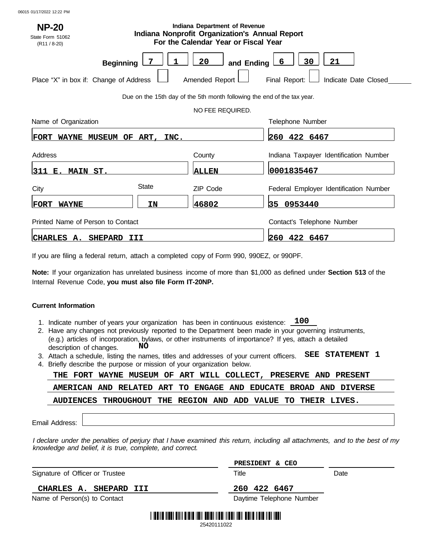| Indiana Department of Revenue<br><b>NP-20</b><br><b>Indiana Nonprofit Organization's Annual Report</b><br>State Form 51062<br>For the Calendar Year or Fiscal Year<br>$(R11 / 8-20)$ |       |                      |                                                                      |  |  |  |  |  |  |  |
|--------------------------------------------------------------------------------------------------------------------------------------------------------------------------------------|-------|----------------------|----------------------------------------------------------------------|--|--|--|--|--|--|--|
| <b>Beginning</b><br>Place "X" in box if: Change of Address                                                                                                                           |       | 20<br>Amended Report | 30<br>21<br>6<br>and Ending<br>Final Report:<br>Indicate Date Closed |  |  |  |  |  |  |  |
| Due on the 15th day of the 5th month following the end of the tax year.                                                                                                              |       |                      |                                                                      |  |  |  |  |  |  |  |
|                                                                                                                                                                                      |       | NO FEE REQUIRED.     |                                                                      |  |  |  |  |  |  |  |
| Name of Organization                                                                                                                                                                 |       |                      | Telephone Number                                                     |  |  |  |  |  |  |  |
| WAYNE MUSEUM OF ART, INC.<br>FORT                                                                                                                                                    |       |                      | 260 422 6467                                                         |  |  |  |  |  |  |  |
| Address                                                                                                                                                                              |       | County               | Indiana Taxpayer Identification Number                               |  |  |  |  |  |  |  |
| 311 <br>MAIN ST.<br>Е.                                                                                                                                                               |       | <b>ALLEN</b>         | 0001835467                                                           |  |  |  |  |  |  |  |
| City                                                                                                                                                                                 | State | ZIP Code             | Federal Employer Identification Number                               |  |  |  |  |  |  |  |
| <b>WAYNE</b><br>FORT                                                                                                                                                                 | IΝ    | 46802                | 35 0953440                                                           |  |  |  |  |  |  |  |
| Printed Name of Person to Contact                                                                                                                                                    |       |                      | Contact's Telephone Number                                           |  |  |  |  |  |  |  |
| CHARLES A. SHEPARD III                                                                                                                                                               |       |                      | 260 422 6467                                                         |  |  |  |  |  |  |  |

If you are filing a federal return, attach a completed copy of Form 990, 990EZ, or 990PF.

**Note:** If your organization has unrelated business income of more than \$1,000 as defined under **Section 513** of the Internal Revenue Code, **you must also file Form IT-20NP.**

## **Current Information**

- 1. Indicate number of years your organization has been in continuous existence: **100**
- 2. Have any changes not previously reported to the Department been made in your governing instruments, (e.g.) articles of incorporation, bylaws, or other instruments of importance? If yes, attach a detailed description of changes. **NO**
- 3. Attach a schedule, listing the names, titles and addresses of your current officers. **SEE STATEMENT 1**
- 4. Briefly describe the purpose or mission of your organization below.

|                                                                                                                                                                                         |                |                                 |  | THE FORT WAYNE MUSEUM OF ART WILL COLLECT, PRESERVE AND PRESENT |  |    |  |       |                 |  |                                      |  |
|-----------------------------------------------------------------------------------------------------------------------------------------------------------------------------------------|----------------|---------------------------------|--|-----------------------------------------------------------------|--|----|--|-------|-----------------|--|--------------------------------------|--|
|                                                                                                                                                                                         |                | <b>AMERICAN AND</b>             |  | <b>RELATED ART</b>                                              |  | TO |  |       |                 |  | ENGAGE AND EDUCATE BROAD AND DIVERSE |  |
|                                                                                                                                                                                         |                | <b>AUDIENCES</b>                |  | THROUGHOUT THE REGION AND ADD VALUE TO                          |  |    |  |       |                 |  | THEIR LIVES.                         |  |
|                                                                                                                                                                                         | Email Address: |                                 |  |                                                                 |  |    |  |       |                 |  |                                      |  |
| I declare under the penalties of perjury that I have examined this return, including all attachments, and to the best of my<br>knowledge and belief, it is true, complete, and correct. |                |                                 |  |                                                                 |  |    |  |       |                 |  |                                      |  |
|                                                                                                                                                                                         |                |                                 |  |                                                                 |  |    |  |       | PRESIDENT & CEO |  |                                      |  |
|                                                                                                                                                                                         |                | Signature of Officer or Trustee |  |                                                                 |  |    |  | Title |                 |  | Date                                 |  |

# **CHARLES A. SHEPARD III 260 422 6467**

Name of Person(s) to Contact **Daytime Telephone Number** Daytime Telephone Number



25420111022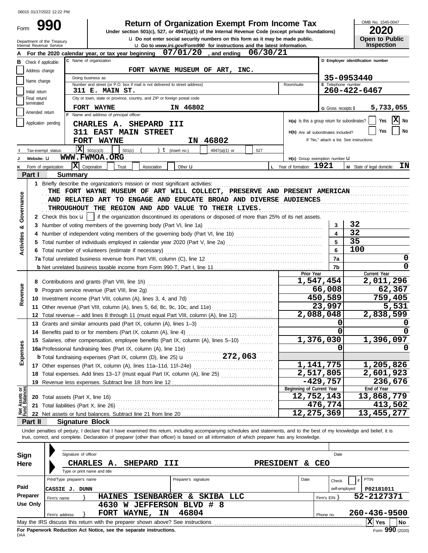#### **17** Other expenses (Part IX, column (A), lines 11a–11d, 11f–24e) .................................. Total expenses. Add lines 13–17 (must equal Part IX, column (A), line 25) . . . . . . . . . . . . . . . . . . . . . . **18** G Gross receipts \$ Check if applicable: **A** For the 2020 calendar year, or tax year beginning  $07/01/20$  , and ending Application pending City or town, state or province, country, and ZIP or foreign postal code Amended return terminated Number and street (or P.O. box if mail is not delivered to street address) Room/suite Initial return Name change Address change C Name of organization **u** Go to *www.irs.gov/Form990* for instructions and the latest information. Department of the Treasury<br>Internal Revenue Service OMB No. 1545-0047 Form **E** Telephone number **B C C D C C D C D C D C D C D C D C D C D C D C D C D C D C D C D Employer identification number** u **Do not enter social security numbers on this form as it may be made public. Open to Public 990 2020**<br>
Under section 501(c), 527, or 4947(a)(1) of the Internal Revenue Code (except private foundations) **2020 Inspection** Doing business as Name and address of principal officer: **H(a)** Is this a group return for subordinates? **H(b)** Are all subordinates included? H(c) Group exemption number **U** If "No," attach a list. See instruction  $Y$ es  $\overline{\mathbf{X}}$  No **Yes I** No **I J K** Tax-exempt status: **Website:** u Form of organization: **t** (insert no.)  $\begin{vmatrix} 1 & 4947(a)(1) & \text{or} & 1 \end{vmatrix}$  527 **X** Corporation Trust Association Other **u L** Year of formation: **1921 M** State of legal domicile: **IN Part I Summary 1** Briefly describe the organization's mission or most significant activities: . . . . . . . . . . . . . . . . . . . . . . . . . . . . . . . . . . . . . . . . . . . . . . . . . . . . . . . . . . . . . . . . . . . . . . . . . . . . . . . . . . . **2** Check this box **u** | if the organization discontinued its operations or disposed of more than 25% of its net assets. **3** Number of voting members of the governing body (Part VI, line 1a) . . . . . . . . . . . . . . . . . . . . . . . . . . . . . . . . . . . . . . . . . . . . . . . . . . **4** Number of independent voting members of the governing body (Part VI, line 1b) . . . . . . . . . . . . . . . . . . . . . . . . . . . . . . . . . . . . . **5** Total number of individuals employed in calendar year 2020 (Part V, line 2a) . . . . . . . . . . . . . . . . . . . . . . . . . . . . . . . . . . . . . . . . . **6** Total number of volunteers (estimate if necessary) . . . . . . . . . . . . . . . . . . . . . . . . . . . . . . . . . . . . . . . . . . . . . . . . . . . . . . . . . . . . . . . . . . . **7a** Total unrelated business revenue from Part VIII, column (C), line 12 . . . . . . . . . . . . . . . . . . . . . . . . . . . . . . . . . . . . . . . . . . . . . . . . . **b** Net unrelated business taxable income from Form 990-T, Part I, line 11 . . . . . . . . . . . . . . . . . . . . . . . . . . . . . . . . . . . . . . . . . . . . . . **7b 7a 6 5 4 3** THE FORT WAYNE MUSEUM OF ART WILL COLLECT, PRESERVE AND PRESENT AMERICAN AND RELATED ART TO ENGAGE AND EDUCATE BROAD AND DIVERSE AUDIENCES THROUGHOUT THE REGION AND ADD VALUE TO THEIR LIVES. THEIR REGION AND ADD VALUE TO THEIR LIVES. **8** Contributions and grants (Part VIII, line 1h) . . . . . . . . . . . . . . . . . . . . . . . . . . . . . . . . . . . . . . . . . . . . . . . . . . . . . . **9** Program service revenue (Part VIII, line 2g) . . . . . . . . . . . . . . . . . . . . . . . . . . . . . . . . . . . . . . . . . . . . . . . . . . . . . **10** Investment income (Part VIII, column (A), lines 3, 4, and 7d) . . . . . . . . . . . . . . . . . . . . . . . . . . . . . . . . . . . . **11** Other revenue (Part VIII, column (A), lines 5, 6d, 8c, 9c, 10c, and 11e) ........................... **12** Total revenue – add lines 8 through 11 (must equal Part VIII, column (A), line 12) .............. **Prior Year Current Year 13** Grants and similar amounts paid (Part IX, column (A), lines 1–3) . . . . . . . . . . . . . . . . . . . . . . . . . . . . . . . **14** Benefits paid to or for members (Part IX, column (A), line 4) . . . . . . . . . . . . . . . . . . . . . . . . . . . . . . . . . . . . . **15** Salaries, other compensation, employee benefits (Part IX, column (A), lines 5–10) ............. **16a** Professional fundraising fees (Part IX, column (A), line 11e) . . . . . . . . . . . . . . . . . . . . . . . . . . . . . . . . . . . . . **b** Total fundraising expenses (Part IX, column (D), line 25) u . . . . . . . . . . . . . . . . . . . . . . . . . . . . . . . . . . . . . **272,063 19** Revenue less expenses. Subtract line 18 from line 12 . . . . . . . . . . . . . . . . . . . . . . . . . . . . . . . . . . . . . . . . . . . **20** Total assets (Part X, line 16) **21** Total liabilities (Part X, line 26) . . . . . . . . . . . . . . . . . . . . . . . . . . . . . . . . . . . . . . . . . . . . . . . . . . . . . . . . . . . . . . . . . . **22** Net assets or fund balances. Subtract line 21 from line 20 . . . . . . . . . . . . . . . . . . . . . . . . . . . . . . . . . . . . . . . **Beginning of Current Year End of Year Part II Signature Block EXERCISE THE ARREST DEVICE CONSULTS AND EXECUTIVE SURFACES.**<br>
TRODUCED THE NEGRON ARD AND VALUE TO THER LIVES.<br>
THE NEGRON CONTINUES AND THE NEGRON ARD VALUE TO THER LIVES.<br>
THE NEGRON CONTINUES AND THE NEGRON CONTINUES  $\overline{\mathbf{X}}$  501(c)(3) Final return/ **07/01/20 06/30/21 FORT WAYNE MUSEUM OF ART, INC. 311 E. MAIN ST. FORT WAYNE IN 46802 35-0953440 260-422-6467 CHARLES A. SHEPARD III 311 EAST MAIN STREET FORT WAYNE IN 46802 5,733,055 WWW.FWMOA.ORG**<br>on: **X** Corporation *Trus* **32 32 35 100 0 0 1,547,454 2,011,296 66,008 62,367 450,589 759,405 23,997 5,531 2,088,048 2,838,599 0 0 0 0 1,376,030 1,396,097 0 0 1,141,775 1,205,826 2,517,805 2,601,923 -429,757 236,676 12,752,143 13,868,779 476,774 413,502 12,275,369 13,455,277** 06015 01/17/2022 12:22 PM

Under penalties of perjury, I declare that I have examined this return, including accompanying schedules and statements, and to the best of my knowledge and belief, it is true, correct, and complete. Declaration of preparer (other than officer) is based on all information of which preparer has any knowledge.

| Sign<br>Here | Signature of officer<br>CHARLES A.<br><b>SHEPARD</b><br><b>III</b><br>Type or print name and title         | <b>PRESIDENT</b>     | <b>CEO</b><br>δc. | Date          |              |  |  |  |  |  |  |
|--------------|------------------------------------------------------------------------------------------------------------|----------------------|-------------------|---------------|--------------|--|--|--|--|--|--|
|              | Print/Type preparer's name                                                                                 | Preparer's signature | Date              | Check         | PTIN         |  |  |  |  |  |  |
| Paid         | CASSIE J. DUNN                                                                                             |                      |                   | self-employed | P02181011    |  |  |  |  |  |  |
| Preparer     | <b>ISENBARGER</b><br><b>HAINES</b><br>Firm's name                                                          | SKIBA LLC<br>&.      |                   | Firm's EIN Y  | 52-2127371   |  |  |  |  |  |  |
| Use Only     | <b>JEFFERSON</b><br>4630<br>W                                                                              | # 8<br>BLVD          |                   |               |              |  |  |  |  |  |  |
|              | ΙN<br>WAYNE,<br><b>FORT</b><br>Firm's address                                                              | 46804                |                   | Phone no.     | 260-436-9500 |  |  |  |  |  |  |
|              | <b>No</b><br>May the IRS discuss this return with the preparer shown above? See instructions<br><b>Yes</b> |                      |                   |               |              |  |  |  |  |  |  |
| DAA          | $990$ (2020)<br>For Paperwork Reduction Act Notice, see the separate instructions.<br>Form                 |                      |                   |               |              |  |  |  |  |  |  |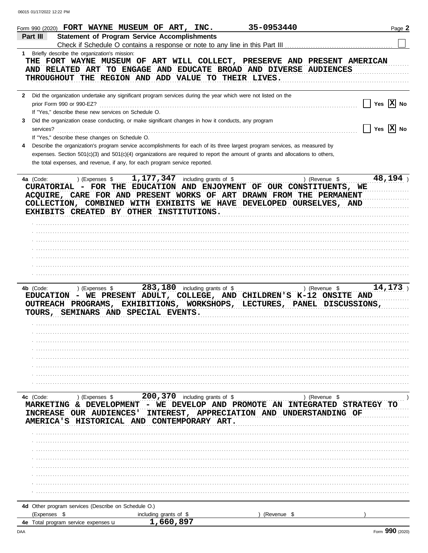| Form 990 (2020) FORT WAYNE MUSEUM OF ART, INC.                                                                                                |                                                                                                                                | 35-0953440  | Page 2                   |
|-----------------------------------------------------------------------------------------------------------------------------------------------|--------------------------------------------------------------------------------------------------------------------------------|-------------|--------------------------|
| Part III                                                                                                                                      | <b>Statement of Program Service Accomplishments</b>                                                                            |             |                          |
|                                                                                                                                               | Check if Schedule O contains a response or note to any line in this Part III                                                   |             |                          |
| 1 Briefly describe the organization's mission:                                                                                                |                                                                                                                                |             |                          |
| THE FORT WAYNE MUSEUM OF ART WILL COLLECT, PRESERVE AND PRESENT AMERICAN<br>AND RELATED ART TO ENGAGE AND EDUCATE BROAD AND DIVERSE AUDIENCES |                                                                                                                                |             |                          |
| THROUGHOUT THE REGION AND ADD VALUE TO THEIR LIVES.                                                                                           |                                                                                                                                |             |                          |
|                                                                                                                                               |                                                                                                                                |             |                          |
| $\mathbf{2}$                                                                                                                                  | Did the organization undertake any significant program services during the year which were not listed on the                   |             |                          |
| prior Form 990 or 990-EZ?                                                                                                                     |                                                                                                                                |             | Yes $ X $ No             |
| If "Yes," describe these new services on Schedule O.                                                                                          |                                                                                                                                |             |                          |
| 3                                                                                                                                             | Did the organization cease conducting, or make significant changes in how it conducts, any program                             |             |                          |
| services?<br>If "Yes," describe these changes on Schedule O.                                                                                  |                                                                                                                                |             | Yes $ \mathbf{X} $ No    |
| 4                                                                                                                                             | Describe the organization's program service accomplishments for each of its three largest program services, as measured by     |             |                          |
|                                                                                                                                               | expenses. Section 501(c)(3) and 501(c)(4) organizations are required to report the amount of grants and allocations to others, |             |                          |
| the total expenses, and revenue, if any, for each program service reported.                                                                   |                                                                                                                                |             |                          |
|                                                                                                                                               |                                                                                                                                |             |                          |
| 4a (Code:                                                                                                                                     | ) (Expenses $$1,177,347$ including grants of \$                                                                                |             | 48,194<br>) (Revenue \$  |
| CURATORIAL - FOR THE EDUCATION AND ENJOYMENT OF OUR CONSTITUENTS, WE                                                                          |                                                                                                                                |             |                          |
| ACQUIRE, CARE FOR AND PRESENT WORKS OF ART DRAWN FROM THE PERMANENT<br>COLLECTION, COMBINED WITH EXHIBITS WE HAVE DEVELOPED OURSELVES, AND    |                                                                                                                                |             |                          |
| EXHIBITS CREATED BY OTHER INSTITUTIONS.                                                                                                       |                                                                                                                                |             |                          |
|                                                                                                                                               |                                                                                                                                |             |                          |
|                                                                                                                                               |                                                                                                                                |             |                          |
|                                                                                                                                               |                                                                                                                                |             |                          |
|                                                                                                                                               |                                                                                                                                |             |                          |
|                                                                                                                                               |                                                                                                                                |             |                          |
|                                                                                                                                               |                                                                                                                                |             |                          |
|                                                                                                                                               |                                                                                                                                |             |                          |
| 4b (Code:<br>) (Expenses \$                                                                                                                   | 283, 180 including grants of \$                                                                                                |             | 14, 173<br>) (Revenue \$ |
| EDUCATION - WE PRESENT ADULT, COLLEGE, AND CHILDREN'S K-12 ONSITE AND                                                                         |                                                                                                                                |             |                          |
| OUTREACH PROGRAMS, EXHIBITIONS, WORKSHOPS, LECTURES, PANEL DISCUSSIONS,                                                                       |                                                                                                                                |             |                          |
| TOURS, SEMINARS AND SPECIAL EVENTS.                                                                                                           |                                                                                                                                |             |                          |
|                                                                                                                                               |                                                                                                                                |             |                          |
|                                                                                                                                               |                                                                                                                                |             |                          |
|                                                                                                                                               |                                                                                                                                |             |                          |
|                                                                                                                                               |                                                                                                                                |             |                          |
|                                                                                                                                               |                                                                                                                                |             |                          |
|                                                                                                                                               |                                                                                                                                |             |                          |
|                                                                                                                                               |                                                                                                                                |             |                          |
| 4c (Code:                                                                                                                                     |                                                                                                                                |             |                          |
| MARKETING & DEVELOPMENT - WE DEVELOP AND PROMOTE AN INTEGRATED STRATEGY                                                                       |                                                                                                                                |             |                          |
| INCREASE OUR AUDIENCES' INTEREST, APPRECIATION AND UNDERSTANDING OF                                                                           |                                                                                                                                |             |                          |
| AMERICA'S HISTORICAL AND CONTEMPORARY ART.                                                                                                    |                                                                                                                                |             |                          |
|                                                                                                                                               |                                                                                                                                |             |                          |
|                                                                                                                                               |                                                                                                                                |             |                          |
|                                                                                                                                               |                                                                                                                                |             |                          |
|                                                                                                                                               |                                                                                                                                |             |                          |
|                                                                                                                                               |                                                                                                                                |             |                          |
|                                                                                                                                               |                                                                                                                                |             |                          |
|                                                                                                                                               |                                                                                                                                |             |                          |
|                                                                                                                                               |                                                                                                                                |             |                          |
| 4d Other program services (Describe on Schedule O.)<br>(Expenses \$                                                                           |                                                                                                                                | (Revenue \$ |                          |
| 4e Total program service expenses u                                                                                                           | including grants of \$<br>1,660,897                                                                                            |             |                          |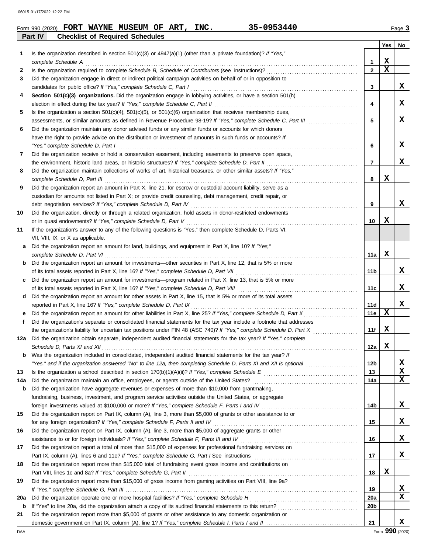|     | FORT WAYNE MUSEUM OF ART, INC.<br>35-0953440<br>Form 990 (2020)                                                                                                                                                                   |                |     | Page 3 |
|-----|-----------------------------------------------------------------------------------------------------------------------------------------------------------------------------------------------------------------------------------|----------------|-----|--------|
|     | <b>Checklist of Required Schedules</b><br>Part IV                                                                                                                                                                                 |                | Yes | No     |
| 1   | Is the organization described in section $501(c)(3)$ or $4947(a)(1)$ (other than a private foundation)? If "Yes,"                                                                                                                 |                |     |        |
|     | complete Schedule A example of the schedule A example of the set of the set of the schedule A example to the schedule A                                                                                                           | $\mathbf{1}$   | X   |        |
| 2   |                                                                                                                                                                                                                                   | $\overline{2}$ | X   |        |
| 3   | Did the organization engage in direct or indirect political campaign activities on behalf of or in opposition to                                                                                                                  |                |     |        |
|     |                                                                                                                                                                                                                                   | 3              |     | X      |
| 4   | Section 501(c)(3) organizations. Did the organization engage in lobbying activities, or have a section 501(h)                                                                                                                     |                |     |        |
|     |                                                                                                                                                                                                                                   | 4              |     | x      |
| 5   | Is the organization a section $501(c)(4)$ , $501(c)(5)$ , or $501(c)(6)$ organization that receives membership dues,                                                                                                              |                |     |        |
|     | assessments, or similar amounts as defined in Revenue Procedure 98-19? If "Yes," complete Schedule C, Part III                                                                                                                    | 5              |     | X      |
| 6   | Did the organization maintain any donor advised funds or any similar funds or accounts for which donors                                                                                                                           |                |     |        |
|     | have the right to provide advice on the distribution or investment of amounts in such funds or accounts? If                                                                                                                       |                |     |        |
|     | "Yes," complete Schedule D, Part I encourance contract the contract of the Schedule D, Part I encourance and the schedule D, Part I encourance and the set of the set of the set of the set of the set of the set of the set o    | 6              |     | x      |
| 7   | Did the organization receive or hold a conservation easement, including easements to preserve open space,                                                                                                                         |                |     |        |
|     |                                                                                                                                                                                                                                   | $\overline{7}$ |     | x      |
| 8   | Did the organization maintain collections of works of art, historical treasures, or other similar assets? If "Yes,"                                                                                                               |                |     |        |
|     | complete Schedule D, Part III et al. (2008) and the complete Schedule D, Part III et al. (2009) and the complete Schedule D, Part III et al. (2009) and the complete Schedule D, Part III et al. (2009) and the complete Sched    | 8              | х   |        |
| 9   | Did the organization report an amount in Part X, line 21, for escrow or custodial account liability, serve as a                                                                                                                   |                |     |        |
|     | custodian for amounts not listed in Part X; or provide credit counseling, debt management, credit repair, or                                                                                                                      |                |     |        |
|     |                                                                                                                                                                                                                                   | 9              |     | x      |
| 10  | Did the organization, directly or through a related organization, hold assets in donor-restricted endowments                                                                                                                      |                |     |        |
|     |                                                                                                                                                                                                                                   | 10             | x   |        |
| 11  | If the organization's answer to any of the following questions is "Yes," then complete Schedule D, Parts VI,                                                                                                                      |                |     |        |
|     | VII, VIII, IX, or X as applicable.                                                                                                                                                                                                |                |     |        |
| a   | Did the organization report an amount for land, buildings, and equipment in Part X, line 10? If "Yes,"                                                                                                                            |                |     |        |
|     | complete Schedule D, Part VI et al. (2008) and the complete Schedule D, Part VI et al. (2009) and the complete $S$ chedule D, Part VI et al. (2009) and the complete $S$ chedule D, Part VI et al. (2009) and the complete $S$ ch | 11a            | х   |        |
| b   | Did the organization report an amount for investments—other securities in Part X, line 12, that is 5% or more                                                                                                                     |                |     |        |
|     |                                                                                                                                                                                                                                   | 11b            |     | X      |
| c   | Did the organization report an amount for investments—program related in Part X, line 13, that is 5% or more                                                                                                                      |                |     |        |
|     |                                                                                                                                                                                                                                   | 11c            |     | x      |
| d   | Did the organization report an amount for other assets in Part X, line 15, that is 5% or more of its total assets                                                                                                                 |                |     |        |
|     |                                                                                                                                                                                                                                   | 11d            |     | X      |
| е   | Did the organization report an amount for other liabilities in Part X, line 25? If "Yes," complete Schedule D, Part X                                                                                                             | 11e            | X   |        |
| f   | Did the organization's separate or consolidated financial statements for the tax year include a footnote that addresses                                                                                                           |                |     |        |
|     |                                                                                                                                                                                                                                   | 11f            | X   |        |
| 12a | Did the organization obtain separate, independent audited financial statements for the tax year? If "Yes," complete                                                                                                               |                |     |        |
|     | Schedule D, Parts XI and XII electron contract the contract of the contract of the contract of the contract of                                                                                                                    | 12a            | х   |        |
| b   | Was the organization included in consolidated, independent audited financial statements for the tax year? If                                                                                                                      |                |     |        |
|     | "Yes," and if the organization answered "No" to line 12a, then completing Schedule D, Parts XI and XII is optional                                                                                                                | 12b            |     | x      |

|     | "Yes," and if the organization answered "No" to line 12a, then completing Schedule D, Parts XI and XII is optional | 12 <sub>b</sub> |   | x  |
|-----|--------------------------------------------------------------------------------------------------------------------|-----------------|---|----|
| 13  | Is the organization a school described in section $170(b)(1)(A)(ii)?$ If "Yes," complete Schedule E                | 13              |   | x  |
| 14a | Did the organization maintain an office, employees, or agents outside of the United States?                        | 14a             |   | x  |
| b   | Did the organization have aggregate revenues or expenses of more than \$10,000 from grantmaking,                   |                 |   |    |
|     | fundraising, business, investment, and program service activities outside the United States, or aggregate          |                 |   |    |
|     | foreign investments valued at \$100,000 or more? If "Yes," complete Schedule F, Parts I and IV                     | 14b             |   | X. |
| 15  | Did the organization report on Part IX, column (A), line 3, more than \$5,000 of grants or other assistance to or  |                 |   |    |
|     | for any foreign organization? If "Yes," complete Schedule F, Parts II and IV                                       | 15              |   | x. |
| 16  | Did the organization report on Part IX, column (A), line 3, more than \$5,000 of aggregate grants or other         |                 |   |    |
|     | assistance to or for foreign individuals? If "Yes," complete Schedule F, Parts III and IV                          | 16              |   | X. |
| 17  | Did the organization report a total of more than \$15,000 of expenses for professional fundraising services on     |                 |   |    |
|     | Part IX, column (A), lines 6 and 11e? If "Yes," complete Schedule G, Part I See instructions                       | 17              |   | x  |
| 18  | Did the organization report more than \$15,000 total of fundraising event gross income and contributions on        |                 |   |    |
|     | Part VIII, lines 1c and 8a? If "Yes," complete Schedule G, Part II                                                 | 18              | x |    |
| 19  | Did the organization report more than \$15,000 of gross income from gaming activities on Part VIII, line 9a?       |                 |   |    |
|     | If "Yes." complete Schedule G, Part III,                                                                           | 19              |   | x  |
| 20a | Did the organization operate one or more hospital facilities? If "Yes," complete Schedule H                        | 20a             |   | x  |
|     |                                                                                                                    |                 |   |    |

|    | <b>20a</b> Did the organization operate one or more hospital facilities? If "Yes," complete Schedule H<br>20a         |                 |  |   |  |  |  |
|----|-----------------------------------------------------------------------------------------------------------------------|-----------------|--|---|--|--|--|
|    | <b>b</b> If "Yes" to line 20a, did the organization attach a copy of its audited financial statements to this return? | 20 <sub>b</sub> |  |   |  |  |  |
| 21 | Did the organization report more than \$5,000 of grants or other assistance to any domestic organization or           |                 |  |   |  |  |  |
|    | domestic government on Part IX, column (A), line 1? If "Yes," complete Schedule I, Parts I and II                     | 21              |  | X |  |  |  |

**X**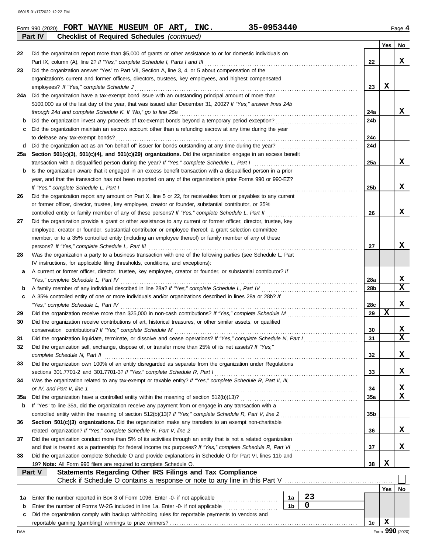|          | Part IV<br><b>Checklist of Required Schedules (continued)</b>                                                                                                                                                 |                 |             |                         |
|----------|---------------------------------------------------------------------------------------------------------------------------------------------------------------------------------------------------------------|-----------------|-------------|-------------------------|
|          |                                                                                                                                                                                                               |                 | Yes         | No                      |
| 22       | Did the organization report more than \$5,000 of grants or other assistance to or for domestic individuals on                                                                                                 |                 |             |                         |
|          | Part IX, column (A), line 2? If "Yes," complete Schedule I, Parts I and III                                                                                                                                   | 22              |             | x                       |
| 23       | Did the organization answer "Yes" to Part VII, Section A, line 3, 4, or 5 about compensation of the                                                                                                           |                 |             |                         |
|          | organization's current and former officers, directors, trustees, key employees, and highest compensated                                                                                                       |                 |             |                         |
|          | employees? If "Yes," complete Schedule J                                                                                                                                                                      | 23              | x           |                         |
| 24a      | Did the organization have a tax-exempt bond issue with an outstanding principal amount of more than                                                                                                           |                 |             |                         |
|          | \$100,000 as of the last day of the year, that was issued after December 31, 2002? If "Yes," answer lines 24b                                                                                                 |                 |             |                         |
|          | through 24d and complete Schedule K. If "No," go to line 25a                                                                                                                                                  | 24a             |             | X,                      |
| b        | Did the organization invest any proceeds of tax-exempt bonds beyond a temporary period exception?                                                                                                             | 24b             |             |                         |
| c        | Did the organization maintain an escrow account other than a refunding escrow at any time during the year                                                                                                     | 24c             |             |                         |
|          | to defease any tax-exempt bonds?<br>Did the organization act as an "on behalf of" issuer for bonds outstanding at any time during the year?                                                                   | 24d             |             |                         |
| d<br>25а |                                                                                                                                                                                                               |                 |             |                         |
|          | Section 501(c)(3), 501(c)(4), and 501(c)(29) organizations. Did the organization engage in an excess benefit<br>transaction with a disqualified person during the year? If "Yes," complete Schedule L, Part I | 25a             |             | x                       |
| b        | Is the organization aware that it engaged in an excess benefit transaction with a disqualified person in a prior                                                                                              |                 |             |                         |
|          | year, and that the transaction has not been reported on any of the organization's prior Forms 990 or 990-EZ?                                                                                                  |                 |             |                         |
|          | If "Yes," complete Schedule L, Part I                                                                                                                                                                         | 25 <sub>b</sub> |             | x                       |
| 26       | Did the organization report any amount on Part X, line 5 or 22, for receivables from or payables to any current                                                                                               |                 |             |                         |
|          | or former officer, director, trustee, key employee, creator or founder, substantial contributor, or 35%                                                                                                       |                 |             |                         |
|          | controlled entity or family member of any of these persons? If "Yes," complete Schedule L, Part II                                                                                                            | 26              |             | x                       |
| 27       | Did the organization provide a grant or other assistance to any current or former officer, director, trustee, key                                                                                             |                 |             |                         |
|          | employee, creator or founder, substantial contributor or employee thereof, a grant selection committee                                                                                                        |                 |             |                         |
|          | member, or to a 35% controlled entity (including an employee thereof) or family member of any of these                                                                                                        |                 |             |                         |
|          | persons? If "Yes," complete Schedule L, Part III                                                                                                                                                              | 27              |             | x                       |
| 28       | Was the organization a party to a business transaction with one of the following parties (see Schedule L, Part                                                                                                |                 |             |                         |
|          | IV instructions, for applicable filing thresholds, conditions, and exceptions):                                                                                                                               |                 |             |                         |
| а        | A current or former officer, director, trustee, key employee, creator or founder, or substantial contributor? If                                                                                              |                 |             |                         |
|          | "Yes," complete Schedule L, Part IV                                                                                                                                                                           | <b>28a</b>      |             | X,                      |
| b        | A family member of any individual described in line 28a? If "Yes," complete Schedule L, Part IV                                                                                                               | 28 <sub>b</sub> |             | $\overline{\mathbf{x}}$ |
| c        | A 35% controlled entity of one or more individuals and/or organizations described in lines 28a or 28b? If                                                                                                     |                 |             |                         |
|          | "Yes," complete Schedule L, Part IV                                                                                                                                                                           | 28c             |             | x                       |
| 29       |                                                                                                                                                                                                               | 29              | x           |                         |
| 30       | Did the organization receive contributions of art, historical treasures, or other similar assets, or qualified                                                                                                |                 |             |                         |
|          | conservation contributions? If "Yes," complete Schedule M                                                                                                                                                     | 30              |             | X                       |
| 31       | Did the organization liquidate, terminate, or dissolve and cease operations? If "Yes," complete Schedule N, Part I                                                                                            | 31              |             | $\overline{\mathbf{x}}$ |
| 32       | Did the organization sell, exchange, dispose of, or transfer more than 25% of its net assets? If "Yes,"                                                                                                       |                 |             |                         |
|          | complete Schedule N, Part II                                                                                                                                                                                  | 32              |             | X                       |
| 33       | Did the organization own 100% of an entity disregarded as separate from the organization under Regulations                                                                                                    |                 |             |                         |
|          | sections 301.7701-2 and 301.7701-3? If "Yes," complete Schedule R, Part I                                                                                                                                     | 33              |             | X,                      |
| 34       | Was the organization related to any tax-exempt or taxable entity? If "Yes," complete Schedule R, Part II, III,                                                                                                |                 |             |                         |
|          | or IV, and Part V, line 1                                                                                                                                                                                     | 34              |             | X                       |
| 35a      |                                                                                                                                                                                                               | 35a             |             | $\overline{\mathbf{x}}$ |
| b        | If "Yes" to line 35a, did the organization receive any payment from or engage in any transaction with a                                                                                                       |                 |             |                         |
|          | controlled entity within the meaning of section 512(b)(13)? If "Yes," complete Schedule R, Part V, line 2                                                                                                     | 35 <sub>b</sub> |             |                         |
| 36       | Section 501(c)(3) organizations. Did the organization make any transfers to an exempt non-charitable                                                                                                          |                 |             |                         |
|          | related organization? If "Yes," complete Schedule R, Part V, line 2                                                                                                                                           | 36              |             | X,                      |
| 37       | Did the organization conduct more than 5% of its activities through an entity that is not a related organization                                                                                              |                 |             |                         |
|          | and that is treated as a partnership for federal income tax purposes? If "Yes," complete Schedule R, Part VI                                                                                                  | 37              |             | X,                      |
| 38       | Did the organization complete Schedule O and provide explanations in Schedule O for Part VI, lines 11b and                                                                                                    |                 |             |                         |
|          | 19? Note: All Form 990 filers are required to complete Schedule O.                                                                                                                                            | 38              | X           |                         |
|          | Part V<br>Statements Regarding Other IRS Filings and Tax Compliance                                                                                                                                           |                 |             |                         |
|          | Check if Schedule O contains a response or note to any line in this Part V [11] Check if Schedule O contains a response or note to any line in this Part V                                                    |                 |             |                         |
|          |                                                                                                                                                                                                               |                 | Yes         | No                      |
| 1a       | 23<br>Enter the number reported in Box 3 of Form 1096. Enter -0- if not applicable <i>mummummmmmmm</i><br>1a<br>0                                                                                             |                 |             |                         |
| b        | 1 <sub>b</sub><br>Enter the number of Forms W-2G included in line 1a. Enter -0- if not applicable                                                                                                             |                 |             |                         |
| c        | Did the organization comply with backup withholding rules for reportable payments to vendors and                                                                                                              |                 | $\mathbf x$ |                         |
|          |                                                                                                                                                                                                               | 1c              |             | Form 990 (2020)         |
| DAA      |                                                                                                                                                                                                               |                 |             |                         |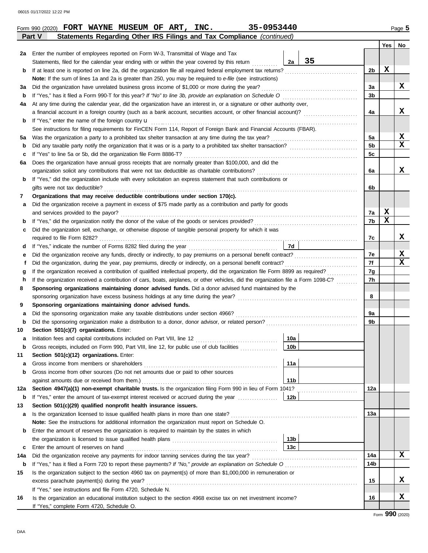|     |                                                                                                                                                                                                                       |                 |    |                | Yes | No                |  |  |  |  |
|-----|-----------------------------------------------------------------------------------------------------------------------------------------------------------------------------------------------------------------------|-----------------|----|----------------|-----|-------------------|--|--|--|--|
| 2a  | Enter the number of employees reported on Form W-3, Transmittal of Wage and Tax                                                                                                                                       |                 |    |                |     |                   |  |  |  |  |
|     | Statements, filed for the calendar year ending with or within the year covered by this return                                                                                                                         | 2a              | 35 |                |     |                   |  |  |  |  |
| b   | If at least one is reported on line 2a, did the organization file all required federal employment tax returns?                                                                                                        |                 |    | 2b             | X   |                   |  |  |  |  |
|     | Note: If the sum of lines 1a and 2a is greater than 250, you may be required to e-file (see instructions)                                                                                                             |                 |    |                |     |                   |  |  |  |  |
| За  | Did the organization have unrelated business gross income of \$1,000 or more during the year?                                                                                                                         |                 |    | За             |     | X                 |  |  |  |  |
| b   | If "Yes," has it filed a Form 990-T for this year? If "No" to line 3b, provide an explanation on Schedule O                                                                                                           |                 |    | 3b             |     |                   |  |  |  |  |
| 4a  | At any time during the calendar year, did the organization have an interest in, or a signature or other authority over,                                                                                               |                 |    |                |     |                   |  |  |  |  |
|     | a financial account in a foreign country (such as a bank account, securities account, or other financial account)?                                                                                                    |                 |    | 4a             |     | x                 |  |  |  |  |
| b   | If "Yes," enter the name of the foreign country u                                                                                                                                                                     |                 |    |                |     |                   |  |  |  |  |
|     | See instructions for filing requirements for FinCEN Form 114, Report of Foreign Bank and Financial Accounts (FBAR).                                                                                                   |                 |    |                |     |                   |  |  |  |  |
| 5a  | Was the organization a party to a prohibited tax shelter transaction at any time during the tax year?                                                                                                                 |                 |    | 5a             |     | X                 |  |  |  |  |
| b   |                                                                                                                                                                                                                       |                 |    | 5 <sub>b</sub> |     | $\mathbf x$       |  |  |  |  |
| c   | If "Yes" to line 5a or 5b, did the organization file Form 8886-T?                                                                                                                                                     |                 |    |                |     |                   |  |  |  |  |
| 6a  | Does the organization have annual gross receipts that are normally greater than \$100,000, and did the                                                                                                                |                 |    |                |     |                   |  |  |  |  |
|     | organization solicit any contributions that were not tax deductible as charitable contributions?                                                                                                                      |                 |    | 6a             |     | X                 |  |  |  |  |
| b   | If "Yes," did the organization include with every solicitation an express statement that such contributions or                                                                                                        |                 |    |                |     |                   |  |  |  |  |
|     | gifts were not tax deductible?                                                                                                                                                                                        |                 |    | 6b             |     |                   |  |  |  |  |
| 7   | Organizations that may receive deductible contributions under section 170(c).                                                                                                                                         |                 |    |                |     |                   |  |  |  |  |
| а   | Did the organization receive a payment in excess of \$75 made partly as a contribution and partly for goods                                                                                                           |                 |    |                |     |                   |  |  |  |  |
|     | and services provided to the payor?                                                                                                                                                                                   |                 |    | 7a             | X   |                   |  |  |  |  |
| b   |                                                                                                                                                                                                                       |                 |    | 7b             | X   |                   |  |  |  |  |
| c   | Did the organization sell, exchange, or otherwise dispose of tangible personal property for which it was                                                                                                              |                 |    |                |     |                   |  |  |  |  |
|     |                                                                                                                                                                                                                       |                 |    | 7с             |     | x                 |  |  |  |  |
| d   |                                                                                                                                                                                                                       | <b>7d</b>       |    |                |     |                   |  |  |  |  |
| е   |                                                                                                                                                                                                                       |                 |    | 7е             |     | X                 |  |  |  |  |
| f   | Did the organization, during the year, pay premiums, directly or indirectly, on a personal benefit contract?                                                                                                          |                 |    | 7f             |     | X                 |  |  |  |  |
| g   | If the organization received a contribution of qualified intellectual property, did the organization file Form 8899 as required?                                                                                      |                 |    | 7g             |     |                   |  |  |  |  |
| h   | If the organization received a contribution of cars, boats, airplanes, or other vehicles, did the organization file a Form 1098-C?                                                                                    |                 |    | 7h             |     |                   |  |  |  |  |
| 8   | Sponsoring organizations maintaining donor advised funds. Did a donor advised fund maintained by the                                                                                                                  |                 |    |                |     |                   |  |  |  |  |
|     | sponsoring organization have excess business holdings at any time during the year?                                                                                                                                    |                 |    | 8              |     |                   |  |  |  |  |
| 9   | Sponsoring organizations maintaining donor advised funds.                                                                                                                                                             |                 |    |                |     |                   |  |  |  |  |
| а   | Did the sponsoring organization make any taxable distributions under section 4966?                                                                                                                                    |                 |    | 9a             |     |                   |  |  |  |  |
| b   |                                                                                                                                                                                                                       |                 |    | 9b             |     |                   |  |  |  |  |
| 10  | Section 501(c)(7) organizations. Enter:                                                                                                                                                                               |                 |    |                |     |                   |  |  |  |  |
| а   | Initiation fees and capital contributions included on Part VIII, line 12                                                                                                                                              | 10a             |    |                |     |                   |  |  |  |  |
| b   | Gross receipts, included on Form 990, Part VIII, line 12, for public use of club facilities                                                                                                                           | 10 <sub>b</sub> |    |                |     |                   |  |  |  |  |
| 11  | Section 501(c)(12) organizations. Enter:                                                                                                                                                                              |                 |    |                |     |                   |  |  |  |  |
| а   | Gross income from members or shareholders                                                                                                                                                                             | 11a             |    |                |     |                   |  |  |  |  |
| b   | Gross income from other sources (Do not net amounts due or paid to other sources                                                                                                                                      |                 |    |                |     |                   |  |  |  |  |
|     | against amounts due or received from them.)                                                                                                                                                                           | 11 <sub>b</sub> |    |                |     |                   |  |  |  |  |
| 12a | Section 4947(a)(1) non-exempt charitable trusts. Is the organization filing Form 990 in lieu of Form 1041?<br>If "Yes," enter the amount of tax-exempt interest received or accrued during the year <i>manuforman</i> | 12 <sub>b</sub> |    | 12a            |     |                   |  |  |  |  |
| b   |                                                                                                                                                                                                                       |                 |    |                |     |                   |  |  |  |  |
| 13  | Section 501(c)(29) qualified nonprofit health insurance issuers.                                                                                                                                                      |                 |    |                |     |                   |  |  |  |  |
| а   | Is the organization licensed to issue qualified health plans in more than one state?                                                                                                                                  |                 |    | 13a            |     |                   |  |  |  |  |
| b   | Note: See the instructions for additional information the organization must report on Schedule O.<br>Enter the amount of reserves the organization is required to maintain by the states in which                     |                 |    |                |     |                   |  |  |  |  |
|     |                                                                                                                                                                                                                       | 13 <sub>b</sub> |    |                |     |                   |  |  |  |  |
| c   | Enter the amount of reserves on hand                                                                                                                                                                                  | 13 <sub>c</sub> |    |                |     |                   |  |  |  |  |
| 14a | Did the organization receive any payments for indoor tanning services during the tax year?                                                                                                                            |                 |    | 14a            |     | X                 |  |  |  |  |
| b   | If "Yes," has it filed a Form 720 to report these payments? If "No," provide an explanation on Schedule O                                                                                                             |                 |    | 14b            |     |                   |  |  |  |  |
| 15  | Is the organization subject to the section 4960 tax on payment(s) of more than \$1,000,000 in remuneration or                                                                                                         |                 |    |                |     |                   |  |  |  |  |
|     | excess parachute payment(s) during the year?                                                                                                                                                                          |                 |    | 15             |     | X                 |  |  |  |  |
|     | If "Yes," see instructions and file Form 4720, Schedule N.                                                                                                                                                            |                 |    |                |     |                   |  |  |  |  |
| 16  | Is the organization an educational institution subject to the section 4968 excise tax on net investment income?                                                                                                       |                 |    | 16             |     | X                 |  |  |  |  |
|     | If "Yes," complete Form 4720, Schedule O.                                                                                                                                                                             |                 |    |                |     |                   |  |  |  |  |
|     |                                                                                                                                                                                                                       |                 |    |                |     | $Form$ 990 (2020) |  |  |  |  |

**Part V Statements Regarding Other IRS Filings and Tax Compliance** *(continued)* **Form 990 (2020) FORT WAYNE MUSEUM OF ART, INC.** 35-0953440 **Page 5** 

|  | $35 - 0953$ |  |  |  |
|--|-------------|--|--|--|
|  |             |  |  |  |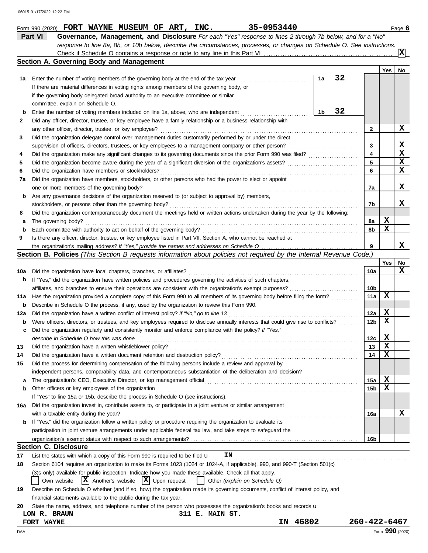|        | Part VI<br>Governance, Management, and Disclosure For each "Yes" response to lines 2 through 7b below, and for a "No"<br>response to line 8a, 8b, or 10b below, describe the circumstances, processes, or changes on Schedule O. See instructions. |    |    |                 |                 |    |
|--------|----------------------------------------------------------------------------------------------------------------------------------------------------------------------------------------------------------------------------------------------------|----|----|-----------------|-----------------|----|
|        | Section A. Governing Body and Management                                                                                                                                                                                                           |    |    |                 |                 | x  |
|        |                                                                                                                                                                                                                                                    |    |    |                 | Yes             | No |
| 1а     | Enter the number of voting members of the governing body at the end of the tax year                                                                                                                                                                | 1a | 32 |                 |                 |    |
|        | If there are material differences in voting rights among members of the governing body, or                                                                                                                                                         |    |    |                 |                 |    |
|        | if the governing body delegated broad authority to an executive committee or similar                                                                                                                                                               |    |    |                 |                 |    |
|        | committee, explain on Schedule O.                                                                                                                                                                                                                  |    |    |                 |                 |    |
| b      | Enter the number of voting members included on line 1a, above, who are independent                                                                                                                                                                 | 1b | 32 |                 |                 |    |
| 2      | Did any officer, director, trustee, or key employee have a family relationship or a business relationship with                                                                                                                                     |    |    |                 |                 |    |
|        | any other officer, director, trustee, or key employee?                                                                                                                                                                                             |    |    | 2               |                 | X  |
| 3      | Did the organization delegate control over management duties customarily performed by or under the direct                                                                                                                                          |    |    |                 |                 |    |
|        | supervision of officers, directors, trustees, or key employees to a management company or other person?                                                                                                                                            |    |    | 3               |                 | X  |
| 4      |                                                                                                                                                                                                                                                    |    |    | 4               |                 | X  |
| 5      |                                                                                                                                                                                                                                                    |    |    | 5               |                 | X  |
| 6      | Did the organization have members or stockholders?                                                                                                                                                                                                 |    |    | 6               |                 | x  |
| 7a     | Did the organization have members, stockholders, or other persons who had the power to elect or appoint                                                                                                                                            |    |    |                 |                 | X  |
|        | one or more members of the governing body?                                                                                                                                                                                                         |    |    | 7a              |                 |    |
| b      | Are any governance decisions of the organization reserved to (or subject to approval by) members,<br>stockholders, or persons other than the governing body?                                                                                       |    |    | 7b              |                 | x  |
| 8      | Did the organization contemporaneously document the meetings held or written actions undertaken during the year by the following:                                                                                                                  |    |    |                 |                 |    |
| a      | The governing body?                                                                                                                                                                                                                                |    |    | 8а              | X               |    |
| b      | Each committee with authority to act on behalf of the governing body?                                                                                                                                                                              |    |    | 8b              | х               |    |
| 9      | Is there any officer, director, trustee, or key employee listed in Part VII, Section A, who cannot be reached at                                                                                                                                   |    |    |                 |                 |    |
|        |                                                                                                                                                                                                                                                    |    |    | 9               |                 | x  |
|        | Section B. Policies (This Section B requests information about policies not required by the Internal Revenue Code.)                                                                                                                                |    |    |                 |                 |    |
|        |                                                                                                                                                                                                                                                    |    |    |                 | Yes             | No |
| 10a    | Did the organization have local chapters, branches, or affiliates?                                                                                                                                                                                 |    |    | 10a             |                 | x  |
| b      | If "Yes," did the organization have written policies and procedures governing the activities of such chapters,                                                                                                                                     |    |    |                 |                 |    |
|        | affiliates, and branches to ensure their operations are consistent with the organization's exempt purposes?                                                                                                                                        |    |    | 10b             |                 |    |
| 11a    | Has the organization provided a complete copy of this Form 990 to all members of its governing body before filing the form?                                                                                                                        |    |    | 11a             | x               |    |
| b      | Describe in Schedule O the process, if any, used by the organization to review this Form 990.                                                                                                                                                      |    |    |                 |                 |    |
| 12a    | Did the organization have a written conflict of interest policy? If "No," go to line 13                                                                                                                                                            |    |    | 12a             | X               |    |
| b      | Were officers, directors, or trustees, and key employees required to disclose annually interests that could give rise to conflicts?                                                                                                                |    |    | 12 <sub>b</sub> | х               |    |
| c      | Did the organization regularly and consistently monitor and enforce compliance with the policy? If "Yes,"                                                                                                                                          |    |    |                 |                 |    |
|        | describe in Schedule O how this was done                                                                                                                                                                                                           |    |    | 12c             | X               |    |
| 13     | Did the organization have a written whistleblower policy?                                                                                                                                                                                          |    |    | 13              | X               |    |
| 14     | Did the organization have a written document retention and destruction policy?                                                                                                                                                                     |    |    | 14              | х               |    |
| 15     | Did the process for determining compensation of the following persons include a review and approval by                                                                                                                                             |    |    |                 |                 |    |
|        | independent persons, comparability data, and contemporaneous substantiation of the deliberation and decision?                                                                                                                                      |    |    |                 | X               |    |
| а<br>b | Other officers or key employees of the organization                                                                                                                                                                                                |    |    | 15a<br>15b      | х               |    |
|        | If "Yes" to line 15a or 15b, describe the process in Schedule O (see instructions).                                                                                                                                                                |    |    |                 |                 |    |
| 16a    | Did the organization invest in, contribute assets to, or participate in a joint venture or similar arrangement                                                                                                                                     |    |    |                 |                 |    |
|        | with a taxable entity during the year?                                                                                                                                                                                                             |    |    | 16a             |                 | X  |
| b      | If "Yes," did the organization follow a written policy or procedure requiring the organization to evaluate its                                                                                                                                     |    |    |                 |                 |    |
|        | participation in joint venture arrangements under applicable federal tax law, and take steps to safeguard the                                                                                                                                      |    |    |                 |                 |    |
|        |                                                                                                                                                                                                                                                    |    |    | 16b             |                 |    |
|        | <b>Section C. Disclosure</b>                                                                                                                                                                                                                       |    |    |                 |                 |    |
| 17     | List the states with which a copy of this Form 990 is required to be filed $\mathbf u$<br>ΙN                                                                                                                                                       |    |    |                 |                 |    |
| 18     | Section 6104 requires an organization to make its Forms 1023 (1024 or 1024-A, if applicable), 990, and 990-T (Section 501(c)                                                                                                                       |    |    |                 |                 |    |
|        | (3)s only) available for public inspection. Indicate how you made these available. Check all that apply.                                                                                                                                           |    |    |                 |                 |    |
|        | $ \mathbf{X} $ Another's website $ \mathbf{X} $ Upon request<br>Other (explain on Schedule O)<br>Own website                                                                                                                                       |    |    |                 |                 |    |
| 19     | Describe on Schedule O whether (and if so, how) the organization made its governing documents, conflict of interest policy, and                                                                                                                    |    |    |                 |                 |    |
|        | financial statements available to the public during the tax year.                                                                                                                                                                                  |    |    |                 |                 |    |
| 20     | State the name, address, and telephone number of the person who possesses the organization's books and records u                                                                                                                                   |    |    |                 |                 |    |
|        | 311 E. MAIN ST.<br>LON R. BRAUN                                                                                                                                                                                                                    |    |    |                 |                 |    |
|        | 46802<br>IN<br>FORT WAYNE                                                                                                                                                                                                                          |    |    | 260-422-6467    |                 |    |
| DAA    |                                                                                                                                                                                                                                                    |    |    |                 | Form 990 (2020) |    |

**Form 990 (2020) FORT WAYNE MUSEUM OF ART, INC.** 35-0953440 **Page 6** 

| ۰. |  | ۰. |  |  |
|----|--|----|--|--|
|    |  |    |  |  |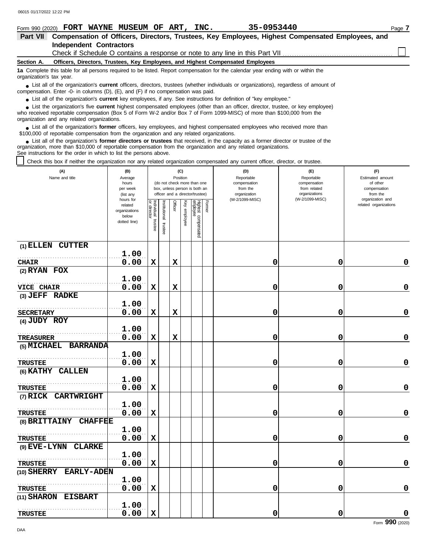| Form 990 (2020) FORT WAYNE MUSEUM OF ART, INC.                                                                                                                                                                                                                                                                    | 35-0953440<br>Page 7 |
|-------------------------------------------------------------------------------------------------------------------------------------------------------------------------------------------------------------------------------------------------------------------------------------------------------------------|----------------------|
| Compensation of Officers, Directors, Trustees, Key Employees, Highest Compensated Employees, and<br><b>Part VII</b>                                                                                                                                                                                               |                      |
| <b>Independent Contractors</b>                                                                                                                                                                                                                                                                                    |                      |
| Check if Schedule O contains a response or note to any line in this Part VII                                                                                                                                                                                                                                      |                      |
| Officers, Directors, Trustees, Key Employees, and Highest Compensated Employees<br>Section A.                                                                                                                                                                                                                     |                      |
| 1a Complete this table for all persons required to be listed. Report compensation for the calendar year ending with or within the<br>organization's tax year.                                                                                                                                                     |                      |
| • List all of the organization's <b>current</b> officers, directors, trustees (whether individuals or organizations), regardless of amount of<br>compensation. Enter -0- in columns (D), (E), and (F) if no compensation was paid.                                                                                |                      |
| • List all of the organization's <b>current</b> key employees, if any. See instructions for definition of "key employee."                                                                                                                                                                                         |                      |
| • List the organization's five <b>current</b> highest compensated employees (other than an officer, director, trustee, or key employee)<br>who received reportable compensation (Box 5 of Form W-2 and/or Box 7 of Form 1099-MISC) of more than \$100,000 from the<br>organization and any related organizations. |                      |

List all of the organization's **former** officers, key employees, and highest compensated employees who received more than • List all of the organization's **former** officers, key employees, and highest compensate \$100,000 of reportable compensation from the organization and any related organizations.

List all of the organization's **former directors or trustees** that received, in the capacity as a former director or trustee of the organization, more than \$10,000 of reportable compensation from the organization and any related organizations. See instructions for the order in which to list the persons above. **•**

Constructions to this box if neither the organization nor any related organization compensated any current officer, director, or trustee.

| (A)<br>Name and title            | (B)<br>Average         |                           |                      |             | (C)<br>Position |                                 |        | (D)<br>Reportable               | (E)<br>Reportable                | (F)<br>Estimated amount      |
|----------------------------------|------------------------|---------------------------|----------------------|-------------|-----------------|---------------------------------|--------|---------------------------------|----------------------------------|------------------------------|
|                                  | hours                  |                           |                      |             |                 | (do not check more than one     |        | compensation                    | compensation                     | of other                     |
|                                  | per week               |                           |                      |             |                 | box, unless person is both an   |        | from the                        | from related                     | compensation                 |
|                                  | (list any<br>hours for |                           |                      |             |                 | officer and a director/trustee) |        | organization<br>(W-2/1099-MISC) | organizations<br>(W-2/1099-MISC) | from the<br>organization and |
|                                  | related                | Individual<br>or director |                      | Officer     | Ķ®              |                                 | Former |                                 |                                  | related organizations        |
|                                  | organizations          |                           |                      |             |                 |                                 |        |                                 |                                  |                              |
|                                  | below                  |                           |                      |             | employee        |                                 |        |                                 |                                  |                              |
|                                  | dotted line)           | trustee                   | nstitutional trustee |             |                 |                                 |        |                                 |                                  |                              |
|                                  |                        |                           |                      |             |                 | Highest compensated<br>employee |        |                                 |                                  |                              |
| (1) ELLEN CUTTER                 |                        |                           |                      |             |                 |                                 |        |                                 |                                  |                              |
|                                  | 1.00                   |                           |                      |             |                 |                                 |        |                                 |                                  |                              |
| <b>CHAIR</b>                     | 0.00                   | $\mathbf x$               |                      | $\mathbf x$ |                 |                                 |        | 0                               | 0                                | 0                            |
| $(2)$ RYAN FOX                   |                        |                           |                      |             |                 |                                 |        |                                 |                                  |                              |
|                                  | 1.00                   |                           |                      |             |                 |                                 |        |                                 |                                  |                              |
| <b>VICE CHAIR</b>                | 0.00                   | $\mathbf x$               |                      | $\mathbf x$ |                 |                                 |        | 0                               | 0                                | 0                            |
| (3) JEFF RADKE                   |                        |                           |                      |             |                 |                                 |        |                                 |                                  |                              |
|                                  | 1.00                   |                           |                      |             |                 |                                 |        |                                 |                                  |                              |
|                                  |                        |                           |                      |             |                 |                                 |        |                                 |                                  |                              |
| <b>SECRETARY</b>                 | 0.00                   | X                         |                      | $\mathbf x$ |                 |                                 |        | 0                               | 0                                | 0                            |
| (4) JUDY ROY                     |                        |                           |                      |             |                 |                                 |        |                                 |                                  |                              |
|                                  | 1.00                   |                           |                      |             |                 |                                 |        |                                 |                                  |                              |
| <b>TREASURER</b>                 | 0.00                   | $\mathbf x$               |                      | $\mathbf x$ |                 |                                 |        | 0                               | 0                                | $\mathbf 0$                  |
| (5) MICHAEL<br><b>BARRANDA</b>   |                        |                           |                      |             |                 |                                 |        |                                 |                                  |                              |
|                                  | 1.00                   |                           |                      |             |                 |                                 |        |                                 |                                  |                              |
| <b>TRUSTEE</b>                   | 0.00                   | $\mathbf x$               |                      |             |                 |                                 |        | 0                               | 0                                | $\mathbf 0$                  |
| (6) KATHY CALLEN                 |                        |                           |                      |             |                 |                                 |        |                                 |                                  |                              |
|                                  | 1.00                   |                           |                      |             |                 |                                 |        |                                 |                                  |                              |
| <b>TRUSTEE</b>                   | 0.00                   | $\mathbf x$               |                      |             |                 |                                 |        | 0                               | 0                                | 0                            |
| <b>CARTWRIGHT</b><br>(7) RICK    |                        |                           |                      |             |                 |                                 |        |                                 |                                  |                              |
|                                  | 1.00                   |                           |                      |             |                 |                                 |        |                                 |                                  |                              |
| <b>TRUSTEE</b>                   | 0.00                   | X                         |                      |             |                 |                                 |        | 0                               | 0                                | 0                            |
| (8) BRITTAINY<br><b>CHAFFEE</b>  |                        |                           |                      |             |                 |                                 |        |                                 |                                  |                              |
|                                  | 1.00                   |                           |                      |             |                 |                                 |        |                                 |                                  |                              |
| <b>TRUSTEE</b>                   | 0.00                   | $\mathbf x$               |                      |             |                 |                                 |        | 0                               | 0                                | 0                            |
| (9) EVE-LYNN<br><b>CLARKE</b>    |                        |                           |                      |             |                 |                                 |        |                                 |                                  |                              |
|                                  | 1.00                   |                           |                      |             |                 |                                 |        |                                 |                                  |                              |
| <b>TRUSTEE</b>                   | 0.00                   | X                         |                      |             |                 |                                 |        | 0                               | 0                                | 0                            |
| <b>EARLY-ADEN</b><br>(10) SHERRY |                        |                           |                      |             |                 |                                 |        |                                 |                                  |                              |
|                                  | 1.00                   |                           |                      |             |                 |                                 |        |                                 |                                  |                              |
|                                  |                        |                           |                      |             |                 |                                 |        |                                 |                                  |                              |
| <b>TRUSTEE</b>                   | 0.00                   | $\mathbf x$               |                      |             |                 |                                 |        | 0                               | 0                                | 0                            |
| (11) SHARON<br><b>EISBART</b>    |                        |                           |                      |             |                 |                                 |        |                                 |                                  |                              |
|                                  | 1.00                   |                           |                      |             |                 |                                 |        |                                 |                                  |                              |
| <b>TRUSTEE</b>                   | 0.00                   | $\mathbf x$               |                      |             |                 |                                 |        | 0                               | 0                                | 0                            |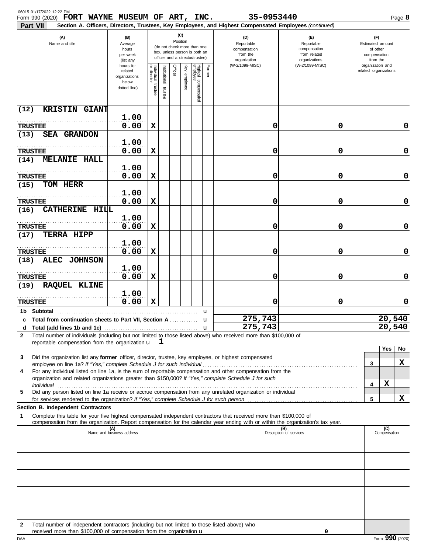| 06015 01/17/2022 12:22 PM<br>FORT WAYNE MUSEUM OF ART, INC.<br>Form 990 (2020)                                                                                                                                                                                                                                                                       |                                                                                                                                                                        |                                      |                         |         |                 |                                 |        | 35-0953440                                                                                                                                                              |                                                                    |  |                                                                 |                                           | Page 8 |
|------------------------------------------------------------------------------------------------------------------------------------------------------------------------------------------------------------------------------------------------------------------------------------------------------------------------------------------------------|------------------------------------------------------------------------------------------------------------------------------------------------------------------------|--------------------------------------|-------------------------|---------|-----------------|---------------------------------|--------|-------------------------------------------------------------------------------------------------------------------------------------------------------------------------|--------------------------------------------------------------------|--|-----------------------------------------------------------------|-------------------------------------------|--------|
| Part VII<br>(A)<br>Name and title                                                                                                                                                                                                                                                                                                                    | (C)<br>(B)<br>Position<br>Average<br>(do not check more than one<br>hours<br>box, unless person is both an<br>per week<br>officer and a director/trustee)<br>(list any |                                      |                         |         |                 |                                 |        | Section A. Officers, Directors, Trustees, Key Employees, and Highest Compensated Employees (continued)<br>(D)<br>Reportable<br>compensation<br>from the<br>organization | (E)<br>Reportable<br>compensation<br>from related<br>organizations |  | (F)<br>Estimated amount<br>of other<br>compensation<br>from the |                                           |        |
|                                                                                                                                                                                                                                                                                                                                                      | hours for<br>related<br>organizations<br>below<br>dotted line)                                                                                                         | Individual<br>or director<br>trustee | nstitutional<br>trustee | Officer | Ķey<br>employee | Highest compensated<br>employee | Former | (W-2/1099-MISC)                                                                                                                                                         | (W-2/1099-MISC)                                                    |  |                                                                 | organization and<br>related organizations |        |
| <b>KRISTIN GIANT</b><br>(12)                                                                                                                                                                                                                                                                                                                         |                                                                                                                                                                        |                                      |                         |         |                 |                                 |        |                                                                                                                                                                         |                                                                    |  |                                                                 |                                           |        |
| <b>TRUSTEE</b>                                                                                                                                                                                                                                                                                                                                       | 1.00<br>0.00                                                                                                                                                           | х                                    |                         |         |                 |                                 |        | 0                                                                                                                                                                       | 0                                                                  |  |                                                                 |                                           | 0      |
| <b>SEA GRANDON</b><br>(13)                                                                                                                                                                                                                                                                                                                           | 1.00                                                                                                                                                                   |                                      |                         |         |                 |                                 |        |                                                                                                                                                                         |                                                                    |  |                                                                 |                                           |        |
| <b>TRUSTEE</b>                                                                                                                                                                                                                                                                                                                                       | 0.00                                                                                                                                                                   | х                                    |                         |         |                 |                                 |        | 0                                                                                                                                                                       | 0                                                                  |  |                                                                 |                                           | 0      |
| MELANIE HALL<br>(14)                                                                                                                                                                                                                                                                                                                                 | 1.00                                                                                                                                                                   |                                      |                         |         |                 |                                 |        |                                                                                                                                                                         |                                                                    |  |                                                                 |                                           |        |
| <b>TRUSTEE</b>                                                                                                                                                                                                                                                                                                                                       | 0.00                                                                                                                                                                   | X                                    |                         |         |                 |                                 |        | 0                                                                                                                                                                       | 0                                                                  |  |                                                                 |                                           | 0      |
| TOM HERR<br>(15)                                                                                                                                                                                                                                                                                                                                     | 1.00                                                                                                                                                                   |                                      |                         |         |                 |                                 |        |                                                                                                                                                                         |                                                                    |  |                                                                 |                                           |        |
| <b>TRUSTEE</b><br><b>CATHERINE HILL</b><br>(16)                                                                                                                                                                                                                                                                                                      | 0.00                                                                                                                                                                   | X                                    |                         |         |                 |                                 |        | 0                                                                                                                                                                       | 0                                                                  |  |                                                                 |                                           | 0      |
| <b>TRUSTEE</b>                                                                                                                                                                                                                                                                                                                                       | 1.00<br>0.00                                                                                                                                                           | х                                    |                         |         |                 |                                 |        | 0                                                                                                                                                                       | 0                                                                  |  |                                                                 |                                           | 0      |
| TERRA HIPP<br>(17)                                                                                                                                                                                                                                                                                                                                   | 1.00                                                                                                                                                                   |                                      |                         |         |                 |                                 |        |                                                                                                                                                                         |                                                                    |  |                                                                 |                                           |        |
| <b>TRUSTEE</b>                                                                                                                                                                                                                                                                                                                                       | 0.00                                                                                                                                                                   | х                                    |                         |         |                 |                                 |        | 0                                                                                                                                                                       | 0                                                                  |  |                                                                 |                                           | 0      |
| <b>ALEC JOHNSON</b><br>(18)                                                                                                                                                                                                                                                                                                                          | 1.00                                                                                                                                                                   |                                      |                         |         |                 |                                 |        |                                                                                                                                                                         |                                                                    |  |                                                                 |                                           |        |
| <b>TRUSTEE</b><br>(19)                                                                                                                                                                                                                                                                                                                               | 0.00                                                                                                                                                                   | X                                    |                         |         |                 |                                 |        | 0                                                                                                                                                                       | 0                                                                  |  |                                                                 |                                           | 0      |
| <b>RAQUEL KLINE</b>                                                                                                                                                                                                                                                                                                                                  | 1.00                                                                                                                                                                   |                                      |                         |         |                 |                                 |        |                                                                                                                                                                         |                                                                    |  |                                                                 |                                           |        |
| <b>TRUSTEE</b><br>1b Subtotal                                                                                                                                                                                                                                                                                                                        | 0.00                                                                                                                                                                   | х                                    |                         |         |                 |                                 | u      | 0                                                                                                                                                                       | 0                                                                  |  |                                                                 |                                           | 0      |
| c Total from continuation sheets to Part VII. Section A                                                                                                                                                                                                                                                                                              |                                                                                                                                                                        |                                      |                         |         |                 |                                 | u      | 275,743                                                                                                                                                                 |                                                                    |  |                                                                 | 20,540                                    |        |
| d<br>Total number of individuals (including but not limited to those listed above) who received more than \$100,000 of<br>2                                                                                                                                                                                                                          |                                                                                                                                                                        |                                      |                         |         |                 |                                 |        | 275,743                                                                                                                                                                 |                                                                    |  |                                                                 | 20,540                                    |        |
| reportable compensation from the organization u                                                                                                                                                                                                                                                                                                      |                                                                                                                                                                        |                                      | ┸                       |         |                 |                                 |        |                                                                                                                                                                         |                                                                    |  |                                                                 | Yes                                       | No     |
| Did the organization list any former officer, director, trustee, key employee, or highest compensated<br>3<br>employee on line 1a? If "Yes," complete Schedule J for such individual manufactured content to the succession of the set of the employee on line 1a? If "Yes," complete Schedule J for such individual manufactured in the set         |                                                                                                                                                                        |                                      |                         |         |                 |                                 |        |                                                                                                                                                                         |                                                                    |  | 3                                                               |                                           | x      |
| For any individual listed on line 1a, is the sum of reportable compensation and other compensation from the<br>4<br>organization and related organizations greater than \$150,000? If "Yes," complete Schedule J for such                                                                                                                            |                                                                                                                                                                        |                                      |                         |         |                 |                                 |        |                                                                                                                                                                         |                                                                    |  |                                                                 |                                           |        |
| individual with a construction of the construction of the construction of the construction of the construction of the construction of the construction of the construction of the construction of the construction of the cons<br>Did any person listed on line 1a receive or accrue compensation from any unrelated organization or individual<br>5 |                                                                                                                                                                        |                                      |                         |         |                 |                                 |        |                                                                                                                                                                         |                                                                    |  | 4                                                               | X                                         |        |
| Section B. Independent Contractors                                                                                                                                                                                                                                                                                                                   |                                                                                                                                                                        |                                      |                         |         |                 |                                 |        |                                                                                                                                                                         |                                                                    |  | 5                                                               |                                           | X      |
| Complete this table for your five highest compensated independent contractors that received more than \$100,000 of<br>1<br>compensation from the organization. Report compensation for the calendar year ending with or within the organization's tax year.                                                                                          |                                                                                                                                                                        |                                      |                         |         |                 |                                 |        |                                                                                                                                                                         |                                                                    |  |                                                                 |                                           |        |
|                                                                                                                                                                                                                                                                                                                                                      | (A)<br>Name and business address                                                                                                                                       |                                      |                         |         |                 |                                 |        |                                                                                                                                                                         | (B)<br>Description of services                                     |  |                                                                 | (C)<br>Compensation                       |        |
|                                                                                                                                                                                                                                                                                                                                                      |                                                                                                                                                                        |                                      |                         |         |                 |                                 |        |                                                                                                                                                                         |                                                                    |  |                                                                 |                                           |        |
|                                                                                                                                                                                                                                                                                                                                                      |                                                                                                                                                                        |                                      |                         |         |                 |                                 |        |                                                                                                                                                                         |                                                                    |  |                                                                 |                                           |        |
|                                                                                                                                                                                                                                                                                                                                                      |                                                                                                                                                                        |                                      |                         |         |                 |                                 |        |                                                                                                                                                                         |                                                                    |  |                                                                 |                                           |        |
|                                                                                                                                                                                                                                                                                                                                                      |                                                                                                                                                                        |                                      |                         |         |                 |                                 |        |                                                                                                                                                                         |                                                                    |  |                                                                 |                                           |        |
|                                                                                                                                                                                                                                                                                                                                                      |                                                                                                                                                                        |                                      |                         |         |                 |                                 |        |                                                                                                                                                                         |                                                                    |  |                                                                 |                                           |        |
| Total number of independent contractors (including but not limited to those listed above) who<br>2                                                                                                                                                                                                                                                   |                                                                                                                                                                        |                                      |                         |         |                 |                                 |        |                                                                                                                                                                         |                                                                    |  |                                                                 |                                           |        |
| received more than \$100,000 of compensation from the organization $\mathbf u$                                                                                                                                                                                                                                                                       |                                                                                                                                                                        |                                      |                         |         |                 |                                 |        |                                                                                                                                                                         | 0                                                                  |  |                                                                 |                                           |        |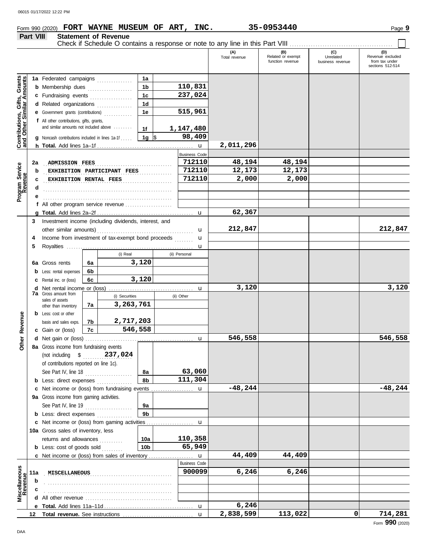# **Form 990 (2020) FORT WAYNE MUSEUM OF ART, INC.** 35-0953440 **Page 9** Page 9

|                                                                                                | Part VIII    |                                                                                                                                                                                                                                                                                                                                                                         |          | <b>Statement of Revenue</b> |                                                                      |            |                                                                                                                            |                                        |                                              |                                      |                                                               |
|------------------------------------------------------------------------------------------------|--------------|-------------------------------------------------------------------------------------------------------------------------------------------------------------------------------------------------------------------------------------------------------------------------------------------------------------------------------------------------------------------------|----------|-----------------------------|----------------------------------------------------------------------|------------|----------------------------------------------------------------------------------------------------------------------------|----------------------------------------|----------------------------------------------|--------------------------------------|---------------------------------------------------------------|
|                                                                                                |              |                                                                                                                                                                                                                                                                                                                                                                         |          |                             |                                                                      |            |                                                                                                                            | (A)<br>Total revenue                   | (B)<br>Related or exempt<br>function revenue | (C)<br>Unrelated<br>business revenue | (D)<br>Revenue excluded<br>from tax under<br>sections 512-514 |
| <b>Contributions, Gifts, Grants</b><br>and Other Similar Amounts<br>Program Service<br>Revenue | 2a<br>b<br>c | 1a Federated campaigns<br><b>b</b> Membership dues<br>c Fundraising events<br>d Related organizations<br>e Government grants (contributions)<br>f All other contributions, gifts, grants,<br>and similar amounts not included above<br><b>g</b> Noncash contributions included in lines $1a-1f$ $\parallel 1g \parallel$ \$<br>ADMISSION FEES<br>EXHIBITION RENTAL FEES |          | EXHIBITION PARTICIPANT FEES | 1a<br>1 <sub>b</sub><br>1 <sub>c</sub><br>1 <sub>d</sub><br>1e<br>1f | .          | 110,831<br>237,024<br>515,961<br>1,147,480<br>98,409<br>$\mathbf{u}$<br><b>Business Code</b><br>712110<br>712110<br>712110 | 2,011,296<br>48,194<br>12,173<br>2,000 | 48,194<br>12,173<br>2,000                    |                                      |                                                               |
|                                                                                                | d            |                                                                                                                                                                                                                                                                                                                                                                         |          |                             |                                                                      |            |                                                                                                                            |                                        |                                              |                                      |                                                               |
|                                                                                                |              | f All other program service revenue $\ldots$ , $\ldots$ , $\ldots$                                                                                                                                                                                                                                                                                                      |          |                             |                                                                      |            |                                                                                                                            |                                        |                                              |                                      |                                                               |
|                                                                                                | 3            |                                                                                                                                                                                                                                                                                                                                                                         |          |                             |                                                                      |            | $\mathbf{u}$                                                                                                               | 62,367                                 |                                              |                                      |                                                               |
|                                                                                                | 4<br>5       | Investment income (including dividends, interest, and<br>Income from investment of tax-exempt bond proceeds                                                                                                                                                                                                                                                             |          |                             |                                                                      |            |                                                                                                                            | 212,847                                |                                              |                                      | 212,847                                                       |
|                                                                                                |              |                                                                                                                                                                                                                                                                                                                                                                         |          | (i) Real                    |                                                                      |            | u<br>(ii) Personal                                                                                                         |                                        |                                              |                                      |                                                               |
|                                                                                                |              | 6a Gross rents<br><b>b</b> Less: rental expenses                                                                                                                                                                                                                                                                                                                        | 6a<br>6b |                             | 3,120                                                                |            |                                                                                                                            |                                        |                                              |                                      |                                                               |
|                                                                                                |              | 3,120<br>6c<br>C Rental inc. or (loss)                                                                                                                                                                                                                                                                                                                                  |          |                             |                                                                      |            |                                                                                                                            |                                        |                                              |                                      |                                                               |
|                                                                                                |              | <b>7a</b> Gross amount from                                                                                                                                                                                                                                                                                                                                             |          |                             |                                                                      |            | u                                                                                                                          | 3,120                                  |                                              |                                      | 3,120                                                         |
|                                                                                                |              | sales of assets<br>7a<br>other than inventory                                                                                                                                                                                                                                                                                                                           |          | (i) Securities<br>3,263,761 |                                                                      | (ii) Other |                                                                                                                            |                                        |                                              |                                      |                                                               |
| Revenue                                                                                        |              | <b>b</b> Less: cost or other<br>basis and sales exps.<br>c Gain or (loss)                                                                                                                                                                                                                                                                                               | 7b<br>7c | 2,717,203<br>546,558        |                                                                      |            |                                                                                                                            |                                        |                                              |                                      |                                                               |
| <u>ber</u>                                                                                     |              |                                                                                                                                                                                                                                                                                                                                                                         |          |                             |                                                                      |            | u                                                                                                                          | 546,558                                |                                              |                                      | 546,558                                                       |
| δ                                                                                              |              | 8a Gross income from fundraising events<br>(not including \$ 237,024<br>of contributions reported on line 1c).<br>See Part IV, line 18<br><b>b</b> Less: direct expenses <i>minimum</i>                                                                                                                                                                                 |          |                             | 8а<br>8b                                                             |            | 63,060<br>111,304                                                                                                          |                                        |                                              |                                      |                                                               |
|                                                                                                |              | c Net income or (loss) from fundraising events                                                                                                                                                                                                                                                                                                                          |          |                             |                                                                      |            | u                                                                                                                          | $-48,244$                              |                                              |                                      | $-48,244$                                                     |
|                                                                                                |              | 9a Gross income from gaming activities.                                                                                                                                                                                                                                                                                                                                 |          |                             |                                                                      |            |                                                                                                                            |                                        |                                              |                                      |                                                               |
|                                                                                                |              | See Part IV, line 19<br><b>b</b> Less: direct expenses <i>minimum</i>                                                                                                                                                                                                                                                                                                   |          |                             | 9а<br>9 <sub>b</sub>                                                 |            |                                                                                                                            |                                        |                                              |                                      |                                                               |
|                                                                                                |              |                                                                                                                                                                                                                                                                                                                                                                         |          |                             |                                                                      |            | u                                                                                                                          |                                        |                                              |                                      |                                                               |
|                                                                                                |              | c Net income or (loss) from gaming activities<br>10a Gross sales of inventory, less<br>returns and allowances<br>10a<br><b>b</b> Less: cost of goods sold<br>10 <sub>b</sub>                                                                                                                                                                                            |          |                             |                                                                      |            | 110,358<br>65,949                                                                                                          |                                        |                                              |                                      |                                                               |
|                                                                                                |              | <b>c</b> Net income or (loss) from sales of inventory                                                                                                                                                                                                                                                                                                                   |          |                             |                                                                      |            | $\mathbf{u}$                                                                                                               | 44,409                                 | 44,409                                       |                                      |                                                               |
| Miscellaneous<br>Revenue                                                                       | 11a          | <b>MISCELLANEOUS</b>                                                                                                                                                                                                                                                                                                                                                    |          |                             |                                                                      |            | <b>Business Code</b><br>900099                                                                                             | 6,246                                  | 6,246                                        |                                      |                                                               |
|                                                                                                | b            |                                                                                                                                                                                                                                                                                                                                                                         |          |                             |                                                                      |            |                                                                                                                            |                                        |                                              |                                      |                                                               |
|                                                                                                | c            |                                                                                                                                                                                                                                                                                                                                                                         |          |                             |                                                                      |            |                                                                                                                            |                                        |                                              |                                      |                                                               |
|                                                                                                |              |                                                                                                                                                                                                                                                                                                                                                                         |          |                             |                                                                      |            | $\mathbf u$                                                                                                                | 6,246                                  |                                              |                                      |                                                               |
|                                                                                                |              |                                                                                                                                                                                                                                                                                                                                                                         |          |                             |                                                                      |            | $\mathbf{u}$                                                                                                               | 2,838,599                              | 113,022                                      | 0                                    | 714,281                                                       |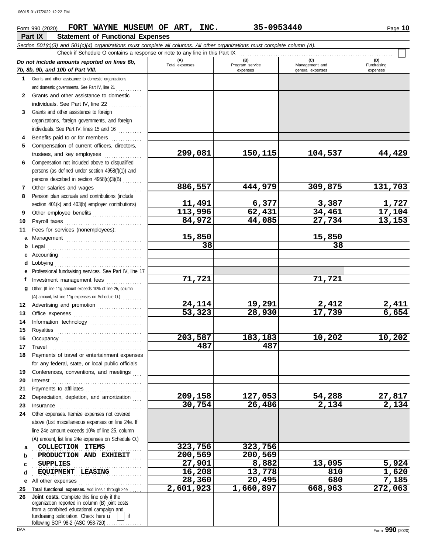# **Form 990 (2020) • FORT WAYNE MUSEUM OF ART, INC. 35-0953440** • Page 10

|                 | Part IX<br><b>Statement of Functional Expenses</b>                                                                                                                                                                                                                            |                   |                             |                                    |                         |
|-----------------|-------------------------------------------------------------------------------------------------------------------------------------------------------------------------------------------------------------------------------------------------------------------------------|-------------------|-----------------------------|------------------------------------|-------------------------|
|                 | Section 501(c)(3) and 501(c)(4) organizations must complete all columns. All other organizations must complete column (A).                                                                                                                                                    |                   |                             |                                    |                         |
|                 | Check if Schedule O contains a response or note to any line in this Part IX                                                                                                                                                                                                   | (A)               | (B)                         | (C)                                | (D)                     |
|                 | Do not include amounts reported on lines 6b,<br>7b, 8b, 9b, and 10b of Part VIII.                                                                                                                                                                                             | Total expenses    | Program service<br>expenses | Management and<br>general expenses | Fundraising<br>expenses |
| 1.              | Grants and other assistance to domestic organizations                                                                                                                                                                                                                         |                   |                             |                                    |                         |
|                 | and domestic governments. See Part IV, line 21                                                                                                                                                                                                                                |                   |                             |                                    |                         |
| 2               | Grants and other assistance to domestic                                                                                                                                                                                                                                       |                   |                             |                                    |                         |
|                 | individuals. See Part IV, line 22                                                                                                                                                                                                                                             |                   |                             |                                    |                         |
| 3               | Grants and other assistance to foreign                                                                                                                                                                                                                                        |                   |                             |                                    |                         |
|                 | organizations, foreign governments, and foreign                                                                                                                                                                                                                               |                   |                             |                                    |                         |
|                 | individuals. See Part IV, lines 15 and 16                                                                                                                                                                                                                                     |                   |                             |                                    |                         |
| 4               | Benefits paid to or for members                                                                                                                                                                                                                                               |                   |                             |                                    |                         |
| 5               | Compensation of current officers, directors,<br>trustees, and key employees                                                                                                                                                                                                   | 299,081           | 150,115                     | 104,537                            | 44,429                  |
| 6               | Compensation not included above to disqualified                                                                                                                                                                                                                               |                   |                             |                                    |                         |
|                 | persons (as defined under section 4958(f)(1)) and                                                                                                                                                                                                                             |                   |                             |                                    |                         |
|                 | persons described in section 4958(c)(3)(B)                                                                                                                                                                                                                                    |                   |                             |                                    |                         |
| 7               | Other salaries and wages                                                                                                                                                                                                                                                      | 886,557           | 444,979                     | 309,875                            | 131,703                 |
| 8               | Pension plan accruals and contributions (include                                                                                                                                                                                                                              |                   |                             |                                    |                         |
|                 | section 401(k) and 403(b) employer contributions)                                                                                                                                                                                                                             |                   | 6,377                       | 3,387                              |                         |
| 9               | Other employee benefits                                                                                                                                                                                                                                                       | 11,491<br>113,996 | 62,431                      | 34,461                             | $\frac{1,727}{17,104}$  |
| 10              |                                                                                                                                                                                                                                                                               | 84,972            | 44,085                      | 27,734                             | 13,153                  |
| 11              | Fees for services (nonemployees):                                                                                                                                                                                                                                             |                   |                             |                                    |                         |
| а               | Management                                                                                                                                                                                                                                                                    | 15,850            |                             | 15,850                             |                         |
| b               | Legal                                                                                                                                                                                                                                                                         | 38                |                             | 38                                 |                         |
| c               |                                                                                                                                                                                                                                                                               |                   |                             |                                    |                         |
| d               | Lobbying                                                                                                                                                                                                                                                                      |                   |                             |                                    |                         |
| е               | Professional fundraising services. See Part IV, line 17                                                                                                                                                                                                                       | 71,721            |                             | 71,721                             |                         |
| f<br>g          | Investment management fees<br>Other. (If line 11g amount exceeds 10% of line 25, column                                                                                                                                                                                       |                   |                             |                                    |                         |
|                 | (A) amount, list line 11g expenses on Schedule O.)                                                                                                                                                                                                                            |                   |                             |                                    |                         |
| 12              | Advertising and promotion                                                                                                                                                                                                                                                     | 24,114            | 19,291                      | 2,412                              | 2,411                   |
| 13              |                                                                                                                                                                                                                                                                               | 53,323            | 28,930                      | 17,739                             | 6,654                   |
| 14              | Information technology                                                                                                                                                                                                                                                        |                   |                             |                                    |                         |
| 15              | Royalties                                                                                                                                                                                                                                                                     |                   |                             |                                    |                         |
| 16              |                                                                                                                                                                                                                                                                               | 203,587           | 183,183                     | 10,202                             | 10,202                  |
| 17 <sub>2</sub> | Travel                                                                                                                                                                                                                                                                        | 487               | 487                         |                                    |                         |
| 18              | Payments of travel or entertainment expenses                                                                                                                                                                                                                                  |                   |                             |                                    |                         |
|                 | for any federal, state, or local public officials                                                                                                                                                                                                                             |                   |                             |                                    |                         |
| 19              | Conferences, conventions, and meetings                                                                                                                                                                                                                                        |                   |                             |                                    |                         |
| 20              | Interest                                                                                                                                                                                                                                                                      |                   |                             |                                    |                         |
| 21              | Payments to affiliates                                                                                                                                                                                                                                                        |                   |                             |                                    |                         |
| 22              | Depreciation, depletion, and amortization                                                                                                                                                                                                                                     | 209,158<br>30,754 | 127,053<br>26,486           | 54,288<br>2,134                    | 27,817<br>2,134         |
| 23<br>24        | Insurance with a continuum and the continuum of the continuum of the continuum of the continuum of the continuum of the continuum of the continuum of the continuum of the continuum of the continuum of the continuum of the<br>Other expenses. Itemize expenses not covered |                   |                             |                                    |                         |
|                 | above (List miscellaneous expenses on line 24e. If                                                                                                                                                                                                                            |                   |                             |                                    |                         |
|                 | line 24e amount exceeds 10% of line 25, column                                                                                                                                                                                                                                |                   |                             |                                    |                         |
|                 | (A) amount, list line 24e expenses on Schedule O.)                                                                                                                                                                                                                            |                   |                             |                                    |                         |
| a               | COLLECTION ITEMS                                                                                                                                                                                                                                                              | 323,756           | 323,756                     |                                    |                         |
| b               | PRODUCTION AND EXHIBIT                                                                                                                                                                                                                                                        | 200,569           | 200,569                     |                                    |                         |
| c               | <b>SUPPLIES</b>                                                                                                                                                                                                                                                               | 27,901            | 8,882                       | 13,095                             | 5,924                   |
| d               | EQUIPMENT LEASING                                                                                                                                                                                                                                                             | 16,208            | 13,778                      | 810                                | 1,620                   |
| е               | All other expenses                                                                                                                                                                                                                                                            | 28,360            | 20,495                      | 680                                | 7,185                   |
| 25              | Total functional expenses. Add lines 1 through 24e                                                                                                                                                                                                                            | 2,601,923         | 1,660,897                   | 668,963                            | 272,063                 |
| 26              | Joint costs. Complete this line only if the<br>organization reported in column (B) joint costs                                                                                                                                                                                |                   |                             |                                    |                         |
|                 | from a combined educational campaign and                                                                                                                                                                                                                                      |                   |                             |                                    |                         |
|                 | fundraising solicitation. Check here u<br>if                                                                                                                                                                                                                                  |                   |                             |                                    |                         |

following SOP 98-2 (ASC 958-720) . . . . . . . . . . . . . .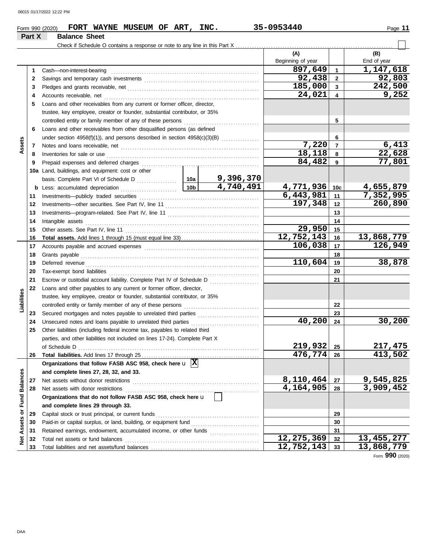## 06015 01/17/2022 12:22 PM

|                         |        | FORT WAYNE MUSEUM OF ART, INC.<br>Form 990 (2020)                                       |                 |                                                          | 35-0953440              |                         | Page 11      |
|-------------------------|--------|-----------------------------------------------------------------------------------------|-----------------|----------------------------------------------------------|-------------------------|-------------------------|--------------|
|                         | Part X | <b>Balance Sheet</b>                                                                    |                 |                                                          |                         |                         |              |
|                         |        |                                                                                         |                 |                                                          |                         |                         |              |
|                         |        |                                                                                         |                 |                                                          | (A)                     |                         | (B)          |
|                         |        |                                                                                         |                 |                                                          | Beginning of year       |                         | End of year  |
|                         | 1      | Cash-non-interest-bearing                                                               |                 |                                                          | 897,649                 | $\mathbf{1}$            | 1,147,618    |
|                         | 2      |                                                                                         |                 |                                                          | 92,438                  | $\overline{2}$          | 92,803       |
|                         | 3      |                                                                                         |                 |                                                          | 185,000                 | $\mathbf{3}$            | 242,500      |
|                         | 4      | Accounts receivable, net                                                                |                 |                                                          | 24,021                  | $\overline{\mathbf{4}}$ | 9,252        |
|                         | 5      | Loans and other receivables from any current or former officer, director,               |                 |                                                          |                         |                         |              |
|                         |        | trustee, key employee, creator or founder, substantial contributor, or 35%              |                 |                                                          |                         |                         |              |
|                         |        |                                                                                         |                 |                                                          |                         | 5                       |              |
|                         | 6      | Loans and other receivables from other disqualified persons (as defined                 |                 |                                                          |                         |                         |              |
|                         |        | under section $4958(f)(1)$ ), and persons described in section $4958(c)(3)(B)$          |                 |                                                          |                         | 6                       |              |
| Assets                  | 7      |                                                                                         |                 |                                                          | 7,220                   | $\overline{7}$          | 6,413        |
|                         | 8      | Inventories for sale or use                                                             |                 |                                                          | 18,118                  | 8                       | 22,628       |
|                         | 9      | Prepaid expenses and deferred charges                                                   |                 |                                                          | 84,482                  | 9                       | 77,801       |
|                         |        | 10a Land, buildings, and equipment: cost or other                                       |                 |                                                          |                         |                         |              |
|                         |        |                                                                                         |                 | 9,396,370                                                |                         |                         |              |
|                         |        | <b>b</b> Less: accumulated depreciation                                                 | 10 <sub>b</sub> | 4,740,491                                                | 4,771,936               | 10 <sub>c</sub>         | 4,655,879    |
|                         | 11     | Investments-publicly traded securities                                                  |                 |                                                          | $\sqrt{6,443,981}$      | 11                      | 7,352,995    |
|                         | 12     |                                                                                         |                 |                                                          | 197,348                 | 12                      | 260,890      |
|                         | 13     |                                                                                         |                 |                                                          |                         | 13                      |              |
|                         | 14     | Intangible assets                                                                       |                 |                                                          |                         | 14                      |              |
|                         | 15     |                                                                                         |                 |                                                          | 29,950                  | 15                      |              |
|                         | 16     |                                                                                         |                 |                                                          | 12,752,143              | 16                      | 13,868,779   |
|                         | 17     |                                                                                         |                 |                                                          | 106,038                 | 17                      | 126,949      |
|                         | 18     | Grants payable                                                                          |                 | 18                                                       |                         |                         |              |
|                         | 19     | Deferred revenue                                                                        |                 |                                                          | 110,604                 | 19                      | 38,878       |
|                         | 20     |                                                                                         |                 |                                                          |                         | 20                      |              |
|                         | 21     | Escrow or custodial account liability. Complete Part IV of Schedule D                   |                 | <u> 1999 - Johann Stoff, martin Amerikaansk kanton (</u> |                         | 21                      |              |
|                         | 22     | Loans and other payables to any current or former officer, director,                    |                 |                                                          |                         |                         |              |
| Liabilities             |        | trustee, key employee, creator or founder, substantial contributor, or 35%              |                 |                                                          |                         |                         |              |
|                         |        |                                                                                         |                 |                                                          |                         | 22                      |              |
|                         | 23     |                                                                                         |                 |                                                          |                         | 23                      |              |
|                         | 24     | Unsecured notes and loans payable to unrelated third parties                            |                 |                                                          | 40,200                  | 24                      | 30,200       |
|                         | 25     | Other liabilities (including federal income tax, payables to related third              |                 |                                                          |                         |                         |              |
|                         |        | parties, and other liabilities not included on lines 17-24). Complete Part X            |                 |                                                          |                         |                         |              |
|                         |        | of Schedule D                                                                           |                 |                                                          | 219,932                 | 25                      | 217, 475     |
|                         | 26     |                                                                                         |                 |                                                          | $\overline{476, 774}$   | 26                      | 413,502      |
|                         |        | Organizations that follow FASB ASC 958, check here $\mathbf{u}$ $\overline{\mathbf{X}}$ |                 |                                                          |                         |                         |              |
|                         |        | and complete lines 27, 28, 32, and 33.                                                  |                 |                                                          |                         |                         |              |
|                         | 27     | Net assets without donor restrictions                                                   |                 |                                                          | 8,110,464               | 27                      | 9,545,825    |
|                         | 28     | Net assets with donor restrictions                                                      |                 |                                                          | 4,164,905               | 28                      | 3,909,452    |
|                         |        | Organizations that do not follow FASB ASC 958, check here u                             |                 |                                                          |                         |                         |              |
|                         |        | and complete lines 29 through 33.                                                       |                 |                                                          |                         |                         |              |
|                         | 29     | Capital stock or trust principal, or current funds                                      |                 |                                                          |                         | 29                      |              |
| Assets or Fund Balances | 30     | Paid-in or capital surplus, or land, building, or equipment fund                        |                 |                                                          |                         | 30                      |              |
|                         | 31     | Retained earnings, endowment, accumulated income, or other funds                        |                 |                                                          | $\overline{12,275,369}$ | 31<br>32                | 13, 455, 277 |
| ğ                       | 32     | Total net assets or fund balances                                                       |                 |                                                          | 12,752,143              | 33                      | 13,868,779   |
|                         | 33     |                                                                                         |                 |                                                          |                         |                         |              |

Form **990** (2020)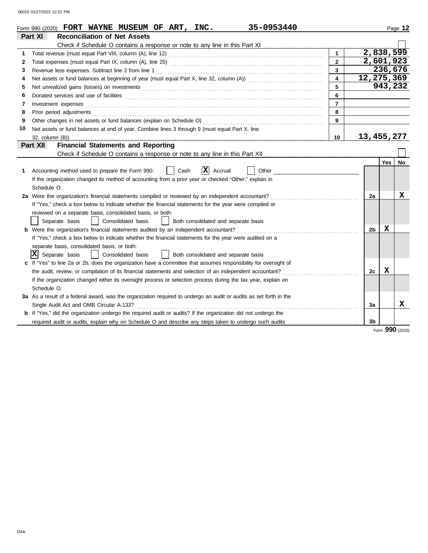06015 01/17/2022 12:22 PM

|    | 35-0953440<br>Form 990 (2020) FORT WAYNE MUSEUM OF ART, INC.                                                               |                |                |                        | Page 12 |
|----|----------------------------------------------------------------------------------------------------------------------------|----------------|----------------|------------------------|---------|
|    | Part XI<br><b>Reconciliation of Net Assets</b>                                                                             |                |                |                        |         |
|    |                                                                                                                            |                |                |                        |         |
| 1  |                                                                                                                            | $\mathbf{1}$   |                | $\overline{2,838,599}$ |         |
| 2  |                                                                                                                            | $\overline{2}$ |                | 2,601,923              |         |
| 3  | Revenue less expenses. Subtract line 2 from line 1                                                                         | $\overline{3}$ |                | 236,676                |         |
| 4  |                                                                                                                            | $\overline{4}$ |                | 12,275,369             |         |
| 5  |                                                                                                                            | 5              |                |                        | 943,232 |
| 6  | Donated services and use of facilities <b>constants and interview of the service of the services</b> and use of facilities | 6              |                |                        |         |
| 7  | Investment expenses <b>constant expenses</b>                                                                               | $\overline{7}$ |                |                        |         |
| 8  |                                                                                                                            | 8              |                |                        |         |
| 9  |                                                                                                                            | 9              |                |                        |         |
| 10 | Net assets or fund balances at end of year. Combine lines 3 through 9 (must equal Part X, line                             |                |                |                        |         |
|    |                                                                                                                            | 10             |                | 13,455,277             |         |
|    | <b>Financial Statements and Reporting</b><br><b>Part XII</b>                                                               |                |                |                        |         |
|    |                                                                                                                            |                |                |                        |         |
|    |                                                                                                                            |                |                | Yes                    | No      |
| 1  | X<br>Accounting method used to prepare the Form 990:<br>Cash<br>Accrual<br>Other                                           |                |                |                        |         |
|    | If the organization changed its method of accounting from a prior year or checked "Other," explain in                      |                |                |                        |         |
|    | Schedule O.                                                                                                                |                |                |                        |         |
|    | 2a Were the organization's financial statements compiled or reviewed by an independent accountant?                         |                | 2a             |                        | x       |
|    | If "Yes," check a box below to indicate whether the financial statements for the year were compiled or                     |                |                |                        |         |
|    | reviewed on a separate basis, consolidated basis, or both:                                                                 |                |                |                        |         |
|    | Separate basis<br>  Consolidated basis<br>Both consolidated and separate basis                                             |                |                |                        |         |
|    | <b>b</b> Were the organization's financial statements audited by an independent accountant?                                |                | 2 <sub>b</sub> | x                      |         |
|    | If "Yes," check a box below to indicate whether the financial statements for the year were audited on a                    |                |                |                        |         |
|    | separate basis, consolidated basis, or both:                                                                               |                |                |                        |         |
|    | x <br>Separate basis<br>Consolidated basis<br>Both consolidated and separate basis                                         |                |                |                        |         |
|    | c If "Yes" to line 2a or 2b, does the organization have a committee that assumes responsibility for oversight of           |                |                |                        |         |
|    | the audit, review, or compilation of its financial statements and selection of an independent accountant?                  |                | 2c             | X                      |         |
|    | If the organization changed either its oversight process or selection process during the tax year, explain on              |                |                |                        |         |
|    | Schedule O.                                                                                                                |                |                |                        |         |
|    | 3a As a result of a federal award, was the organization required to undergo an audit or audits as set forth in the         |                |                |                        |         |
|    | Single Audit Act and OMB Circular A-133?                                                                                   |                | За             |                        | x       |
|    | b If "Yes," did the organization undergo the required audit or audits? If the organization did not undergo the             |                |                |                        |         |
|    | required audit or audits, explain why on Schedule O and describe any steps taken to undergo such audits                    |                | 3 <sub>b</sub> |                        |         |

Form **990** (2020)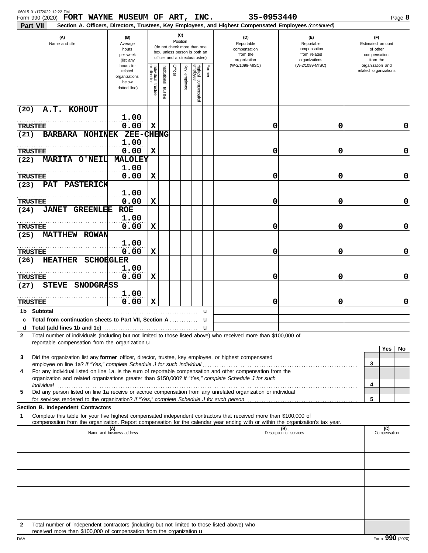| 06015 01/17/2022 12:22 PM<br>Form 990 (2020) FORT WAYNE MUSEUM OF ART, INC.                                                                                                                                               |                                                                |                                      |                          |         |                 |                                                                                                 |        | 35-0953440                                                                                             |                                                                    | Page 8                                                          |
|---------------------------------------------------------------------------------------------------------------------------------------------------------------------------------------------------------------------------|----------------------------------------------------------------|--------------------------------------|--------------------------|---------|-----------------|-------------------------------------------------------------------------------------------------|--------|--------------------------------------------------------------------------------------------------------|--------------------------------------------------------------------|-----------------------------------------------------------------|
| Part VII                                                                                                                                                                                                                  |                                                                |                                      |                          |         |                 |                                                                                                 |        | Section A. Officers, Directors, Trustees, Key Employees, and Highest Compensated Employees (continued) |                                                                    |                                                                 |
| (A)<br>Name and title                                                                                                                                                                                                     | (B)<br>Average<br>hours<br>per week<br>(list any               |                                      |                          |         | (C)<br>Position | (do not check more than one<br>box, unless person is both an<br>officer and a director/trustee) |        | (D)<br>Reportable<br>compensation<br>from the<br>organization                                          | (E)<br>Reportable<br>compensation<br>from related<br>organizations | (F)<br>Estimated amount<br>of other<br>compensation<br>from the |
|                                                                                                                                                                                                                           | hours for<br>related<br>organizations<br>below<br>dotted line) | Individual<br>or director<br>trustee | Institutional<br>trustee | Officer | Key employee    | Highest compensated<br>employee                                                                 | Former | (W-2/1099-MISC)                                                                                        | (W-2/1099-MISC)                                                    | organization and<br>related organizations                       |
| A.T. KOHOUT<br>(20)                                                                                                                                                                                                       |                                                                |                                      |                          |         |                 |                                                                                                 |        |                                                                                                        |                                                                    |                                                                 |
| <b>TRUSTEE</b>                                                                                                                                                                                                            | 1.00<br>0.00                                                   | $\mathbf x$                          |                          |         |                 |                                                                                                 |        | 0                                                                                                      | 0                                                                  | 0                                                               |
| BARBARA NOHINEK<br>(21)                                                                                                                                                                                                   | <b>ZEE-CHENG</b>                                               |                                      |                          |         |                 |                                                                                                 |        |                                                                                                        |                                                                    |                                                                 |
|                                                                                                                                                                                                                           | 1.00                                                           |                                      |                          |         |                 |                                                                                                 |        |                                                                                                        |                                                                    |                                                                 |
| <b>TRUSTEE</b>                                                                                                                                                                                                            | 0.00                                                           | X                                    |                          |         |                 |                                                                                                 |        | 0                                                                                                      | 0                                                                  | 0                                                               |
| MARITA O'NEIL<br>(22)                                                                                                                                                                                                     | <b>MALOLEY</b>                                                 |                                      |                          |         |                 |                                                                                                 |        |                                                                                                        |                                                                    |                                                                 |
| TRUSTEE                                                                                                                                                                                                                   | 1.00<br>0.00                                                   | $\mathbf x$                          |                          |         |                 |                                                                                                 |        | 0                                                                                                      | 0                                                                  | 0                                                               |
| PAT PASTERICK<br>(23)                                                                                                                                                                                                     |                                                                |                                      |                          |         |                 |                                                                                                 |        |                                                                                                        |                                                                    |                                                                 |
|                                                                                                                                                                                                                           | 1.00                                                           |                                      |                          |         |                 |                                                                                                 |        |                                                                                                        |                                                                    |                                                                 |
| <b>TRUSTEE</b>                                                                                                                                                                                                            | 0.00                                                           | X                                    |                          |         |                 |                                                                                                 |        | 0                                                                                                      | 0                                                                  | 0                                                               |
| <b>JANET GREENLEE</b><br>(24)                                                                                                                                                                                             | <b>ROE</b>                                                     |                                      |                          |         |                 |                                                                                                 |        |                                                                                                        |                                                                    |                                                                 |
|                                                                                                                                                                                                                           | 1.00<br>0.00                                                   | X                                    |                          |         |                 |                                                                                                 |        | 0                                                                                                      | 0                                                                  | 0                                                               |
| <b>TRUSTEE</b><br><b>MATTHEW ROWAN</b><br>(25)                                                                                                                                                                            |                                                                |                                      |                          |         |                 |                                                                                                 |        |                                                                                                        |                                                                    |                                                                 |
|                                                                                                                                                                                                                           | 1.00                                                           |                                      |                          |         |                 |                                                                                                 |        |                                                                                                        |                                                                    |                                                                 |
| <b>TRUSTEE</b>                                                                                                                                                                                                            | 0.00                                                           | X                                    |                          |         |                 |                                                                                                 |        | 0                                                                                                      | 0                                                                  | 0                                                               |
| <b>HEATHER SCHOEGLER</b><br>(26)                                                                                                                                                                                          |                                                                |                                      |                          |         |                 |                                                                                                 |        |                                                                                                        |                                                                    |                                                                 |
| <b>TRUSTEE</b>                                                                                                                                                                                                            | 1.00<br>0.00                                                   | X                                    |                          |         |                 |                                                                                                 |        | 0                                                                                                      | 0                                                                  | 0                                                               |
| STEVE SNODGRASS<br>(27)                                                                                                                                                                                                   |                                                                |                                      |                          |         |                 |                                                                                                 |        |                                                                                                        |                                                                    |                                                                 |
| <b>TRUSTEE</b>                                                                                                                                                                                                            | 1.00<br>0.00                                                   | $\mathbf x$                          |                          |         |                 |                                                                                                 |        | 0                                                                                                      | 0                                                                  | 0                                                               |
|                                                                                                                                                                                                                           |                                                                |                                      |                          |         |                 |                                                                                                 | u      |                                                                                                        |                                                                    |                                                                 |
| c Total from continuation sheets to Part VII, Section A                                                                                                                                                                   |                                                                |                                      |                          |         |                 |                                                                                                 | u      |                                                                                                        |                                                                    |                                                                 |
|                                                                                                                                                                                                                           |                                                                |                                      |                          |         |                 |                                                                                                 |        |                                                                                                        |                                                                    |                                                                 |
| Total number of individuals (including but not limited to those listed above) who received more than \$100,000 of<br>2<br>reportable compensation from the organization u                                                 |                                                                |                                      |                          |         |                 |                                                                                                 |        |                                                                                                        |                                                                    |                                                                 |
|                                                                                                                                                                                                                           |                                                                |                                      |                          |         |                 |                                                                                                 |        |                                                                                                        |                                                                    | Yes<br>No                                                       |
| Did the organization list any former officer, director, trustee, key employee, or highest compensated<br>3                                                                                                                |                                                                |                                      |                          |         |                 |                                                                                                 |        |                                                                                                        |                                                                    | 3                                                               |
| For any individual listed on line 1a, is the sum of reportable compensation and other compensation from the<br>4<br>organization and related organizations greater than \$150,000? If "Yes," complete Schedule J for such |                                                                |                                      |                          |         |                 |                                                                                                 |        |                                                                                                        |                                                                    | 4                                                               |
| Did any person listed on line 1a receive or accrue compensation from any unrelated organization or individual<br>5                                                                                                        |                                                                |                                      |                          |         |                 |                                                                                                 |        |                                                                                                        |                                                                    |                                                                 |
| Section B. Independent Contractors                                                                                                                                                                                        |                                                                |                                      |                          |         |                 |                                                                                                 |        |                                                                                                        |                                                                    | 5                                                               |
| 1<br>Complete this table for your five highest compensated independent contractors that received more than \$100,000 of                                                                                                   |                                                                |                                      |                          |         |                 |                                                                                                 |        |                                                                                                        |                                                                    |                                                                 |
| compensation from the organization. Report compensation for the calendar year ending with or within the organization's tax year.                                                                                          |                                                                |                                      |                          |         |                 |                                                                                                 |        |                                                                                                        |                                                                    | (C)                                                             |
|                                                                                                                                                                                                                           | (A)<br>Name and business address                               |                                      |                          |         |                 |                                                                                                 |        |                                                                                                        | (B)<br>Description of services                                     | Compensation                                                    |
|                                                                                                                                                                                                                           |                                                                |                                      |                          |         |                 |                                                                                                 |        |                                                                                                        |                                                                    |                                                                 |
|                                                                                                                                                                                                                           |                                                                |                                      |                          |         |                 |                                                                                                 |        |                                                                                                        |                                                                    |                                                                 |
|                                                                                                                                                                                                                           |                                                                |                                      |                          |         |                 |                                                                                                 |        |                                                                                                        |                                                                    |                                                                 |
|                                                                                                                                                                                                                           |                                                                |                                      |                          |         |                 |                                                                                                 |        |                                                                                                        |                                                                    |                                                                 |
|                                                                                                                                                                                                                           |                                                                |                                      |                          |         |                 |                                                                                                 |        |                                                                                                        |                                                                    |                                                                 |
|                                                                                                                                                                                                                           |                                                                |                                      |                          |         |                 |                                                                                                 |        |                                                                                                        |                                                                    |                                                                 |
| Total number of independent contractors (including but not limited to those listed above) who<br>$\mathbf{2}$                                                                                                             |                                                                |                                      |                          |         |                 |                                                                                                 |        |                                                                                                        |                                                                    |                                                                 |

received more than  $$100,000$  of compensation from the organization  $$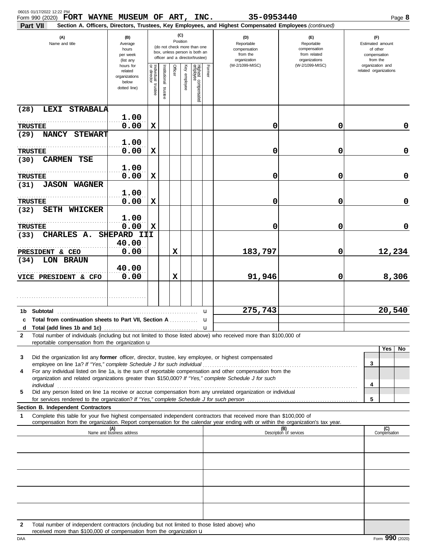| 06015 01/17/2022 12:22 PM<br>Form 990 (2020) FORT WAYNE MUSEUM OF ART, INC.                                                                                                                                                                                                                                                                         |                                                                |                                                                                                                    |                          |             |              |                                 |                                                               | 35-0953440                                                                                             |                                                                    | Page 8                                                          |
|-----------------------------------------------------------------------------------------------------------------------------------------------------------------------------------------------------------------------------------------------------------------------------------------------------------------------------------------------------|----------------------------------------------------------------|--------------------------------------------------------------------------------------------------------------------|--------------------------|-------------|--------------|---------------------------------|---------------------------------------------------------------|--------------------------------------------------------------------------------------------------------|--------------------------------------------------------------------|-----------------------------------------------------------------|
| Part VII                                                                                                                                                                                                                                                                                                                                            |                                                                |                                                                                                                    |                          |             |              |                                 |                                                               | Section A. Officers, Directors, Trustees, Key Employees, and Highest Compensated Employees (continued) |                                                                    |                                                                 |
| (A)<br>Name and title                                                                                                                                                                                                                                                                                                                               | (B)<br>Average<br>hours<br>per week<br>(list any               | (C)<br>Position<br>(do not check more than one<br>box, unless person is both an<br>officer and a director/trustee) |                          |             |              |                                 | (D)<br>Reportable<br>compensation<br>from the<br>organization |                                                                                                        | (E)<br>Reportable<br>compensation<br>from related<br>organizations | (F)<br>Estimated amount<br>of other<br>compensation<br>from the |
|                                                                                                                                                                                                                                                                                                                                                     | hours for<br>related<br>organizations<br>below<br>dotted line) | Individual trustee<br>or director                                                                                  | Institutional<br>trustee | Officer     | Key employee | Highest compensated<br>employee | Former                                                        | (W-2/1099-MISC)                                                                                        | (W-2/1099-MISC)                                                    | organization and<br>related organizations                       |
| LEXI STRABALA<br>(28)                                                                                                                                                                                                                                                                                                                               |                                                                |                                                                                                                    |                          |             |              |                                 |                                                               |                                                                                                        |                                                                    |                                                                 |
| <b>TRUSTEE</b>                                                                                                                                                                                                                                                                                                                                      | 1.00<br>0.00                                                   | X                                                                                                                  |                          |             |              |                                 |                                                               | 0                                                                                                      | 0                                                                  | 0                                                               |
| NANCY STEWART<br>(29)                                                                                                                                                                                                                                                                                                                               | 1.00                                                           |                                                                                                                    |                          |             |              |                                 |                                                               |                                                                                                        |                                                                    |                                                                 |
| <b>TRUSTEE</b>                                                                                                                                                                                                                                                                                                                                      | 0.00                                                           | X                                                                                                                  |                          |             |              |                                 |                                                               | 0                                                                                                      | 0                                                                  | 0                                                               |
| <b>CARMEN TSE</b><br>(30)                                                                                                                                                                                                                                                                                                                           | 1.00                                                           |                                                                                                                    |                          |             |              |                                 |                                                               |                                                                                                        |                                                                    |                                                                 |
| <b>TRUSTEE</b><br><b>JASON WAGNER</b><br>(31)                                                                                                                                                                                                                                                                                                       | 0.00                                                           | X                                                                                                                  |                          |             |              |                                 |                                                               | 0                                                                                                      | 0                                                                  | 0                                                               |
| <b>TRUSTEE</b>                                                                                                                                                                                                                                                                                                                                      | 1.00<br>0.00                                                   | X                                                                                                                  |                          |             |              |                                 |                                                               | 0                                                                                                      | 0                                                                  | 0                                                               |
| <b>SETH WHICKER</b><br>(32)                                                                                                                                                                                                                                                                                                                         |                                                                |                                                                                                                    |                          |             |              |                                 |                                                               |                                                                                                        |                                                                    |                                                                 |
| <b>TRUSTEE</b>                                                                                                                                                                                                                                                                                                                                      | 1.00<br>0.00                                                   | $\mathbf x$                                                                                                        |                          |             |              |                                 |                                                               | 0                                                                                                      | 0                                                                  | 0                                                               |
| CHARLES A.<br>(33)                                                                                                                                                                                                                                                                                                                                  | SHEPARD III<br>40.00                                           |                                                                                                                    |                          |             |              |                                 |                                                               |                                                                                                        |                                                                    |                                                                 |
| PRESIDENT & CEO<br>LON BRAUN<br>(34)                                                                                                                                                                                                                                                                                                                | 0.00                                                           |                                                                                                                    |                          | $\mathbf x$ |              |                                 |                                                               | 183,797                                                                                                | 0                                                                  | 12,234                                                          |
| VICE PRESIDENT & CFO                                                                                                                                                                                                                                                                                                                                | 40.00<br>0.00                                                  |                                                                                                                    |                          | $\mathbf x$ |              |                                 |                                                               | 91,946                                                                                                 | 0                                                                  | 8,306                                                           |
|                                                                                                                                                                                                                                                                                                                                                     |                                                                |                                                                                                                    |                          |             |              |                                 |                                                               |                                                                                                        |                                                                    |                                                                 |
|                                                                                                                                                                                                                                                                                                                                                     |                                                                |                                                                                                                    |                          |             |              |                                 |                                                               |                                                                                                        |                                                                    |                                                                 |
| c Total from continuation sheets to Part VII, Section A                                                                                                                                                                                                                                                                                             |                                                                |                                                                                                                    |                          |             |              |                                 | u<br>u                                                        | 275,743                                                                                                |                                                                    | 20,540                                                          |
|                                                                                                                                                                                                                                                                                                                                                     |                                                                |                                                                                                                    |                          |             |              |                                 |                                                               |                                                                                                        |                                                                    |                                                                 |
| Total number of individuals (including but not limited to those listed above) who received more than \$100,000 of<br>2<br>reportable compensation from the organization u                                                                                                                                                                           |                                                                |                                                                                                                    |                          |             |              |                                 |                                                               |                                                                                                        |                                                                    |                                                                 |
| Did the organization list any former officer, director, trustee, key employee, or highest compensated<br>3                                                                                                                                                                                                                                          |                                                                |                                                                                                                    |                          |             |              |                                 |                                                               |                                                                                                        |                                                                    | Yes<br>No                                                       |
|                                                                                                                                                                                                                                                                                                                                                     |                                                                |                                                                                                                    |                          |             |              |                                 |                                                               |                                                                                                        |                                                                    | 3                                                               |
| For any individual listed on line 1a, is the sum of reportable compensation and other compensation from the<br>4<br>organization and related organizations greater than \$150,000? If "Yes," complete Schedule J for such                                                                                                                           |                                                                |                                                                                                                    |                          |             |              |                                 |                                                               |                                                                                                        |                                                                    | 4                                                               |
| individual commutation of the contract of the contract of the contract of the contract of the contract of the contract of the contract of the contract of the contract of the contract of the contract of the contract of the<br>Did any person listed on line 1a receive or accrue compensation from any unrelated organization or individual<br>5 |                                                                |                                                                                                                    |                          |             |              |                                 |                                                               |                                                                                                        |                                                                    | 5                                                               |
| Section B. Independent Contractors                                                                                                                                                                                                                                                                                                                  |                                                                |                                                                                                                    |                          |             |              |                                 |                                                               |                                                                                                        |                                                                    |                                                                 |
| 1<br>Complete this table for your five highest compensated independent contractors that received more than \$100,000 of<br>compensation from the organization. Report compensation for the calendar year ending with or within the organization's tax year.                                                                                         |                                                                |                                                                                                                    |                          |             |              |                                 |                                                               |                                                                                                        |                                                                    |                                                                 |
|                                                                                                                                                                                                                                                                                                                                                     | (A)<br>Name and business address                               |                                                                                                                    |                          |             |              |                                 |                                                               |                                                                                                        | (B)<br>Description of services                                     | (C)<br>Compensation                                             |
|                                                                                                                                                                                                                                                                                                                                                     |                                                                |                                                                                                                    |                          |             |              |                                 |                                                               |                                                                                                        |                                                                    |                                                                 |
|                                                                                                                                                                                                                                                                                                                                                     |                                                                |                                                                                                                    |                          |             |              |                                 |                                                               |                                                                                                        |                                                                    |                                                                 |
|                                                                                                                                                                                                                                                                                                                                                     |                                                                |                                                                                                                    |                          |             |              |                                 |                                                               |                                                                                                        |                                                                    |                                                                 |
|                                                                                                                                                                                                                                                                                                                                                     |                                                                |                                                                                                                    |                          |             |              |                                 |                                                               |                                                                                                        |                                                                    |                                                                 |
|                                                                                                                                                                                                                                                                                                                                                     |                                                                |                                                                                                                    |                          |             |              |                                 |                                                               |                                                                                                        |                                                                    |                                                                 |
| Total number of independent contractors (including but not limited to those listed above) who<br>$\mathbf{2}$                                                                                                                                                                                                                                       |                                                                |                                                                                                                    |                          |             |              |                                 |                                                               |                                                                                                        |                                                                    |                                                                 |

received more than  $$100,000$  of compensation from the organization  $$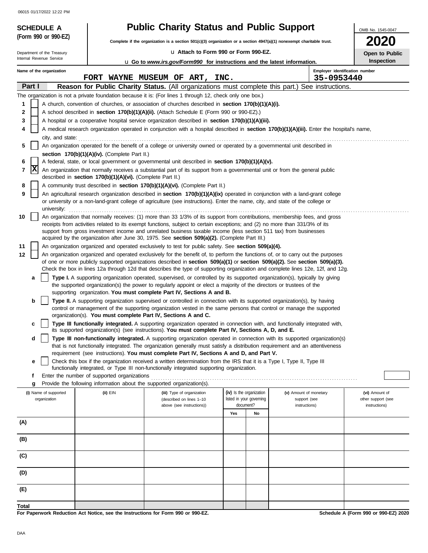06015 01/17/2022 12:22 PM

|        |                                                                                                                                            | <b>SCHEDULE A</b>                     |                                                                                  | <b>Public Charity Status and Public Support</b>                                                                                                                                                                                                                |     |                                                      |                                              | OMB No. 1545-0047                    |  |
|--------|--------------------------------------------------------------------------------------------------------------------------------------------|---------------------------------------|----------------------------------------------------------------------------------|----------------------------------------------------------------------------------------------------------------------------------------------------------------------------------------------------------------------------------------------------------------|-----|------------------------------------------------------|----------------------------------------------|--------------------------------------|--|
|        |                                                                                                                                            | (Form 990 or 990-EZ)                  |                                                                                  | Complete if the organization is a section 501(c)(3) organization or a section 4947(a)(1) nonexempt charitable trust.                                                                                                                                           |     |                                                      |                                              | <b>2020</b>                          |  |
|        |                                                                                                                                            | Department of the Treasury            |                                                                                  | La Attach to Form 990 or Form 990-EZ.                                                                                                                                                                                                                          |     |                                                      |                                              | Open to Public                       |  |
|        |                                                                                                                                            | Internal Revenue Service              |                                                                                  | <b>u</b> Go to <i>www.irs.gov/Form990</i> for instructions and the latest information.                                                                                                                                                                         |     |                                                      |                                              | <b>Inspection</b>                    |  |
|        |                                                                                                                                            | Name of the organization              |                                                                                  | FORT WAYNE MUSEUM OF ART, INC.                                                                                                                                                                                                                                 |     |                                                      | Employer identification number<br>35-0953440 |                                      |  |
|        | Part I                                                                                                                                     |                                       |                                                                                  | Reason for Public Charity Status. (All organizations must complete this part.) See instructions.                                                                                                                                                               |     |                                                      |                                              |                                      |  |
|        |                                                                                                                                            |                                       |                                                                                  | The organization is not a private foundation because it is: (For lines 1 through 12, check only one box.)                                                                                                                                                      |     |                                                      |                                              |                                      |  |
| 1      |                                                                                                                                            |                                       |                                                                                  | A church, convention of churches, or association of churches described in section 170(b)(1)(A)(i).                                                                                                                                                             |     |                                                      |                                              |                                      |  |
| 2      |                                                                                                                                            |                                       |                                                                                  | A school described in section 170(b)(1)(A)(ii). (Attach Schedule E (Form 990 or 990-EZ).)                                                                                                                                                                      |     |                                                      |                                              |                                      |  |
| 3      |                                                                                                                                            |                                       |                                                                                  | A hospital or a cooperative hospital service organization described in section 170(b)(1)(A)(iii).                                                                                                                                                              |     |                                                      |                                              |                                      |  |
| 4      | A medical research organization operated in conjunction with a hospital described in section 170(b)(1)(A)(iii). Enter the hospital's name, |                                       |                                                                                  |                                                                                                                                                                                                                                                                |     |                                                      |                                              |                                      |  |
| 5      |                                                                                                                                            | city, and state:                      |                                                                                  | An organization operated for the benefit of a college or university owned or operated by a governmental unit described in                                                                                                                                      |     |                                                      |                                              |                                      |  |
|        |                                                                                                                                            |                                       | section $170(b)(1)(A)(iv)$ . (Complete Part II.)                                 |                                                                                                                                                                                                                                                                |     |                                                      |                                              |                                      |  |
| 6      |                                                                                                                                            |                                       |                                                                                  | A federal, state, or local government or governmental unit described in section 170(b)(1)(A)(v).                                                                                                                                                               |     |                                                      |                                              |                                      |  |
| 7      | x                                                                                                                                          |                                       |                                                                                  | An organization that normally receives a substantial part of its support from a governmental unit or from the general public                                                                                                                                   |     |                                                      |                                              |                                      |  |
|        |                                                                                                                                            |                                       | described in section 170(b)(1)(A)(vi). (Complete Part II.)                       |                                                                                                                                                                                                                                                                |     |                                                      |                                              |                                      |  |
| 8<br>9 |                                                                                                                                            |                                       |                                                                                  | A community trust described in section 170(b)(1)(A)(vi). (Complete Part II.)<br>An agricultural research organization described in section 170(b)(1)(A)(ix) operated in conjunction with a land-grant college                                                  |     |                                                      |                                              |                                      |  |
|        |                                                                                                                                            | university:                           |                                                                                  | or university or a non-land-grant college of agriculture (see instructions). Enter the name, city, and state of the college or                                                                                                                                 |     |                                                      |                                              |                                      |  |
| 10     |                                                                                                                                            |                                       |                                                                                  | An organization that normally receives: (1) more than 33 1/3% of its support from contributions, membership fees, and gross                                                                                                                                    |     |                                                      |                                              |                                      |  |
|        |                                                                                                                                            |                                       |                                                                                  | receipts from activities related to its exempt functions, subject to certain exceptions; and (2) no more than 331/3% of its                                                                                                                                    |     |                                                      |                                              |                                      |  |
|        |                                                                                                                                            |                                       |                                                                                  | support from gross investment income and unrelated business taxable income (less section 511 tax) from businesses<br>acquired by the organization after June 30, 1975. See section 509(a)(2). (Complete Part III.)                                             |     |                                                      |                                              |                                      |  |
| 11     |                                                                                                                                            |                                       |                                                                                  | An organization organized and operated exclusively to test for public safety. See section 509(a)(4).                                                                                                                                                           |     |                                                      |                                              |                                      |  |
| 12     |                                                                                                                                            |                                       |                                                                                  | An organization organized and operated exclusively for the benefit of, to perform the functions of, or to carry out the purposes                                                                                                                               |     |                                                      |                                              |                                      |  |
|        |                                                                                                                                            |                                       |                                                                                  | of one or more publicly supported organizations described in section $509(a)(1)$ or section $509(a)(2)$ . See section $509(a)(3)$ .                                                                                                                            |     |                                                      |                                              |                                      |  |
|        | a                                                                                                                                          |                                       |                                                                                  | Check the box in lines 12a through 12d that describes the type of supporting organization and complete lines 12e, 12f, and 12g.<br>Type I. A supporting organization operated, supervised, or controlled by its supported organization(s), typically by giving |     |                                                      |                                              |                                      |  |
|        |                                                                                                                                            |                                       |                                                                                  | the supported organization(s) the power to regularly appoint or elect a majority of the directors or trustees of the<br>supporting organization. You must complete Part IV, Sections A and B.                                                                  |     |                                                      |                                              |                                      |  |
|        | b                                                                                                                                          |                                       |                                                                                  | Type II. A supporting organization supervised or controlled in connection with its supported organization(s), by having                                                                                                                                        |     |                                                      |                                              |                                      |  |
|        |                                                                                                                                            |                                       |                                                                                  | control or management of the supporting organization vested in the same persons that control or manage the supported                                                                                                                                           |     |                                                      |                                              |                                      |  |
|        |                                                                                                                                            |                                       | organization(s). You must complete Part IV, Sections A and C.                    |                                                                                                                                                                                                                                                                |     |                                                      |                                              |                                      |  |
|        | с                                                                                                                                          |                                       |                                                                                  | Type III functionally integrated. A supporting organization operated in connection with, and functionally integrated with,<br>its supported organization(s) (see instructions). You must complete Part IV, Sections A, D, and E.                               |     |                                                      |                                              |                                      |  |
|        | d                                                                                                                                          |                                       |                                                                                  | Type III non-functionally integrated. A supporting organization operated in connection with its supported organization(s)                                                                                                                                      |     |                                                      |                                              |                                      |  |
|        |                                                                                                                                            |                                       |                                                                                  | that is not functionally integrated. The organization generally must satisfy a distribution requirement and an attentiveness                                                                                                                                   |     |                                                      |                                              |                                      |  |
|        | е                                                                                                                                          |                                       |                                                                                  | requirement (see instructions). You must complete Part IV, Sections A and D, and Part V.<br>Check this box if the organization received a written determination from the IRS that it is a Type I, Type II, Type III                                            |     |                                                      |                                              |                                      |  |
|        |                                                                                                                                            |                                       |                                                                                  | functionally integrated, or Type III non-functionally integrated supporting organization.                                                                                                                                                                      |     |                                                      |                                              |                                      |  |
|        | f                                                                                                                                          |                                       | Enter the number of supported organizations                                      |                                                                                                                                                                                                                                                                |     |                                                      |                                              |                                      |  |
|        | g                                                                                                                                          |                                       | Provide the following information about the supported organization(s).           |                                                                                                                                                                                                                                                                |     |                                                      |                                              |                                      |  |
|        |                                                                                                                                            | (i) Name of supported<br>organization | (ii) EIN                                                                         | (iii) Type of organization<br>(described on lines 1-10                                                                                                                                                                                                         |     | (iv) Is the organization<br>listed in your governing | (v) Amount of monetary<br>support (see       | (vi) Amount of<br>other support (see |  |
|        |                                                                                                                                            |                                       |                                                                                  | above (see instructions))                                                                                                                                                                                                                                      |     | document?                                            | instructions)                                | instructions)                        |  |
|        |                                                                                                                                            |                                       |                                                                                  |                                                                                                                                                                                                                                                                | Yes | No                                                   |                                              |                                      |  |
| (A)    |                                                                                                                                            |                                       |                                                                                  |                                                                                                                                                                                                                                                                |     |                                                      |                                              |                                      |  |
| (B)    |                                                                                                                                            |                                       |                                                                                  |                                                                                                                                                                                                                                                                |     |                                                      |                                              |                                      |  |
|        |                                                                                                                                            |                                       |                                                                                  |                                                                                                                                                                                                                                                                |     |                                                      |                                              |                                      |  |
| (C)    |                                                                                                                                            |                                       |                                                                                  |                                                                                                                                                                                                                                                                |     |                                                      |                                              |                                      |  |
|        |                                                                                                                                            |                                       |                                                                                  |                                                                                                                                                                                                                                                                |     |                                                      |                                              |                                      |  |
| (D)    |                                                                                                                                            |                                       |                                                                                  |                                                                                                                                                                                                                                                                |     |                                                      |                                              |                                      |  |
|        |                                                                                                                                            |                                       |                                                                                  |                                                                                                                                                                                                                                                                |     |                                                      |                                              |                                      |  |
| (E)    |                                                                                                                                            |                                       |                                                                                  |                                                                                                                                                                                                                                                                |     |                                                      |                                              |                                      |  |
| Total  |                                                                                                                                            |                                       |                                                                                  |                                                                                                                                                                                                                                                                |     |                                                      |                                              |                                      |  |
|        |                                                                                                                                            |                                       | For Paperwork Reduction Act Notice, see the Instructions for Form 990 or 990-EZ. |                                                                                                                                                                                                                                                                |     |                                                      |                                              | Schedule A (Form 990 or 990-EZ) 2020 |  |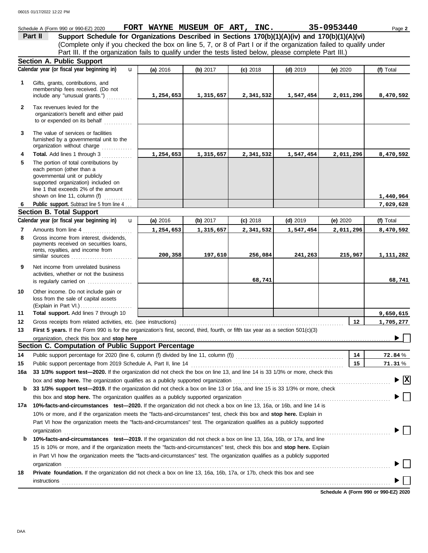#### Schedule A (Form 990 or 990-EZ) 2020 **FORT WAYNE MUSEUM OF ART, INC.** 35-0953440 Page 2 **Part II Support Schedule for Organizations Described in Sections 170(b)(1)(A)(iv) and 170(b)(1)(A)(vi)** (Complete only if you checked the box on line 5, 7, or 8 of Part I or if the organization failed to qualify under Part III. If the organization fails to qualify under the tests listed below, please complete Part III.) **Section A. Public Support Calendar year (or fiscal year beginning in) (f)** Total u **(a)** 2016 **(b)** 2017 **(c)** 2018 **(d)** 2019 **(e)** 2020 Gifts, grants, contributions, and **1** membership fees received. (Do not include any "unusual grants.") . . . . . . . . . . . **1,254,653 1,315,657 2,341,532 1,547,454 2,011,296 8,470,592 2** Tax revenues levied for the organization's benefit and either paid to or expended on its behalf ............ **3** The value of services or facilities furnished by a governmental unit to the organization without charge .............. **4 Total.** Add lines 1 through 3 **1,254,653 1,315,657 2,341,532 1,547,454 2,011,296 8,470,592 5** The portion of total contributions by each person (other than a governmental unit or publicly supported organization) included on line 1 that exceeds 2% of the amount **1,440,964** shown on line 11, column (f)  $\ldots$ Public support. Subtract line 5 from line 4... **7,029,628 6 Section B. Total Support Calendar year (or fiscal year beginning in) (f)** Total u **(b)** 2017 **(c)** 2018 **(d)** 2019 **(e)** 2020 **(a)** 2016 Amounts from line 4 . . . . . . . . . . . . . . . . . . . . . **7 1,254,653 1,315,657 2,341,532 1,547,454 2,011,296 8,470,592** Gross income from interest, dividends, **8** payments received on securities loans. rents, royalties, and income from similar sources . . . . . . . . . . . . . . . . . . . . . . . . . . **200,358 197,610 256,084 241,263 215,967 1,111,282 9** Net income from unrelated business activities, whether or not the business **68,741 68,741** is regularly carried on ................... Other income. Do not include gain or **10** loss from the sale of capital assets (Explain in Part VI.) . . . . . . . . . . . . . . . . . . . . . . **11 Total support.** Add lines 7 through 10 **9,650,615 12 12 1,705,277** Gross receipts from related activities, etc. (see instructions) . . . . . . . . . . . . . . . . . . . . . . . . . . . . . . . . . . . . . . . . . . . . . . . . . . . . . . . . . . . . . . . . . . . . . . **13** First 5 years. If the Form 990 is for the organization's first, second, third, fourth, or fifth tax year as a section 501(c)(3) organization, check this box and stop here ▶ **Section C. Computation of Public Support Percentage 14** Public support percentage for 2020 (line 6, column (f) divided by line 11, column (f)) . . . . . . . . . . . . . . . . . . . . . . . . . . . . . . . . . . . . . . . . . . . . . . **14** % **72.84 15** Public support percentage from 2019 Schedule A, Part II, line 14 . . . . . . . . . . . . . . . . . . . . . . . . . . . . . . . . . . . . . . . . . . . . . . . . . . . . . . . . . . . . . . . . . **15** % **71.31 16a 33 1/3% support test—2020.** If the organization did not check the box on line 13, and line 14 is 33 1/3% or more, check this box and **stop here.** The organization qualifies as a publicly supported organization . . . . . . . . . . . . . . . . . . . . . . . . . . . . . . . . . . . . . . . . . . . . . . . . . . . . . . . . . . . . . . . . . . . **X b 33 1/3% support test—2019.** If the organization did not check a box on line 13 or 16a, and line 15 is 33 1/3% or more, check this box and **stop here.** The organization qualifies as a publicly supported organization . . . . . . . . . . . . . . . . . . . . . . . . . . . . . . . . . . . . . . . . . . . . . . . . . . . . . . . . . . . . . . . **17a 10%-facts-and-circumstances test—2020.** If the organization did not check a box on line 13, 16a, or 16b, and line 14 is 10% or more, and if the organization meets the "facts-and-circumstances" test, check this box and **stop here.** Explain in Part VI how the organization meets the "facts-and-circumstances" test. The organization qualifies as a publicly supported organization www.commutation.com/www.commutation.com/www.commutation.com/www.commutation.com/www.commutation.com **b 10%-facts-and-circumstances test—2019.** If the organization did not check a box on line 13, 16a, 16b, or 17a, and line 15 is 10% or more, and if the organization meets the "facts-and-circumstances" test, check this box and **stop here.** Explain in Part VI how the organization meets the "facts-and-circumstances" test. The organization qualifies as a publicly supported

**18 Private foundation.** If the organization did not check a box on line 13, 16a, 16b, 17a, or 17b, check this box and see

organization www.commutation.com/www.commutation.com/www.commutation.com/www.commutation.com/www.commutation.com

**Schedule A (Form 990 or 990-EZ) 2020** instructions . . . . . . . . . . . . . . . . . . . . . . . . . . . . . . . . . . . . . . . . . . . . . . . . . . . . . . . . . . . . . . . . . . . . . . . . . . . . . . . . . . . . . . . . . . . . . . . . . . . . . . . . . . . . . . . . . . . . . . . . . . . . . . . . . . . . . . . . . . . .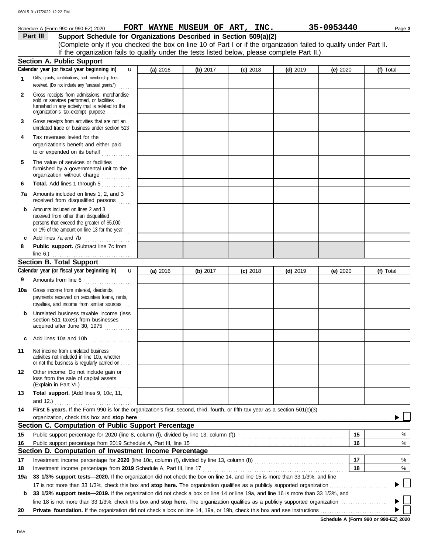|              | Schedule A (Form 990 or 990-EZ) 2020                                                                                                                                              |          | FORT WAYNE MUSEUM OF ART, INC. |            |            | 35-0953440 | Page 3    |
|--------------|-----------------------------------------------------------------------------------------------------------------------------------------------------------------------------------|----------|--------------------------------|------------|------------|------------|-----------|
|              | Support Schedule for Organizations Described in Section 509(a)(2)<br>Part III                                                                                                     |          |                                |            |            |            |           |
|              | (Complete only if you checked the box on line 10 of Part I or if the organization failed to qualify under Part II.                                                                |          |                                |            |            |            |           |
|              | If the organization fails to qualify under the tests listed below, please complete Part II.)                                                                                      |          |                                |            |            |            |           |
|              | <b>Section A. Public Support</b>                                                                                                                                                  |          |                                |            |            |            |           |
|              | Calendar year (or fiscal year beginning in)<br>u                                                                                                                                  | (a) 2016 | (b) 2017                       | $(c)$ 2018 | $(d)$ 2019 | (e) 2020   | (f) Total |
| 1.           | Gifts, grants, contributions, and membership fees<br>received. (Do not include any "unusual grants.")                                                                             |          |                                |            |            |            |           |
| $\mathbf{2}$ | Gross receipts from admissions, merchandise<br>sold or services performed, or facilities<br>furnished in any activity that is related to the<br>organization's tax-exempt purpose |          |                                |            |            |            |           |
| 3            | Gross receipts from activities that are not an<br>unrelated trade or business under section 513                                                                                   |          |                                |            |            |            |           |
| 4            | Tax revenues levied for the<br>organization's benefit and either paid<br>to or expended on its behalf<br>.                                                                        |          |                                |            |            |            |           |
| 5            | The value of services or facilities<br>furnished by a governmental unit to the<br>organization without charge                                                                     |          |                                |            |            |            |           |
| 6            | Total. Add lines 1 through 5                                                                                                                                                      |          |                                |            |            |            |           |
| 7а           | Amounts included on lines 1, 2, and 3<br>received from disqualified persons                                                                                                       |          |                                |            |            |            |           |
| b            | Amounts included on lines 2 and 3<br>received from other than disqualified<br>persons that exceed the greater of \$5,000<br>or 1% of the amount on line 13 for the year $\ldots$  |          |                                |            |            |            |           |
| c            | Add lines 7a and 7b                                                                                                                                                               |          |                                |            |            |            |           |
| 8            | Public support. (Subtract line 7c from                                                                                                                                            |          |                                |            |            |            |           |
|              | line $6.$ )                                                                                                                                                                       |          |                                |            |            |            |           |
|              | Section B. Total Support<br>Calendar year (or fiscal year beginning in)<br>$\mathbf{u}$                                                                                           | (a) 2016 | (b) 2017                       | $(c)$ 2018 | $(d)$ 2019 |            | (f) Total |
| 9            |                                                                                                                                                                                   |          |                                |            |            | (e) $2020$ |           |
|              | Amounts from line 6                                                                                                                                                               |          |                                |            |            |            |           |
| 10a          | Gross income from interest, dividends,<br>payments received on securities loans, rents,<br>royalties, and income from similar sources                                             |          |                                |            |            |            |           |
|              | Unrelated business taxable income (less<br>section 511 taxes) from businesses<br>acquired after June 30, 1975                                                                     |          |                                |            |            |            |           |
| c            | Add lines 10a and 10b                                                                                                                                                             |          |                                |            |            |            |           |
| 11           | Net income from unrelated business<br>activities not included in line 10b, whether<br>or not the business is regularly carried on                                                 |          |                                |            |            |            |           |
| 12           | Other income. Do not include gain or<br>loss from the sale of capital assets<br>(Explain in Part VI.)                                                                             |          |                                |            |            |            |           |
| 13           | Total support. (Add lines 9, 10c, 11,                                                                                                                                             |          |                                |            |            |            |           |
|              | and 12.) $\ldots$                                                                                                                                                                 |          |                                |            |            |            |           |
| 14           | First 5 years. If the Form 990 is for the organization's first, second, third, fourth, or fifth tax year as a section 501(c)(3)                                                   |          |                                |            |            |            |           |
|              | organization, check this box and stop here                                                                                                                                        |          |                                |            |            |            |           |
|              | Section C. Computation of Public Support Percentage                                                                                                                               |          |                                |            |            |            |           |
| 15           |                                                                                                                                                                                   |          |                                |            |            | 15         | %         |
| 16           |                                                                                                                                                                                   |          |                                |            |            | 16         | $\%$      |
|              | Section D. Computation of Investment Income Percentage                                                                                                                            |          |                                |            |            |            |           |
| 17           |                                                                                                                                                                                   |          |                                |            |            | 17         | %         |
| 18           | Investment income percentage from 2019 Schedule A, Part III, line 17                                                                                                              |          |                                |            |            | 18         | %         |
| 19a          | 33 1/3% support tests—2020. If the organization did not check the box on line 14, and line 15 is more than 33 1/3%, and line                                                      |          |                                |            |            |            |           |

**b 33 1/3% support tests—2019.** If the organization did not check a box on line 14 or line 19a, and line 16 is more than 33 1/3%, and line 18 is not more than 33 1/3%, check this box and **stop here.** The organization qualifies as a publicly supported organization . . . . . . . . . . . . . . . . . . . . **20 Private foundation.** If the organization did not check a box on line 14, 19a, or 19b, check this box and see instructions . . . . . . . . . . . . . . . . . . . . . . . . . . . . .  $\blacktriangleright$ 

**Schedule A (Form 990 or 990-EZ) 2020**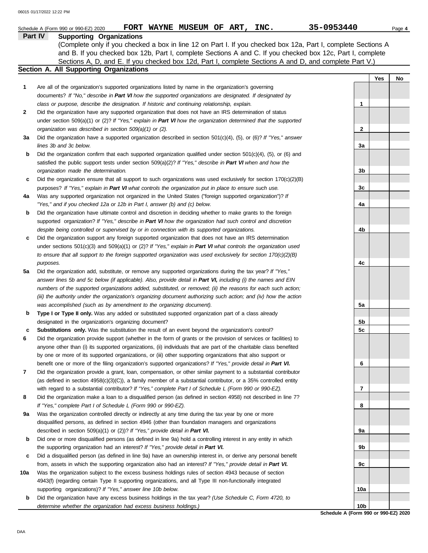|     | FORT WAYNE MUSEUM OF ART, INC.<br>Schedule A (Form 990 or 990-EZ) 2020                                              | 35-0953440      |     | Page 4 |
|-----|---------------------------------------------------------------------------------------------------------------------|-----------------|-----|--------|
|     | Part IV<br><b>Supporting Organizations</b>                                                                          |                 |     |        |
|     | (Complete only if you checked a box in line 12 on Part I. If you checked box 12a, Part I, complete Sections A       |                 |     |        |
|     | and B. If you checked box 12b, Part I, complete Sections A and C. If you checked box 12c, Part I, complete          |                 |     |        |
|     | Sections A, D, and E. If you checked box 12d, Part I, complete Sections A and D, and complete Part V.)              |                 |     |        |
|     | Section A. All Supporting Organizations                                                                             |                 |     |        |
|     |                                                                                                                     |                 | Yes | No     |
| 1   | Are all of the organization's supported organizations listed by name in the organization's governing                |                 |     |        |
|     | documents? If "No," describe in Part VI how the supported organizations are designated. If designated by            |                 |     |        |
|     | class or purpose, describe the designation. If historic and continuing relationship, explain.                       | 1               |     |        |
| 2   | Did the organization have any supported organization that does not have an IRS determination of status              |                 |     |        |
|     | under section 509(a)(1) or (2)? If "Yes," explain in Part VI how the organization determined that the supported     |                 |     |        |
|     | organization was described in section 509(a)(1) or (2).                                                             | $\mathbf{2}$    |     |        |
| За  | Did the organization have a supported organization described in section $501(c)(4)$ , (5), or (6)? If "Yes," answer |                 |     |        |
|     | lines 3b and 3c below.                                                                                              | 3a              |     |        |
| b   | Did the organization confirm that each supported organization qualified under section $501(c)(4)$ , (5), or (6) and |                 |     |        |
|     | satisfied the public support tests under section $509(a)(2)$ ? If "Yes," describe in Part VI when and how the       |                 |     |        |
|     | organization made the determination.                                                                                | 3b              |     |        |
|     |                                                                                                                     |                 |     |        |
| c   | Did the organization ensure that all support to such organizations was used exclusively for section $170(c)(2)(B)$  |                 |     |        |
|     | purposes? If "Yes," explain in Part VI what controls the organization put in place to ensure such use.              | 3c              |     |        |
| 4a  | Was any supported organization not organized in the United States ("foreign supported organization")? If            |                 |     |        |
|     | "Yes," and if you checked 12a or 12b in Part I, answer (b) and (c) below.                                           | 4a              |     |        |
| b   | Did the organization have ultimate control and discretion in deciding whether to make grants to the foreign         |                 |     |        |
|     | supported organization? If "Yes," describe in Part VI how the organization had such control and discretion          |                 |     |        |
|     | despite being controlled or supervised by or in connection with its supported organizations.                        | 4b              |     |        |
| c   | Did the organization support any foreign supported organization that does not have an IRS determination             |                 |     |        |
|     | under sections $501(c)(3)$ and $509(a)(1)$ or (2)? If "Yes," explain in Part VI what controls the organization used |                 |     |        |
|     | to ensure that all support to the foreign supported organization was used exclusively for section $170(c)(2)(B)$    |                 |     |        |
|     | purposes.                                                                                                           | 4c              |     |        |
| 5a  | Did the organization add, substitute, or remove any supported organizations during the tax year? If "Yes,"          |                 |     |        |
|     | answer lines 5b and 5c below (if applicable). Also, provide detail in Part VI, including (i) the names and EIN      |                 |     |        |
|     | numbers of the supported organizations added, substituted, or removed; (ii) the reasons for each such action;       |                 |     |        |
|     | (iii) the authority under the organization's organizing document authorizing such action; and (iv) how the action   |                 |     |        |
|     | was accomplished (such as by amendment to the organizing document).                                                 | 5a              |     |        |
| b   | Type I or Type II only. Was any added or substituted supported organization part of a class already                 |                 |     |        |
|     | designated in the organization's organizing document?                                                               | 5 <sub>b</sub>  |     |        |
|     | Substitutions only. Was the substitution the result of an event beyond the organization's control?                  | 5 <sub>c</sub>  |     |        |
|     | Did the organization provide support (whether in the form of grants or the provision of services or facilities) to  |                 |     |        |
|     | anyone other than (i) its supported organizations, (ii) individuals that are part of the charitable class benefited |                 |     |        |
|     | by one or more of its supported organizations, or (iii) other supporting organizations that also support or         |                 |     |        |
|     | benefit one or more of the filing organization's supported organizations? If "Yes," provide detail in Part VI.      | 6               |     |        |
| 7   | Did the organization provide a grant, loan, compensation, or other similar payment to a substantial contributor     |                 |     |        |
|     | (as defined in section $4958(c)(3)(C)$ ), a family member of a substantial contributor, or a 35% controlled entity  |                 |     |        |
|     | with regard to a substantial contributor? If "Yes," complete Part I of Schedule L (Form 990 or 990-EZ).             | 7               |     |        |
| 8   | Did the organization make a loan to a disqualified person (as defined in section 4958) not described in line 7?     |                 |     |        |
|     | If "Yes," complete Part I of Schedule L (Form 990 or 990-EZ).                                                       | 8               |     |        |
| 9a  | Was the organization controlled directly or indirectly at any time during the tax year by one or more               |                 |     |        |
|     | disqualified persons, as defined in section 4946 (other than foundation managers and organizations                  |                 |     |        |
|     | described in section 509(a)(1) or (2))? If "Yes," provide detail in Part VI.                                        | 9а              |     |        |
| b   | Did one or more disqualified persons (as defined in line 9a) hold a controlling interest in any entity in which     |                 |     |        |
|     | the supporting organization had an interest? If "Yes," provide detail in Part VI.                                   | 9b              |     |        |
| c   | Did a disqualified person (as defined in line 9a) have an ownership interest in, or derive any personal benefit     |                 |     |        |
|     | from, assets in which the supporting organization also had an interest? If "Yes," provide detail in Part VI.        | 9с              |     |        |
|     |                                                                                                                     |                 |     |        |
| 10a | Was the organization subject to the excess business holdings rules of section 4943 because of section               |                 |     |        |
|     | 4943(f) (regarding certain Type II supporting organizations, and all Type III non-functionally integrated           |                 |     |        |
|     | supporting organizations)? If "Yes," answer line 10b below.                                                         | 10a             |     |        |
| b   | Did the organization have any excess business holdings in the tax year? (Use Schedule C, Form 4720, to              |                 |     |        |
|     | determine whether the organization had excess business holdings.)                                                   | 10 <sub>b</sub> |     |        |

**Schedule A (Form 990 or 990-EZ) 2020**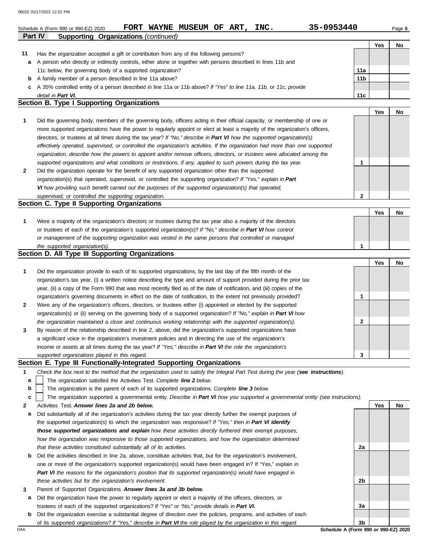|              | 06015 01/17/2022 12:22 PM                                                                                                                         |                 |     |           |
|--------------|---------------------------------------------------------------------------------------------------------------------------------------------------|-----------------|-----|-----------|
|              | 35-0953440<br>FORT WAYNE MUSEUM OF ART,<br>INC.<br>Schedule A (Form 990 or 990-EZ) 2020<br><b>Supporting Organizations (continued)</b><br>Part IV |                 |     | Page 5    |
|              |                                                                                                                                                   |                 | Yes | <b>No</b> |
| 11           | Has the organization accepted a gift or contribution from any of the following persons?                                                           |                 |     |           |
| a            | A person who directly or indirectly controls, either alone or together with persons described in lines 11b and                                    |                 |     |           |
|              | 11c below, the governing body of a supported organization?                                                                                        | 11a             |     |           |
| b            | A family member of a person described in line 11a above?                                                                                          | 11 <sub>b</sub> |     |           |
| с            | A 35% controlled entity of a person described in line 11a or 11b above? If "Yes" to line 11a, 11b, or 11c, provide                                |                 |     |           |
|              | detail in Part VI.                                                                                                                                | 11c             |     |           |
|              | <b>Section B. Type I Supporting Organizations</b>                                                                                                 |                 |     |           |
|              |                                                                                                                                                   |                 | Yes | <b>No</b> |
| 1            | Did the governing body, members of the governing body, officers acting in their official capacity, or membership of one or                        |                 |     |           |
|              | more supported organizations have the power to regularly appoint or elect at least a majority of the organization's officers,                     |                 |     |           |
|              | directors, or trustees at all times during the tax year? If "No," describe in Part VI how the supported organization(s)                           |                 |     |           |
|              | effectively operated, supervised, or controlled the organization's activities. If the organization had more than one supported                    |                 |     |           |
|              | organization, describe how the powers to appoint and/or remove officers, directors, or trustees were allocated among the                          |                 |     |           |
|              | supported organizations and what conditions or restrictions, if any, applied to such powers during the tax year.                                  | 1               |     |           |
| $\mathbf{2}$ | Did the organization operate for the benefit of any supported organization other than the supported                                               |                 |     |           |
|              | organization(s) that operated, supervised, or controlled the supporting organization? If "Yes," explain in Part                                   |                 |     |           |
|              | VI how providing such benefit carried out the purposes of the supported organization(s) that operated,                                            |                 |     |           |
|              | supervised, or controlled the supporting organization.                                                                                            | $\mathbf{2}$    |     |           |
|              | Section C. Type II Supporting Organizations                                                                                                       |                 |     |           |
|              |                                                                                                                                                   |                 | Yes | No        |
| 1            | Were a majority of the organization's directors or trustees during the tax year also a majority of the directors                                  |                 |     |           |
|              | or trustees of each of the organization's supported organization(s)? If "No," describe in Part VI how control                                     |                 |     |           |
|              | or management of the supporting organization was vested in the same persons that controlled or managed                                            |                 |     |           |
|              | the supported organization(s).                                                                                                                    | 1               |     |           |

# **Section D. All Type III Supporting Organizations**

|                |                                                                                                                        |          | Yes | No |
|----------------|------------------------------------------------------------------------------------------------------------------------|----------|-----|----|
| 1              | Did the organization provide to each of its supported organizations, by the last day of the fifth month of the         |          |     |    |
|                | organization's tax year, (i) a written notice describing the type and amount of support provided during the prior tax  |          |     |    |
|                | year, (ii) a copy of the Form 990 that was most recently filed as of the date of notification, and (iii) copies of the |          |     |    |
|                | organization's governing documents in effect on the date of notification, to the extent not previously provided?       |          |     |    |
| $\overline{2}$ | Were any of the organization's officers, directors, or trustees either (i) appointed or elected by the supported       |          |     |    |
|                | organization(s) or (ii) serving on the governing body of a supported organization? If "No," explain in Part VI how     |          |     |    |
|                | the organization maintained a close and continuous working relationship with the supported organization(s).            | <u>ົ</u> |     |    |
| $\mathbf{3}$   | By reason of the relationship described in line 2, above, did the organization's supported organizations have          |          |     |    |
|                | a significant voice in the organization's investment policies and in directing the use of the organization's           |          |     |    |
|                | income or assets at all times during the tax year? If "Yes," describe in Part VI the role the organization's           |          |     |    |
|                | supported organizations played in this regard.                                                                         | 3        |     |    |

# **Section E. Type III Functionally-Integrated Supporting Organizations**

|  |  |  |  |  |  |  | Check the box next to the method that the organization used to satisfy the Integral Part Test during the year (see instructions). |
|--|--|--|--|--|--|--|-----------------------------------------------------------------------------------------------------------------------------------|
|--|--|--|--|--|--|--|-----------------------------------------------------------------------------------------------------------------------------------|

The organization satisfied the Activities Test. *Complete line 2 below.* **a**

The organization is the parent of each of its supported organizations. *Complete line 3 below.* **b**

The organization supported a governmental entity. *Describe in Part VI how you supported a governmental entity (see instructions).* **c**

- **2** Activities Test. *Answer lines 2a and 2b below.*
- **a** Did substantially all of the organization's activities during the tax year directly further the exempt purposes of the supported organization(s) to which the organization was responsive? *If "Yes," then in Part VI identify those supported organizations and explain how these activities directly furthered their exempt purposes,*  how the organization was responsive to those supported organizations, and how the organization determined *that these activities constituted substantially all of its activities.*
- **b** Did the activities described in line 2a, above, constitute activities that, but for the organization's involvement, one or more of the organization's supported organization(s) would have been engaged in? If "Yes," explain in *Part VI the reasons for the organization's position that its supported organization(s) would have engaged in these activities but for the organization's involvement.*
- **3** Parent of Supported Organizations. *Answer lines 3a and 3b below.*
- **a** Did the organization have the power to regularly appoint or elect a majority of the officers, directors, or trustees of each of the supported organizations? *If "Yes" or "No," provide details in Part VI.*
- **b** Did the organization exercise a substantial degree of direction over the policies, programs, and activities of each of its supported organizations? *If "Yes," describe in Part VI the role played by the organization in this regard.*

**Yes No 2a 2b 3a 3b**

DAA **Schedule A (Form 990 or 990-EZ) 2020**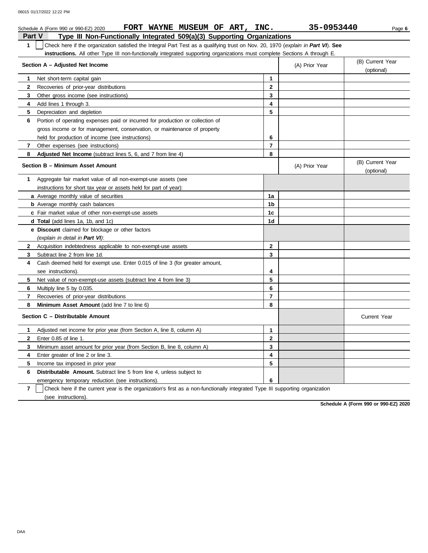|                | FORT WAYNE MUSEUM OF ART, INC.<br>Schedule A (Form 990 or 990-EZ) 2020                                                           |                | 35-0953440     | Page 6                         |
|----------------|----------------------------------------------------------------------------------------------------------------------------------|----------------|----------------|--------------------------------|
| <b>Part V</b>  | Type III Non-Functionally Integrated 509(a)(3) Supporting Organizations                                                          |                |                |                                |
| 1              | Check here if the organization satisfied the Integral Part Test as a qualifying trust on Nov. 20, 1970 (explain in Part VI). See |                |                |                                |
|                | <b>instructions.</b> All other Type III non-functionally integrated supporting organizations must complete Sections A through E. |                |                |                                |
|                | Section A - Adjusted Net Income                                                                                                  |                | (A) Prior Year | (B) Current Year               |
|                |                                                                                                                                  |                |                | (optional)                     |
| 1.             | Net short-term capital gain                                                                                                      | $\mathbf{1}$   |                |                                |
| $\mathbf{2}$   | Recoveries of prior-year distributions                                                                                           | $\overline{2}$ |                |                                |
| 3              | Other gross income (see instructions)                                                                                            | $\mathbf{3}$   |                |                                |
| 4              | Add lines 1 through 3.                                                                                                           | 4              |                |                                |
| 5              | Depreciation and depletion                                                                                                       | 5              |                |                                |
| 6              | Portion of operating expenses paid or incurred for production or collection of                                                   |                |                |                                |
|                | gross income or for management, conservation, or maintenance of property                                                         |                |                |                                |
|                | held for production of income (see instructions)                                                                                 | 6              |                |                                |
| $\overline{7}$ | Other expenses (see instructions)                                                                                                | $\overline{7}$ |                |                                |
| 8              | Adjusted Net Income (subtract lines 5, 6, and 7 from line 4)                                                                     | 8              |                |                                |
|                | Section B - Minimum Asset Amount                                                                                                 |                | (A) Prior Year | (B) Current Year<br>(optional) |
| 1              | Aggregate fair market value of all non-exempt-use assets (see                                                                    |                |                |                                |
|                | instructions for short tax year or assets held for part of year):                                                                |                |                |                                |
|                | a Average monthly value of securities                                                                                            | 1a             |                |                                |
|                | <b>b</b> Average monthly cash balances                                                                                           | 1b             |                |                                |
|                | <b>c</b> Fair market value of other non-exempt-use assets                                                                        | 1c             |                |                                |
|                | <b>d Total</b> (add lines 1a, 1b, and 1c)                                                                                        | 1d             |                |                                |
|                | e Discount claimed for blockage or other factors                                                                                 |                |                |                                |
|                | (explain in detail in Part VI):                                                                                                  |                |                |                                |
| 2              | Acquisition indebtedness applicable to non-exempt-use assets                                                                     | $\mathbf 2$    |                |                                |
| 3              | Subtract line 2 from line 1d.                                                                                                    | 3              |                |                                |
| 4              | Cash deemed held for exempt use. Enter 0.015 of line 3 (for greater amount,                                                      |                |                |                                |
|                | see instructions).                                                                                                               | 4              |                |                                |
| 5.             | Net value of non-exempt-use assets (subtract line 4 from line 3)                                                                 | 5              |                |                                |
| 6              | Multiply line 5 by 0.035.                                                                                                        | 6              |                |                                |
| $\overline{7}$ | Recoveries of prior-year distributions                                                                                           | $\overline{7}$ |                |                                |
| 8              | <b>Minimum Asset Amount</b> (add line 7 to line 6)                                                                               | 8              |                |                                |
|                | Section C - Distributable Amount                                                                                                 |                |                | <b>Current Year</b>            |
| 1.             | Adjusted net income for prior year (from Section A, line 8, column A)                                                            | 1              |                |                                |
| $\mathbf{2}$   | Enter 0.85 of line 1.                                                                                                            | $\overline{2}$ |                |                                |
| 3              | Minimum asset amount for prior year (from Section B, line 8, column A)                                                           | 3              |                |                                |
| 4              | Enter greater of line 2 or line 3.                                                                                               | 4              |                |                                |
| 5              | Income tax imposed in prior year                                                                                                 | 5              |                |                                |
| 6              | <b>Distributable Amount.</b> Subtract line 5 from line 4, unless subject to                                                      |                |                |                                |
|                | emergency temporary reduction (see instructions).                                                                                | 6              |                |                                |

**7** | Check here if the current year is the organization's first as a non-functionally integrated Type III supporting organization (see instructions).

**Schedule A (Form 990 or 990-EZ) 2020**

DAA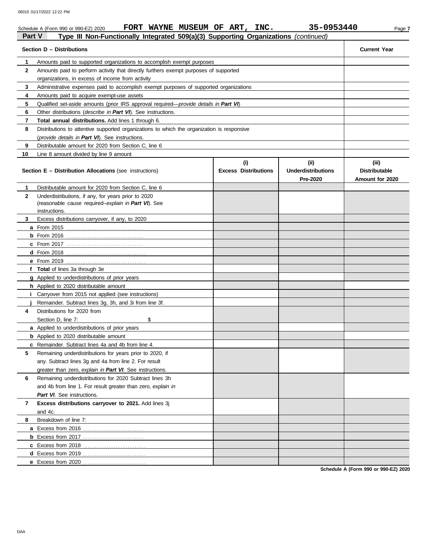|               | FORT WAYNE MUSEUM OF ART, INC.<br>Schedule A (Form 990 or 990-EZ) 2020                                                      |                                    | 35-0953440                                    | Page 7                                           |
|---------------|-----------------------------------------------------------------------------------------------------------------------------|------------------------------------|-----------------------------------------------|--------------------------------------------------|
| <b>Part V</b> | Type III Non-Functionally Integrated 509(a)(3) Supporting Organizations (continued)                                         |                                    |                                               |                                                  |
|               | Section D - Distributions                                                                                                   |                                    |                                               | <b>Current Year</b>                              |
| 1             | Amounts paid to supported organizations to accomplish exempt purposes                                                       |                                    |                                               |                                                  |
| $\mathbf{2}$  | Amounts paid to perform activity that directly furthers exempt purposes of supported                                        |                                    |                                               |                                                  |
|               | organizations, in excess of income from activity                                                                            |                                    |                                               |                                                  |
| 3             | Administrative expenses paid to accomplish exempt purposes of supported organizations                                       |                                    |                                               |                                                  |
| 4             | Amounts paid to acquire exempt-use assets                                                                                   |                                    |                                               |                                                  |
| 5             | Qualified set-aside amounts (prior IRS approval required— <i>provide details in Part VI</i> )                               |                                    |                                               |                                                  |
| 6             | Other distributions (describe in Part VI). See instructions.                                                                |                                    |                                               |                                                  |
| 7             | Total annual distributions. Add lines 1 through 6.                                                                          |                                    |                                               |                                                  |
| 8             | Distributions to attentive supported organizations to which the organization is responsive                                  |                                    |                                               |                                                  |
|               | (provide details in Part VI). See instructions.                                                                             |                                    |                                               |                                                  |
| 9             | Distributable amount for 2020 from Section C, line 6                                                                        |                                    |                                               |                                                  |
| 10            | Line 8 amount divided by line 9 amount                                                                                      |                                    |                                               |                                                  |
|               | <b>Section E - Distribution Allocations (see instructions)</b>                                                              | (i)<br><b>Excess Distributions</b> | (ii)<br><b>Underdistributions</b><br>Pre-2020 | (iii)<br><b>Distributable</b><br>Amount for 2020 |
| 1             | Distributable amount for 2020 from Section C, line 6                                                                        |                                    |                                               |                                                  |
| 2             | Underdistributions, if any, for years prior to 2020<br>(reasonable cause required-explain in Part VI). See<br>instructions. |                                    |                                               |                                                  |
| 3             | Excess distributions carryover, if any, to 2020                                                                             |                                    |                                               |                                                  |
|               | <b>a</b> From 2015                                                                                                          |                                    |                                               |                                                  |
|               | <b>b</b> From 2016 <u></u>                                                                                                  |                                    |                                               |                                                  |
|               |                                                                                                                             |                                    |                                               |                                                  |
|               |                                                                                                                             |                                    |                                               |                                                  |
|               |                                                                                                                             |                                    |                                               |                                                  |
|               | f Total of lines 3a through 3e                                                                                              |                                    |                                               |                                                  |
|               | g Applied to underdistributions of prior years                                                                              |                                    |                                               |                                                  |
|               | h Applied to 2020 distributable amount                                                                                      |                                    |                                               |                                                  |
|               | <i>i</i> Carryover from 2015 not applied (see instructions)                                                                 |                                    |                                               |                                                  |
|               | Remainder. Subtract lines 3g, 3h, and 3i from line 3f.                                                                      |                                    |                                               |                                                  |
| 4             | Distributions for 2020 from                                                                                                 |                                    |                                               |                                                  |
|               | \$<br>Section D, line 7:                                                                                                    |                                    |                                               |                                                  |
|               | a Applied to underdistributions of prior years                                                                              |                                    |                                               |                                                  |
|               | <b>b</b> Applied to 2020 distributable amount                                                                               |                                    |                                               |                                                  |
|               | c Remainder. Subtract lines 4a and 4b from line 4.                                                                          |                                    |                                               |                                                  |
| 5             | Remaining underdistributions for years prior to 2020, if                                                                    |                                    |                                               |                                                  |
|               | any. Subtract lines 3g and 4a from line 2. For result                                                                       |                                    |                                               |                                                  |
|               | greater than zero, explain in Part VI. See instructions.                                                                    |                                    |                                               |                                                  |
| 6             | Remaining underdistributions for 2020 Subtract lines 3h                                                                     |                                    |                                               |                                                  |
|               | and 4b from line 1. For result greater than zero, explain in                                                                |                                    |                                               |                                                  |
|               | Part VI. See instructions.                                                                                                  |                                    |                                               |                                                  |
| 7             | Excess distributions carryover to 2021. Add lines 3j                                                                        |                                    |                                               |                                                  |
|               | and 4c.                                                                                                                     |                                    |                                               |                                                  |
| 8             | Breakdown of line 7:                                                                                                        |                                    |                                               |                                                  |
|               | <b>a</b> Excess from 2016                                                                                                   |                                    |                                               |                                                  |
|               |                                                                                                                             |                                    |                                               |                                                  |
|               |                                                                                                                             |                                    |                                               |                                                  |
|               | d Excess from 2019                                                                                                          |                                    |                                               |                                                  |
|               | e Excess from 2020                                                                                                          |                                    |                                               | Schodule A (Form 000 or 000-F7) 2020             |

**Schedule A (Form 990 or 990-EZ) 2020**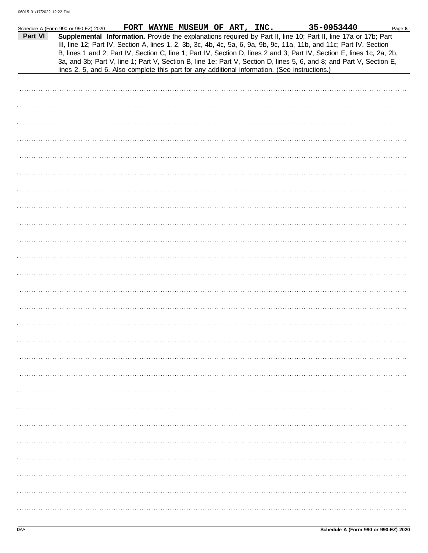|         | Schedule A (Form 990 or 990-EZ) 2020 |  | FORT WAYNE MUSEUM OF ART, INC. |  | 35-0953440                                                                                                                                                                                                                                                                                                                                                                                                                                                                                                                                                                                  | Page 8 |
|---------|--------------------------------------|--|--------------------------------|--|---------------------------------------------------------------------------------------------------------------------------------------------------------------------------------------------------------------------------------------------------------------------------------------------------------------------------------------------------------------------------------------------------------------------------------------------------------------------------------------------------------------------------------------------------------------------------------------------|--------|
| Part VI |                                      |  |                                |  | Supplemental Information. Provide the explanations required by Part II, line 10; Part II, line 17a or 17b; Part<br>III, line 12; Part IV, Section A, lines 1, 2, 3b, 3c, 4b, 4c, 5a, 6, 9a, 9b, 9c, 11a, 11b, and 11c; Part IV, Section<br>B, lines 1 and 2; Part IV, Section C, line 1; Part IV, Section D, lines 2 and 3; Part IV, Section E, lines 1c, 2a, 2b,<br>3a, and 3b; Part V, line 1; Part V, Section B, line 1e; Part V, Section D, lines 5, 6, and 8; and Part V, Section E,<br>lines 2, 5, and 6. Also complete this part for any additional information. (See instructions.) |        |
|         |                                      |  |                                |  |                                                                                                                                                                                                                                                                                                                                                                                                                                                                                                                                                                                             |        |
|         |                                      |  |                                |  |                                                                                                                                                                                                                                                                                                                                                                                                                                                                                                                                                                                             |        |
|         |                                      |  |                                |  |                                                                                                                                                                                                                                                                                                                                                                                                                                                                                                                                                                                             |        |
|         |                                      |  |                                |  |                                                                                                                                                                                                                                                                                                                                                                                                                                                                                                                                                                                             |        |
|         |                                      |  |                                |  |                                                                                                                                                                                                                                                                                                                                                                                                                                                                                                                                                                                             |        |
|         |                                      |  |                                |  |                                                                                                                                                                                                                                                                                                                                                                                                                                                                                                                                                                                             |        |
|         |                                      |  |                                |  |                                                                                                                                                                                                                                                                                                                                                                                                                                                                                                                                                                                             |        |
|         |                                      |  |                                |  |                                                                                                                                                                                                                                                                                                                                                                                                                                                                                                                                                                                             |        |
|         |                                      |  |                                |  |                                                                                                                                                                                                                                                                                                                                                                                                                                                                                                                                                                                             |        |
|         |                                      |  |                                |  |                                                                                                                                                                                                                                                                                                                                                                                                                                                                                                                                                                                             |        |
|         |                                      |  |                                |  |                                                                                                                                                                                                                                                                                                                                                                                                                                                                                                                                                                                             |        |
|         |                                      |  |                                |  |                                                                                                                                                                                                                                                                                                                                                                                                                                                                                                                                                                                             |        |
|         |                                      |  |                                |  |                                                                                                                                                                                                                                                                                                                                                                                                                                                                                                                                                                                             |        |
|         |                                      |  |                                |  |                                                                                                                                                                                                                                                                                                                                                                                                                                                                                                                                                                                             |        |
|         |                                      |  |                                |  |                                                                                                                                                                                                                                                                                                                                                                                                                                                                                                                                                                                             |        |
|         |                                      |  |                                |  |                                                                                                                                                                                                                                                                                                                                                                                                                                                                                                                                                                                             |        |
|         |                                      |  |                                |  |                                                                                                                                                                                                                                                                                                                                                                                                                                                                                                                                                                                             |        |
|         |                                      |  |                                |  |                                                                                                                                                                                                                                                                                                                                                                                                                                                                                                                                                                                             |        |
|         |                                      |  |                                |  |                                                                                                                                                                                                                                                                                                                                                                                                                                                                                                                                                                                             |        |
|         |                                      |  |                                |  |                                                                                                                                                                                                                                                                                                                                                                                                                                                                                                                                                                                             |        |
|         |                                      |  |                                |  |                                                                                                                                                                                                                                                                                                                                                                                                                                                                                                                                                                                             |        |
|         |                                      |  |                                |  |                                                                                                                                                                                                                                                                                                                                                                                                                                                                                                                                                                                             |        |
|         |                                      |  |                                |  |                                                                                                                                                                                                                                                                                                                                                                                                                                                                                                                                                                                             |        |
|         |                                      |  |                                |  |                                                                                                                                                                                                                                                                                                                                                                                                                                                                                                                                                                                             |        |
|         |                                      |  |                                |  |                                                                                                                                                                                                                                                                                                                                                                                                                                                                                                                                                                                             |        |
|         |                                      |  |                                |  |                                                                                                                                                                                                                                                                                                                                                                                                                                                                                                                                                                                             |        |
|         |                                      |  |                                |  |                                                                                                                                                                                                                                                                                                                                                                                                                                                                                                                                                                                             |        |
|         |                                      |  |                                |  |                                                                                                                                                                                                                                                                                                                                                                                                                                                                                                                                                                                             |        |
|         |                                      |  |                                |  |                                                                                                                                                                                                                                                                                                                                                                                                                                                                                                                                                                                             |        |
|         |                                      |  |                                |  |                                                                                                                                                                                                                                                                                                                                                                                                                                                                                                                                                                                             |        |
|         |                                      |  |                                |  |                                                                                                                                                                                                                                                                                                                                                                                                                                                                                                                                                                                             |        |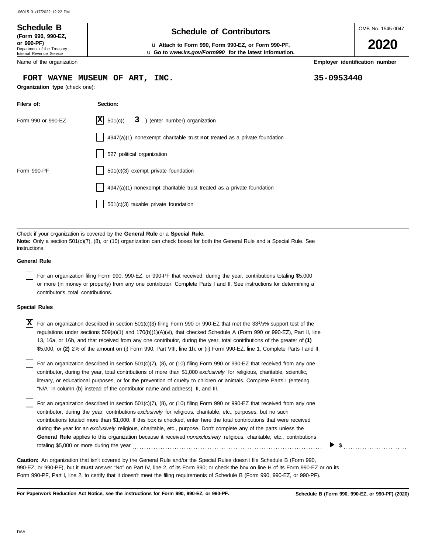# OMB No. 1545-0047 Department of the Treasury Internal Revenue Service Name of the organization **2020 Schedule of Contributors Schedule B (Form 990, 990-EZ, or 990-PF)** u **Attach to Form 990, Form 990-EZ, or Form 990-PF. Employer identification number Organization type** (check one): **Filers of: Section:** Form 990 or 990-EZ  $|\mathbf{X}|$  501(c)( 3) (enter number) organization 4947(a)(1) nonexempt charitable trust **not** treated as a private foundation u **Go to** *www.irs.gov/Form990* **for the latest information. FORT WAYNE MUSEUM OF ART, INC. 35-0953440**  $|\mathbf{X}|$  501(c)(

Check if your organization is covered by the **General Rule** or a **Special Rule. Note:** Only a section 501(c)(7), (8), or (10) organization can check boxes for both the General Rule and a Special Rule. See instructions.

501(c)(3) taxable private foundation

527 political organization

Form 990-PF 1501(c)(3) exempt private foundation

#### **General Rule**

For an organization filing Form 990, 990-EZ, or 990-PF that received, during the year, contributions totaling \$5,000 or more (in money or property) from any one contributor. Complete Parts I and II. See instructions for determining a contributor's total contributions.

4947(a)(1) nonexempt charitable trust treated as a private foundation

#### **Special Rules**

| $\overline{X}$ For an organization described in section 501(c)(3) filing Form 990 or 990-EZ that met the 33 <sup>1</sup> /3% support test of the |
|--------------------------------------------------------------------------------------------------------------------------------------------------|
| regulations under sections 509(a)(1) and 170(b)(1)(A)(vi), that checked Schedule A (Form 990 or 990-EZ), Part II, line                           |
| 13, 16a, or 16b, and that received from any one contributor, during the year, total contributions of the greater of (1)                          |
| \$5,000; or (2) 2% of the amount on (i) Form 990, Part VIII, line 1h; or (ii) Form 990-EZ, line 1. Complete Parts I and II.                      |

literary, or educational purposes, or for the prevention of cruelty to children or animals. Complete Parts I (entering For an organization described in section 501(c)(7), (8), or (10) filing Form 990 or 990-EZ that received from any one contributor, during the year, total contributions of more than \$1,000 *exclusively* for religious, charitable, scientific, "N/A" in column (b) instead of the contributor name and address), II, and III.

For an organization described in section 501(c)(7), (8), or (10) filing Form 990 or 990-EZ that received from any one contributor, during the year, contributions *exclusively* for religious, charitable, etc., purposes, but no such contributions totaled more than \$1,000. If this box is checked, enter here the total contributions that were received during the year for an *exclusively* religious, charitable, etc., purpose. Don't complete any of the parts unless the **General Rule** applies to this organization because it received *nonexclusively* religious, charitable, etc., contributions totaling \$5,000 or more during the year . . . . . . . . . . . . . . . . . . . . . . . . . . . . . . . . . . . . . . . . . . . . . . . . . . . . . . . . . . . . . . . . . . . . . . . . . . . . . . . . .

990-EZ, or 990-PF), but it **must** answer "No" on Part IV, line 2, of its Form 990; or check the box on line H of its Form 990-EZ or on its Form 990-PF, Part I, line 2, to certify that it doesn't meet the filing requirements of Schedule B (Form 990, 990-EZ, or 990-PF). **Caution:** An organization that isn't covered by the General Rule and/or the Special Rules doesn't file Schedule B (Form 990,

**For Paperwork Reduction Act Notice, see the instructions for Form 990, 990-EZ, or 990-PF.**

 $\blacktriangleright$  \$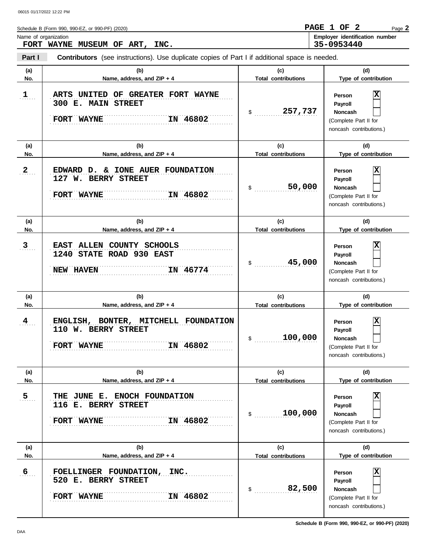Schedule B (Form 990, 990-EZ, or 990-PF) (2020) Name of organization **Employer identification number** Page **2 FORT WAYNE MUSEUM OF ART, INC. PAGE 1 OF 2 35-0953440**

**Part I Contributors** (see instructions). Use duplicate copies of Part I if additional space is needed.

| (a)<br>No.     | (b)<br>Name, address, and ZIP + 4                                                     | (c)<br><b>Total contributions</b> | (d)<br>Type of contribution                                                                         |
|----------------|---------------------------------------------------------------------------------------|-----------------------------------|-----------------------------------------------------------------------------------------------------|
| $\mathbf{1}$   | ARTS UNITED OF GREATER FORT WAYNE<br>300 E. MAIN STREET<br>IN 46802<br>FORT WAYNE     | 257,737<br>$\mathsf{\$}$          | x<br><b>Person</b><br>Payroll<br>Noncash<br>(Complete Part II for<br>noncash contributions.)        |
| (a)<br>No.     | (b)<br>Name, address, and ZIP + 4                                                     | (c)<br><b>Total contributions</b> | (d)<br>Type of contribution                                                                         |
| $\mathbf{2}$   | EDWARD D. & IONE AUER FOUNDATION<br>127 W. BERRY STREET<br>IN 46802<br>FORT WAYNE     | 50,000<br>$\mathsf{\$}$           | x<br><b>Person</b><br>Payroll<br><b>Noncash</b><br>(Complete Part II for<br>noncash contributions.) |
| (a)            | (b)                                                                                   | (c)                               | (d)                                                                                                 |
| No.            | Name, address, and ZIP + 4                                                            | <b>Total contributions</b>        | Type of contribution                                                                                |
| $\overline{3}$ | EAST ALLEN COUNTY SCHOOLS<br>1240 STATE ROAD 930 EAST<br>IN 46774<br><b>NEW HAVEN</b> | 45,000<br>$\mathsf{\$}$           | x<br><b>Person</b><br>Payroll<br><b>Noncash</b><br>(Complete Part II for<br>noncash contributions.) |
|                |                                                                                       |                                   |                                                                                                     |
| (a)            | (b)                                                                                   | (c)                               | (d)                                                                                                 |
| No.            | Name, address, and ZIP + 4                                                            | <b>Total contributions</b>        | Type of contribution                                                                                |
| 4              | ENGLISH, BONTER, MITCHELL FOUNDATION<br>110 W. BERRY STREET<br>IN 46802<br>FORT WAYNE | 100,000<br>$\$\$                  | X<br>Person<br>Payroll<br><b>Noncash</b><br>(Complete Part II for<br>noncash contributions.)        |
| (a)            | (b)                                                                                   | (c)                               | (d)                                                                                                 |
| No.            | Name, address, and $ZIP + 4$                                                          | <b>Total contributions</b>        | Type of contribution                                                                                |
| 5              | THE JUNE E. ENOCH FOUNDATION<br>116 E. BERRY STREET<br>IN 46802<br>FORT WAYNE         | 100,000<br>$\mathcal{S}$          | X<br>Person<br>Payroll<br><b>Noncash</b><br>(Complete Part II for<br>noncash contributions.)        |
| (a)            | (b)                                                                                   | (c)                               | (d)                                                                                                 |
| No.            | Name, address, and ZIP + 4                                                            | <b>Total contributions</b>        | Type of contribution                                                                                |

**Schedule B (Form 990, 990-EZ, or 990-PF) (2020)**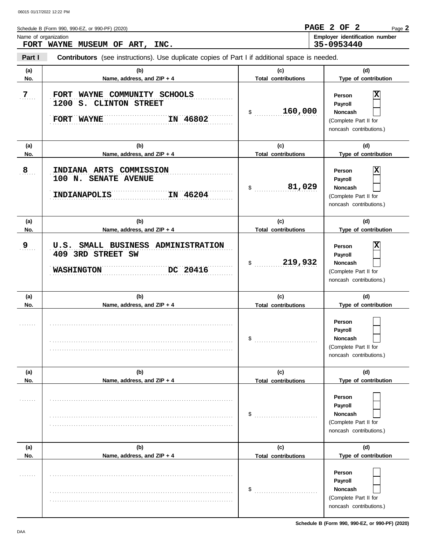|                                                                         |                                       | Page 2 |
|-------------------------------------------------------------------------|---------------------------------------|--------|
| Name of organization<br>35-0953440<br>INC.<br>FORT WAYNE MUSEUM OF ART, | <b>Employer identification number</b> |        |

**Part I Contributors** (see instructions). Use duplicate copies of Part I if additional space is needed.

| (a)<br>No. | (b)<br>Name, address, and ZIP + 4                                                        | (c)<br><b>Total contributions</b> | (d)<br>Type of contribution                                                             |
|------------|------------------------------------------------------------------------------------------|-----------------------------------|-----------------------------------------------------------------------------------------|
| 7          | FORT WAYNE COMMUNITY SCHOOLS<br>1200 S. CLINTON STREET<br>IN 46802<br>FORT WAYNE         | 160,000<br>\$                     | Person<br>Payroll<br>Noncash<br>(Complete Part II for<br>noncash contributions.)        |
| (a)<br>No. | (b)<br>Name, address, and ZIP + 4                                                        | (c)<br><b>Total contributions</b> | (d)<br>Type of contribution                                                             |
| 8          | INDIANA ARTS COMMISSION<br>100 N. SENATE AVENUE<br>IN 46204<br><b>INDIANAPOLIS</b>       | 81,029<br>\$                      | Person<br>Payroll<br><b>Noncash</b><br>(Complete Part II for<br>noncash contributions.) |
| (a)        | (b)                                                                                      | (c)                               | (d)                                                                                     |
| No.        | Name, address, and ZIP + 4                                                               | <b>Total contributions</b>        | Type of contribution                                                                    |
| 9          | U.S. SMALL BUSINESS ADMINISTRATION<br>409 3RD STREET SW<br>DC 20416<br><b>WASHINGTON</b> | 219,932<br>\$                     | Person<br>Payroll<br><b>Noncash</b><br>(Complete Part II for<br>noncash contributions.) |
|            |                                                                                          |                                   |                                                                                         |
| (a)        | (b)                                                                                      | (c)                               | (d)                                                                                     |
| No.        | Name, address, and ZIP + 4                                                               | <b>Total contributions</b>        | Type of contribution                                                                    |
|            |                                                                                          | \$                                | Person<br>Payroll<br><b>Noncash</b><br>(Complete Part II for<br>noncash contributions.) |
| (a)        | (b)                                                                                      | (c)                               | (d)                                                                                     |
| No.        | Name, address, and ZIP + 4                                                               | <b>Total contributions</b>        | Type of contribution                                                                    |
| 1.1.1.1.1  |                                                                                          | \$                                | Person<br>Payroll<br><b>Noncash</b><br>(Complete Part II for<br>noncash contributions.) |
| (a)        | (b)                                                                                      | (c)                               | (d)                                                                                     |
| No.        | Name, address, and ZIP + 4                                                               | <b>Total contributions</b>        | Type of contribution                                                                    |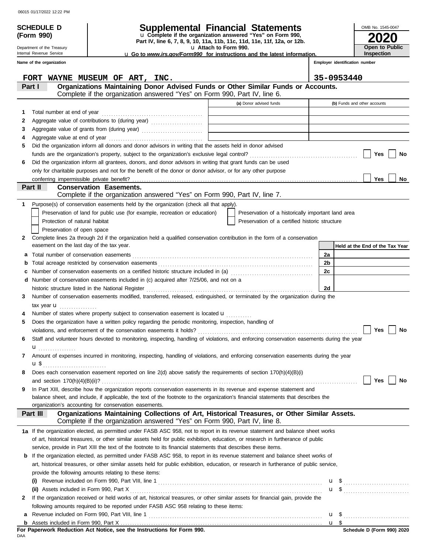Department of the Treasury Internal Revenue Service

**(Form 990)**

# **SCHEDULE D Supplemental Financial Statements**

**Part IV, line 6, 7, 8, 9, 10, 11a, 11b, 11c, 11d, 11e, 11f, 12a, or 12b.** u **Complete if the organization answered "Yes" on Form 990,**

u **Attach to Form 990.** 

u **Go to** *www.irs.gov/Form990* **for instructions and the latest information.**

**2020 Open to Public Inspection**

OMB No. 1545-0047

|    | Name of the organization                                                                                                                                                 |                                                    |                | Employer identification number  |
|----|--------------------------------------------------------------------------------------------------------------------------------------------------------------------------|----------------------------------------------------|----------------|---------------------------------|
|    | FORT WAYNE MUSEUM OF ART, INC.                                                                                                                                           |                                                    |                | 35-0953440                      |
|    | Organizations Maintaining Donor Advised Funds or Other Similar Funds or Accounts.<br>Part I<br>Complete if the organization answered "Yes" on Form 990, Part IV, line 6. |                                                    |                |                                 |
|    |                                                                                                                                                                          | (a) Donor advised funds                            |                | (b) Funds and other accounts    |
| 1. |                                                                                                                                                                          |                                                    |                |                                 |
| 2  | Aggregate value of contributions to (during year)                                                                                                                        |                                                    |                |                                 |
| 3  |                                                                                                                                                                          |                                                    |                |                                 |
| 4  |                                                                                                                                                                          |                                                    |                |                                 |
| 5  | Did the organization inform all donors and donor advisors in writing that the assets held in donor advised                                                               |                                                    |                |                                 |
|    |                                                                                                                                                                          |                                                    |                | Yes<br>No                       |
| 6  | Did the organization inform all grantees, donors, and donor advisors in writing that grant funds can be used                                                             |                                                    |                |                                 |
|    | only for charitable purposes and not for the benefit of the donor or donor advisor, or for any other purpose                                                             |                                                    |                |                                 |
|    |                                                                                                                                                                          |                                                    |                | Yes<br>No                       |
|    | <b>Conservation Easements.</b><br><b>Part II</b>                                                                                                                         |                                                    |                |                                 |
|    | Complete if the organization answered "Yes" on Form 990, Part IV, line 7.                                                                                                |                                                    |                |                                 |
| 1. | Purpose(s) of conservation easements held by the organization (check all that apply).                                                                                    |                                                    |                |                                 |
|    | Preservation of land for public use (for example, recreation or education)                                                                                               | Preservation of a historically important land area |                |                                 |
|    | Protection of natural habitat                                                                                                                                            | Preservation of a certified historic structure     |                |                                 |
|    | Preservation of open space                                                                                                                                               |                                                    |                |                                 |
| 2  | Complete lines 2a through 2d if the organization held a qualified conservation contribution in the form of a conservation                                                |                                                    |                |                                 |
|    | easement on the last day of the tax year.                                                                                                                                |                                                    |                | Held at the End of the Tax Year |
| a  |                                                                                                                                                                          |                                                    | 2a             |                                 |
| b  |                                                                                                                                                                          |                                                    | 2 <sub>b</sub> |                                 |
| с  | Number of conservation easements on a certified historic structure included in (a) conservation conservation exercises                                                   |                                                    | 2c             |                                 |
|    | Number of conservation easements included in (c) acquired after 7/25/06, and not on a                                                                                    |                                                    |                |                                 |
|    |                                                                                                                                                                          |                                                    | 2d             |                                 |
| 3  | Number of conservation easements modified, transferred, released, extinguished, or terminated by the organization during the                                             |                                                    |                |                                 |
|    | tax year $\mathbf u$                                                                                                                                                     |                                                    |                |                                 |
|    | Number of states where property subject to conservation easement is located <b>u</b>                                                                                     |                                                    |                |                                 |
| 5  | Does the organization have a written policy regarding the periodic monitoring, inspection, handling of                                                                   |                                                    |                |                                 |
|    |                                                                                                                                                                          |                                                    |                | Yes<br><b>No</b>                |
| 6  | Staff and volunteer hours devoted to monitoring, inspecting, handling of violations, and enforcing conservation easements during the year                                |                                                    |                |                                 |
|    | u <sub></sub>                                                                                                                                                            |                                                    |                |                                 |
|    | Amount of expenses incurred in monitoring, inspecting, handling of violations, and enforcing conservation easements during the year                                      |                                                    |                |                                 |
|    | Does each conservation easement reported on line $2(d)$ above satisfy the requirements of section $170(h)(4)(B)(i)$                                                      |                                                    |                |                                 |
|    |                                                                                                                                                                          |                                                    |                | Yes<br>No                       |
| 9  | In Part XIII, describe how the organization reports conservation easements in its revenue and expense statement and                                                      |                                                    |                |                                 |
|    | balance sheet, and include, if applicable, the text of the footnote to the organization's financial statements that describes the                                        |                                                    |                |                                 |
|    | organization's accounting for conservation easements.                                                                                                                    |                                                    |                |                                 |
|    | Organizations Maintaining Collections of Art, Historical Treasures, or Other Similar Assets.<br>Part III                                                                 |                                                    |                |                                 |
|    | Complete if the organization answered "Yes" on Form 990, Part IV, line 8.                                                                                                |                                                    |                |                                 |
|    | 1a If the organization elected, as permitted under FASB ASC 958, not to report in its revenue statement and balance sheet works                                          |                                                    |                |                                 |
|    | of art, historical treasures, or other similar assets held for public exhibition, education, or research in furtherance of public                                        |                                                    |                |                                 |
|    | service, provide in Part XIII the text of the footnote to its financial statements that describes these items.                                                           |                                                    |                |                                 |
| b  | If the organization elected, as permitted under FASB ASC 958, to report in its revenue statement and balance sheet works of                                              |                                                    |                |                                 |
|    | art, historical treasures, or other similar assets held for public exhibition, education, or research in furtherance of public service,                                  |                                                    |                |                                 |
|    | provide the following amounts relating to these items:                                                                                                                   |                                                    |                |                                 |
|    |                                                                                                                                                                          |                                                    |                |                                 |
|    |                                                                                                                                                                          |                                                    |                |                                 |
| 2  | If the organization received or held works of art, historical treasures, or other similar assets for financial gain, provide the                                         |                                                    |                |                                 |
|    | following amounts required to be reported under FASB ASC 958 relating to these items:                                                                                    |                                                    |                |                                 |
| а  |                                                                                                                                                                          |                                                    |                |                                 |
|    |                                                                                                                                                                          |                                                    |                | u <sub>s</sub>                  |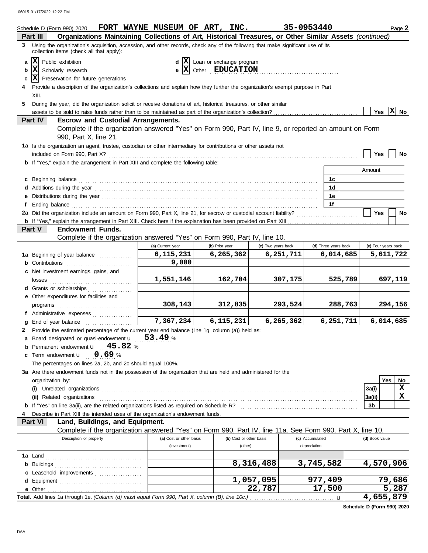|                                                                                                                         | Schedule D (Form 990) 2020                                                                                                                                                                                                           | FORT WAYNE MUSEUM OF ART, INC. |                                         |                         | 35-0953440         |                 |                      |           |                | Page 2              |
|-------------------------------------------------------------------------------------------------------------------------|--------------------------------------------------------------------------------------------------------------------------------------------------------------------------------------------------------------------------------------|--------------------------------|-----------------------------------------|-------------------------|--------------------|-----------------|----------------------|-----------|----------------|---------------------|
|                                                                                                                         | Organizations Maintaining Collections of Art, Historical Treasures, or Other Similar Assets (continued)<br>Part III                                                                                                                  |                                |                                         |                         |                    |                 |                      |           |                |                     |
|                                                                                                                         | 3 Using the organization's acquisition, accession, and other records, check any of the following that make significant use of its<br>collection items (check all that apply):                                                        |                                |                                         |                         |                    |                 |                      |           |                |                     |
| a                                                                                                                       | x <br>Public exhibition                                                                                                                                                                                                              |                                | $d \mathbf{X}$ Loan or exchange program |                         |                    |                 |                      |           |                |                     |
| b                                                                                                                       | $\mathbf{e}$ $\overline{\mathbf{X}}$ Other <b>EDUCATION</b><br> x <br>Scholarly research                                                                                                                                             |                                |                                         |                         |                    |                 |                      |           |                |                     |
| c                                                                                                                       | $ \mathbf{X} $ Preservation for future generations                                                                                                                                                                                   |                                |                                         |                         |                    |                 |                      |           |                |                     |
|                                                                                                                         | Provide a description of the organization's collections and explain how they further the organization's exempt purpose in Part                                                                                                       |                                |                                         |                         |                    |                 |                      |           |                |                     |
|                                                                                                                         | XIII.                                                                                                                                                                                                                                |                                |                                         |                         |                    |                 |                      |           |                |                     |
| 5.<br>During the year, did the organization solicit or receive donations of art, historical treasures, or other similar |                                                                                                                                                                                                                                      |                                |                                         |                         |                    |                 |                      |           |                |                     |
|                                                                                                                         |                                                                                                                                                                                                                                      |                                |                                         |                         |                    |                 |                      |           | Yes $X$ No     |                     |
|                                                                                                                         | <b>Part IV</b><br><b>Escrow and Custodial Arrangements.</b>                                                                                                                                                                          |                                |                                         |                         |                    |                 |                      |           |                |                     |
|                                                                                                                         | Complete if the organization answered "Yes" on Form 990, Part IV, line 9, or reported an amount on Form                                                                                                                              |                                |                                         |                         |                    |                 |                      |           |                |                     |
|                                                                                                                         | 990, Part X, line 21.                                                                                                                                                                                                                |                                |                                         |                         |                    |                 |                      |           |                |                     |
|                                                                                                                         | 1a Is the organization an agent, trustee, custodian or other intermediary for contributions or other assets not                                                                                                                      |                                |                                         |                         |                    |                 |                      |           |                |                     |
|                                                                                                                         |                                                                                                                                                                                                                                      |                                |                                         |                         |                    |                 |                      |           | Yes            | No                  |
|                                                                                                                         | <b>b</b> If "Yes," explain the arrangement in Part XIII and complete the following table:                                                                                                                                            |                                |                                         |                         |                    |                 |                      |           |                |                     |
|                                                                                                                         |                                                                                                                                                                                                                                      |                                |                                         |                         |                    |                 |                      |           | Amount         |                     |
|                                                                                                                         | c Beginning balance <b>contract the contract of the contract of the contract of the contract of the contract of the contract of the contract of the contract of the contract of the contract of the contract of the contract of </b> |                                |                                         |                         |                    |                 | 1 <sub>c</sub>       |           |                |                     |
|                                                                                                                         |                                                                                                                                                                                                                                      |                                |                                         |                         |                    |                 | 1d                   |           |                |                     |
|                                                                                                                         |                                                                                                                                                                                                                                      |                                |                                         |                         |                    |                 | 1е                   |           |                |                     |
| f                                                                                                                       | Ending balance <b>constructs</b> and constructs and constructs and constructs and constructs and constructs and constructs and constructs and constructs and constructs and constructs and constructs and constructs and constructs  |                                |                                         |                         |                    |                 | 1f                   |           |                |                     |
|                                                                                                                         |                                                                                                                                                                                                                                      |                                |                                         |                         |                    |                 |                      |           | <b>Yes</b>     | No                  |
|                                                                                                                         |                                                                                                                                                                                                                                      |                                |                                         |                         |                    |                 |                      |           |                |                     |
|                                                                                                                         | <b>Endowment Funds.</b><br><b>Part V</b>                                                                                                                                                                                             |                                |                                         |                         |                    |                 |                      |           |                |                     |
|                                                                                                                         | Complete if the organization answered "Yes" on Form 990, Part IV, line 10.                                                                                                                                                           |                                |                                         |                         |                    |                 |                      |           |                |                     |
|                                                                                                                         |                                                                                                                                                                                                                                      | (a) Current year               | (b) Prior year                          |                         | (c) Two years back |                 | (d) Three years back |           |                | (e) Four years back |
|                                                                                                                         | 1a Beginning of year balance                                                                                                                                                                                                         | 6,115,231                      | 6, 265, 362                             |                         | 6,251,711          |                 |                      | 6,014,685 |                | 5,611,722           |
|                                                                                                                         | <b>b</b> Contributions <b>contributions</b>                                                                                                                                                                                          | 9,000                          |                                         |                         |                    |                 |                      |           |                |                     |
|                                                                                                                         | c Net investment earnings, gains, and                                                                                                                                                                                                | 1,551,146                      |                                         | 162,704                 | 307,175            |                 |                      | 525,789   |                | 697,119             |
|                                                                                                                         | d Grants or scholarships                                                                                                                                                                                                             |                                |                                         |                         |                    |                 |                      |           |                |                     |
|                                                                                                                         | e Other expenditures for facilities and                                                                                                                                                                                              |                                |                                         |                         |                    |                 |                      |           |                |                     |
|                                                                                                                         |                                                                                                                                                                                                                                      | 308, 143                       |                                         | 312,835                 | 293,524            |                 |                      | 288,763   |                | 294,156             |
|                                                                                                                         | f Administrative expenses                                                                                                                                                                                                            |                                |                                         |                         |                    |                 |                      |           |                |                     |
| g                                                                                                                       | End of year balance                                                                                                                                                                                                                  | 7,367,234                      | 6, 115, 231                             |                         | 6, 265, 362        |                 |                      | 6,251,711 |                | 6,014,685           |
|                                                                                                                         | 2 Provide the estimated percentage of the current year end balance (line 1g, column (a)) held as:                                                                                                                                    |                                |                                         |                         |                    |                 |                      |           |                |                     |
|                                                                                                                         | a Board designated or quasi-endowment u                                                                                                                                                                                              | 53.49%                         |                                         |                         |                    |                 |                      |           |                |                     |
|                                                                                                                         | <b>b</b> Permanent endowment $\mathbf{u} = 45.82$ %                                                                                                                                                                                  |                                |                                         |                         |                    |                 |                      |           |                |                     |
|                                                                                                                         | c Term endowment <b>u</b><br>0.69%                                                                                                                                                                                                   |                                |                                         |                         |                    |                 |                      |           |                |                     |
|                                                                                                                         | The percentages on lines 2a, 2b, and 2c should equal 100%.                                                                                                                                                                           |                                |                                         |                         |                    |                 |                      |           |                |                     |
|                                                                                                                         | 3a Are there endowment funds not in the possession of the organization that are held and administered for the                                                                                                                        |                                |                                         |                         |                    |                 |                      |           |                |                     |
|                                                                                                                         | organization by:                                                                                                                                                                                                                     |                                |                                         |                         |                    |                 |                      |           |                | Yes<br>No           |
|                                                                                                                         |                                                                                                                                                                                                                                      |                                |                                         |                         |                    |                 |                      |           | 3a(i)          | x                   |
|                                                                                                                         | (ii) Related organizations <b>contracts</b> and contracts are contracted as a contract of the contract of the contract or contract of the contract of the contract of the contract of the contract of the contract of the contract   |                                |                                         |                         |                    |                 |                      |           | 3a(ii)         | $\mathbf x$         |
|                                                                                                                         |                                                                                                                                                                                                                                      |                                |                                         |                         |                    |                 |                      |           | 3 <sub>b</sub> |                     |
|                                                                                                                         | Describe in Part XIII the intended uses of the organization's endowment funds.                                                                                                                                                       |                                |                                         |                         |                    |                 |                      |           |                |                     |
|                                                                                                                         | Land, Buildings, and Equipment.<br><b>Part VI</b>                                                                                                                                                                                    |                                |                                         |                         |                    |                 |                      |           |                |                     |
|                                                                                                                         | Complete if the organization answered "Yes" on Form 990, Part IV, line 11a. See Form 990, Part X, line 10.                                                                                                                           |                                |                                         |                         |                    |                 |                      |           |                |                     |
|                                                                                                                         | Description of property                                                                                                                                                                                                              | (a) Cost or other basis        |                                         | (b) Cost or other basis |                    | (c) Accumulated |                      |           | (d) Book value |                     |
|                                                                                                                         |                                                                                                                                                                                                                                      | (investment)                   |                                         | (other)                 |                    | depreciation    |                      |           |                |                     |
|                                                                                                                         |                                                                                                                                                                                                                                      |                                |                                         |                         |                    |                 |                      |           |                |                     |
|                                                                                                                         |                                                                                                                                                                                                                                      |                                |                                         | 8,316,488               |                    | 3,745,582       |                      |           |                | 4,570,906           |
|                                                                                                                         | c Leasehold improvements                                                                                                                                                                                                             |                                |                                         |                         |                    |                 |                      |           |                |                     |
|                                                                                                                         |                                                                                                                                                                                                                                      |                                |                                         | 1,057,095               |                    | 977,409         |                      |           |                | 79,686              |
|                                                                                                                         |                                                                                                                                                                                                                                      |                                |                                         |                         | 22,787             |                 | 17,500               |           |                | 5,287               |
|                                                                                                                         | Total. Add lines 1a through 1e. (Column (d) must equal Form 990, Part X, column (B), line 10c.)                                                                                                                                      |                                |                                         |                         |                    |                 | u                    |           |                | 4,655,879           |

**Schedule D (Form 990) 2020**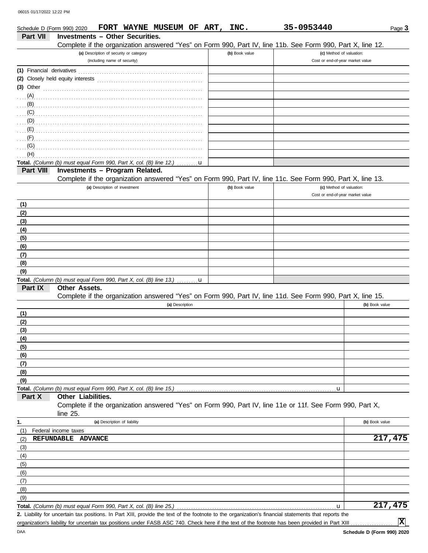| Schedule D (Form 990) 2020 |                                                                                                                                                                                                                                     |                                         | FORT WAYNE MUSEUM OF ART, INC. |   |                | 35-0953440                                                                                                 | Page 3         |
|----------------------------|-------------------------------------------------------------------------------------------------------------------------------------------------------------------------------------------------------------------------------------|-----------------------------------------|--------------------------------|---|----------------|------------------------------------------------------------------------------------------------------------|----------------|
| Part VII                   | <b>Investments - Other Securities.</b>                                                                                                                                                                                              |                                         |                                |   |                |                                                                                                            |                |
|                            |                                                                                                                                                                                                                                     |                                         |                                |   |                | Complete if the organization answered "Yes" on Form 990, Part IV, line 11b. See Form 990, Part X, line 12. |                |
|                            |                                                                                                                                                                                                                                     | (a) Description of security or category |                                |   | (b) Book value | (c) Method of valuation:                                                                                   |                |
|                            |                                                                                                                                                                                                                                     | (including name of security)            |                                |   |                | Cost or end-of-year market value                                                                           |                |
| (1) Financial derivatives  |                                                                                                                                                                                                                                     |                                         |                                |   |                |                                                                                                            |                |
|                            |                                                                                                                                                                                                                                     |                                         |                                |   |                |                                                                                                            |                |
| $(3)$ Other                |                                                                                                                                                                                                                                     |                                         |                                |   |                |                                                                                                            |                |
| (A)<br>(B)                 |                                                                                                                                                                                                                                     |                                         |                                |   |                |                                                                                                            |                |
| (C)                        |                                                                                                                                                                                                                                     |                                         |                                |   |                |                                                                                                            |                |
| (D)                        |                                                                                                                                                                                                                                     |                                         |                                |   |                |                                                                                                            |                |
|                            |                                                                                                                                                                                                                                     |                                         |                                |   |                |                                                                                                            |                |
| (F)                        | $\overline{E}$ (E) and the contract of the contract of the contract of the contract of the contract of the contract of the contract of the contract of the contract of the contract of the contract of the contract of the contract |                                         |                                |   |                |                                                                                                            |                |
| (G)                        |                                                                                                                                                                                                                                     |                                         |                                |   |                |                                                                                                            |                |
| (H)                        |                                                                                                                                                                                                                                     |                                         |                                |   |                |                                                                                                            |                |
|                            | Total. (Column (b) must equal Form 990, Part X, col. (B) line 12.)                                                                                                                                                                  |                                         |                                | u |                |                                                                                                            |                |
| Part VIII                  | Investments - Program Related.                                                                                                                                                                                                      |                                         |                                |   |                |                                                                                                            |                |
|                            |                                                                                                                                                                                                                                     |                                         |                                |   |                | Complete if the organization answered "Yes" on Form 990, Part IV, line 11c. See Form 990, Part X, line 13. |                |
|                            |                                                                                                                                                                                                                                     | (a) Description of investment           |                                |   | (b) Book value | (c) Method of valuation:                                                                                   |                |
|                            |                                                                                                                                                                                                                                     |                                         |                                |   |                | Cost or end-of-year market value                                                                           |                |
| (1)                        |                                                                                                                                                                                                                                     |                                         |                                |   |                |                                                                                                            |                |
| (2)                        |                                                                                                                                                                                                                                     |                                         |                                |   |                |                                                                                                            |                |
| (3)                        |                                                                                                                                                                                                                                     |                                         |                                |   |                |                                                                                                            |                |
| (4)                        |                                                                                                                                                                                                                                     |                                         |                                |   |                |                                                                                                            |                |
| (5)                        |                                                                                                                                                                                                                                     |                                         |                                |   |                |                                                                                                            |                |
| (6)                        |                                                                                                                                                                                                                                     |                                         |                                |   |                |                                                                                                            |                |
| (7)                        |                                                                                                                                                                                                                                     |                                         |                                |   |                |                                                                                                            |                |
| (8)                        |                                                                                                                                                                                                                                     |                                         |                                |   |                |                                                                                                            |                |
| (9)                        |                                                                                                                                                                                                                                     |                                         |                                |   |                |                                                                                                            |                |
| Part IX                    | Total. (Column (b) must equal Form 990, Part X, col. (B) line 13.) $\dots \dots u$<br>Other Assets.                                                                                                                                 |                                         |                                |   |                |                                                                                                            |                |
|                            |                                                                                                                                                                                                                                     |                                         |                                |   |                | Complete if the organization answered "Yes" on Form 990, Part IV, line 11d. See Form 990, Part X, line 15. |                |
|                            |                                                                                                                                                                                                                                     |                                         | (a) Description                |   |                |                                                                                                            | (b) Book value |
| (1)                        |                                                                                                                                                                                                                                     |                                         |                                |   |                |                                                                                                            |                |
| (2)                        |                                                                                                                                                                                                                                     |                                         |                                |   |                |                                                                                                            |                |
| (3)                        |                                                                                                                                                                                                                                     |                                         |                                |   |                |                                                                                                            |                |
| (4)                        |                                                                                                                                                                                                                                     |                                         |                                |   |                |                                                                                                            |                |
| (5)                        |                                                                                                                                                                                                                                     |                                         |                                |   |                |                                                                                                            |                |
| (6)                        |                                                                                                                                                                                                                                     |                                         |                                |   |                |                                                                                                            |                |
| (7)                        |                                                                                                                                                                                                                                     |                                         |                                |   |                |                                                                                                            |                |
| (8)                        |                                                                                                                                                                                                                                     |                                         |                                |   |                |                                                                                                            |                |
| (9)                        |                                                                                                                                                                                                                                     |                                         |                                |   |                |                                                                                                            |                |
|                            | Total. (Column (b) must equal Form 990, Part X, col. (B) line 15.)                                                                                                                                                                  |                                         |                                |   |                | u                                                                                                          |                |
| Part X                     | Other Liabilities.                                                                                                                                                                                                                  |                                         |                                |   |                |                                                                                                            |                |
|                            |                                                                                                                                                                                                                                     |                                         |                                |   |                | Complete if the organization answered "Yes" on Form 990, Part IV, line 11e or 11f. See Form 990, Part X,   |                |
|                            | line $25$ .                                                                                                                                                                                                                         |                                         |                                |   |                |                                                                                                            |                |
| 1.                         |                                                                                                                                                                                                                                     | (a) Description of liability            |                                |   |                |                                                                                                            | (b) Book value |
| (1)                        | Federal income taxes                                                                                                                                                                                                                |                                         |                                |   |                |                                                                                                            |                |
| (2)                        | REFUNDABLE<br><b>ADVANCE</b>                                                                                                                                                                                                        |                                         |                                |   |                |                                                                                                            | 217,475        |
| (3)                        |                                                                                                                                                                                                                                     |                                         |                                |   |                |                                                                                                            |                |
| (4)                        |                                                                                                                                                                                                                                     |                                         |                                |   |                |                                                                                                            |                |
| (5)                        |                                                                                                                                                                                                                                     |                                         |                                |   |                |                                                                                                            |                |
| (6)                        |                                                                                                                                                                                                                                     |                                         |                                |   |                |                                                                                                            |                |
| (7)                        |                                                                                                                                                                                                                                     |                                         |                                |   |                |                                                                                                            |                |
| (8)<br>(9)                 |                                                                                                                                                                                                                                     |                                         |                                |   |                |                                                                                                            |                |
|                            | <b>Total.</b> (Column (b) must equal Form 990, Part X, col. (B) line 25.)                                                                                                                                                           |                                         |                                |   |                | u                                                                                                          | 217,475        |
|                            | 2. Lightlify for uncertain tax positions. In Part YIII, provide the toyt of the feetnets to the examization's financial statements                                                                                                  |                                         |                                |   |                |                                                                                                            |                |

Liability for uncertain tax positions. In Part XIII, provide the text of the footnote to the organization's financial statements that reports the **2.** organization's liability for uncertain tax positions under FASB ASC 740. Check here if the text of the footnote has been provided in Part XIII

**X**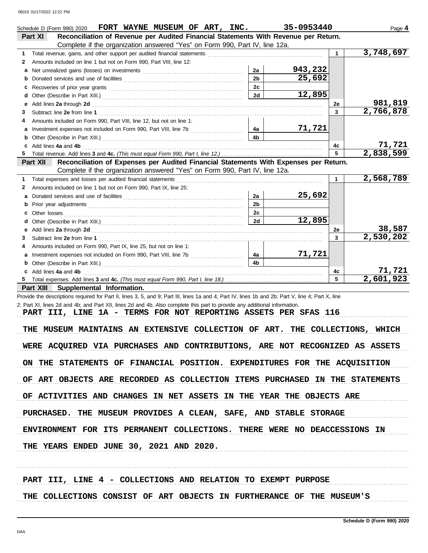|    | Schedule D (Form 990) 2020 FORT WAYNE MUSEUM OF ART, INC.<br>Reconciliation of Revenue per Audited Financial Statements With Revenue per Return.                                                                               |                | 35-0953440 |             | Page 4    |
|----|--------------------------------------------------------------------------------------------------------------------------------------------------------------------------------------------------------------------------------|----------------|------------|-------------|-----------|
|    | Part XI<br>Complete if the organization answered "Yes" on Form 990, Part IV, line 12a.                                                                                                                                         |                |            |             |           |
| 1  |                                                                                                                                                                                                                                |                |            | $\mathbf 1$ | 3,748,697 |
| 2  | Amounts included on line 1 but not on Form 990, Part VIII, line 12:                                                                                                                                                            |                |            |             |           |
| a  |                                                                                                                                                                                                                                | 2a             | 943,232    |             |           |
| b  |                                                                                                                                                                                                                                | 2 <sub>b</sub> | 25,692     |             |           |
| c  |                                                                                                                                                                                                                                | 2c             |            |             |           |
|    |                                                                                                                                                                                                                                | 2d             | 12,895     |             |           |
| е  |                                                                                                                                                                                                                                |                |            | 2e          | 981,819   |
| 3  | Add lines 2a through 2d [11] Add [12] Add [12] Add lines 2a through 2d [12] Add lines 2a through 2d                                                                                                                            |                |            | 3           | 2,766,878 |
| 4  | Amounts included on Form 990, Part VIII, line 12, but not on line 1:                                                                                                                                                           |                |            |             |           |
|    |                                                                                                                                                                                                                                | 4a             | 71,721     |             |           |
|    |                                                                                                                                                                                                                                | 4 <sub>b</sub> |            |             |           |
|    | c Add lines 4a and 4b                                                                                                                                                                                                          |                |            | 4c          | 71,721    |
| 5  |                                                                                                                                                                                                                                |                |            | 5           | 2,838,599 |
|    | Reconciliation of Expenses per Audited Financial Statements With Expenses per Return.<br>Part XII                                                                                                                              |                |            |             |           |
|    | Complete if the organization answered "Yes" on Form 990, Part IV, line 12a.                                                                                                                                                    |                |            |             |           |
| 1  |                                                                                                                                                                                                                                |                |            | 1           | 2,568,789 |
| 2  | Amounts included on line 1 but not on Form 990, Part IX, line 25:                                                                                                                                                              |                |            |             |           |
| a  |                                                                                                                                                                                                                                | 2a             | 25,692     |             |           |
|    |                                                                                                                                                                                                                                | 2 <sub>b</sub> |            |             |           |
| b  |                                                                                                                                                                                                                                | 2c             |            |             |           |
|    |                                                                                                                                                                                                                                | 2d             | 12,895     |             |           |
|    |                                                                                                                                                                                                                                |                |            |             | 38,587    |
| е  | Add lines 2a through 2d [11] Additional Additional Additional Additional Additional Additional Additional Additional Additional Additional Additional Additional Additional Additional Additional Additional Additional Additi |                |            | 2e<br>3     | 2,530,202 |
| 3  |                                                                                                                                                                                                                                |                |            |             |           |
| 4  | Amounts included on Form 990, Part IX, line 25, but not on line 1:                                                                                                                                                             | 4a             | 71,721     |             |           |
|    |                                                                                                                                                                                                                                | 4b             |            |             |           |
|    |                                                                                                                                                                                                                                |                |            |             | 71,721    |
|    | c Add lines 4a and 4b                                                                                                                                                                                                          |                |            | 4c<br>5     | 2,601,923 |
| 5. |                                                                                                                                                                                                                                |                |            |             |           |
|    | Part XIII<br>Supplemental Information.                                                                                                                                                                                         |                |            |             |           |
|    | Provide the descriptions required for Part II, lines 3, 5, and 9; Part III, lines 1a and 4; Part IV, lines 1b and 2b; Part V, line 4; Part X, line                                                                             |                |            |             |           |
|    | 2; Part XI, lines 2d and 4b; and Part XII, lines 2d and 4b. Also complete this part to provide any additional information.<br>PART III, LINE 1A - TERMS FOR NOT REPORTING ASSETS PER SFAS 116                                  |                |            |             |           |
|    |                                                                                                                                                                                                                                |                |            |             |           |
|    | THE MUSEUM MAINTAINS AN EXTENSIVE COLLECTION OF ART. THE COLLECTIONS, WHICH                                                                                                                                                    |                |            |             |           |
|    |                                                                                                                                                                                                                                |                |            |             |           |
|    | WERE ACQUIRED VIA PURCHASES AND CONTRIBUTIONS, ARE NOT RECOGNIZED AS ASSETS                                                                                                                                                    |                |            |             |           |
|    |                                                                                                                                                                                                                                |                |            |             |           |
|    | ON THE STATEMENTS OF FINANCIAL POSITION. EXPENDITURES FOR THE ACQUISITION                                                                                                                                                      |                |            |             |           |
|    |                                                                                                                                                                                                                                |                |            |             |           |
|    | OF ART OBJECTS ARE RECORDED AS COLLECTION ITEMS PURCHASED IN THE STATEMENTS                                                                                                                                                    |                |            |             |           |
|    |                                                                                                                                                                                                                                |                |            |             |           |
|    | OF ACTIVITIES AND CHANGES IN NET ASSETS IN THE YEAR THE OBJECTS ARE                                                                                                                                                            |                |            |             |           |
|    |                                                                                                                                                                                                                                |                |            |             |           |
|    |                                                                                                                                                                                                                                |                |            |             |           |
|    | PURCHASED. THE MUSEUM PROVIDES A CLEAN, SAFE, AND STABLE STORAGE                                                                                                                                                               |                |            |             |           |
|    |                                                                                                                                                                                                                                |                |            |             |           |
|    | ENVIRONMENT FOR ITS PERMANENT COLLECTIONS. THERE WERE NO DEACCESSIONS IN                                                                                                                                                       |                |            |             |           |
|    |                                                                                                                                                                                                                                |                |            |             |           |
|    | THE YEARS ENDED JUNE 30, 2021 AND 2020.                                                                                                                                                                                        |                |            |             |           |
|    |                                                                                                                                                                                                                                |                |            |             |           |
|    |                                                                                                                                                                                                                                |                |            |             |           |
|    |                                                                                                                                                                                                                                |                |            |             |           |
|    | PART III, LINE 4 - COLLECTIONS AND RELATION TO EXEMPT PURPOSE                                                                                                                                                                  |                |            |             |           |
|    |                                                                                                                                                                                                                                |                |            |             |           |
|    | THE COLLECTIONS CONSIST OF ART OBJECTS IN FURTHERANCE OF THE MUSEUM'S                                                                                                                                                          |                |            |             |           |
|    |                                                                                                                                                                                                                                |                |            |             |           |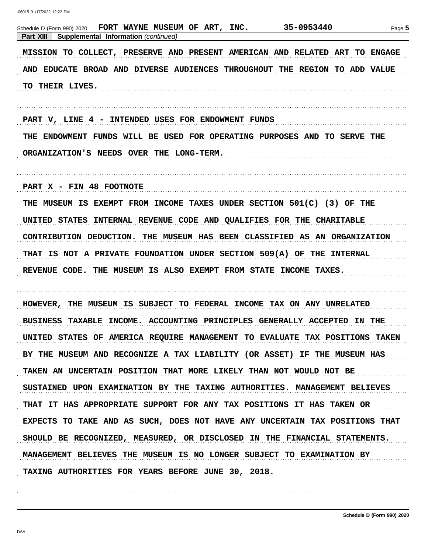| 35-0953440<br>FORT WAYNE MUSEUM OF ART,<br>INC.<br>Schedule D (Form 990) 2020<br>Supplemental Information (continued)<br><b>Part XIII</b> | Page 5    |
|-------------------------------------------------------------------------------------------------------------------------------------------|-----------|
| MISSION TO COLLECT, PRESERVE AND PRESENT AMERICAN AND RELATED ART TO ENGAGE                                                               |           |
| AND EDUCATE BROAD AND DIVERSE AUDIENCES THROUGHOUT THE REGION TO ADD VALUE                                                                |           |
| TO THEIR LIVES.                                                                                                                           |           |
|                                                                                                                                           |           |
| PART V, LINE 4 - INTENDED USES FOR ENDOWMENT FUNDS                                                                                        |           |
| THE ENDOWMENT FUNDS WILL BE USED FOR OPERATING PURPOSES AND TO SERVE THE                                                                  |           |
| ORGANIZATION'S NEEDS OVER THE LONG-TERM.                                                                                                  |           |
|                                                                                                                                           |           |
| PART X - FIN 48 FOOTNOTE                                                                                                                  |           |
| THE MUSEUM IS EXEMPT FROM INCOME TAXES UNDER SECTION 501(C) (3) OF THE                                                                    |           |
| UNITED STATES<br>INTERNAL REVENUE CODE AND QUALIFIES FOR THE CHARITABLE                                                                   |           |
| CONTRIBUTION DEDUCTION.<br>THE MUSEUM HAS BEEN CLASSIFIED AS AN ORGANIZATION                                                              |           |
| THAT IS NOT A PRIVATE FOUNDATION UNDER SECTION 509(A) OF THE INTERNAL                                                                     |           |
| REVENUE CODE. THE MUSEUM IS ALSO EXEMPT FROM STATE INCOME TAXES.                                                                          |           |
|                                                                                                                                           |           |
| THE MUSEUM IS SUBJECT TO FEDERAL INCOME TAX ON ANY UNRELATED<br>HOWEVER,                                                                  |           |
| <b>TAXABLE</b><br>INCOME. ACCOUNTING PRINCIPLES GENERALLY ACCEPTED<br><b>BUSINESS</b>                                                     | IN<br>THE |
| UNITED STATES OF AMERICA REQUIRE MANAGEMENT TO EVALUATE TAX POSITIONS TAKEN                                                               |           |
| BY THE MUSEUM AND RECOGNIZE A TAX LIABILITY (OR ASSET) IF THE MUSEUM HAS                                                                  |           |
| TAKEN AN UNCERTAIN POSITION THAT MORE LIKELY THAN NOT WOULD NOT BE                                                                        |           |
| SUSTAINED UPON EXAMINATION BY THE TAXING AUTHORITIES. MANAGEMENT BELIEVES                                                                 |           |
| THAT IT HAS APPROPRIATE SUPPORT FOR ANY TAX POSITIONS IT HAS TAKEN OR                                                                     |           |
| EXPECTS TO TAKE AND AS SUCH, DOES NOT HAVE ANY UNCERTAIN TAX POSITIONS THAT                                                               |           |
| SHOULD BE RECOGNIZED, MEASURED, OR DISCLOSED IN THE FINANCIAL STATEMENTS.                                                                 |           |
| MANAGEMENT BELIEVES THE MUSEUM IS NO LONGER SUBJECT TO EXAMINATION BY                                                                     |           |
| TAXING AUTHORITIES FOR YEARS BEFORE JUNE 30, 2018.                                                                                        |           |
|                                                                                                                                           |           |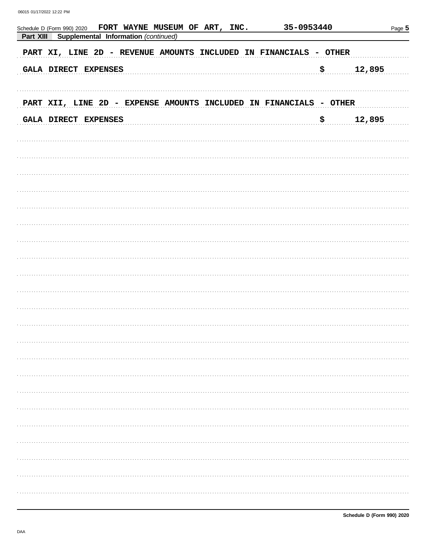| FORT WAYNE MUSEUM OF ART, INC.<br>Schedule D (Form 990) 2020<br>Part XIII<br>Supplemental Information (continued) | 35-0953440 | Page 5 |
|-------------------------------------------------------------------------------------------------------------------|------------|--------|
| PART XI, LINE 2D - REVENUE AMOUNTS INCLUDED IN FINANCIALS - OTHER                                                 |            |        |
| GALA DIRECT EXPENSES                                                                                              | \$         | 12,895 |
| PART XII, LINE 2D - EXPENSE AMOUNTS INCLUDED IN FINANCIALS - OTHER                                                |            |        |
| GALA DIRECT EXPENSES                                                                                              | \$         | 12,895 |
|                                                                                                                   |            |        |
|                                                                                                                   |            |        |
|                                                                                                                   |            |        |
|                                                                                                                   |            |        |
|                                                                                                                   |            |        |
|                                                                                                                   |            |        |
|                                                                                                                   |            |        |
|                                                                                                                   |            |        |
|                                                                                                                   |            |        |
|                                                                                                                   |            |        |
|                                                                                                                   |            |        |
|                                                                                                                   |            |        |
|                                                                                                                   |            | .      |
|                                                                                                                   |            |        |
|                                                                                                                   |            |        |
|                                                                                                                   |            | .      |
|                                                                                                                   |            |        |
|                                                                                                                   |            | .      |
|                                                                                                                   |            | .      |
|                                                                                                                   |            | .      |
|                                                                                                                   |            |        |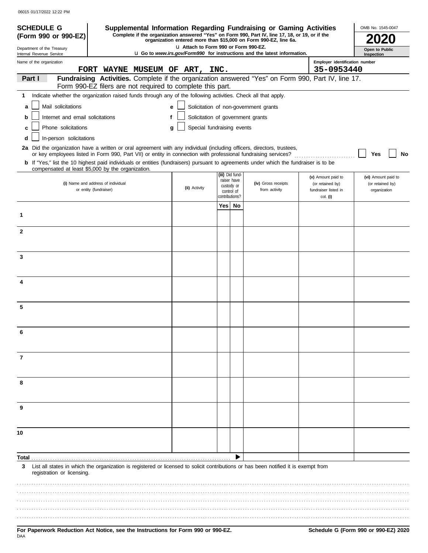| <b>SCHEDULE G</b>                                                                                                                                                                                                                                                                                                   |                                |   |                                       |     |                                | Supplemental Information Regarding Fundraising or Gaming Activities                                                                                                 |                                              | OMB No. 1545-0047                   |
|---------------------------------------------------------------------------------------------------------------------------------------------------------------------------------------------------------------------------------------------------------------------------------------------------------------------|--------------------------------|---|---------------------------------------|-----|--------------------------------|---------------------------------------------------------------------------------------------------------------------------------------------------------------------|----------------------------------------------|-------------------------------------|
| (Form 990 or 990-EZ)                                                                                                                                                                                                                                                                                                |                                |   |                                       |     |                                | Complete if the organization answered "Yes" on Form 990, Part IV, line 17, 18, or 19, or if the<br>organization entered more than \$15,000 on Form 990-EZ, line 6a. |                                              |                                     |
| Department of the Treasury<br>Internal Revenue Service                                                                                                                                                                                                                                                              |                                |   | LI Attach to Form 990 or Form 990-EZ. |     |                                | <b>u</b> Go to www.irs.gov/Form990 for instructions and the latest information.                                                                                     |                                              | <b>Open to Public</b><br>Inspection |
| Name of the organization                                                                                                                                                                                                                                                                                            | FORT WAYNE MUSEUM OF ART, INC. |   |                                       |     |                                |                                                                                                                                                                     | Employer identification number<br>35-0953440 |                                     |
| Part I                                                                                                                                                                                                                                                                                                              |                                |   |                                       |     |                                | Fundraising Activities. Complete if the organization answered "Yes" on Form 990, Part IV, line 17.                                                                  |                                              |                                     |
| Form 990-EZ filers are not required to complete this part.                                                                                                                                                                                                                                                          |                                |   |                                       |     |                                |                                                                                                                                                                     |                                              |                                     |
| Indicate whether the organization raised funds through any of the following activities. Check all that apply.<br>1.                                                                                                                                                                                                 |                                |   |                                       |     |                                |                                                                                                                                                                     |                                              |                                     |
| Mail solicitations<br>a                                                                                                                                                                                                                                                                                             |                                | e |                                       |     |                                | Solicitation of non-government grants                                                                                                                               |                                              |                                     |
| Internet and email solicitations<br>b                                                                                                                                                                                                                                                                               |                                |   | Solicitation of government grants     |     |                                |                                                                                                                                                                     |                                              |                                     |
| Phone solicitations<br>C                                                                                                                                                                                                                                                                                            |                                | g | Special fundraising events            |     |                                |                                                                                                                                                                     |                                              |                                     |
| In-person solicitations                                                                                                                                                                                                                                                                                             |                                |   |                                       |     |                                |                                                                                                                                                                     |                                              |                                     |
| 2a Did the organization have a written or oral agreement with any individual (including officers, directors, trustees,                                                                                                                                                                                              |                                |   |                                       |     |                                |                                                                                                                                                                     |                                              |                                     |
| or key employees listed in Form 990, Part VII) or entity in connection with professional fundraising services?<br><b>b</b> If "Yes," list the 10 highest paid individuals or entities (fundraisers) pursuant to agreements under which the fundraiser is to be<br>compensated at least \$5,000 by the organization. |                                |   |                                       |     |                                |                                                                                                                                                                     |                                              | Yes<br>No                           |
|                                                                                                                                                                                                                                                                                                                     |                                |   |                                       |     | (iii) Did fund-<br>raiser have |                                                                                                                                                                     | (v) Amount paid to                           | (vi) Amount paid to                 |
| (i) Name and address of individual<br>or entity (fundraiser)                                                                                                                                                                                                                                                        |                                |   | (ii) Activity                         |     | custody or                     | (iv) Gross receipts<br>from activity                                                                                                                                | (or retained by)<br>fundraiser listed in     | (or retained by)<br>organization    |
|                                                                                                                                                                                                                                                                                                                     |                                |   |                                       |     | control of<br>contributions?   |                                                                                                                                                                     | col. (i)                                     |                                     |
|                                                                                                                                                                                                                                                                                                                     |                                |   |                                       | Yes | No                             |                                                                                                                                                                     |                                              |                                     |
| 1                                                                                                                                                                                                                                                                                                                   |                                |   |                                       |     |                                |                                                                                                                                                                     |                                              |                                     |
| $\mathbf{2}$                                                                                                                                                                                                                                                                                                        |                                |   |                                       |     |                                |                                                                                                                                                                     |                                              |                                     |
|                                                                                                                                                                                                                                                                                                                     |                                |   |                                       |     |                                |                                                                                                                                                                     |                                              |                                     |
|                                                                                                                                                                                                                                                                                                                     |                                |   |                                       |     |                                |                                                                                                                                                                     |                                              |                                     |
| 3                                                                                                                                                                                                                                                                                                                   |                                |   |                                       |     |                                |                                                                                                                                                                     |                                              |                                     |
|                                                                                                                                                                                                                                                                                                                     |                                |   |                                       |     |                                |                                                                                                                                                                     |                                              |                                     |
| 4                                                                                                                                                                                                                                                                                                                   |                                |   |                                       |     |                                |                                                                                                                                                                     |                                              |                                     |
|                                                                                                                                                                                                                                                                                                                     |                                |   |                                       |     |                                |                                                                                                                                                                     |                                              |                                     |
|                                                                                                                                                                                                                                                                                                                     |                                |   |                                       |     |                                |                                                                                                                                                                     |                                              |                                     |
| 5                                                                                                                                                                                                                                                                                                                   |                                |   |                                       |     |                                |                                                                                                                                                                     |                                              |                                     |
|                                                                                                                                                                                                                                                                                                                     |                                |   |                                       |     |                                |                                                                                                                                                                     |                                              |                                     |
| 6                                                                                                                                                                                                                                                                                                                   |                                |   |                                       |     |                                |                                                                                                                                                                     |                                              |                                     |
|                                                                                                                                                                                                                                                                                                                     |                                |   |                                       |     |                                |                                                                                                                                                                     |                                              |                                     |
|                                                                                                                                                                                                                                                                                                                     |                                |   |                                       |     |                                |                                                                                                                                                                     |                                              |                                     |
| 7                                                                                                                                                                                                                                                                                                                   |                                |   |                                       |     |                                |                                                                                                                                                                     |                                              |                                     |
|                                                                                                                                                                                                                                                                                                                     |                                |   |                                       |     |                                |                                                                                                                                                                     |                                              |                                     |
| 8                                                                                                                                                                                                                                                                                                                   |                                |   |                                       |     |                                |                                                                                                                                                                     |                                              |                                     |
|                                                                                                                                                                                                                                                                                                                     |                                |   |                                       |     |                                |                                                                                                                                                                     |                                              |                                     |
|                                                                                                                                                                                                                                                                                                                     |                                |   |                                       |     |                                |                                                                                                                                                                     |                                              |                                     |
| 9                                                                                                                                                                                                                                                                                                                   |                                |   |                                       |     |                                |                                                                                                                                                                     |                                              |                                     |
|                                                                                                                                                                                                                                                                                                                     |                                |   |                                       |     |                                |                                                                                                                                                                     |                                              |                                     |
| 10                                                                                                                                                                                                                                                                                                                  |                                |   |                                       |     |                                |                                                                                                                                                                     |                                              |                                     |
|                                                                                                                                                                                                                                                                                                                     |                                |   |                                       |     |                                |                                                                                                                                                                     |                                              |                                     |
| Total                                                                                                                                                                                                                                                                                                               |                                |   |                                       |     |                                |                                                                                                                                                                     |                                              |                                     |
| List all states in which the organization is registered or licensed to solicit contributions or has been notified it is exempt from<br>3                                                                                                                                                                            |                                |   |                                       |     |                                |                                                                                                                                                                     |                                              |                                     |
| registration or licensing.                                                                                                                                                                                                                                                                                          |                                |   |                                       |     |                                |                                                                                                                                                                     |                                              |                                     |
|                                                                                                                                                                                                                                                                                                                     |                                |   |                                       |     |                                |                                                                                                                                                                     |                                              |                                     |
|                                                                                                                                                                                                                                                                                                                     |                                |   |                                       |     |                                |                                                                                                                                                                     |                                              |                                     |
|                                                                                                                                                                                                                                                                                                                     |                                |   |                                       |     |                                |                                                                                                                                                                     |                                              |                                     |
|                                                                                                                                                                                                                                                                                                                     |                                |   |                                       |     |                                |                                                                                                                                                                     |                                              |                                     |
|                                                                                                                                                                                                                                                                                                                     |                                |   |                                       |     |                                |                                                                                                                                                                     |                                              |                                     |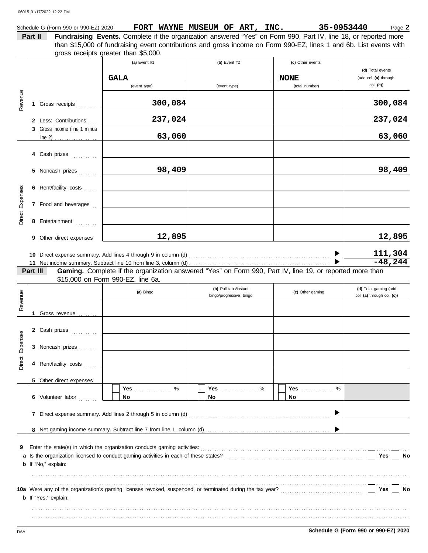|                 |         | Schedule G (Form 990 or 990-EZ) 2020 | FORT WAYNE MUSEUM OF ART, INC.                                                                                                                                                                                         |                         |   |                  | 35-0953440 | Page 2                     |
|-----------------|---------|--------------------------------------|------------------------------------------------------------------------------------------------------------------------------------------------------------------------------------------------------------------------|-------------------------|---|------------------|------------|----------------------------|
|                 | Part II |                                      | Fundraising Events. Complete if the organization answered "Yes" on Form 990, Part IV, line 18, or reported more                                                                                                        |                         |   |                  |            |                            |
|                 |         |                                      | than \$15,000 of fundraising event contributions and gross income on Form 990-EZ, lines 1 and 6b. List events with                                                                                                     |                         |   |                  |            |                            |
|                 |         |                                      | gross receipts greater than \$5,000.                                                                                                                                                                                   |                         |   |                  |            |                            |
|                 |         |                                      | (a) Event #1                                                                                                                                                                                                           | (b) Event #2            |   | (c) Other events |            | (d) Total events           |
|                 |         |                                      | <b>GALA</b>                                                                                                                                                                                                            |                         |   | <b>NONE</b>      |            | (add col. (a) through      |
|                 |         |                                      | (event type)                                                                                                                                                                                                           | (event type)            |   | (total number)   |            | col. (c)                   |
|                 |         |                                      |                                                                                                                                                                                                                        |                         |   |                  |            |                            |
| Revenue         |         | 1 Gross receipts                     | 300,084                                                                                                                                                                                                                |                         |   |                  |            | 300,084                    |
|                 |         |                                      |                                                                                                                                                                                                                        |                         |   |                  |            |                            |
|                 |         | 2 Less: Contributions                | 237,024                                                                                                                                                                                                                |                         |   |                  |            | 237,024                    |
|                 |         | 3 Gross income (line 1 minus         |                                                                                                                                                                                                                        |                         |   |                  |            |                            |
|                 |         |                                      | 63,060                                                                                                                                                                                                                 |                         |   |                  |            | 63,060                     |
|                 |         |                                      |                                                                                                                                                                                                                        |                         |   |                  |            |                            |
|                 |         | 4 Cash prizes                        |                                                                                                                                                                                                                        |                         |   |                  |            |                            |
|                 |         | 5 Noncash prizes                     | 98,409                                                                                                                                                                                                                 |                         |   |                  |            | 98,409                     |
|                 |         |                                      |                                                                                                                                                                                                                        |                         |   |                  |            |                            |
|                 |         | 6 Rent/facility costs                |                                                                                                                                                                                                                        |                         |   |                  |            |                            |
|                 |         |                                      |                                                                                                                                                                                                                        |                         |   |                  |            |                            |
|                 |         | 7 Food and beverages                 |                                                                                                                                                                                                                        |                         |   |                  |            |                            |
| Direct Expenses |         | 8 Entertainment                      |                                                                                                                                                                                                                        |                         |   |                  |            |                            |
|                 |         |                                      |                                                                                                                                                                                                                        |                         |   |                  |            |                            |
|                 |         | 9 Other direct expenses              | 12,895                                                                                                                                                                                                                 |                         |   |                  |            | 12,895                     |
|                 |         |                                      |                                                                                                                                                                                                                        |                         |   |                  |            |                            |
|                 |         |                                      |                                                                                                                                                                                                                        |                         |   |                  |            | 111,304                    |
|                 |         |                                      |                                                                                                                                                                                                                        |                         |   |                  |            | $-48,244$                  |
|                 |         | Part III                             | Gaming. Complete if the organization answered "Yes" on Form 990, Part IV, line 19, or reported more than<br>\$15,000 on Form 990-EZ, line 6a.                                                                          |                         |   |                  |            |                            |
|                 |         |                                      |                                                                                                                                                                                                                        | (b) Pull tabs/instant   |   |                  |            | (d) Total gaming (add      |
|                 |         |                                      | (a) Bingo                                                                                                                                                                                                              | bingo/progressive bingo |   | (c) Other gaming |            | col. (a) through col. (c)) |
| Revenue         |         |                                      |                                                                                                                                                                                                                        |                         |   |                  |            |                            |
|                 | 1       | Gross revenue                        |                                                                                                                                                                                                                        |                         |   |                  |            |                            |
|                 |         |                                      |                                                                                                                                                                                                                        |                         |   |                  |            |                            |
| <b>ses</b>      |         | 2 Cash prizes                        |                                                                                                                                                                                                                        |                         |   |                  |            |                            |
| Expens          |         | 3 Noncash prizes                     |                                                                                                                                                                                                                        |                         |   |                  |            |                            |
|                 |         |                                      |                                                                                                                                                                                                                        |                         |   |                  |            |                            |
| Direct          |         | 4 Rent/facility costs                |                                                                                                                                                                                                                        |                         |   |                  |            |                            |
|                 |         |                                      |                                                                                                                                                                                                                        |                         |   |                  |            |                            |
|                 |         | 5 Other direct expenses              |                                                                                                                                                                                                                        |                         |   |                  |            |                            |
|                 |         |                                      | %<br>Yes                                                                                                                                                                                                               | <b>Yes</b>              | % | Yes              | $\%$       |                            |
|                 |         | 6 Volunteer labor                    | No                                                                                                                                                                                                                     | No                      |   | <b>No</b>        |            |                            |
|                 |         |                                      |                                                                                                                                                                                                                        |                         |   |                  |            |                            |
|                 |         |                                      |                                                                                                                                                                                                                        |                         |   |                  |            |                            |
|                 |         |                                      |                                                                                                                                                                                                                        |                         |   |                  |            |                            |
|                 |         |                                      |                                                                                                                                                                                                                        |                         |   |                  |            |                            |
| 9               |         |                                      |                                                                                                                                                                                                                        |                         |   |                  |            |                            |
|                 |         |                                      |                                                                                                                                                                                                                        |                         |   |                  |            | Yes<br>No                  |
|                 |         | <b>b</b> If "No," explain:           |                                                                                                                                                                                                                        |                         |   |                  |            |                            |
|                 |         |                                      |                                                                                                                                                                                                                        |                         |   |                  |            |                            |
|                 |         |                                      | 10a Were any of the organization's gaming licenses revoked, suspended, or terminated during the tax year?<br>10a Were any of the organization's gaming licenses revoked, suspended, or terminated during the tax year? |                         |   |                  |            | Yes<br>No                  |
|                 |         | <b>b</b> If "Yes," explain:          |                                                                                                                                                                                                                        |                         |   |                  |            |                            |
|                 |         |                                      |                                                                                                                                                                                                                        |                         |   |                  |            |                            |
|                 |         |                                      |                                                                                                                                                                                                                        |                         |   |                  |            |                            |
|                 |         |                                      |                                                                                                                                                                                                                        |                         |   |                  |            |                            |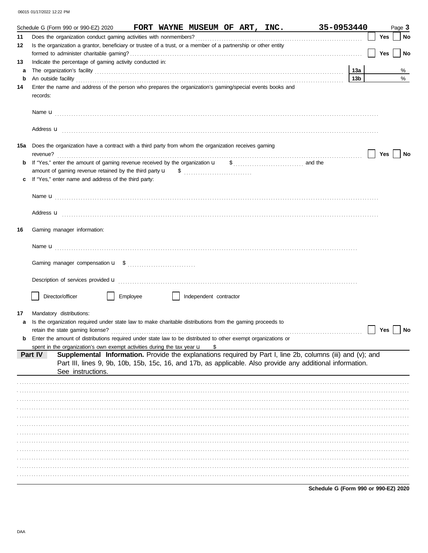|    | 35-0953440<br>Schedule G (Form 990 or 990-EZ) 2020 FORT WAYNE MUSEUM OF ART, INC.                                                                                                                                                  |                 |     | Page 3 |
|----|------------------------------------------------------------------------------------------------------------------------------------------------------------------------------------------------------------------------------------|-----------------|-----|--------|
| 11 |                                                                                                                                                                                                                                    |                 | Yes | No     |
| 12 | Is the organization a grantor, beneficiary or trustee of a trust, or a member of a partnership or other entity                                                                                                                     |                 |     |        |
|    |                                                                                                                                                                                                                                    |                 | Yes | No     |
| 13 | Indicate the percentage of gaming activity conducted in:                                                                                                                                                                           |                 |     |        |
| a  | The organization's facility [11] with the contract of the contract of the contract of the contract of the contract of the contract of the contract of the contract of the contract of the contract of the contract of the cont     | 13a             |     | %      |
| b  | An outside facility <b>contained an activity of the facility contained and activity of the contained and activity of the contained and activity of the contained activity of the contained activity of the contained activity </b> | 13 <sub>b</sub> |     | %      |
| 14 | Enter the name and address of the person who prepares the organization's gaming/special events books and<br>records:                                                                                                               |                 |     |        |
|    |                                                                                                                                                                                                                                    |                 |     |        |
|    | Address <b>u</b>                                                                                                                                                                                                                   |                 |     |        |
|    | 15a Does the organization have a contract with a third party from whom the organization receives gaming<br>revenue?                                                                                                                |                 | Yes | No     |
| b  | If "Yes," enter the amount of gaming revenue received by the organization u<br>$\frac{1}{2}$ , and the                                                                                                                             |                 |     |        |
|    |                                                                                                                                                                                                                                    |                 |     |        |
|    | If "Yes," enter name and address of the third party:                                                                                                                                                                               |                 |     |        |
|    |                                                                                                                                                                                                                                    |                 |     |        |
|    |                                                                                                                                                                                                                                    |                 |     |        |
|    | Address <b>u</b>                                                                                                                                                                                                                   |                 |     |        |
| 16 | Gaming manager information:                                                                                                                                                                                                        |                 |     |        |
|    |                                                                                                                                                                                                                                    |                 |     |        |
|    |                                                                                                                                                                                                                                    |                 |     |        |
|    | Description of services provided <b>u</b> entertainment contains and all the series of the services provided <b>u</b>                                                                                                              |                 |     |        |
|    | Director/officer<br>Employee<br>Independent contractor                                                                                                                                                                             |                 |     |        |
| 17 | Mandatory distributions:                                                                                                                                                                                                           |                 |     |        |
| a  | Is the organization required under state law to make charitable distributions from the gaming proceeds to                                                                                                                          |                 |     |        |
|    | retain the state gaming license?                                                                                                                                                                                                   |                 | Yes | No     |
| b  | Enter the amount of distributions required under state law to be distributed to other exempt organizations or                                                                                                                      |                 |     |        |
|    | spent in the organization's own exempt activities during the tax year u<br>\$                                                                                                                                                      |                 |     |        |
|    | Supplemental Information. Provide the explanations required by Part I, line 2b, columns (iii) and (v); and<br>Part IV                                                                                                              |                 |     |        |
|    | Part III, lines 9, 9b, 10b, 15b, 15c, 16, and 17b, as applicable. Also provide any additional information.                                                                                                                         |                 |     |        |
|    | See instructions.                                                                                                                                                                                                                  |                 |     |        |
|    |                                                                                                                                                                                                                                    |                 |     |        |
|    |                                                                                                                                                                                                                                    |                 |     |        |
|    |                                                                                                                                                                                                                                    |                 |     |        |
|    |                                                                                                                                                                                                                                    |                 |     |        |
|    |                                                                                                                                                                                                                                    |                 |     |        |
|    |                                                                                                                                                                                                                                    |                 |     |        |
|    |                                                                                                                                                                                                                                    |                 |     |        |
|    |                                                                                                                                                                                                                                    |                 |     |        |
|    |                                                                                                                                                                                                                                    |                 |     |        |
|    |                                                                                                                                                                                                                                    |                 |     |        |
|    |                                                                                                                                                                                                                                    |                 |     |        |
|    |                                                                                                                                                                                                                                    |                 |     |        |

Schedule G (Form 990 or 990-EZ) 2020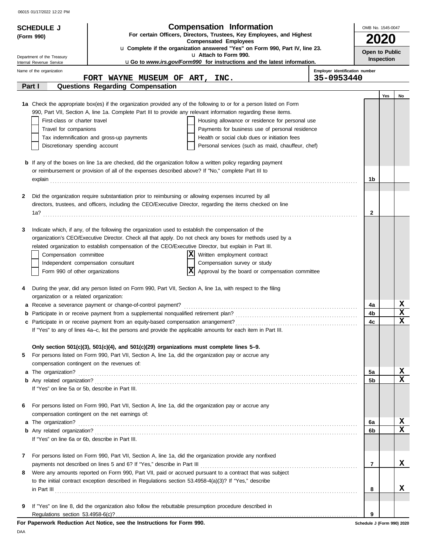| <b>SCHEDULE J</b>                                |                                                                                                                     | <b>Compensation Information</b>                                                                                                                                                                                                      |                                | OMB No. 1545-0047          |
|--------------------------------------------------|---------------------------------------------------------------------------------------------------------------------|--------------------------------------------------------------------------------------------------------------------------------------------------------------------------------------------------------------------------------------|--------------------------------|----------------------------|
| (Form 990)                                       |                                                                                                                     | For certain Officers, Directors, Trustees, Key Employees, and Highest                                                                                                                                                                |                                |                            |
|                                                  |                                                                                                                     | <b>Compensated Employees</b><br>u Complete if the organization answered "Yes" on Form 990, Part IV, line 23.                                                                                                                         |                                | <b>2020</b>                |
| Department of the Treasury                       |                                                                                                                     | u Attach to Form 990.                                                                                                                                                                                                                |                                | Open to Public             |
| Internal Revenue Service                         |                                                                                                                     | <b>uGo to www.irs.gov/Form990 for instructions and the latest information.</b>                                                                                                                                                       |                                | Inspection                 |
| Name of the organization                         |                                                                                                                     |                                                                                                                                                                                                                                      | Employer identification number |                            |
|                                                  | FORT WAYNE MUSEUM OF ART, INC.                                                                                      |                                                                                                                                                                                                                                      | 35-0953440                     |                            |
| Part I                                           | Questions Regarding Compensation                                                                                    |                                                                                                                                                                                                                                      |                                |                            |
|                                                  |                                                                                                                     | 1a Check the appropriate box(es) if the organization provided any of the following to or for a person listed on Form                                                                                                                 |                                | Yes<br>No                  |
|                                                  |                                                                                                                     | 990, Part VII, Section A, line 1a. Complete Part III to provide any relevant information regarding these items.                                                                                                                      |                                |                            |
| First-class or charter travel                    |                                                                                                                     | Housing allowance or residence for personal use                                                                                                                                                                                      |                                |                            |
| Travel for companions                            |                                                                                                                     | Payments for business use of personal residence                                                                                                                                                                                      |                                |                            |
|                                                  | Tax indemnification and gross-up payments                                                                           | Health or social club dues or initiation fees                                                                                                                                                                                        |                                |                            |
| Discretionary spending account                   |                                                                                                                     | Personal services (such as maid, chauffeur, chef)                                                                                                                                                                                    |                                |                            |
|                                                  |                                                                                                                     |                                                                                                                                                                                                                                      |                                |                            |
|                                                  | <b>b</b> If any of the boxes on line 1a are checked, did the organization follow a written policy regarding payment |                                                                                                                                                                                                                                      |                                |                            |
|                                                  | or reimbursement or provision of all of the expenses described above? If "No," complete Part III to                 |                                                                                                                                                                                                                                      |                                |                            |
|                                                  |                                                                                                                     | explain <b>contract and the contract of the contract of the contract of the contract of the contract of the contract of the contract of the contract of the contract of the contract of the contract of the contract of the cont</b> | 1b                             |                            |
| 2                                                | Did the organization require substantiation prior to reimbursing or allowing expenses incurred by all               |                                                                                                                                                                                                                                      |                                |                            |
|                                                  |                                                                                                                     | directors, trustees, and officers, including the CEO/Executive Director, regarding the items checked on line                                                                                                                         |                                |                            |
|                                                  |                                                                                                                     |                                                                                                                                                                                                                                      | 2                              |                            |
|                                                  |                                                                                                                     |                                                                                                                                                                                                                                      |                                |                            |
| 3                                                | Indicate which, if any, of the following the organization used to establish the compensation of the                 |                                                                                                                                                                                                                                      |                                |                            |
|                                                  |                                                                                                                     | organization's CEO/Executive Director. Check all that apply. Do not check any boxes for methods used by a                                                                                                                            |                                |                            |
|                                                  | related organization to establish compensation of the CEO/Executive Director, but explain in Part III.              |                                                                                                                                                                                                                                      |                                |                            |
| Compensation committee                           |                                                                                                                     | IХ<br>Written employment contract                                                                                                                                                                                                    |                                |                            |
|                                                  | Independent compensation consultant                                                                                 | Compensation survey or study                                                                                                                                                                                                         |                                |                            |
| Form 990 of other organizations                  |                                                                                                                     | X<br>Approval by the board or compensation committee                                                                                                                                                                                 |                                |                            |
| 4                                                | During the year, did any person listed on Form 990, Part VII, Section A, line 1a, with respect to the filing        |                                                                                                                                                                                                                                      |                                |                            |
| organization or a related organization:          |                                                                                                                     |                                                                                                                                                                                                                                      |                                |                            |
|                                                  | a Receive a severance payment or change-of-control payment?                                                         |                                                                                                                                                                                                                                      | 4a                             | X                          |
| b                                                |                                                                                                                     |                                                                                                                                                                                                                                      | 4b                             | X                          |
| c                                                |                                                                                                                     |                                                                                                                                                                                                                                      | 4c                             | X                          |
|                                                  |                                                                                                                     | "Yes" to any of lines 4a-c, list the persons and provide the applicable amounts for each item in Part III.                                                                                                                           |                                |                            |
|                                                  |                                                                                                                     |                                                                                                                                                                                                                                      |                                |                            |
|                                                  | Only section $501(c)(3)$ , $501(c)(4)$ , and $501(c)(29)$ organizations must complete lines 5-9.                    |                                                                                                                                                                                                                                      |                                |                            |
| 5                                                | For persons listed on Form 990, Part VII, Section A, line 1a, did the organization pay or accrue any                |                                                                                                                                                                                                                                      |                                |                            |
| compensation contingent on the revenues of:      |                                                                                                                     |                                                                                                                                                                                                                                      |                                | X                          |
| a The organization?                              |                                                                                                                     |                                                                                                                                                                                                                                      | 5a<br>5b                       | x                          |
| If "Yes" on line 5a or 5b, describe in Part III. |                                                                                                                     |                                                                                                                                                                                                                                      |                                |                            |
|                                                  |                                                                                                                     |                                                                                                                                                                                                                                      |                                |                            |
| 6                                                | For persons listed on Form 990, Part VII, Section A, line 1a, did the organization pay or accrue any                |                                                                                                                                                                                                                                      |                                |                            |
|                                                  | compensation contingent on the net earnings of:                                                                     |                                                                                                                                                                                                                                      |                                |                            |
| <b>a</b> The organization?                       |                                                                                                                     |                                                                                                                                                                                                                                      | 6a                             | X                          |
|                                                  |                                                                                                                     |                                                                                                                                                                                                                                      | 6b                             | x                          |
| If "Yes" on line 6a or 6b, describe in Part III. |                                                                                                                     |                                                                                                                                                                                                                                      |                                |                            |
|                                                  |                                                                                                                     |                                                                                                                                                                                                                                      |                                |                            |
| 7                                                | For persons listed on Form 990, Part VII, Section A, line 1a, did the organization provide any nonfixed             |                                                                                                                                                                                                                                      |                                | x                          |
| 8                                                | payments not described on lines 5 and 6? If "Yes," describe in Part III                                             | Were any amounts reported on Form 990, Part VII, paid or accrued pursuant to a contract that was subject                                                                                                                             | $\overline{7}$                 |                            |
|                                                  | to the initial contract exception described in Regulations section 53.4958-4(a)(3)? If "Yes," describe              |                                                                                                                                                                                                                                      |                                |                            |
|                                                  |                                                                                                                     | $\ $ n Part III $\ $                                                                                                                                                                                                                 | 8                              | x                          |
|                                                  |                                                                                                                     |                                                                                                                                                                                                                                      |                                |                            |
| 9                                                | If "Yes" on line 8, did the organization also follow the rebuttable presumption procedure described in              |                                                                                                                                                                                                                                      |                                |                            |
|                                                  |                                                                                                                     |                                                                                                                                                                                                                                      | 9                              |                            |
|                                                  | For Paperwork Reduction Act Notice, see the Instructions for Form 990.                                              |                                                                                                                                                                                                                                      |                                | Schedule J (Form 990) 2020 |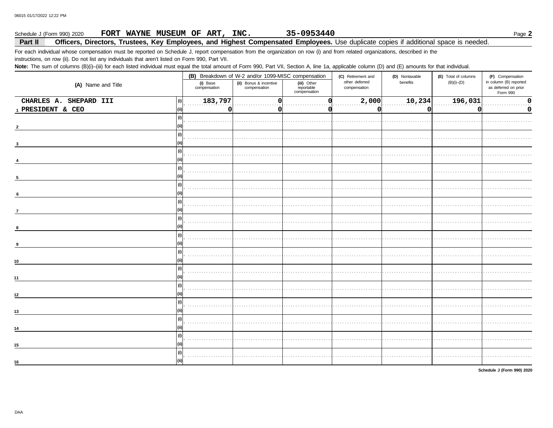#### 35-0953440 Schedule J (Form 990) 2020 FORT WAYNE MUSEUM OF ART, INC. Page 2

#### Part II Officers, Directors, Trustees, Key Employees, and Highest Compensated Employees. Use duplicate copies if additional space is needed.

For each individual whose compensation must be reported on Schedule J, report compensation from the organization on row (i) and from related organizations, described in the instructions, on row (ii). Do not list any individuals that aren't listed on Form 990, Part VII.

Note: The sum of columns (B)(i)-(iii) for each listed individual must equal the total amount of Form 990, Part VII, Section A, line 1a, applicable column (D) and (E) amounts for that individual.

|                               |                          | (B) Breakdown of W-2 and/or 1099-MISC compensation |                                           | (C) Retirement and             | (D) Nontaxable | (E) Total of columns | (F) Compensation                                           |  |
|-------------------------------|--------------------------|----------------------------------------------------|-------------------------------------------|--------------------------------|----------------|----------------------|------------------------------------------------------------|--|
| (A) Name and Title            | (i) Base<br>compensation | (ii) Bonus & incentive<br>compensation             | (iii) Other<br>reportable<br>compensation | other deferred<br>compensation | benefits       | $(B)(i)$ - $(D)$     | in column (B) reported<br>as deferred on prior<br>Form 990 |  |
| CHARLES A. SHEPARD III<br>(i) | 183,797                  |                                                    |                                           | 2,000                          | 10,234         | 196,031              | 0                                                          |  |
| 1 PRESIDENT & CEO<br>l (ii)   | 0                        |                                                    |                                           | O                              | $\Omega$       | n                    | 0                                                          |  |
| (i)                           |                          |                                                    |                                           |                                |                |                      |                                                            |  |
|                               |                          |                                                    |                                           |                                |                |                      |                                                            |  |
| (i)                           |                          |                                                    |                                           |                                |                |                      |                                                            |  |
|                               |                          |                                                    |                                           |                                |                |                      |                                                            |  |
| (i)                           |                          |                                                    |                                           |                                |                |                      |                                                            |  |
| (i)                           |                          |                                                    |                                           |                                |                |                      |                                                            |  |
|                               |                          |                                                    |                                           |                                |                |                      |                                                            |  |
| (i)                           |                          |                                                    |                                           |                                |                |                      |                                                            |  |
| 6                             |                          |                                                    |                                           |                                |                |                      |                                                            |  |
| (i)                           |                          |                                                    |                                           |                                |                |                      |                                                            |  |
| $\overline{7}$                |                          |                                                    |                                           |                                |                |                      |                                                            |  |
| (i)                           |                          |                                                    |                                           |                                |                |                      |                                                            |  |
| 8                             |                          |                                                    |                                           |                                |                |                      |                                                            |  |
| (i)                           |                          |                                                    |                                           |                                |                |                      |                                                            |  |
| l (ii)                        |                          |                                                    |                                           |                                |                |                      |                                                            |  |
| (i)                           |                          |                                                    |                                           |                                |                |                      |                                                            |  |
| l (ii)<br>10                  |                          |                                                    |                                           |                                |                |                      |                                                            |  |
| (i)                           |                          |                                                    |                                           |                                |                |                      |                                                            |  |
| 11                            |                          |                                                    |                                           |                                |                |                      |                                                            |  |
| (i)                           |                          |                                                    |                                           |                                |                |                      |                                                            |  |
| 12                            |                          |                                                    |                                           |                                |                |                      |                                                            |  |
| (i)                           |                          |                                                    |                                           |                                |                |                      |                                                            |  |
| 13                            |                          |                                                    |                                           |                                |                |                      |                                                            |  |
| (i)                           |                          |                                                    |                                           |                                |                |                      |                                                            |  |
|                               |                          |                                                    |                                           |                                |                |                      |                                                            |  |
| (i)                           |                          |                                                    |                                           |                                |                |                      |                                                            |  |
| l (ii)<br>15                  |                          |                                                    |                                           |                                |                |                      |                                                            |  |
| (i)                           |                          |                                                    |                                           |                                |                |                      |                                                            |  |
| 16                            |                          |                                                    |                                           |                                |                |                      |                                                            |  |

Schedule J (Form 990) 2020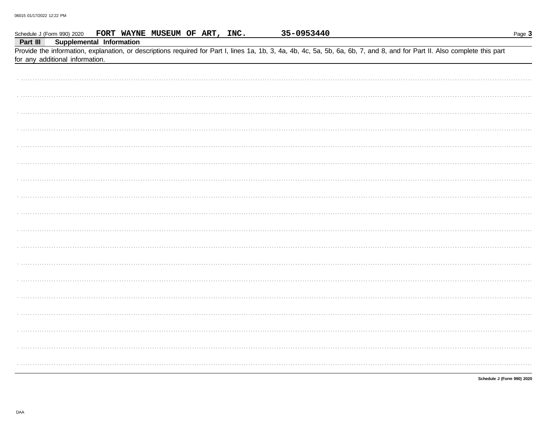|          | Schedule J (Form 990) 2020      | FORT WAYNE MUSEUM OF ART, INC.                                                                                                                                             |  | 35-0953440 |  | Page 3                     |
|----------|---------------------------------|----------------------------------------------------------------------------------------------------------------------------------------------------------------------------|--|------------|--|----------------------------|
| Part III |                                 | Supplemental Information                                                                                                                                                   |  |            |  |                            |
|          |                                 | Provide the information, explanation, or descriptions required for Part I, lines 1a, 1b, 3, 4a, 4b, 4c, 5a, 5b, 6a, 6b, 7, and 8, and for Part II. Also complete this part |  |            |  |                            |
|          | for any additional information. |                                                                                                                                                                            |  |            |  |                            |
|          |                                 |                                                                                                                                                                            |  |            |  |                            |
|          |                                 |                                                                                                                                                                            |  |            |  |                            |
|          |                                 |                                                                                                                                                                            |  |            |  |                            |
|          |                                 |                                                                                                                                                                            |  |            |  |                            |
|          |                                 |                                                                                                                                                                            |  |            |  |                            |
|          |                                 |                                                                                                                                                                            |  |            |  |                            |
|          |                                 |                                                                                                                                                                            |  |            |  |                            |
|          |                                 |                                                                                                                                                                            |  |            |  |                            |
|          |                                 |                                                                                                                                                                            |  |            |  |                            |
|          |                                 |                                                                                                                                                                            |  |            |  |                            |
|          |                                 |                                                                                                                                                                            |  |            |  |                            |
|          |                                 |                                                                                                                                                                            |  |            |  |                            |
|          |                                 |                                                                                                                                                                            |  |            |  |                            |
|          |                                 |                                                                                                                                                                            |  |            |  |                            |
|          |                                 |                                                                                                                                                                            |  |            |  |                            |
|          |                                 |                                                                                                                                                                            |  |            |  |                            |
|          |                                 |                                                                                                                                                                            |  |            |  |                            |
|          |                                 |                                                                                                                                                                            |  |            |  |                            |
|          |                                 |                                                                                                                                                                            |  |            |  |                            |
|          |                                 |                                                                                                                                                                            |  |            |  |                            |
|          |                                 |                                                                                                                                                                            |  |            |  |                            |
|          |                                 |                                                                                                                                                                            |  |            |  |                            |
|          |                                 |                                                                                                                                                                            |  |            |  |                            |
|          |                                 |                                                                                                                                                                            |  |            |  |                            |
|          |                                 |                                                                                                                                                                            |  |            |  |                            |
|          |                                 |                                                                                                                                                                            |  |            |  |                            |
|          |                                 |                                                                                                                                                                            |  |            |  |                            |
|          |                                 |                                                                                                                                                                            |  |            |  |                            |
|          |                                 |                                                                                                                                                                            |  |            |  |                            |
|          |                                 |                                                                                                                                                                            |  |            |  |                            |
|          |                                 |                                                                                                                                                                            |  |            |  |                            |
|          |                                 |                                                                                                                                                                            |  |            |  |                            |
|          |                                 |                                                                                                                                                                            |  |            |  |                            |
|          |                                 |                                                                                                                                                                            |  |            |  |                            |
|          |                                 |                                                                                                                                                                            |  |            |  |                            |
|          |                                 |                                                                                                                                                                            |  |            |  |                            |
|          |                                 |                                                                                                                                                                            |  |            |  |                            |
|          |                                 |                                                                                                                                                                            |  |            |  |                            |
|          |                                 |                                                                                                                                                                            |  |            |  |                            |
|          |                                 |                                                                                                                                                                            |  |            |  | Schedule J (Form 990) 2020 |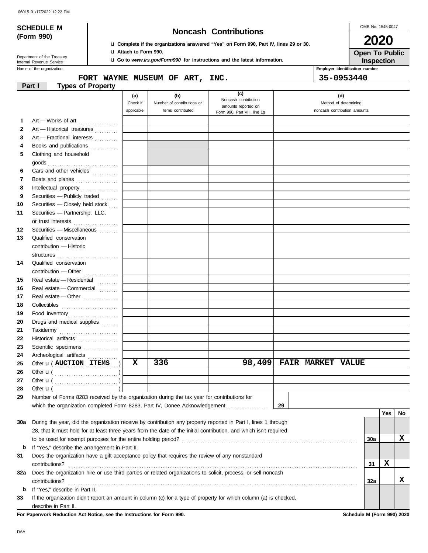|  | 06015 01/17/2022 12:22 PM |  |  |
|--|---------------------------|--|--|
|--|---------------------------|--|--|

## **SCHEDULE M Noncash Contributions**

OMB No. 1545-0047 **2020**

| (Form 990) |  |
|------------|--|

### u **Complete if the organizations answered "Yes" on Form 990, Part IV, lines 29 or 30.** u **Attach to Form 990.**

u **Go to** *www.irs.gov/Form990* **for instructions and the latest information.**

**Inspection Open To Public**

Name of the organization **Employer identification number Employer identification number** Department of the Treasury<br>Internal Revenue Service

### **FORT WAYNE MUSEUM OF ART, INC. 35-0953440**

|     | <b>Types of Property</b><br>Part I                                                                                 |            |                            |                                             |    |                          |                              |     |     |     |
|-----|--------------------------------------------------------------------------------------------------------------------|------------|----------------------------|---------------------------------------------|----|--------------------------|------------------------------|-----|-----|-----|
|     |                                                                                                                    | (a)        | (b)                        | (c)                                         |    |                          | (d)                          |     |     |     |
|     |                                                                                                                    | Check if   | Number of contributions or | Noncash contribution<br>amounts reported on |    |                          | Method of determining        |     |     |     |
|     |                                                                                                                    | applicable | items contributed          | Form 990, Part VIII, line 1g                |    |                          | noncash contribution amounts |     |     |     |
| 1   | Art - Works of art                                                                                                 |            |                            |                                             |    |                          |                              |     |     |     |
| 2   | Art - Historical treasures                                                                                         |            |                            |                                             |    |                          |                              |     |     |     |
| 3   | Art - Fractional interests                                                                                         |            |                            |                                             |    |                          |                              |     |     |     |
| 4   | Books and publications                                                                                             |            |                            |                                             |    |                          |                              |     |     |     |
| 5   | Clothing and household                                                                                             |            |                            |                                             |    |                          |                              |     |     |     |
|     | goods<br><i>compare in the set of the set of the set of the set of the set of the set of</i>                       |            |                            |                                             |    |                          |                              |     |     |     |
| 6   | Cars and other vehicles                                                                                            |            |                            |                                             |    |                          |                              |     |     |     |
| 7   | Boats and planes                                                                                                   |            |                            |                                             |    |                          |                              |     |     |     |
| 8   | Intellectual property                                                                                              |            |                            |                                             |    |                          |                              |     |     |     |
| 9   | Securities - Publicly traded                                                                                       |            |                            |                                             |    |                          |                              |     |     |     |
| 10  | Securities - Closely held stock                                                                                    |            |                            |                                             |    |                          |                              |     |     |     |
| 11  | Securities - Partnership, LLC,                                                                                     |            |                            |                                             |    |                          |                              |     |     |     |
|     | or trust interests                                                                                                 |            |                            |                                             |    |                          |                              |     |     |     |
| 12  | Securities - Miscellaneous [11]                                                                                    |            |                            |                                             |    |                          |                              |     |     |     |
| 13  | Qualified conservation                                                                                             |            |                            |                                             |    |                          |                              |     |     |     |
|     | contribution - Historic                                                                                            |            |                            |                                             |    |                          |                              |     |     |     |
|     | structures                                                                                                         |            |                            |                                             |    |                          |                              |     |     |     |
| 14  | Qualified conservation                                                                                             |            |                            |                                             |    |                          |                              |     |     |     |
|     | contribution - Other                                                                                               |            |                            |                                             |    |                          |                              |     |     |     |
| 15  | Real estate - Residential                                                                                          |            |                            |                                             |    |                          |                              |     |     |     |
| 16  | Real estate - Commercial                                                                                           |            |                            |                                             |    |                          |                              |     |     |     |
| 17  | Real estate - Other                                                                                                |            |                            |                                             |    |                          |                              |     |     |     |
| 18  | Collectibles                                                                                                       |            |                            |                                             |    |                          |                              |     |     |     |
| 19  | Food inventory                                                                                                     |            |                            |                                             |    |                          |                              |     |     |     |
| 20  | Drugs and medical supplies                                                                                         |            |                            |                                             |    |                          |                              |     |     |     |
| 21  | Taxidermy                                                                                                          |            |                            |                                             |    |                          |                              |     |     |     |
| 22  | Historical artifacts                                                                                               |            |                            |                                             |    |                          |                              |     |     |     |
| 23  | Scientific specimens                                                                                               |            |                            |                                             |    |                          |                              |     |     |     |
| 24  | Archeological artifacts                                                                                            |            |                            |                                             |    |                          |                              |     |     |     |
| 25  | Other <b>u</b> ( <b>AUCTION ITEMS</b>                                                                              | X          | 336                        | 98,409                                      |    | <b>FAIR MARKET VALUE</b> |                              |     |     |     |
| 26  |                                                                                                                    |            |                            |                                             |    |                          |                              |     |     |     |
| 27  |                                                                                                                    |            |                            |                                             |    |                          |                              |     |     |     |
| 28  | Other $\mathbf{u}$ (                                                                                               |            |                            |                                             |    |                          |                              |     |     |     |
| 29  | Number of Forms 8283 received by the organization during the tax year for contributions for                        |            |                            |                                             |    |                          |                              |     |     |     |
|     | which the organization completed Form 8283, Part IV, Donee Acknowledgement                                         |            |                            |                                             | 29 |                          |                              |     |     |     |
|     |                                                                                                                    |            |                            |                                             |    |                          |                              |     | Yes | No. |
| 30a | During the year, did the organization receive by contribution any property reported in Part I, lines 1 through     |            |                            |                                             |    |                          |                              |     |     |     |
|     | 28, that it must hold for at least three years from the date of the initial contribution, and which isn't required |            |                            |                                             |    |                          |                              |     |     |     |
|     |                                                                                                                    |            |                            |                                             |    |                          |                              | 30a |     | X   |
| b   | If "Yes," describe the arrangement in Part II.                                                                     |            |                            |                                             |    |                          |                              |     |     |     |
| 31  | Does the organization have a gift acceptance policy that requires the review of any nonstandard                    |            |                            |                                             |    |                          |                              |     |     |     |
|     | contributions?                                                                                                     |            |                            |                                             |    |                          |                              | 31  | X   |     |
| 32a | Does the organization hire or use third parties or related organizations to solicit, process, or sell noncash      |            |                            |                                             |    |                          |                              |     |     |     |
|     | contributions?                                                                                                     |            |                            |                                             |    |                          |                              | 32a |     | X   |
| b   | If "Yes," describe in Part II.                                                                                     |            |                            |                                             |    |                          |                              |     |     |     |
| 33  | If the organization didn't report an amount in column (c) for a type of property for which column (a) is checked,  |            |                            |                                             |    |                          |                              |     |     |     |
|     | describe in Part II.                                                                                               |            |                            |                                             |    |                          |                              |     |     |     |

**For Paperwork Reduction Act Notice, see the Instructions for Form 990. Schedule M (Form 990) 2020**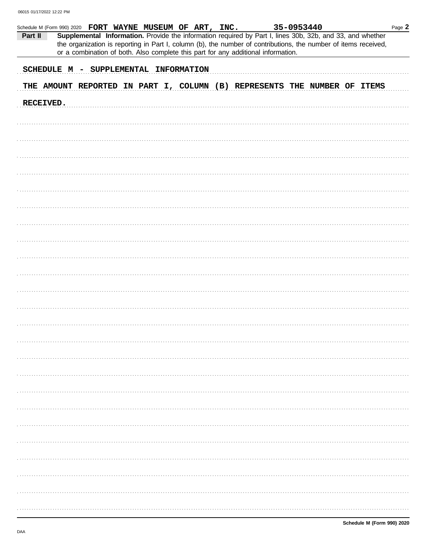| Schedule M (Form 990) 2020 FORT WAYNE MUSEUM OF ART, INC. |  |  |  |  |                                                                                   | 35-0953440 |                                                                                                                                                                                                                              |  | Page 2 |
|-----------------------------------------------------------|--|--|--|--|-----------------------------------------------------------------------------------|------------|------------------------------------------------------------------------------------------------------------------------------------------------------------------------------------------------------------------------------|--|--------|
| Part II                                                   |  |  |  |  | or a combination of both. Also complete this part for any additional information. |            | Supplemental Information. Provide the information required by Part I, lines 30b, 32b, and 33, and whether<br>the organization is reporting in Part I, column (b), the number of contributions, the number of items received, |  |        |
| SCHEDULE M - SUPPLEMENTAL INFORMATION                     |  |  |  |  |                                                                                   |            |                                                                                                                                                                                                                              |  |        |
|                                                           |  |  |  |  |                                                                                   |            | THE AMOUNT REPORTED IN PART I, COLUMN (B) REPRESENTS THE NUMBER OF ITEMS                                                                                                                                                     |  |        |
| RECEIVED.                                                 |  |  |  |  |                                                                                   |            |                                                                                                                                                                                                                              |  |        |
|                                                           |  |  |  |  |                                                                                   |            |                                                                                                                                                                                                                              |  |        |
|                                                           |  |  |  |  |                                                                                   |            |                                                                                                                                                                                                                              |  |        |
|                                                           |  |  |  |  |                                                                                   |            |                                                                                                                                                                                                                              |  |        |
|                                                           |  |  |  |  |                                                                                   |            |                                                                                                                                                                                                                              |  |        |
|                                                           |  |  |  |  |                                                                                   |            |                                                                                                                                                                                                                              |  |        |
|                                                           |  |  |  |  |                                                                                   |            |                                                                                                                                                                                                                              |  |        |
|                                                           |  |  |  |  |                                                                                   |            |                                                                                                                                                                                                                              |  |        |
|                                                           |  |  |  |  |                                                                                   |            |                                                                                                                                                                                                                              |  |        |
|                                                           |  |  |  |  |                                                                                   |            |                                                                                                                                                                                                                              |  |        |
|                                                           |  |  |  |  |                                                                                   |            |                                                                                                                                                                                                                              |  |        |
|                                                           |  |  |  |  |                                                                                   |            |                                                                                                                                                                                                                              |  |        |
|                                                           |  |  |  |  |                                                                                   |            |                                                                                                                                                                                                                              |  |        |
|                                                           |  |  |  |  |                                                                                   |            |                                                                                                                                                                                                                              |  |        |
|                                                           |  |  |  |  |                                                                                   |            |                                                                                                                                                                                                                              |  |        |
|                                                           |  |  |  |  |                                                                                   |            |                                                                                                                                                                                                                              |  |        |
|                                                           |  |  |  |  |                                                                                   |            |                                                                                                                                                                                                                              |  |        |
|                                                           |  |  |  |  |                                                                                   |            |                                                                                                                                                                                                                              |  |        |
|                                                           |  |  |  |  |                                                                                   |            |                                                                                                                                                                                                                              |  |        |
|                                                           |  |  |  |  |                                                                                   |            |                                                                                                                                                                                                                              |  |        |
|                                                           |  |  |  |  |                                                                                   |            |                                                                                                                                                                                                                              |  |        |
|                                                           |  |  |  |  |                                                                                   |            |                                                                                                                                                                                                                              |  |        |
|                                                           |  |  |  |  |                                                                                   |            |                                                                                                                                                                                                                              |  |        |
|                                                           |  |  |  |  |                                                                                   |            |                                                                                                                                                                                                                              |  |        |
|                                                           |  |  |  |  |                                                                                   |            |                                                                                                                                                                                                                              |  |        |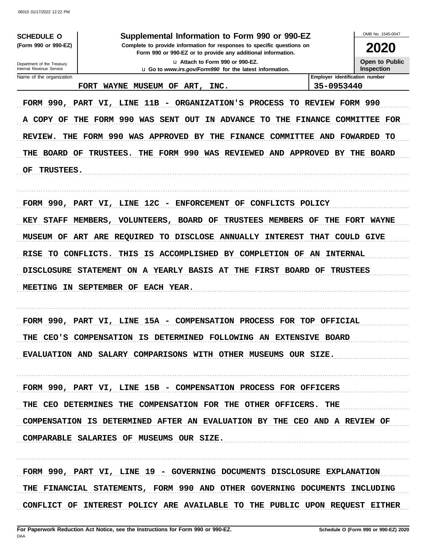**SCHEDULE O** (Form 990 or 990-EZ)

### Supplemental Information to Form 990 or 990-EZ

Complete to provide information for responses to specific questions on Form 990 or 990-EZ or to provide any additional information. u Attach to Form 990 or 990-EZ.

u Go to www.irs.gov/Form990 for the latest information.

2020

**Open to Public** Inspection

OMB No. 1545-0047

Department of the Treasury Internal Revenue Service Name of the organization

FORT WAYNE MUSEUM OF ART, INC.

Employer identification number 35-0953440

FORM 990, PART VI, LINE 11B - ORGANIZATION'S PROCESS TO REVIEW FORM 990 A COPY OF THE FORM 990 WAS SENT OUT IN ADVANCE TO THE FINANCE COMMITTEE FOR REVIEW. THE FORM 990 WAS APPROVED BY THE FINANCE COMMITTEE AND FOWARDED TO THE BOARD OF TRUSTEES. THE FORM 990 WAS REVIEWED AND APPROVED BY THE BOARD **TRUSTEES.** OF

FORM 990, PART VI, LINE 12C - ENFORCEMENT OF CONFLICTS POLICY KEY STAFF MEMBERS, VOLUNTEERS, BOARD OF TRUSTEES MEMBERS OF THE FORT WAYNE MUSEUM OF ART ARE REQUIRED TO DISCLOSE ANNUALLY INTEREST THAT COULD GIVE RISE TO CONFLICTS. THIS IS ACCOMPLISHED BY COMPLETION OF AN INTERNAL DISCLOSURE STATEMENT ON A YEARLY BASIS AT THE FIRST BOARD OF TRUSTEES MEETING IN SEPTEMBER OF EACH YEAR.

FORM 990, PART VI, LINE 15A - COMPENSATION PROCESS FOR TOP OFFICIAL THE CEO'S COMPENSATION IS DETERMINED FOLLOWING AN EXTENSIVE BOARD EVALUATION AND SALARY COMPARISONS WITH OTHER MUSEUMS OUR SIZE.

FORM 990, PART VI, LINE 15B - COMPENSATION PROCESS FOR OFFICERS THE CEO DETERMINES THE COMPENSATION FOR THE OTHER OFFICERS. THE COMPENSATION IS DETERMINED AFTER AN EVALUATION BY THE CEO AND A REVIEW OF COMPARABLE SALARIES OF MUSEUMS OUR SIZE.

FORM 990, PART VI, LINE 19 - GOVERNING DOCUMENTS DISCLOSURE EXPLANATION THE FINANCIAL STATEMENTS, FORM 990 AND OTHER GOVERNING DOCUMENTS INCLUDING CONFLICT OF INTEREST POLICY ARE AVAILABLE TO THE PUBLIC UPON REQUEST EITHER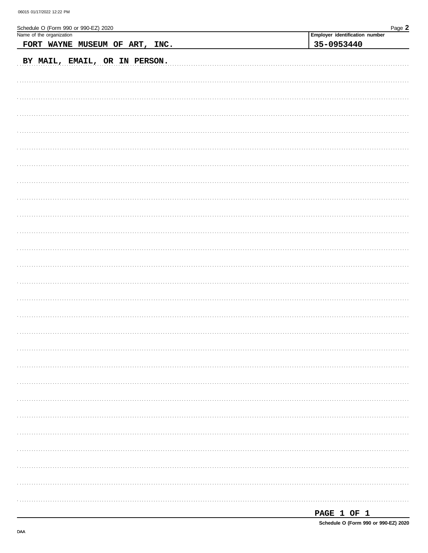| Schedule O (Form 990 or 990-EZ) 2020 | Page 2                                       |
|--------------------------------------|----------------------------------------------|
| Name of the organization             | Employer identification number<br>35-0953440 |
| FORT WAYNE MUSEUM OF ART, INC.       |                                              |
| BY MAIL, EMAIL, OR IN PERSON.        |                                              |
|                                      |                                              |
|                                      |                                              |
|                                      |                                              |
|                                      |                                              |
|                                      |                                              |
|                                      |                                              |
|                                      |                                              |
|                                      |                                              |
|                                      |                                              |
|                                      |                                              |
|                                      |                                              |
|                                      |                                              |
|                                      |                                              |
|                                      |                                              |
|                                      |                                              |
|                                      |                                              |
|                                      |                                              |
|                                      |                                              |
|                                      |                                              |
|                                      |                                              |
|                                      |                                              |
|                                      |                                              |
|                                      |                                              |
|                                      |                                              |
|                                      |                                              |
|                                      |                                              |
|                                      |                                              |
|                                      |                                              |
|                                      |                                              |
|                                      |                                              |
|                                      |                                              |
|                                      |                                              |
|                                      |                                              |
|                                      |                                              |
|                                      |                                              |
|                                      |                                              |
|                                      |                                              |
|                                      |                                              |

| <b>PAGE</b> |  |  |  |
|-------------|--|--|--|
|-------------|--|--|--|